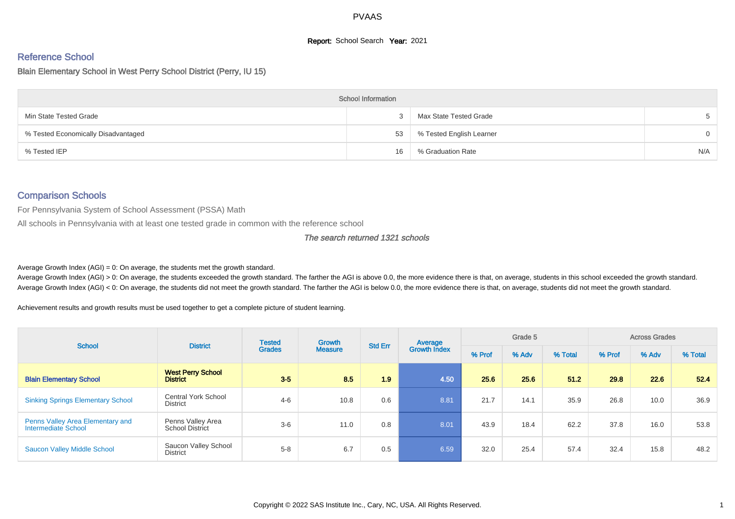# **Report:** School Search **Year:** 2021

# Reference School

Blain Elementary School in West Perry School District (Perry, IU 15)

|                                     | <b>School Information</b> |                          |          |
|-------------------------------------|---------------------------|--------------------------|----------|
| Min State Tested Grade              |                           | Max State Tested Grade   | 5        |
| % Tested Economically Disadvantaged | 53                        | % Tested English Learner | $\Omega$ |
| % Tested IEP                        | 16                        | % Graduation Rate        | N/A      |

#### Comparison Schools

For Pennsylvania System of School Assessment (PSSA) Math

All schools in Pennsylvania with at least one tested grade in common with the reference school

#### The search returned 1321 schools

Average Growth Index  $(AGI) = 0$ : On average, the students met the growth standard.

Average Growth Index (AGI) > 0: On average, the students exceeded the growth standard. The farther the AGI is above 0.0, the more evidence there is that, on average, students in this school exceeded the growth standard. Average Growth Index (AGI) < 0: On average, the students did not meet the growth standard. The farther the AGI is below 0.0, the more evidence there is that, on average, students did not meet the growth standard.

Achievement results and growth results must be used together to get a complete picture of student learning.

| <b>School</b>                                           | <b>District</b>                               | <b>Tested</b> | Growth         | <b>Std Err</b> | Average             |        | Grade 5 |         |        | <b>Across Grades</b> |         |
|---------------------------------------------------------|-----------------------------------------------|---------------|----------------|----------------|---------------------|--------|---------|---------|--------|----------------------|---------|
|                                                         |                                               | <b>Grades</b> | <b>Measure</b> |                | <b>Growth Index</b> | % Prof | % Adv   | % Total | % Prof | % Adv                | % Total |
| <b>Blain Elementary School</b>                          | <b>West Perry School</b><br><b>District</b>   | $3-5$         | 8.5            | 1.9            | 4.50                | 25.6   | 25.6    | 51.2    | 29.8   | 22.6                 | 52.4    |
| <b>Sinking Springs Elementary School</b>                | <b>Central York School</b><br><b>District</b> | $4 - 6$       | 10.8           | 0.6            | 8.81                | 21.7   | 14.1    | 35.9    | 26.8   | 10.0                 | 36.9    |
| Penns Valley Area Elementary and<br>Intermediate School | Penns Valley Area<br><b>School District</b>   | $3-6$         | 11.0           | 0.8            | 8.01                | 43.9   | 18.4    | 62.2    | 37.8   | 16.0                 | 53.8    |
| <b>Saucon Valley Middle School</b>                      | Saucon Valley School<br>District              | $5 - 8$       | 6.7            | 0.5            | 6.59                | 32.0   | 25.4    | 57.4    | 32.4   | 15.8                 | 48.2    |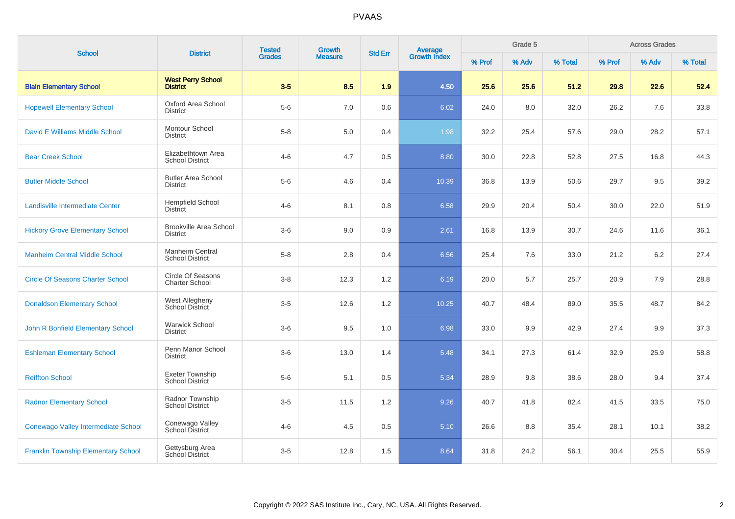| <b>School</b>                              | <b>District</b>                                   | <b>Tested</b> | Growth         | <b>Std Err</b> |                                |        | Grade 5 |         |        | <b>Across Grades</b> |         |
|--------------------------------------------|---------------------------------------------------|---------------|----------------|----------------|--------------------------------|--------|---------|---------|--------|----------------------|---------|
|                                            |                                                   | <b>Grades</b> | <b>Measure</b> |                | <b>Average</b><br>Growth Index | % Prof | % Adv   | % Total | % Prof | % Adv                | % Total |
| <b>Blain Elementary School</b>             | <b>West Perry School</b><br><b>District</b>       | $3-5$         | 8.5            | 1.9            | 4.50                           | 25.6   | 25.6    | 51.2    | 29.8   | 22.6                 | 52.4    |
| <b>Hopewell Elementary School</b>          | Oxford Area School<br>District                    | $5-6$         | 7.0            | 0.6            | 6.02                           | 24.0   | 8.0     | 32.0    | 26.2   | 7.6                  | 33.8    |
| David E Williams Middle School             | Montour School<br><b>District</b>                 | $5 - 8$       | 5.0            | 0.4            | 1.98                           | 32.2   | 25.4    | 57.6    | 29.0   | 28.2                 | 57.1    |
| <b>Bear Creek School</b>                   | Elizabethtown Area<br><b>School District</b>      | $4 - 6$       | 4.7            | 0.5            | 8.80                           | 30.0   | 22.8    | 52.8    | 27.5   | 16.8                 | 44.3    |
| <b>Butler Middle School</b>                | <b>Butler Area School</b><br><b>District</b>      | $5-6$         | 4.6            | 0.4            | 10.39                          | 36.8   | 13.9    | 50.6    | 29.7   | 9.5                  | 39.2    |
| Landisville Intermediate Center            | <b>Hempfield School</b><br><b>District</b>        | $4 - 6$       | 8.1            | 0.8            | 6.58                           | 29.9   | 20.4    | 50.4    | 30.0   | 22.0                 | 51.9    |
| <b>Hickory Grove Elementary School</b>     | <b>Brookville Area School</b><br><b>District</b>  | $3-6$         | 9.0            | 0.9            | 2.61                           | 16.8   | 13.9    | 30.7    | 24.6   | 11.6                 | 36.1    |
| <b>Manheim Central Middle School</b>       | Manheim Central<br><b>School District</b>         | $5 - 8$       | 2.8            | 0.4            | 6.56                           | 25.4   | 7.6     | 33.0    | 21.2   | 6.2                  | 27.4    |
| <b>Circle Of Seasons Charter School</b>    | <b>Circle Of Seasons</b><br><b>Charter School</b> | $3 - 8$       | 12.3           | 1.2            | 6.19                           | 20.0   | 5.7     | 25.7    | 20.9   | 7.9                  | 28.8    |
| <b>Donaldson Elementary School</b>         | West Allegheny<br>School District                 | $3-5$         | 12.6           | 1.2            | 10.25                          | 40.7   | 48.4    | 89.0    | 35.5   | 48.7                 | 84.2    |
| John R Bonfield Elementary School          | <b>Warwick School</b><br><b>District</b>          | $3-6$         | 9.5            | 1.0            | 6.98                           | 33.0   | 9.9     | 42.9    | 27.4   | 9.9                  | 37.3    |
| <b>Eshleman Elementary School</b>          | Penn Manor School<br><b>District</b>              | $3-6$         | 13.0           | 1.4            | 5.48                           | 34.1   | 27.3    | 61.4    | 32.9   | 25.9                 | 58.8    |
| <b>Reiffton School</b>                     | Exeter Township<br><b>School District</b>         | $5-6$         | 5.1            | 0.5            | 5.34                           | 28.9   | 9.8     | 38.6    | 28.0   | 9.4                  | 37.4    |
| <b>Radnor Elementary School</b>            | Radnor Township<br><b>School District</b>         | $3-5$         | 11.5           | 1.2            | 9.26                           | 40.7   | 41.8    | 82.4    | 41.5   | 33.5                 | 75.0    |
| Conewago Valley Intermediate School        | Conewago Valley<br>School District                | $4 - 6$       | 4.5            | $0.5\,$        | 5.10                           | 26.6   | 8.8     | 35.4    | 28.1   | 10.1                 | 38.2    |
| <b>Franklin Township Elementary School</b> | Gettysburg Area<br>School District                | $3-5$         | 12.8           | 1.5            | 8.64                           | 31.8   | 24.2    | 56.1    | 30.4   | 25.5                 | 55.9    |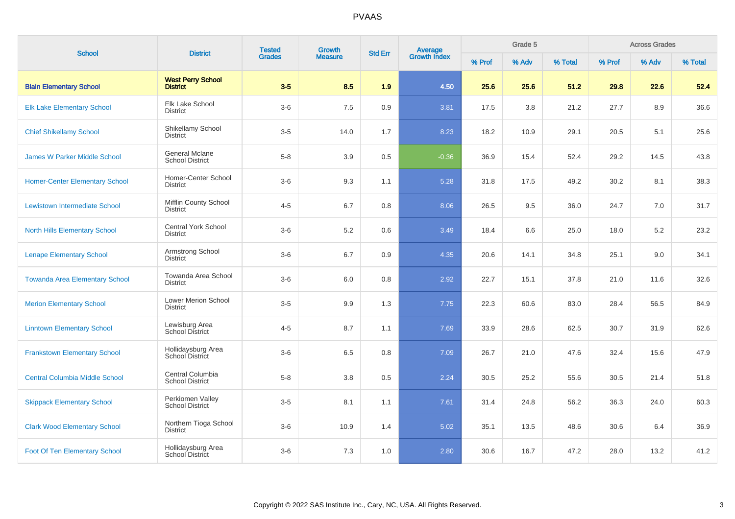| <b>School</b>                         | <b>District</b>                             | <b>Tested</b> | Growth         | <b>Std Err</b> |                                |        | Grade 5 |         |        | <b>Across Grades</b> |         |
|---------------------------------------|---------------------------------------------|---------------|----------------|----------------|--------------------------------|--------|---------|---------|--------|----------------------|---------|
|                                       |                                             | <b>Grades</b> | <b>Measure</b> |                | <b>Average</b><br>Growth Index | % Prof | % Adv   | % Total | % Prof | % Adv                | % Total |
| <b>Blain Elementary School</b>        | <b>West Perry School</b><br><b>District</b> | $3-5$         | 8.5            | 1.9            | 4.50                           | 25.6   | 25.6    | 51.2    | 29.8   | 22.6                 | 52.4    |
| <b>Elk Lake Elementary School</b>     | Elk Lake School<br><b>District</b>          | $3-6$         | 7.5            | 0.9            | 3.81                           | 17.5   | 3.8     | 21.2    | 27.7   | 8.9                  | 36.6    |
| <b>Chief Shikellamy School</b>        | Shikellamy School<br><b>District</b>        | $3-5$         | 14.0           | 1.7            | 8.23                           | 18.2   | 10.9    | 29.1    | 20.5   | 5.1                  | 25.6    |
| <b>James W Parker Middle School</b>   | General Mclane<br><b>School District</b>    | $5-8$         | 3.9            | 0.5            | $-0.36$                        | 36.9   | 15.4    | 52.4    | 29.2   | 14.5                 | 43.8    |
| <b>Homer-Center Elementary School</b> | Homer-Center School<br><b>District</b>      | $3-6$         | 9.3            | 1.1            | 5.28                           | 31.8   | 17.5    | 49.2    | 30.2   | 8.1                  | 38.3    |
| Lewistown Intermediate School         | Mifflin County School<br><b>District</b>    | $4 - 5$       | 6.7            | 0.8            | 8.06                           | 26.5   | 9.5     | 36.0    | 24.7   | 7.0                  | 31.7    |
| <b>North Hills Elementary School</b>  | Central York School<br><b>District</b>      | $3-6$         | 5.2            | 0.6            | 3.49                           | 18.4   | 6.6     | 25.0    | 18.0   | 5.2                  | 23.2    |
| <b>Lenape Elementary School</b>       | Armstrong School<br><b>District</b>         | $3-6$         | 6.7            | 0.9            | 4.35                           | 20.6   | 14.1    | 34.8    | 25.1   | 9.0                  | 34.1    |
| <b>Towanda Area Elementary School</b> | Towanda Area School<br><b>District</b>      | $3-6$         | 6.0            | 0.8            | 2.92                           | 22.7   | 15.1    | 37.8    | 21.0   | 11.6                 | 32.6    |
| <b>Merion Elementary School</b>       | Lower Merion School<br><b>District</b>      | $3-5$         | 9.9            | 1.3            | 7.75                           | 22.3   | 60.6    | 83.0    | 28.4   | 56.5                 | 84.9    |
| <b>Linntown Elementary School</b>     | Lewisburg Area<br><b>School District</b>    | $4 - 5$       | 8.7            | 1.1            | 7.69                           | 33.9   | 28.6    | 62.5    | 30.7   | 31.9                 | 62.6    |
| <b>Frankstown Elementary School</b>   | Hollidaysburg Area<br>School District       | $3-6$         | 6.5            | 0.8            | 7.09                           | 26.7   | 21.0    | 47.6    | 32.4   | 15.6                 | 47.9    |
| <b>Central Columbia Middle School</b> | Central Columbia<br><b>School District</b>  | $5-8$         | 3.8            | 0.5            | 2.24                           | 30.5   | 25.2    | 55.6    | 30.5   | 21.4                 | 51.8    |
| <b>Skippack Elementary School</b>     | Perkiomen Valley<br><b>School District</b>  | $3-5$         | 8.1            | 1.1            | 7.61                           | 31.4   | 24.8    | 56.2    | 36.3   | 24.0                 | 60.3    |
| <b>Clark Wood Elementary School</b>   | Northern Tioga School<br><b>District</b>    | $3-6$         | 10.9           | 1.4            | 5.02                           | 35.1   | 13.5    | 48.6    | 30.6   | 6.4                  | 36.9    |
| <b>Foot Of Ten Elementary School</b>  | Hollidaysburg Area<br>School District       | $3-6$         | 7.3            | 1.0            | 2.80                           | 30.6   | 16.7    | 47.2    | 28.0   | 13.2                 | 41.2    |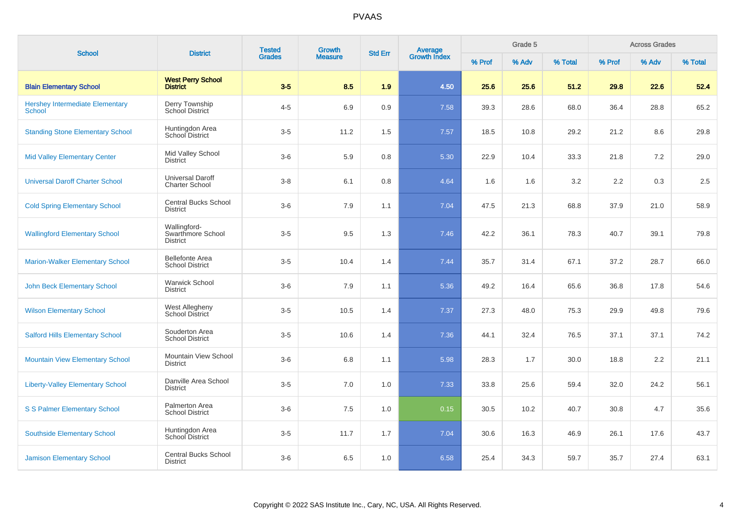| <b>School</b>                                           | <b>District</b>                                      | <b>Tested</b> | <b>Growth</b>  | <b>Std Err</b> |                                |        | Grade 5 |         |        | <b>Across Grades</b> |         |
|---------------------------------------------------------|------------------------------------------------------|---------------|----------------|----------------|--------------------------------|--------|---------|---------|--------|----------------------|---------|
|                                                         |                                                      | <b>Grades</b> | <b>Measure</b> |                | <b>Average</b><br>Growth Index | % Prof | % Adv   | % Total | % Prof | % Adv                | % Total |
| <b>Blain Elementary School</b>                          | <b>West Perry School</b><br><b>District</b>          | $3-5$         | 8.5            | 1.9            | 4.50                           | 25.6   | 25.6    | 51.2    | 29.8   | 22.6                 | 52.4    |
| <b>Hershey Intermediate Elementary</b><br><b>School</b> | Derry Township<br>School District                    | $4 - 5$       | 6.9            | 0.9            | 7.58                           | 39.3   | 28.6    | 68.0    | 36.4   | 28.8                 | 65.2    |
| <b>Standing Stone Elementary School</b>                 | Huntingdon Area<br>School District                   | $3-5$         | 11.2           | 1.5            | 7.57                           | 18.5   | 10.8    | 29.2    | 21.2   | 8.6                  | 29.8    |
| <b>Mid Valley Elementary Center</b>                     | Mid Valley School<br><b>District</b>                 | $3-6$         | 5.9            | 0.8            | 5.30                           | 22.9   | 10.4    | 33.3    | 21.8   | $7.2\,$              | 29.0    |
| <b>Universal Daroff Charter School</b>                  | <b>Universal Daroff</b><br><b>Charter School</b>     | $3-8$         | 6.1            | 0.8            | 4.64                           | 1.6    | 1.6     | 3.2     | 2.2    | 0.3                  | 2.5     |
| <b>Cold Spring Elementary School</b>                    | <b>Central Bucks School</b><br><b>District</b>       | $3-6$         | 7.9            | 1.1            | 7.04                           | 47.5   | 21.3    | 68.8    | 37.9   | 21.0                 | 58.9    |
| <b>Wallingford Elementary School</b>                    | Wallingford-<br>Swarthmore School<br><b>District</b> | $3-5$         | 9.5            | 1.3            | 7.46                           | 42.2   | 36.1    | 78.3    | 40.7   | 39.1                 | 79.8    |
| <b>Marion-Walker Elementary School</b>                  | <b>Bellefonte Area</b><br><b>School District</b>     | $3-5$         | 10.4           | 1.4            | 7.44                           | 35.7   | 31.4    | 67.1    | 37.2   | 28.7                 | 66.0    |
| <b>John Beck Elementary School</b>                      | <b>Warwick School</b><br><b>District</b>             | $3-6$         | 7.9            | 1.1            | 5.36                           | 49.2   | 16.4    | 65.6    | 36.8   | 17.8                 | 54.6    |
| <b>Wilson Elementary School</b>                         | <b>West Allegheny</b><br>School District             | $3-5$         | 10.5           | 1.4            | 7.37                           | 27.3   | 48.0    | 75.3    | 29.9   | 49.8                 | 79.6    |
| <b>Salford Hills Elementary School</b>                  | Souderton Area<br><b>School District</b>             | $3-5$         | 10.6           | 1.4            | 7.36                           | 44.1   | 32.4    | 76.5    | 37.1   | 37.1                 | 74.2    |
| <b>Mountain View Elementary School</b>                  | Mountain View School<br><b>District</b>              | $3-6$         | 6.8            | 1.1            | 5.98                           | 28.3   | 1.7     | 30.0    | 18.8   | 2.2                  | 21.1    |
| <b>Liberty-Valley Elementary School</b>                 | Danville Area School<br><b>District</b>              | $3-5$         | 7.0            | 1.0            | 7.33                           | 33.8   | 25.6    | 59.4    | 32.0   | 24.2                 | 56.1    |
| <b>S S Palmer Elementary School</b>                     | Palmerton Area<br><b>School District</b>             | $3-6$         | 7.5            | 1.0            | 0.15                           | 30.5   | 10.2    | 40.7    | 30.8   | 4.7                  | 35.6    |
| <b>Southside Elementary School</b>                      | Huntingdon Area<br><b>School District</b>            | $3-5$         | 11.7           | 1.7            | 7.04                           | 30.6   | 16.3    | 46.9    | 26.1   | 17.6                 | 43.7    |
| <b>Jamison Elementary School</b>                        | <b>Central Bucks School</b><br><b>District</b>       | $3-6$         | 6.5            | 1.0            | 6.58                           | 25.4   | 34.3    | 59.7    | 35.7   | 27.4                 | 63.1    |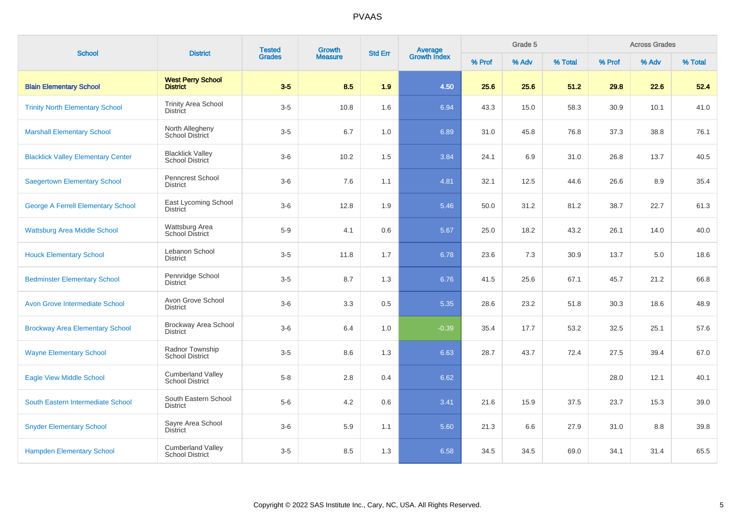| <b>School</b>                             | <b>District</b>                                    | <b>Tested</b> | Growth         | <b>Std Err</b> | <b>Average</b><br>Growth Index |        | Grade 5 |         |        | <b>Across Grades</b> |         |
|-------------------------------------------|----------------------------------------------------|---------------|----------------|----------------|--------------------------------|--------|---------|---------|--------|----------------------|---------|
|                                           |                                                    | <b>Grades</b> | <b>Measure</b> |                |                                | % Prof | % Adv   | % Total | % Prof | % Adv                | % Total |
| <b>Blain Elementary School</b>            | <b>West Perry School</b><br><b>District</b>        | $3-5$         | 8.5            | 1.9            | 4.50                           | 25.6   | 25.6    | 51.2    | 29.8   | 22.6                 | 52.4    |
| <b>Trinity North Elementary School</b>    | <b>Trinity Area School</b><br><b>District</b>      | $3-5$         | 10.8           | 1.6            | 6.94                           | 43.3   | 15.0    | 58.3    | 30.9   | 10.1                 | 41.0    |
| <b>Marshall Elementary School</b>         | North Allegheny<br><b>School District</b>          | $3-5$         | 6.7            | 1.0            | 6.89                           | 31.0   | 45.8    | 76.8    | 37.3   | 38.8                 | 76.1    |
| <b>Blacklick Valley Elementary Center</b> | <b>Blacklick Valley</b><br><b>School District</b>  | $3-6$         | 10.2           | 1.5            | 3.84                           | 24.1   | 6.9     | 31.0    | 26.8   | 13.7                 | 40.5    |
| <b>Saegertown Elementary School</b>       | Penncrest School<br><b>District</b>                | $3-6$         | 7.6            | 1.1            | 4.81                           | 32.1   | 12.5    | 44.6    | 26.6   | 8.9                  | 35.4    |
| <b>George A Ferrell Elementary School</b> | East Lycoming School<br><b>District</b>            | $3-6$         | 12.8           | 1.9            | 5.46                           | 50.0   | 31.2    | 81.2    | 38.7   | 22.7                 | 61.3    |
| <b>Wattsburg Area Middle School</b>       | Wattsburg Area<br><b>School District</b>           | $5-9$         | 4.1            | 0.6            | 5.67                           | 25.0   | 18.2    | 43.2    | 26.1   | 14.0                 | 40.0    |
| <b>Houck Elementary School</b>            | Lebanon School<br><b>District</b>                  | $3-5$         | 11.8           | 1.7            | 6.78                           | 23.6   | 7.3     | 30.9    | 13.7   | 5.0                  | 18.6    |
| <b>Bedminster Elementary School</b>       | Pennridge School<br><b>District</b>                | $3-5$         | 8.7            | 1.3            | 6.76                           | 41.5   | 25.6    | 67.1    | 45.7   | 21.2                 | 66.8    |
| <b>Avon Grove Intermediate School</b>     | Avon Grove School<br><b>District</b>               | $3-6$         | 3.3            | 0.5            | 5.35                           | 28.6   | 23.2    | 51.8    | 30.3   | 18.6                 | 48.9    |
| <b>Brockway Area Elementary School</b>    | Brockway Area School<br><b>District</b>            | $3-6$         | 6.4            | 1.0            | $-0.39$                        | 35.4   | 17.7    | 53.2    | 32.5   | 25.1                 | 57.6    |
| <b>Wayne Elementary School</b>            | Radnor Township<br><b>School District</b>          | $3-5$         | 8.6            | 1.3            | 6.63                           | 28.7   | 43.7    | 72.4    | 27.5   | 39.4                 | 67.0    |
| <b>Eagle View Middle School</b>           | <b>Cumberland Valley</b><br><b>School District</b> | $5-8$         | 2.8            | 0.4            | 6.62                           |        |         |         | 28.0   | 12.1                 | 40.1    |
| South Eastern Intermediate School         | South Eastern School<br><b>District</b>            | $5-6$         | 4.2            | 0.6            | 3.41                           | 21.6   | 15.9    | 37.5    | 23.7   | 15.3                 | 39.0    |
| <b>Snyder Elementary School</b>           | Sayre Area School<br><b>District</b>               | $3-6$         | 5.9            | 1.1            | 5.60                           | 21.3   | 6.6     | 27.9    | 31.0   | 8.8                  | 39.8    |
| <b>Hampden Elementary School</b>          | <b>Cumberland Valley</b><br><b>School District</b> | $3-5$         | 8.5            | 1.3            | 6.58                           | 34.5   | 34.5    | 69.0    | 34.1   | 31.4                 | 65.5    |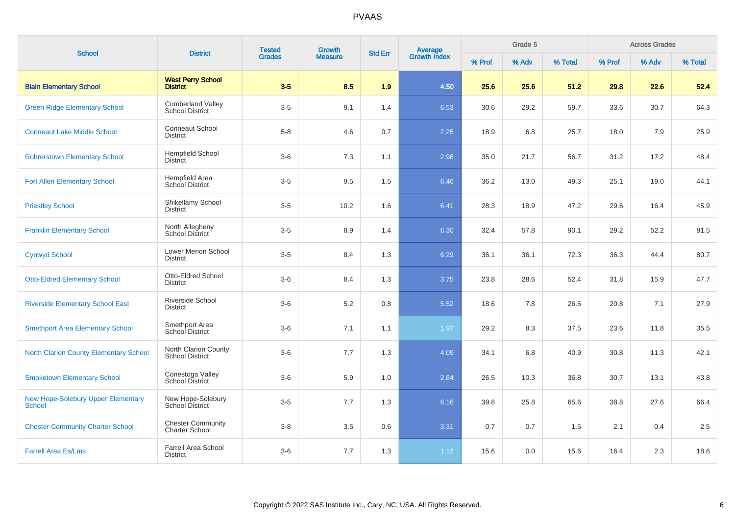| <b>School</b>                                              | <b>District</b>                                    | <b>Tested</b> | Growth         | <b>Std Err</b> | <b>Average</b><br>Growth Index |        | Grade 5 |         |        | <b>Across Grades</b> |         |
|------------------------------------------------------------|----------------------------------------------------|---------------|----------------|----------------|--------------------------------|--------|---------|---------|--------|----------------------|---------|
|                                                            |                                                    | <b>Grades</b> | <b>Measure</b> |                |                                | % Prof | % Adv   | % Total | % Prof | % Adv                | % Total |
| <b>Blain Elementary School</b>                             | <b>West Perry School</b><br><b>District</b>        | $3-5$         | 8.5            | 1.9            | 4.50                           | 25.6   | 25.6    | 51.2    | 29.8   | 22.6                 | 52.4    |
| <b>Green Ridge Elementary School</b>                       | <b>Cumberland Valley</b><br><b>School District</b> | $3-5$         | 9.1            | 1.4            | 6.53                           | 30.6   | 29.2    | 59.7    | 33.6   | 30.7                 | 64.3    |
| <b>Conneaut Lake Middle School</b>                         | <b>Conneaut School</b><br><b>District</b>          | $5 - 8$       | 4.6            | 0.7            | 2.25                           | 18.9   | 6.8     | 25.7    | 18.0   | 7.9                  | 25.9    |
| <b>Rohrerstown Elementary School</b>                       | <b>Hempfield School</b><br><b>District</b>         | $3-6$         | 7.3            | 1.1            | 2.98                           | 35.0   | 21.7    | 56.7    | 31.2   | 17.2                 | 48.4    |
| <b>Fort Allen Elementary School</b>                        | Hempfield Area<br>School District                  | $3-5$         | 9.5            | 1.5            | 6.46                           | 36.2   | 13.0    | 49.3    | 25.1   | 19.0                 | 44.1    |
| <b>Priestley School</b>                                    | Shikellamy School<br><b>District</b>               | $3-5$         | 10.2           | 1.6            | 6.41                           | 28.3   | 18.9    | 47.2    | 29.6   | 16.4                 | 45.9    |
| <b>Franklin Elementary School</b>                          | North Allegheny<br>School District                 | $3-5$         | 8.9            | 1.4            | 6.30                           | 32.4   | 57.8    | 90.1    | 29.2   | 52.2                 | 81.5    |
| <b>Cynwyd School</b>                                       | <b>Lower Merion School</b><br><b>District</b>      | $3-5$         | 8.4            | 1.3            | 6.29                           | 36.1   | 36.1    | 72.3    | 36.3   | 44.4                 | 80.7    |
| <b>Otto-Eldred Elementary School</b>                       | Otto-Eldred School<br><b>District</b>              | $3-6$         | 8.4            | 1.3            | 3.75                           | 23.8   | 28.6    | 52.4    | 31.8   | 15.9                 | 47.7    |
| <b>Riverside Elementary School East</b>                    | Riverside School<br><b>District</b>                | $3-6$         | $5.2\,$        | 0.8            | 5.52                           | 18.6   | 7.8     | 26.5    | 20.8   | 7.1                  | 27.9    |
| <b>Smethport Area Elementary School</b>                    | Smethport Area<br>School District                  | $3-6$         | 7.1            | 1.1            | 1.97                           | 29.2   | 8.3     | 37.5    | 23.6   | 11.8                 | 35.5    |
| <b>North Clarion County Elementary School</b>              | North Clarion County<br><b>School District</b>     | $3-6$         | 7.7            | 1.3            | 4.09                           | 34.1   | 6.8     | 40.9    | 30.8   | 11.3                 | 42.1    |
| <b>Smoketown Elementary School</b>                         | Conestoga Valley<br>School District                | $3-6$         | 5.9            | 1.0            | 2.84                           | 26.5   | 10.3    | 36.8    | 30.7   | 13.1                 | 43.8    |
| <b>New Hope-Solebury Upper Elementary</b><br><b>School</b> | New Hope-Solebury<br>School District               | $3-5$         | 7.7            | 1.3            | 6.16                           | 39.8   | 25.8    | 65.6    | 38.8   | 27.6                 | 66.4    |
| <b>Chester Community Charter School</b>                    | <b>Chester Community</b><br><b>Charter School</b>  | $3-8$         | 3.5            | 0.6            | 3.31                           | 0.7    | 0.7     | 1.5     | 2.1    | 0.4                  | 2.5     |
| <b>Farrell Area Es/Lms</b>                                 | Farrell Area School<br><b>District</b>             | $3-6$         | 7.7            | 1.3            | 1.12                           | 15.6   | 0.0     | 15.6    | 16.4   | 2.3                  | 18.6    |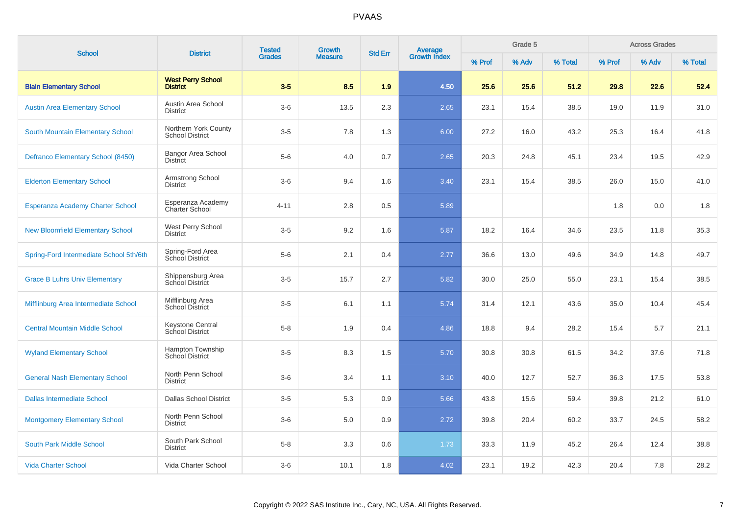| <b>School</b>                           | <b>District</b>                                | <b>Tested</b> | Growth         | <b>Std Err</b> |                                |        | Grade 5 |         |        | <b>Across Grades</b> |         |
|-----------------------------------------|------------------------------------------------|---------------|----------------|----------------|--------------------------------|--------|---------|---------|--------|----------------------|---------|
|                                         |                                                | <b>Grades</b> | <b>Measure</b> |                | <b>Average</b><br>Growth Index | % Prof | % Adv   | % Total | % Prof | % Adv                | % Total |
| <b>Blain Elementary School</b>          | <b>West Perry School</b><br><b>District</b>    | $3-5$         | 8.5            | 1.9            | 4.50                           | 25.6   | 25.6    | 51.2    | 29.8   | 22.6                 | 52.4    |
| <b>Austin Area Elementary School</b>    | Austin Area School<br><b>District</b>          | $3-6$         | 13.5           | 2.3            | 2.65                           | 23.1   | 15.4    | 38.5    | 19.0   | 11.9                 | 31.0    |
| South Mountain Elementary School        | Northern York County<br><b>School District</b> | $3-5$         | 7.8            | 1.3            | 6.00                           | 27.2   | 16.0    | 43.2    | 25.3   | 16.4                 | 41.8    |
| Defranco Elementary School (8450)       | <b>Bangor Area School</b><br><b>District</b>   | $5-6$         | 4.0            | 0.7            | 2.65                           | 20.3   | 24.8    | 45.1    | 23.4   | 19.5                 | 42.9    |
| <b>Elderton Elementary School</b>       | Armstrong School<br><b>District</b>            | $3-6$         | 9.4            | 1.6            | 3.40                           | 23.1   | 15.4    | 38.5    | 26.0   | 15.0                 | 41.0    |
| <b>Esperanza Academy Charter School</b> | Esperanza Academy<br><b>Charter School</b>     | $4 - 11$      | 2.8            | 0.5            | 5.89                           |        |         |         | 1.8    | 0.0                  | 1.8     |
| <b>New Bloomfield Elementary School</b> | West Perry School<br><b>District</b>           | $3-5$         | 9.2            | 1.6            | 5.87                           | 18.2   | 16.4    | 34.6    | 23.5   | 11.8                 | 35.3    |
| Spring-Ford Intermediate School 5th/6th | Spring-Ford Area<br>School District            | $5-6$         | 2.1            | 0.4            | 2.77                           | 36.6   | 13.0    | 49.6    | 34.9   | 14.8                 | 49.7    |
| <b>Grace B Luhrs Univ Elementary</b>    | Shippensburg Area<br>School District           | $3-5$         | 15.7           | 2.7            | 5.82                           | 30.0   | 25.0    | 55.0    | 23.1   | 15.4                 | 38.5    |
| Mifflinburg Area Intermediate School    | Mifflinburg Area<br>School District            | $3-5$         | 6.1            | 1.1            | 5.74                           | 31.4   | 12.1    | 43.6    | 35.0   | 10.4                 | 45.4    |
| <b>Central Mountain Middle School</b>   | Keystone Central<br>School District            | $5 - 8$       | 1.9            | 0.4            | 4.86                           | 18.8   | 9.4     | 28.2    | 15.4   | 5.7                  | 21.1    |
| <b>Wyland Elementary School</b>         | Hampton Township<br><b>School District</b>     | $3-5$         | 8.3            | 1.5            | 5.70                           | 30.8   | 30.8    | 61.5    | 34.2   | 37.6                 | 71.8    |
| <b>General Nash Elementary School</b>   | North Penn School<br><b>District</b>           | $3-6$         | 3.4            | 1.1            | 3.10                           | 40.0   | 12.7    | 52.7    | 36.3   | 17.5                 | 53.8    |
| <b>Dallas Intermediate School</b>       | <b>Dallas School District</b>                  | $3-5$         | 5.3            | 0.9            | 5.66                           | 43.8   | 15.6    | 59.4    | 39.8   | 21.2                 | 61.0    |
| <b>Montgomery Elementary School</b>     | North Penn School<br><b>District</b>           | $3-6$         | 5.0            | 0.9            | 2.72                           | 39.8   | 20.4    | 60.2    | 33.7   | 24.5                 | 58.2    |
| South Park Middle School                | South Park School<br><b>District</b>           | $5-8$         | 3.3            | 0.6            | 1.73                           | 33.3   | 11.9    | 45.2    | 26.4   | 12.4                 | 38.8    |
| <b>Vida Charter School</b>              | Vida Charter School                            | $3-6$         | 10.1           | 1.8            | 4.02                           | 23.1   | 19.2    | 42.3    | 20.4   | 7.8                  | 28.2    |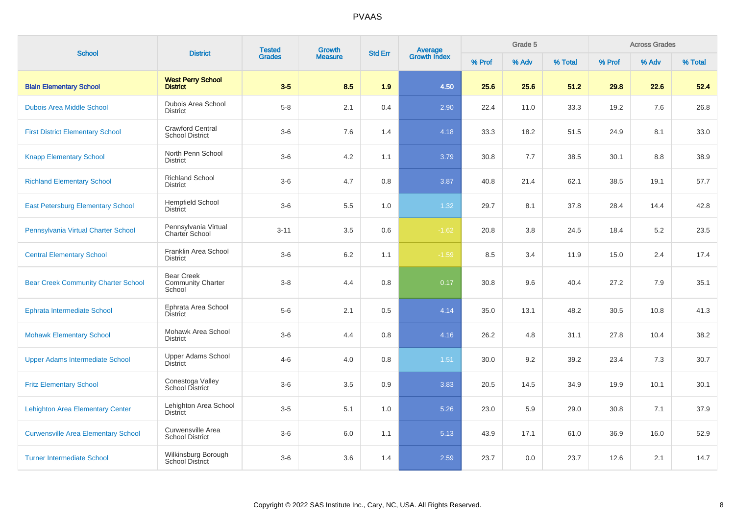| <b>School</b>                              | <b>District</b>                                         | <b>Tested</b> | <b>Growth</b>  | <b>Std Err</b> | <b>Average</b><br>Growth Index |        | Grade 5 |         |        | <b>Across Grades</b> |         |
|--------------------------------------------|---------------------------------------------------------|---------------|----------------|----------------|--------------------------------|--------|---------|---------|--------|----------------------|---------|
|                                            |                                                         | <b>Grades</b> | <b>Measure</b> |                |                                | % Prof | % Adv   | % Total | % Prof | % Adv                | % Total |
| <b>Blain Elementary School</b>             | <b>West Perry School</b><br><b>District</b>             | $3-5$         | 8.5            | 1.9            | 4.50                           | 25.6   | 25.6    | 51.2    | 29.8   | 22.6                 | 52.4    |
| <b>Dubois Area Middle School</b>           | Dubois Area School<br><b>District</b>                   | $5 - 8$       | 2.1            | 0.4            | 2.90                           | 22.4   | 11.0    | 33.3    | 19.2   | 7.6                  | 26.8    |
| <b>First District Elementary School</b>    | <b>Crawford Central</b><br><b>School District</b>       | $3-6$         | 7.6            | 1.4            | 4.18                           | 33.3   | 18.2    | 51.5    | 24.9   | 8.1                  | 33.0    |
| <b>Knapp Elementary School</b>             | North Penn School<br><b>District</b>                    | $3-6$         | 4.2            | 1.1            | 3.79                           | 30.8   | 7.7     | 38.5    | 30.1   | 8.8                  | 38.9    |
| <b>Richland Elementary School</b>          | <b>Richland School</b><br><b>District</b>               | $3-6$         | 4.7            | 0.8            | 3.87                           | 40.8   | 21.4    | 62.1    | 38.5   | 19.1                 | 57.7    |
| <b>East Petersburg Elementary School</b>   | <b>Hempfield School</b><br><b>District</b>              | $3-6$         | 5.5            | 1.0            | 1.32                           | 29.7   | 8.1     | 37.8    | 28.4   | 14.4                 | 42.8    |
| Pennsylvania Virtual Charter School        | Pennsylvania Virtual<br>Charter School                  | $3 - 11$      | 3.5            | 0.6            | $-1.62$                        | 20.8   | 3.8     | 24.5    | 18.4   | 5.2                  | 23.5    |
| <b>Central Elementary School</b>           | Franklin Area School<br><b>District</b>                 | $3-6$         | $6.2\,$        | 1.1            | $-1.59$                        | 8.5    | 3.4     | 11.9    | 15.0   | 2.4                  | 17.4    |
| <b>Bear Creek Community Charter School</b> | <b>Bear Creek</b><br><b>Community Charter</b><br>School | $3-8$         | 4.4            | 0.8            | 0.17                           | 30.8   | 9.6     | 40.4    | 27.2   | 7.9                  | 35.1    |
| <b>Ephrata Intermediate School</b>         | Ephrata Area School<br><b>District</b>                  | $5-6$         | 2.1            | 0.5            | 4.14                           | 35.0   | 13.1    | 48.2    | 30.5   | 10.8                 | 41.3    |
| <b>Mohawk Elementary School</b>            | Mohawk Area School<br><b>District</b>                   | $3-6$         | 4.4            | 0.8            | 4.16                           | 26.2   | 4.8     | 31.1    | 27.8   | 10.4                 | 38.2    |
| <b>Upper Adams Intermediate School</b>     | Upper Adams School<br><b>District</b>                   | $4 - 6$       | 4.0            | 0.8            | 1.51                           | 30.0   | 9.2     | 39.2    | 23.4   | 7.3                  | 30.7    |
| <b>Fritz Elementary School</b>             | Conestoga Valley<br><b>School District</b>              | $3-6$         | 3.5            | $0.9\,$        | 3.83                           | 20.5   | 14.5    | 34.9    | 19.9   | 10.1                 | 30.1    |
| <b>Lehighton Area Elementary Center</b>    | Lehighton Area School<br><b>District</b>                | $3-5$         | 5.1            | 1.0            | 5.26                           | 23.0   | 5.9     | 29.0    | 30.8   | 7.1                  | 37.9    |
| <b>Curwensville Area Elementary School</b> | Curwensville Area<br><b>School District</b>             | $3-6$         | 6.0            | 1.1            | 5.13                           | 43.9   | 17.1    | 61.0    | 36.9   | 16.0                 | 52.9    |
| <b>Turner Intermediate School</b>          | Wilkinsburg Borough<br><b>School District</b>           | $3-6$         | 3.6            | 1.4            | 2.59                           | 23.7   | 0.0     | 23.7    | 12.6   | 2.1                  | 14.7    |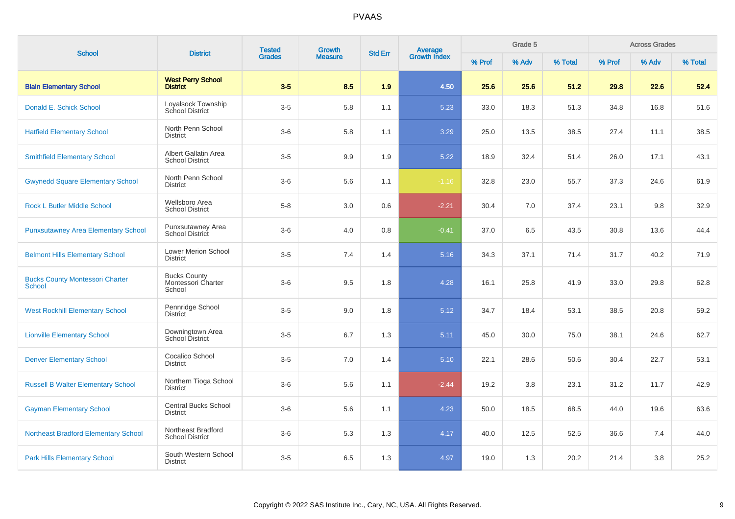| <b>School</b>                                           | <b>District</b>                                     | <b>Tested</b> | <b>Growth</b>  | <b>Std Err</b> | Average<br>Growth Index |        | Grade 5 |         |        | <b>Across Grades</b> |         |
|---------------------------------------------------------|-----------------------------------------------------|---------------|----------------|----------------|-------------------------|--------|---------|---------|--------|----------------------|---------|
|                                                         |                                                     | <b>Grades</b> | <b>Measure</b> |                |                         | % Prof | % Adv   | % Total | % Prof | % Adv                | % Total |
| <b>Blain Elementary School</b>                          | <b>West Perry School</b><br><b>District</b>         | $3-5$         | 8.5            | 1.9            | 4.50                    | 25.6   | 25.6    | 51.2    | 29.8   | 22.6                 | 52.4    |
| Donald E. Schick School                                 | Loyalsock Township<br><b>School District</b>        | $3-5$         | 5.8            | 1.1            | 5.23                    | 33.0   | 18.3    | 51.3    | 34.8   | 16.8                 | 51.6    |
| <b>Hatfield Elementary School</b>                       | North Penn School<br><b>District</b>                | $3-6$         | 5.8            | 1.1            | 3.29                    | 25.0   | 13.5    | 38.5    | 27.4   | 11.1                 | 38.5    |
| <b>Smithfield Elementary School</b>                     | Albert Gallatin Area<br><b>School District</b>      | $3-5$         | 9.9            | 1.9            | 5.22                    | 18.9   | 32.4    | 51.4    | 26.0   | 17.1                 | 43.1    |
| <b>Gwynedd Square Elementary School</b>                 | North Penn School<br><b>District</b>                | $3-6$         | 5.6            | 1.1            | $-1.16$                 | 32.8   | 23.0    | 55.7    | 37.3   | 24.6                 | 61.9    |
| <b>Rock L Butler Middle School</b>                      | Wellsboro Area<br><b>School District</b>            | $5-8$         | 3.0            | 0.6            | $-2.21$                 | 30.4   | 7.0     | 37.4    | 23.1   | 9.8                  | 32.9    |
| <b>Punxsutawney Area Elementary School</b>              | Punxsutawney Area<br><b>School District</b>         | $3-6$         | 4.0            | 0.8            | $-0.41$                 | 37.0   | 6.5     | 43.5    | 30.8   | 13.6                 | 44.4    |
| <b>Belmont Hills Elementary School</b>                  | <b>Lower Merion School</b><br><b>District</b>       | $3-5$         | 7.4            | 1.4            | 5.16                    | 34.3   | 37.1    | 71.4    | 31.7   | 40.2                 | 71.9    |
| <b>Bucks County Montessori Charter</b><br><b>School</b> | <b>Bucks County</b><br>Montessori Charter<br>School | $3-6$         | 9.5            | 1.8            | 4.28                    | 16.1   | 25.8    | 41.9    | 33.0   | 29.8                 | 62.8    |
| <b>West Rockhill Elementary School</b>                  | Pennridge School<br><b>District</b>                 | $3-5$         | 9.0            | 1.8            | 5.12                    | 34.7   | 18.4    | 53.1    | 38.5   | 20.8                 | 59.2    |
| <b>Lionville Elementary School</b>                      | Downingtown Area<br>School District                 | $3-5$         | 6.7            | 1.3            | 5.11                    | 45.0   | 30.0    | 75.0    | 38.1   | 24.6                 | 62.7    |
| <b>Denver Elementary School</b>                         | Cocalico School<br><b>District</b>                  | $3-5$         | 7.0            | 1.4            | 5.10                    | 22.1   | 28.6    | 50.6    | 30.4   | 22.7                 | 53.1    |
| <b>Russell B Walter Elementary School</b>               | Northern Tioga School<br><b>District</b>            | $3-6$         | 5.6            | 1.1            | $-2.44$                 | 19.2   | 3.8     | 23.1    | 31.2   | 11.7                 | 42.9    |
| <b>Gayman Elementary School</b>                         | <b>Central Bucks School</b><br><b>District</b>      | $3-6$         | 5.6            | 1.1            | 4.23                    | 50.0   | 18.5    | 68.5    | 44.0   | 19.6                 | 63.6    |
| <b>Northeast Bradford Elementary School</b>             | Northeast Bradford<br><b>School District</b>        | $3-6$         | 5.3            | 1.3            | 4.17                    | 40.0   | 12.5    | 52.5    | 36.6   | 7.4                  | 44.0    |
| <b>Park Hills Elementary School</b>                     | South Western School<br><b>District</b>             | $3-5$         | 6.5            | 1.3            | 4.97                    | 19.0   | 1.3     | 20.2    | 21.4   | 3.8                  | 25.2    |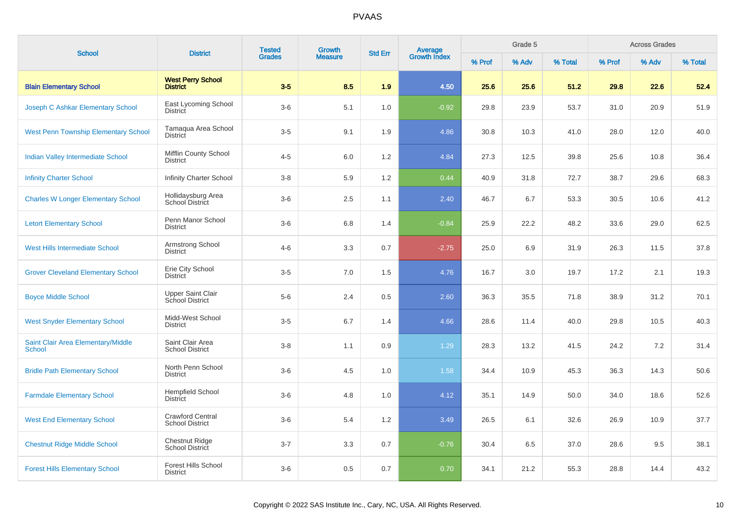| <b>School</b>                                       | <b>District</b>                                   | <b>Tested</b> | <b>Growth</b>  | <b>Std Err</b> | <b>Average</b><br>Growth Index |        | Grade 5 |         |        | <b>Across Grades</b> |         |
|-----------------------------------------------------|---------------------------------------------------|---------------|----------------|----------------|--------------------------------|--------|---------|---------|--------|----------------------|---------|
|                                                     |                                                   | <b>Grades</b> | <b>Measure</b> |                |                                | % Prof | % Adv   | % Total | % Prof | % Adv                | % Total |
| <b>Blain Elementary School</b>                      | <b>West Perry School</b><br><b>District</b>       | $3-5$         | 8.5            | 1.9            | 4.50                           | 25.6   | 25.6    | 51.2    | 29.8   | 22.6                 | 52.4    |
| Joseph C Ashkar Elementary School                   | East Lycoming School<br><b>District</b>           | $3-6$         | 5.1            | 1.0            | $-0.92$                        | 29.8   | 23.9    | 53.7    | 31.0   | 20.9                 | 51.9    |
| <b>West Penn Township Elementary School</b>         | Tamaqua Area School<br>District                   | $3-5$         | 9.1            | 1.9            | 4.86                           | 30.8   | 10.3    | 41.0    | 28.0   | 12.0                 | 40.0    |
| <b>Indian Valley Intermediate School</b>            | Mifflin County School<br><b>District</b>          | $4 - 5$       | 6.0            | 1.2            | 4.84                           | 27.3   | 12.5    | 39.8    | 25.6   | 10.8                 | 36.4    |
| <b>Infinity Charter School</b>                      | <b>Infinity Charter School</b>                    | $3-8$         | 5.9            | 1.2            | 0.44                           | 40.9   | 31.8    | 72.7    | 38.7   | 29.6                 | 68.3    |
| <b>Charles W Longer Elementary School</b>           | Hollidaysburg Area<br>School District             | $3-6$         | 2.5            | 1.1            | 2.40                           | 46.7   | 6.7     | 53.3    | 30.5   | 10.6                 | 41.2    |
| <b>Letort Elementary School</b>                     | Penn Manor School<br><b>District</b>              | $3-6$         | 6.8            | 1.4            | $-0.84$                        | 25.9   | 22.2    | 48.2    | 33.6   | 29.0                 | 62.5    |
| <b>West Hills Intermediate School</b>               | Armstrong School<br><b>District</b>               | $4 - 6$       | 3.3            | 0.7            | $-2.75$                        | 25.0   | 6.9     | 31.9    | 26.3   | 11.5                 | 37.8    |
| <b>Grover Cleveland Elementary School</b>           | Erie City School<br><b>District</b>               | $3-5$         | 7.0            | 1.5            | 4.76                           | 16.7   | 3.0     | 19.7    | 17.2   | 2.1                  | 19.3    |
| <b>Boyce Middle School</b>                          | <b>Upper Saint Clair</b><br>School District       | $5-6$         | 2.4            | 0.5            | 2.60                           | 36.3   | 35.5    | 71.8    | 38.9   | 31.2                 | 70.1    |
| <b>West Snyder Elementary School</b>                | Midd-West School<br><b>District</b>               | $3-5$         | 6.7            | 1.4            | 4.66                           | 28.6   | 11.4    | 40.0    | 29.8   | 10.5                 | 40.3    |
| Saint Clair Area Elementary/Middle<br><b>School</b> | Saint Clair Area<br><b>School District</b>        | $3-8$         | 1.1            | 0.9            | 1.29                           | 28.3   | 13.2    | 41.5    | 24.2   | 7.2                  | 31.4    |
| <b>Bridle Path Elementary School</b>                | North Penn School<br><b>District</b>              | $3-6$         | 4.5            | 1.0            | 1.58                           | 34.4   | 10.9    | 45.3    | 36.3   | 14.3                 | 50.6    |
| <b>Farmdale Elementary School</b>                   | <b>Hempfield School</b><br>District               | $3-6$         | 4.8            | 1.0            | 4.12                           | 35.1   | 14.9    | 50.0    | 34.0   | 18.6                 | 52.6    |
| <b>West End Elementary School</b>                   | <b>Crawford Central</b><br><b>School District</b> | $3-6$         | 5.4            | 1.2            | 3.49                           | 26.5   | 6.1     | 32.6    | 26.9   | 10.9                 | 37.7    |
| <b>Chestnut Ridge Middle School</b>                 | <b>Chestnut Ridge</b><br>School District          | $3 - 7$       | 3.3            | 0.7            | $-0.76$                        | 30.4   | 6.5     | 37.0    | 28.6   | 9.5                  | 38.1    |
| <b>Forest Hills Elementary School</b>               | <b>Forest Hills School</b><br><b>District</b>     | $3-6$         | 0.5            | 0.7            | 0.70                           | 34.1   | 21.2    | 55.3    | 28.8   | 14.4                 | 43.2    |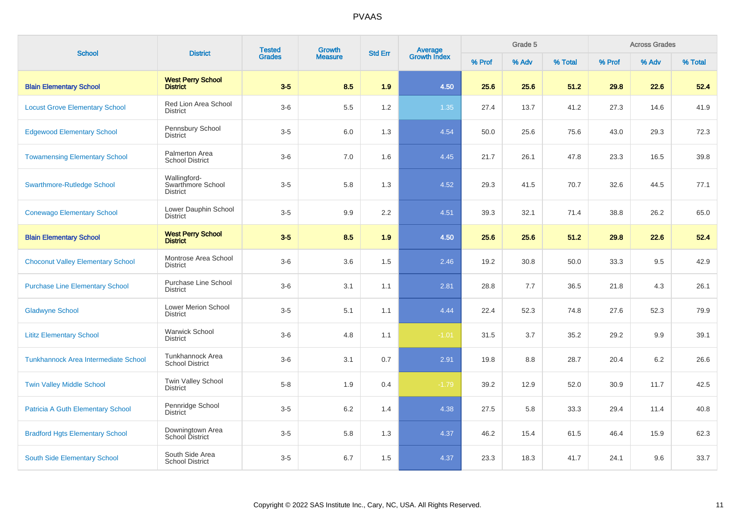| <b>School</b>                            | <b>District</b>                                      | <b>Tested</b> | <b>Growth</b>  | <b>Std Err</b> | Average<br>Growth Index |        | Grade 5 |         |        | <b>Across Grades</b> |         |
|------------------------------------------|------------------------------------------------------|---------------|----------------|----------------|-------------------------|--------|---------|---------|--------|----------------------|---------|
|                                          |                                                      | <b>Grades</b> | <b>Measure</b> |                |                         | % Prof | % Adv   | % Total | % Prof | % Adv                | % Total |
| <b>Blain Elementary School</b>           | <b>West Perry School</b><br><b>District</b>          | $3-5$         | 8.5            | 1.9            | 4.50                    | 25.6   | 25.6    | 51.2    | 29.8   | 22.6                 | 52.4    |
| <b>Locust Grove Elementary School</b>    | Red Lion Area School<br><b>District</b>              | $3-6$         | 5.5            | 1.2            | 1.35                    | 27.4   | 13.7    | 41.2    | 27.3   | 14.6                 | 41.9    |
| <b>Edgewood Elementary School</b>        | Pennsbury School<br>District                         | $3-5$         | 6.0            | 1.3            | 4.54                    | 50.0   | 25.6    | 75.6    | 43.0   | 29.3                 | 72.3    |
| <b>Towamensing Elementary School</b>     | Palmerton Area<br><b>School District</b>             | $3-6$         | 7.0            | 1.6            | 4.45                    | 21.7   | 26.1    | 47.8    | 23.3   | 16.5                 | 39.8    |
| <b>Swarthmore-Rutledge School</b>        | Wallingford-<br>Swarthmore School<br><b>District</b> | $3-5$         | 5.8            | 1.3            | 4.52                    | 29.3   | 41.5    | 70.7    | 32.6   | 44.5                 | 77.1    |
| <b>Conewago Elementary School</b>        | Lower Dauphin School<br><b>District</b>              | $3-5$         | 9.9            | 2.2            | 4.51                    | 39.3   | 32.1    | 71.4    | 38.8   | 26.2                 | 65.0    |
| <b>Blain Elementary School</b>           | <b>West Perry School</b><br><b>District</b>          | $3-5$         | 8.5            | 1.9            | 4.50                    | 25.6   | 25.6    | 51.2    | 29.8   | 22.6                 | 52.4    |
| <b>Choconut Valley Elementary School</b> | Montrose Area School<br><b>District</b>              | $3-6$         | 3.6            | 1.5            | 2.46                    | 19.2   | 30.8    | 50.0    | 33.3   | 9.5                  | 42.9    |
| <b>Purchase Line Elementary School</b>   | <b>Purchase Line School</b><br><b>District</b>       | $3-6$         | 3.1            | 1.1            | 2.81                    | 28.8   | 7.7     | 36.5    | 21.8   | 4.3                  | 26.1    |
| <b>Gladwyne School</b>                   | <b>Lower Merion School</b><br><b>District</b>        | $3-5$         | 5.1            | 1.1            | 4.44                    | 22.4   | 52.3    | 74.8    | 27.6   | 52.3                 | 79.9    |
| <b>Lititz Elementary School</b>          | <b>Warwick School</b><br><b>District</b>             | $3-6$         | 4.8            | 1.1            | $-1.01$                 | 31.5   | 3.7     | 35.2    | 29.2   | 9.9                  | 39.1    |
| Tunkhannock Area Intermediate School     | Tunkhannock Area<br><b>School District</b>           | $3-6$         | 3.1            | 0.7            | 2.91                    | 19.8   | 8.8     | 28.7    | 20.4   | 6.2                  | 26.6    |
| <b>Twin Valley Middle School</b>         | Twin Valley School<br><b>District</b>                | $5-8$         | 1.9            | 0.4            | $-1.79$                 | 39.2   | 12.9    | 52.0    | 30.9   | 11.7                 | 42.5    |
| <b>Patricia A Guth Elementary School</b> | Pennridge School<br><b>District</b>                  | $3-5$         | 6.2            | 1.4            | 4.38                    | 27.5   | 5.8     | 33.3    | 29.4   | 11.4                 | 40.8    |
| <b>Bradford Hgts Elementary School</b>   | Downingtown Area<br><b>School District</b>           | $3-5$         | 5.8            | 1.3            | 4.37                    | 46.2   | 15.4    | 61.5    | 46.4   | 15.9                 | 62.3    |
| South Side Elementary School             | South Side Area<br><b>School District</b>            | $3-5$         | 6.7            | 1.5            | 4.37                    | 23.3   | 18.3    | 41.7    | 24.1   | 9.6                  | 33.7    |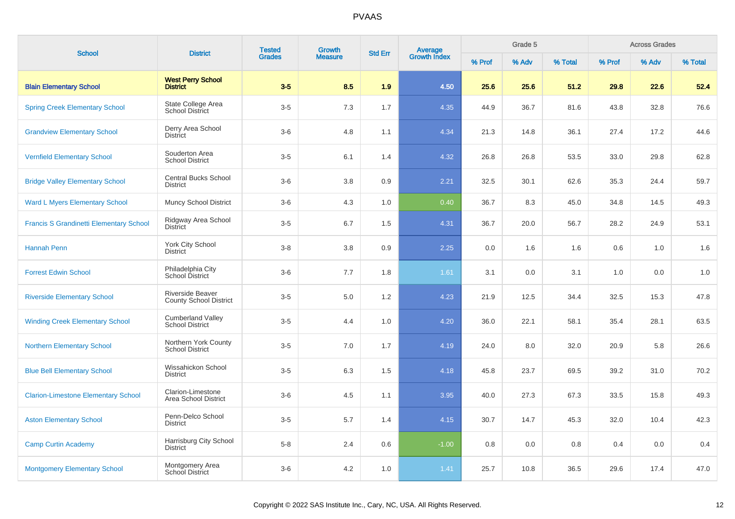| <b>School</b>                                  | <b>District</b>                                          | <b>Tested</b> | <b>Growth</b>  | <b>Std Err</b> |                                |        | Grade 5 |         |        | <b>Across Grades</b> |         |
|------------------------------------------------|----------------------------------------------------------|---------------|----------------|----------------|--------------------------------|--------|---------|---------|--------|----------------------|---------|
|                                                |                                                          | <b>Grades</b> | <b>Measure</b> |                | <b>Average</b><br>Growth Index | % Prof | % Adv   | % Total | % Prof | % Adv                | % Total |
| <b>Blain Elementary School</b>                 | <b>West Perry School</b><br><b>District</b>              | $3-5$         | 8.5            | 1.9            | 4.50                           | 25.6   | 25.6    | 51.2    | 29.8   | 22.6                 | 52.4    |
| <b>Spring Creek Elementary School</b>          | State College Area<br><b>School District</b>             | $3-5$         | 7.3            | 1.7            | 4.35                           | 44.9   | 36.7    | 81.6    | 43.8   | 32.8                 | 76.6    |
| <b>Grandview Elementary School</b>             | Derry Area School<br><b>District</b>                     | $3-6$         | 4.8            | 1.1            | 4.34                           | 21.3   | 14.8    | 36.1    | 27.4   | 17.2                 | 44.6    |
| <b>Vernfield Elementary School</b>             | Souderton Area<br><b>School District</b>                 | $3-5$         | 6.1            | 1.4            | 4.32                           | 26.8   | 26.8    | 53.5    | 33.0   | 29.8                 | 62.8    |
| <b>Bridge Valley Elementary School</b>         | <b>Central Bucks School</b><br><b>District</b>           | $3-6$         | 3.8            | 0.9            | 2.21                           | 32.5   | 30.1    | 62.6    | 35.3   | 24.4                 | 59.7    |
| <b>Ward L Myers Elementary School</b>          | <b>Muncy School District</b>                             | $3-6$         | 4.3            | 1.0            | 0.40                           | 36.7   | 8.3     | 45.0    | 34.8   | 14.5                 | 49.3    |
| <b>Francis S Grandinetti Elementary School</b> | Ridgway Area School<br><b>District</b>                   | $3-5$         | 6.7            | 1.5            | 4.31                           | 36.7   | 20.0    | 56.7    | 28.2   | 24.9                 | 53.1    |
| <b>Hannah Penn</b>                             | York City School<br><b>District</b>                      | $3-8$         | 3.8            | 0.9            | 2.25                           | 0.0    | 1.6     | 1.6     | 0.6    | 1.0                  | 1.6     |
| <b>Forrest Edwin School</b>                    | Philadelphia City<br>School District                     | $3-6$         | 7.7            | 1.8            | 1.61                           | 3.1    | 0.0     | 3.1     | 1.0    | 0.0                  | 1.0     |
| <b>Riverside Elementary School</b>             | <b>Riverside Beaver</b><br><b>County School District</b> | $3-5$         | 5.0            | 1.2            | 4.23                           | 21.9   | 12.5    | 34.4    | 32.5   | 15.3                 | 47.8    |
| <b>Winding Creek Elementary School</b>         | <b>Cumberland Valley</b><br><b>School District</b>       | $3-5$         | 4.4            | 1.0            | 4.20                           | 36.0   | 22.1    | 58.1    | 35.4   | 28.1                 | 63.5    |
| <b>Northern Elementary School</b>              | Northern York County<br><b>School District</b>           | $3-5$         | 7.0            | 1.7            | 4.19                           | 24.0   | 8.0     | 32.0    | 20.9   | 5.8                  | 26.6    |
| <b>Blue Bell Elementary School</b>             | Wissahickon School<br><b>District</b>                    | $3-5$         | 6.3            | 1.5            | 4.18                           | 45.8   | 23.7    | 69.5    | 39.2   | 31.0                 | 70.2    |
| <b>Clarion-Limestone Elementary School</b>     | Clarion-Limestone<br>Area School District                | $3-6$         | 4.5            | 1.1            | 3.95                           | 40.0   | 27.3    | 67.3    | 33.5   | 15.8                 | 49.3    |
| <b>Aston Elementary School</b>                 | Penn-Delco School<br><b>District</b>                     | $3-5$         | 5.7            | 1.4            | 4.15                           | 30.7   | 14.7    | 45.3    | 32.0   | 10.4                 | 42.3    |
| <b>Camp Curtin Academy</b>                     | Harrisburg City School<br><b>District</b>                | $5-8$         | 2.4            | 0.6            | $-1.00$                        | 0.8    | 0.0     | 0.8     | 0.4    | 0.0                  | 0.4     |
| <b>Montgomery Elementary School</b>            | Montgomery Area<br>School District                       | $3-6$         | 4.2            | 1.0            | 1.41                           | 25.7   | 10.8    | 36.5    | 29.6   | 17.4                 | 47.0    |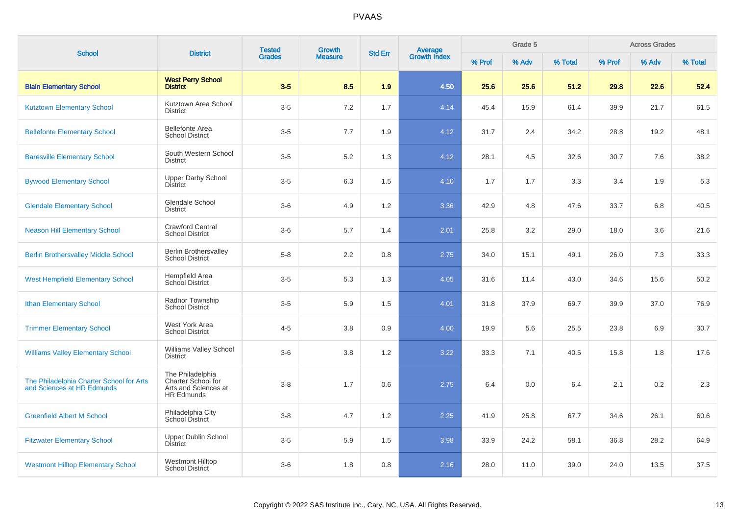| <b>School</b>                                                          | <b>District</b>                                                                     | <b>Tested</b> | <b>Growth</b>  | <b>Std Err</b> | <b>Average</b><br>Growth Index |        | Grade 5 |         |        | <b>Across Grades</b> |         |
|------------------------------------------------------------------------|-------------------------------------------------------------------------------------|---------------|----------------|----------------|--------------------------------|--------|---------|---------|--------|----------------------|---------|
|                                                                        |                                                                                     | <b>Grades</b> | <b>Measure</b> |                |                                | % Prof | % Adv   | % Total | % Prof | % Adv                | % Total |
| <b>Blain Elementary School</b>                                         | <b>West Perry School</b><br><b>District</b>                                         | $3-5$         | 8.5            | 1.9            | 4.50                           | 25.6   | 25.6    | 51.2    | 29.8   | 22.6                 | 52.4    |
| <b>Kutztown Elementary School</b>                                      | Kutztown Area School<br><b>District</b>                                             | $3-5$         | 7.2            | 1.7            | 4.14                           | 45.4   | 15.9    | 61.4    | 39.9   | 21.7                 | 61.5    |
| <b>Bellefonte Elementary School</b>                                    | <b>Bellefonte Area</b><br><b>School District</b>                                    | $3-5$         | 7.7            | 1.9            | 4.12                           | 31.7   | 2.4     | 34.2    | 28.8   | 19.2                 | 48.1    |
| <b>Baresville Elementary School</b>                                    | South Western School<br><b>District</b>                                             | $3-5$         | 5.2            | 1.3            | 4.12                           | 28.1   | 4.5     | 32.6    | 30.7   | 7.6                  | 38.2    |
| <b>Bywood Elementary School</b>                                        | <b>Upper Darby School</b><br><b>District</b>                                        | $3-5$         | 6.3            | 1.5            | 4.10                           | 1.7    | 1.7     | 3.3     | 3.4    | 1.9                  | 5.3     |
| <b>Glendale Elementary School</b>                                      | <b>Glendale School</b><br><b>District</b>                                           | $3-6$         | 4.9            | 1.2            | 3.36                           | 42.9   | 4.8     | 47.6    | 33.7   | 6.8                  | 40.5    |
| <b>Neason Hill Elementary School</b>                                   | <b>Crawford Central</b><br><b>School District</b>                                   | $3-6$         | 5.7            | 1.4            | 2.01                           | 25.8   | 3.2     | 29.0    | 18.0   | 3.6                  | 21.6    |
| <b>Berlin Brothersvalley Middle School</b>                             | <b>Berlin Brothersvalley</b><br><b>School District</b>                              | $5-8$         | 2.2            | 0.8            | 2.75                           | 34.0   | 15.1    | 49.1    | 26.0   | 7.3                  | 33.3    |
| <b>West Hempfield Elementary School</b>                                | Hempfield Area<br>School District                                                   | $3-5$         | 5.3            | 1.3            | 4.05                           | 31.6   | 11.4    | 43.0    | 34.6   | 15.6                 | 50.2    |
| <b>Ithan Elementary School</b>                                         | Radnor Township<br><b>School District</b>                                           | $3-5$         | 5.9            | 1.5            | 4.01                           | 31.8   | 37.9    | 69.7    | 39.9   | 37.0                 | 76.9    |
| <b>Trimmer Elementary School</b>                                       | West York Area<br><b>School District</b>                                            | $4 - 5$       | 3.8            | 0.9            | 4.00                           | 19.9   | 5.6     | 25.5    | 23.8   | 6.9                  | 30.7    |
| <b>Williams Valley Elementary School</b>                               | Williams Valley School<br><b>District</b>                                           | $3-6$         | 3.8            | 1.2            | 3.22                           | 33.3   | 7.1     | 40.5    | 15.8   | 1.8                  | 17.6    |
| The Philadelphia Charter School for Arts<br>and Sciences at HR Edmunds | The Philadelphia<br>Charter School for<br>Arts and Sciences at<br><b>HR Edmunds</b> | $3 - 8$       | 1.7            | 0.6            | 2.75                           | 6.4    | 0.0     | 6.4     | 2.1    | 0.2                  | 2.3     |
| <b>Greenfield Albert M School</b>                                      | Philadelphia City<br>School District                                                | $3 - 8$       | 4.7            | 1.2            | 2.25                           | 41.9   | 25.8    | 67.7    | 34.6   | 26.1                 | 60.6    |
| <b>Fitzwater Elementary School</b>                                     | <b>Upper Dublin School</b><br>District                                              | $3-5$         | 5.9            | 1.5            | 3.98                           | 33.9   | 24.2    | 58.1    | 36.8   | 28.2                 | 64.9    |
| <b>Westmont Hilltop Elementary School</b>                              | <b>Westmont Hilltop</b><br><b>School District</b>                                   | $3-6$         | 1.8            | 0.8            | 2.16                           | 28.0   | 11.0    | 39.0    | 24.0   | 13.5                 | 37.5    |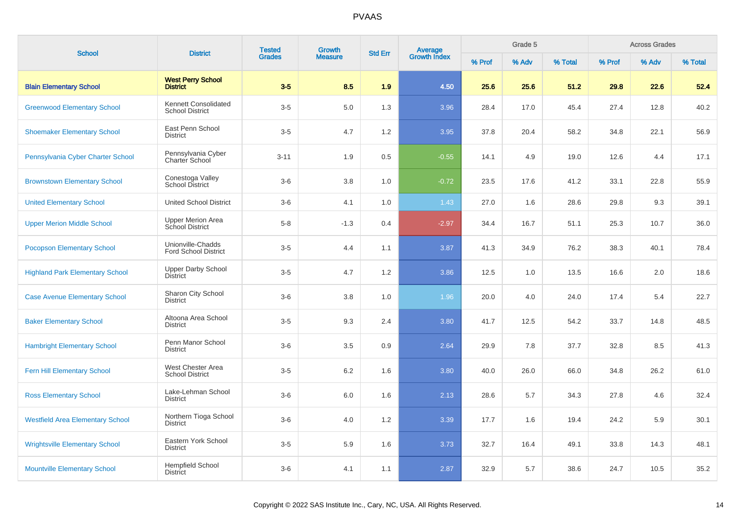| <b>School</b>                           | <b>District</b>                                  | <b>Tested</b> | <b>Growth</b>  | <b>Std Err</b> |                                |        | Grade 5 |         |        | <b>Across Grades</b> |         |
|-----------------------------------------|--------------------------------------------------|---------------|----------------|----------------|--------------------------------|--------|---------|---------|--------|----------------------|---------|
|                                         |                                                  | <b>Grades</b> | <b>Measure</b> |                | <b>Average</b><br>Growth Index | % Prof | % Adv   | % Total | % Prof | % Adv                | % Total |
| <b>Blain Elementary School</b>          | <b>West Perry School</b><br><b>District</b>      | $3-5$         | 8.5            | 1.9            | 4.50                           | 25.6   | 25.6    | 51.2    | 29.8   | 22.6                 | 52.4    |
| <b>Greenwood Elementary School</b>      | Kennett Consolidated<br><b>School District</b>   | $3-5$         | 5.0            | 1.3            | 3.96                           | 28.4   | 17.0    | 45.4    | 27.4   | 12.8                 | 40.2    |
| <b>Shoemaker Elementary School</b>      | East Penn School<br><b>District</b>              | $3-5$         | 4.7            | 1.2            | 3.95                           | 37.8   | 20.4    | 58.2    | 34.8   | 22.1                 | 56.9    |
| Pennsylvania Cyber Charter School       | Pennsylvania Cyber<br>Charter School             | $3 - 11$      | 1.9            | 0.5            | $-0.55$                        | 14.1   | 4.9     | 19.0    | 12.6   | 4.4                  | 17.1    |
| <b>Brownstown Elementary School</b>     | Conestoga Valley<br><b>School District</b>       | $3-6$         | 3.8            | 1.0            | $-0.72$                        | 23.5   | 17.6    | 41.2    | 33.1   | 22.8                 | 55.9    |
| <b>United Elementary School</b>         | <b>United School District</b>                    | $3-6$         | 4.1            | 1.0            | 1.43                           | 27.0   | 1.6     | 28.6    | 29.8   | 9.3                  | 39.1    |
| <b>Upper Merion Middle School</b>       | <b>Upper Merion Area</b><br>School District      | $5-8$         | $-1.3$         | 0.4            | $-2.97$                        | 34.4   | 16.7    | 51.1    | 25.3   | 10.7                 | 36.0    |
| <b>Pocopson Elementary School</b>       | Unionville-Chadds<br><b>Ford School District</b> | $3-5$         | 4.4            | 1.1            | 3.87                           | 41.3   | 34.9    | 76.2    | 38.3   | 40.1                 | 78.4    |
| <b>Highland Park Elementary School</b>  | <b>Upper Darby School</b><br>District            | $3-5$         | 4.7            | 1.2            | 3.86                           | 12.5   | 1.0     | 13.5    | 16.6   | 2.0                  | 18.6    |
| <b>Case Avenue Elementary School</b>    | Sharon City School<br><b>District</b>            | $3-6$         | 3.8            | 1.0            | 1.96                           | 20.0   | 4.0     | 24.0    | 17.4   | 5.4                  | 22.7    |
| <b>Baker Elementary School</b>          | Altoona Area School<br><b>District</b>           | $3-5$         | 9.3            | 2.4            | 3.80                           | 41.7   | 12.5    | 54.2    | 33.7   | 14.8                 | 48.5    |
| <b>Hambright Elementary School</b>      | Penn Manor School<br><b>District</b>             | $3-6$         | 3.5            | 0.9            | 2.64                           | 29.9   | 7.8     | 37.7    | 32.8   | 8.5                  | 41.3    |
| <b>Fern Hill Elementary School</b>      | West Chester Area<br><b>School District</b>      | $3-5$         | 6.2            | 1.6            | 3.80                           | 40.0   | 26.0    | 66.0    | 34.8   | 26.2                 | 61.0    |
| <b>Ross Elementary School</b>           | Lake-Lehman School<br><b>District</b>            | $3-6$         | 6.0            | 1.6            | 2.13                           | 28.6   | 5.7     | 34.3    | 27.8   | 4.6                  | 32.4    |
| <b>Westfield Area Elementary School</b> | Northern Tioga School<br><b>District</b>         | $3-6$         | 4.0            | 1.2            | 3.39                           | 17.7   | 1.6     | 19.4    | 24.2   | 5.9                  | 30.1    |
| <b>Wrightsville Elementary School</b>   | Eastern York School<br><b>District</b>           | $3-5$         | 5.9            | 1.6            | 3.73                           | 32.7   | 16.4    | 49.1    | 33.8   | 14.3                 | 48.1    |
| <b>Mountville Elementary School</b>     | <b>Hempfield School</b><br><b>District</b>       | $3-6$         | 4.1            | 1.1            | 2.87                           | 32.9   | 5.7     | 38.6    | 24.7   | 10.5                 | 35.2    |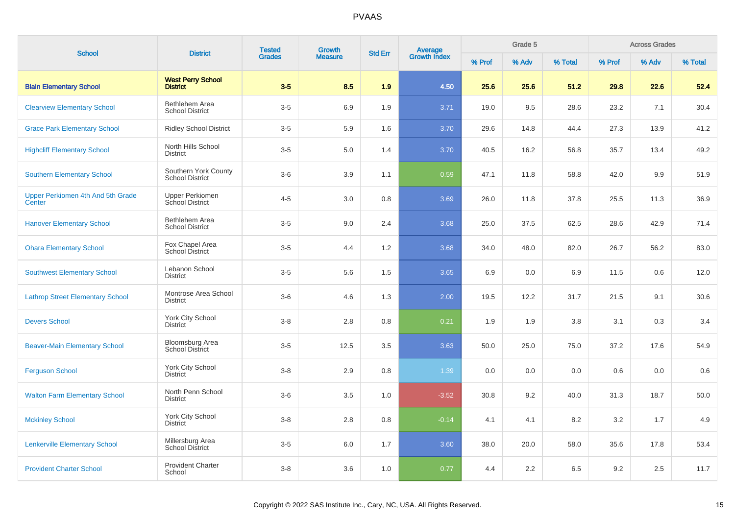| <b>School</b>                               | <b>District</b>                                  | <b>Tested</b> | Growth         | <b>Std Err</b> |                         |        | Grade 5 |         |        | <b>Across Grades</b> |         |
|---------------------------------------------|--------------------------------------------------|---------------|----------------|----------------|-------------------------|--------|---------|---------|--------|----------------------|---------|
|                                             |                                                  | <b>Grades</b> | <b>Measure</b> |                | Average<br>Growth Index | % Prof | % Adv   | % Total | % Prof | % Adv                | % Total |
| <b>Blain Elementary School</b>              | <b>West Perry School</b><br><b>District</b>      | $3-5$         | 8.5            | 1.9            | 4.50                    | 25.6   | 25.6    | 51.2    | 29.8   | 22.6                 | 52.4    |
| <b>Clearview Elementary School</b>          | Bethlehem Area<br><b>School District</b>         | $3-5$         | 6.9            | 1.9            | 3.71                    | 19.0   | 9.5     | 28.6    | 23.2   | 7.1                  | 30.4    |
| <b>Grace Park Elementary School</b>         | <b>Ridley School District</b>                    | $3-5$         | 5.9            | 1.6            | 3.70                    | 29.6   | 14.8    | 44.4    | 27.3   | 13.9                 | 41.2    |
| <b>Highcliff Elementary School</b>          | North Hills School<br><b>District</b>            | $3-5$         | 5.0            | 1.4            | 3.70                    | 40.5   | 16.2    | 56.8    | 35.7   | 13.4                 | 49.2    |
| <b>Southern Elementary School</b>           | Southern York County<br><b>School District</b>   | $3-6$         | 3.9            | 1.1            | 0.59                    | 47.1   | 11.8    | 58.8    | 42.0   | 9.9                  | 51.9    |
| Upper Perkiomen 4th And 5th Grade<br>Center | <b>Upper Perkiomen</b><br>School District        | $4 - 5$       | 3.0            | 0.8            | 3.69                    | 26.0   | 11.8    | 37.8    | 25.5   | 11.3                 | 36.9    |
| <b>Hanover Elementary School</b>            | Bethlehem Area<br><b>School District</b>         | $3-5$         | 9.0            | 2.4            | 3.68                    | 25.0   | 37.5    | 62.5    | 28.6   | 42.9                 | 71.4    |
| <b>Ohara Elementary School</b>              | Fox Chapel Area<br>School District               | $3-5$         | 4.4            | 1.2            | 3.68                    | 34.0   | 48.0    | 82.0    | 26.7   | 56.2                 | 83.0    |
| <b>Southwest Elementary School</b>          | Lebanon School<br><b>District</b>                | $3-5$         | 5.6            | 1.5            | 3.65                    | 6.9    | 0.0     | 6.9     | 11.5   | 0.6                  | 12.0    |
| <b>Lathrop Street Elementary School</b>     | Montrose Area School<br><b>District</b>          | $3-6$         | 4.6            | 1.3            | 2.00                    | 19.5   | 12.2    | 31.7    | 21.5   | 9.1                  | 30.6    |
| <b>Devers School</b>                        | York City School<br><b>District</b>              | $3 - 8$       | 2.8            | 0.8            | 0.21                    | 1.9    | 1.9     | 3.8     | 3.1    | 0.3                  | 3.4     |
| <b>Beaver-Main Elementary School</b>        | <b>Bloomsburg Area</b><br><b>School District</b> | $3-5$         | 12.5           | 3.5            | 3.63                    | 50.0   | 25.0    | 75.0    | 37.2   | 17.6                 | 54.9    |
| <b>Ferguson School</b>                      | York City School<br><b>District</b>              | $3-8$         | 2.9            | 0.8            | 1.39                    | 0.0    | 0.0     | 0.0     | 0.6    | 0.0                  | 0.6     |
| <b>Walton Farm Elementary School</b>        | North Penn School<br><b>District</b>             | $3-6$         | 3.5            | 1.0            | $-3.52$                 | 30.8   | 9.2     | 40.0    | 31.3   | 18.7                 | 50.0    |
| <b>Mckinley School</b>                      | York City School<br><b>District</b>              | $3-8$         | 2.8            | 0.8            | $-0.14$                 | 4.1    | 4.1     | 8.2     | 3.2    | 1.7                  | 4.9     |
| <b>Lenkerville Elementary School</b>        | Millersburg Area<br>School District              | $3-5$         | 6.0            | 1.7            | 3.60                    | 38.0   | 20.0    | 58.0    | 35.6   | 17.8                 | 53.4    |
| <b>Provident Charter School</b>             | <b>Provident Charter</b><br>School               | $3 - 8$       | 3.6            | 1.0            | 0.77                    | 4.4    | 2.2     | 6.5     | 9.2    | 2.5                  | 11.7    |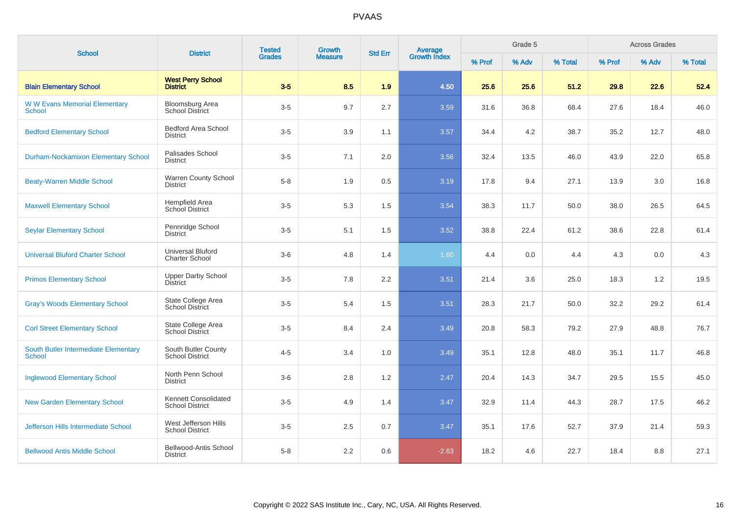| <b>School</b>                                         | <b>District</b>                                   | <b>Tested</b> | <b>Growth</b>  | <b>Std Err</b> |                                |        | Grade 5 |         |        | <b>Across Grades</b> |         |
|-------------------------------------------------------|---------------------------------------------------|---------------|----------------|----------------|--------------------------------|--------|---------|---------|--------|----------------------|---------|
|                                                       |                                                   | <b>Grades</b> | <b>Measure</b> |                | <b>Average</b><br>Growth Index | % Prof | % Adv   | % Total | % Prof | % Adv                | % Total |
| <b>Blain Elementary School</b>                        | <b>West Perry School</b><br><b>District</b>       | $3-5$         | 8.5            | 1.9            | 4.50                           | 25.6   | 25.6    | 51.2    | 29.8   | 22.6                 | 52.4    |
| <b>W W Evans Memorial Elementary</b><br><b>School</b> | Bloomsburg Area<br><b>School District</b>         | $3-5$         | 9.7            | 2.7            | 3.59                           | 31.6   | 36.8    | 68.4    | 27.6   | 18.4                 | 46.0    |
| <b>Bedford Elementary School</b>                      | <b>Bedford Area School</b><br><b>District</b>     | $3-5$         | 3.9            | 1.1            | 3.57                           | 34.4   | 4.2     | 38.7    | 35.2   | 12.7                 | 48.0    |
| <b>Durham-Nockamixon Elementary School</b>            | Palisades School<br><b>District</b>               | $3-5$         | 7.1            | 2.0            | 3.56                           | 32.4   | 13.5    | 46.0    | 43.9   | 22.0                 | 65.8    |
| <b>Beaty-Warren Middle School</b>                     | Warren County School<br><b>District</b>           | $5 - 8$       | 1.9            | 0.5            | 3.19                           | 17.8   | 9.4     | 27.1    | 13.9   | 3.0                  | 16.8    |
| <b>Maxwell Elementary School</b>                      | <b>Hempfield Area</b><br><b>School District</b>   | $3-5$         | 5.3            | 1.5            | 3.54                           | 38.3   | 11.7    | 50.0    | 38.0   | 26.5                 | 64.5    |
| <b>Seylar Elementary School</b>                       | Pennridge School<br><b>District</b>               | $3-5$         | 5.1            | 1.5            | 3.52                           | 38.8   | 22.4    | 61.2    | 38.6   | 22.8                 | 61.4    |
| <b>Universal Bluford Charter School</b>               | <b>Universal Bluford</b><br><b>Charter School</b> | $3-6$         | 4.8            | 1.4            | 1.60                           | 4.4    | 0.0     | 4.4     | 4.3    | 0.0                  | 4.3     |
| <b>Primos Elementary School</b>                       | <b>Upper Darby School</b><br>District             | $3-5$         | 7.8            | 2.2            | 3.51                           | 21.4   | 3.6     | 25.0    | 18.3   | 1.2                  | 19.5    |
| <b>Gray's Woods Elementary School</b>                 | State College Area<br>School District             | $3-5$         | 5.4            | 1.5            | 3.51                           | 28.3   | 21.7    | 50.0    | 32.2   | 29.2                 | 61.4    |
| <b>Corl Street Elementary School</b>                  | State College Area<br><b>School District</b>      | $3-5$         | 8.4            | 2.4            | 3.49                           | 20.8   | 58.3    | 79.2    | 27.9   | 48.8                 | 76.7    |
| South Butler Intermediate Elementary<br><b>School</b> | South Butler County<br><b>School District</b>     | $4 - 5$       | 3.4            | 1.0            | 3.49                           | 35.1   | 12.8    | 48.0    | 35.1   | 11.7                 | 46.8    |
| <b>Inglewood Elementary School</b>                    | North Penn School<br><b>District</b>              | $3-6$         | 2.8            | 1.2            | 2.47                           | 20.4   | 14.3    | 34.7    | 29.5   | 15.5                 | 45.0    |
| <b>New Garden Elementary School</b>                   | Kennett Consolidated<br><b>School District</b>    | $3-5$         | 4.9            | 1.4            | 3.47                           | 32.9   | 11.4    | 44.3    | 28.7   | 17.5                 | 46.2    |
| <b>Jefferson Hills Intermediate School</b>            | West Jefferson Hills<br><b>School District</b>    | $3-5$         | 2.5            | 0.7            | 3.47                           | 35.1   | 17.6    | 52.7    | 37.9   | 21.4                 | 59.3    |
| <b>Bellwood Antis Middle School</b>                   | Bellwood-Antis School<br><b>District</b>          | $5-8$         | 2.2            | 0.6            | $-2.63$                        | 18.2   | 4.6     | 22.7    | 18.4   | 8.8                  | 27.1    |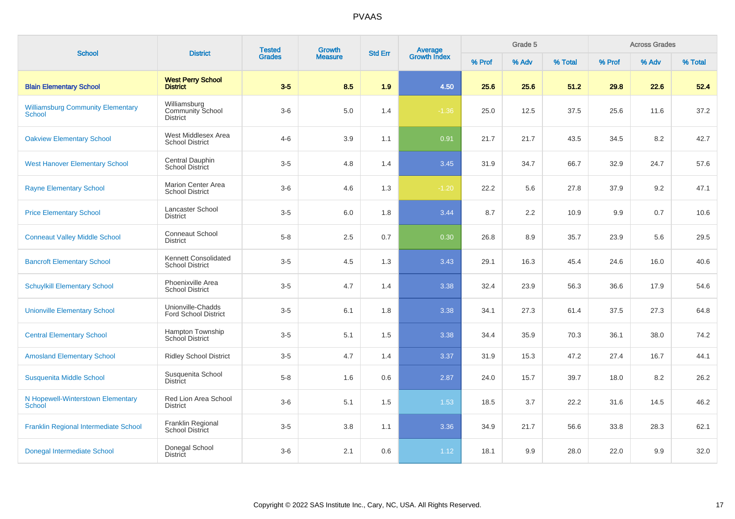| <b>School</b>                                      | <b>District</b>                                     | <b>Tested</b> | Growth         | <b>Std Err</b> | Average<br>Growth Index |        | Grade 5 |         |        | <b>Across Grades</b> |         |
|----------------------------------------------------|-----------------------------------------------------|---------------|----------------|----------------|-------------------------|--------|---------|---------|--------|----------------------|---------|
|                                                    |                                                     | <b>Grades</b> | <b>Measure</b> |                |                         | % Prof | % Adv   | % Total | % Prof | % Adv                | % Total |
| <b>Blain Elementary School</b>                     | <b>West Perry School</b><br><b>District</b>         | $3 - 5$       | 8.5            | 1.9            | 4.50                    | 25.6   | 25.6    | 51.2    | 29.8   | 22.6                 | 52.4    |
| <b>Williamsburg Community Elementary</b><br>School | Williamsburg<br><b>Community School</b><br>District | $3-6$         | 5.0            | 1.4            | $-1.36$                 | 25.0   | 12.5    | 37.5    | 25.6   | 11.6                 | 37.2    |
| <b>Oakview Elementary School</b>                   | West Middlesex Area<br><b>School District</b>       | $4 - 6$       | 3.9            | 1.1            | 0.91                    | 21.7   | 21.7    | 43.5    | 34.5   | 8.2                  | 42.7    |
| <b>West Hanover Elementary School</b>              | Central Dauphin<br><b>School District</b>           | $3-5$         | 4.8            | 1.4            | 3.45                    | 31.9   | 34.7    | 66.7    | 32.9   | 24.7                 | 57.6    |
| <b>Rayne Elementary School</b>                     | Marion Center Area<br><b>School District</b>        | $3-6$         | 4.6            | 1.3            | $-1.20$                 | 22.2   | 5.6     | 27.8    | 37.9   | 9.2                  | 47.1    |
| <b>Price Elementary School</b>                     | Lancaster School<br><b>District</b>                 | $3-5$         | 6.0            | 1.8            | 3.44                    | 8.7    | 2.2     | 10.9    | 9.9    | 0.7                  | 10.6    |
| <b>Conneaut Valley Middle School</b>               | <b>Conneaut School</b><br><b>District</b>           | $5-8$         | 2.5            | 0.7            | 0.30                    | 26.8   | 8.9     | 35.7    | 23.9   | 5.6                  | 29.5    |
| <b>Bancroft Elementary School</b>                  | Kennett Consolidated<br><b>School District</b>      | $3-5$         | 4.5            | 1.3            | 3.43                    | 29.1   | 16.3    | 45.4    | 24.6   | 16.0                 | 40.6    |
| <b>Schuylkill Elementary School</b>                | Phoenixville Area<br><b>School District</b>         | $3-5$         | 4.7            | 1.4            | 3.38                    | 32.4   | 23.9    | 56.3    | 36.6   | 17.9                 | 54.6    |
| <b>Unionville Elementary School</b>                | Unionville-Chadds<br><b>Ford School District</b>    | $3-5$         | 6.1            | 1.8            | 3.38                    | 34.1   | 27.3    | 61.4    | 37.5   | 27.3                 | 64.8    |
| <b>Central Elementary School</b>                   | <b>Hampton Township</b><br><b>School District</b>   | $3-5$         | 5.1            | 1.5            | 3.38                    | 34.4   | 35.9    | 70.3    | 36.1   | 38.0                 | 74.2    |
| <b>Amosland Elementary School</b>                  | <b>Ridley School District</b>                       | $3-5$         | 4.7            | 1.4            | 3.37                    | 31.9   | 15.3    | 47.2    | 27.4   | 16.7                 | 44.1    |
| Susquenita Middle School                           | Susquenita School<br><b>District</b>                | $5-8$         | 1.6            | 0.6            | 2.87                    | 24.0   | 15.7    | 39.7    | 18.0   | 8.2                  | 26.2    |
| N Hopewell-Winterstown Elementary<br><b>School</b> | Red Lion Area School<br><b>District</b>             | $3-6$         | 5.1            | 1.5            | 1.53                    | 18.5   | 3.7     | 22.2    | 31.6   | 14.5                 | 46.2    |
| Franklin Regional Intermediate School              | Franklin Regional<br>School District                | $3-5$         | 3.8            | 1.1            | 3.36                    | 34.9   | 21.7    | 56.6    | 33.8   | 28.3                 | 62.1    |
| Donegal Intermediate School                        | Donegal School<br><b>District</b>                   | $3-6$         | 2.1            | 0.6            | 1.12                    | 18.1   | 9.9     | 28.0    | 22.0   | 9.9                  | 32.0    |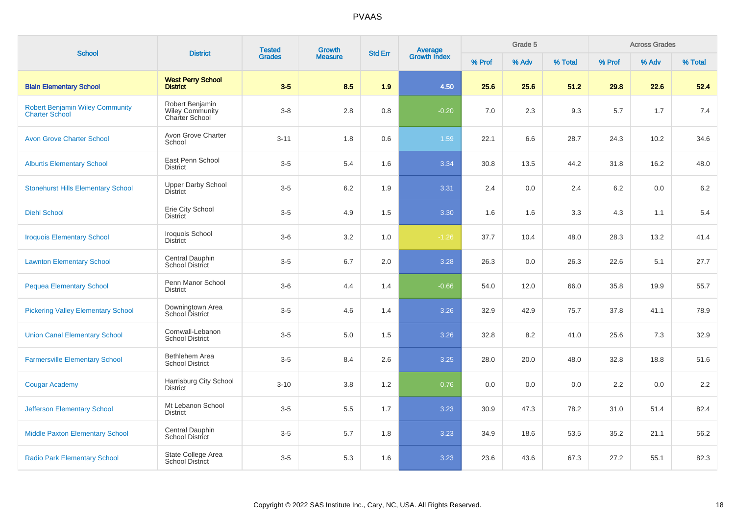| <b>School</b>                                                   | <b>District</b>                                             | <b>Tested</b> | <b>Growth</b>  | <b>Std Err</b> | Average<br>Growth Index |        | Grade 5 |         |        | <b>Across Grades</b> |         |
|-----------------------------------------------------------------|-------------------------------------------------------------|---------------|----------------|----------------|-------------------------|--------|---------|---------|--------|----------------------|---------|
|                                                                 |                                                             | <b>Grades</b> | <b>Measure</b> |                |                         | % Prof | % Adv   | % Total | % Prof | % Adv                | % Total |
| <b>Blain Elementary School</b>                                  | <b>West Perry School</b><br><b>District</b>                 | $3-5$         | 8.5            | 1.9            | 4.50                    | 25.6   | 25.6    | 51.2    | 29.8   | 22.6                 | 52.4    |
| <b>Robert Benjamin Wiley Community</b><br><b>Charter School</b> | Robert Benjamin<br><b>Wiley Community</b><br>Charter School | $3 - 8$       | 2.8            | 0.8            | $-0.20$                 | 7.0    | 2.3     | 9.3     | 5.7    | 1.7                  | 7.4     |
| <b>Avon Grove Charter School</b>                                | Avon Grove Charter<br>School                                | $3 - 11$      | 1.8            | 0.6            | 1.59                    | 22.1   | 6.6     | 28.7    | 24.3   | 10.2                 | 34.6    |
| <b>Alburtis Elementary School</b>                               | East Penn School<br><b>District</b>                         | $3-5$         | 5.4            | 1.6            | 3.34                    | 30.8   | 13.5    | 44.2    | 31.8   | 16.2                 | 48.0    |
| <b>Stonehurst Hills Elementary School</b>                       | <b>Upper Darby School</b><br><b>District</b>                | $3-5$         | 6.2            | 1.9            | 3.31                    | 2.4    | 0.0     | 2.4     | 6.2    | 0.0                  | 6.2     |
| <b>Diehl School</b>                                             | Erie City School<br><b>District</b>                         | $3-5$         | 4.9            | 1.5            | 3.30                    | 1.6    | 1.6     | 3.3     | 4.3    | 1.1                  | 5.4     |
| <b>Iroquois Elementary School</b>                               | Iroquois School<br><b>District</b>                          | $3-6$         | 3.2            | 1.0            | $-1.26$                 | 37.7   | 10.4    | 48.0    | 28.3   | 13.2                 | 41.4    |
| <b>Lawnton Elementary School</b>                                | Central Dauphin<br>School District                          | $3-5$         | 6.7            | 2.0            | 3.28                    | 26.3   | 0.0     | 26.3    | 22.6   | 5.1                  | 27.7    |
| <b>Pequea Elementary School</b>                                 | Penn Manor School<br><b>District</b>                        | $3-6$         | 4.4            | 1.4            | $-0.66$                 | 54.0   | 12.0    | 66.0    | 35.8   | 19.9                 | 55.7    |
| <b>Pickering Valley Elementary School</b>                       | Downingtown Area<br>School District                         | $3-5$         | 4.6            | 1.4            | 3.26                    | 32.9   | 42.9    | 75.7    | 37.8   | 41.1                 | 78.9    |
| <b>Union Canal Elementary School</b>                            | Cornwall-Lebanon<br><b>School District</b>                  | $3-5$         | 5.0            | 1.5            | 3.26                    | 32.8   | 8.2     | 41.0    | 25.6   | 7.3                  | 32.9    |
| <b>Farmersville Elementary School</b>                           | Bethlehem Area<br><b>School District</b>                    | $3-5$         | 8.4            | 2.6            | 3.25                    | 28.0   | 20.0    | 48.0    | 32.8   | 18.8                 | 51.6    |
| <b>Cougar Academy</b>                                           | Harrisburg City School<br><b>District</b>                   | $3 - 10$      | 3.8            | 1.2            | 0.76                    | 0.0    | 0.0     | 0.0     | 2.2    | 0.0                  | 2.2     |
| <b>Jefferson Elementary School</b>                              | Mt Lebanon School<br><b>District</b>                        | $3-5$         | 5.5            | 1.7            | 3.23                    | 30.9   | 47.3    | 78.2    | 31.0   | 51.4                 | 82.4    |
| <b>Middle Paxton Elementary School</b>                          | Central Dauphin<br><b>School District</b>                   | $3-5$         | 5.7            | 1.8            | 3.23                    | 34.9   | 18.6    | 53.5    | 35.2   | 21.1                 | 56.2    |
| <b>Radio Park Elementary School</b>                             | State College Area<br><b>School District</b>                | $3-5$         | 5.3            | 1.6            | 3.23                    | 23.6   | 43.6    | 67.3    | 27.2   | 55.1                 | 82.3    |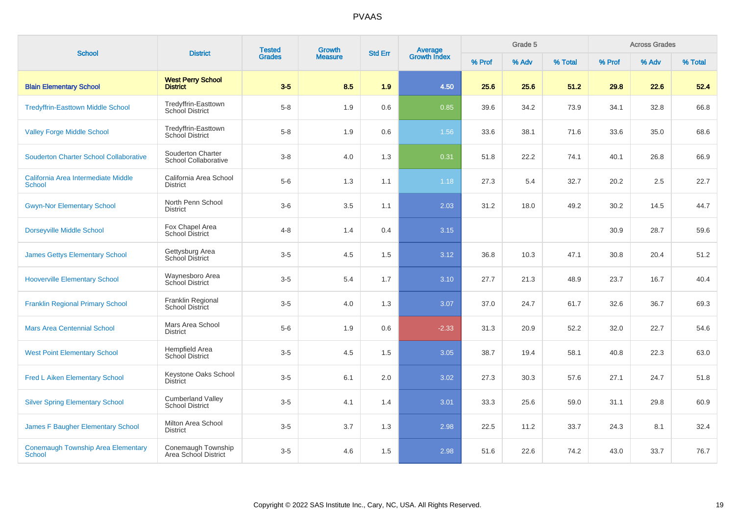| <b>School</b>                                              | <b>District</b>                                    | <b>Tested</b><br>Growth<br><b>Grades</b><br><b>Measure</b> |     | <b>Std Err</b> |                                |        | Grade 5 |         |        | <b>Across Grades</b> |         |
|------------------------------------------------------------|----------------------------------------------------|------------------------------------------------------------|-----|----------------|--------------------------------|--------|---------|---------|--------|----------------------|---------|
|                                                            |                                                    |                                                            |     |                | <b>Average</b><br>Growth Index | % Prof | % Adv   | % Total | % Prof | % Adv                | % Total |
| <b>Blain Elementary School</b>                             | <b>West Perry School</b><br><b>District</b>        | $3-5$                                                      | 8.5 | 1.9            | 4.50                           | 25.6   | 25.6    | 51.2    | 29.8   | 22.6                 | 52.4    |
| <b>Tredyffrin-Easttown Middle School</b>                   | Tredyffrin-Easttown<br><b>School District</b>      | $5 - 8$                                                    | 1.9 | 0.6            | 0.85                           | 39.6   | 34.2    | 73.9    | 34.1   | 32.8                 | 66.8    |
| <b>Valley Forge Middle School</b>                          | Tredyffrin-Easttown<br>School District             | $5-8$                                                      | 1.9 | 0.6            | 1.56                           | 33.6   | 38.1    | 71.6    | 33.6   | 35.0                 | 68.6    |
| <b>Souderton Charter School Collaborative</b>              | Souderton Charter<br>School Collaborative          | $3 - 8$                                                    | 4.0 | 1.3            | 0.31                           | 51.8   | 22.2    | 74.1    | 40.1   | 26.8                 | 66.9    |
| California Area Intermediate Middle<br><b>School</b>       | California Area School<br><b>District</b>          | $5-6$                                                      | 1.3 | 1.1            | 1.18                           | 27.3   | 5.4     | 32.7    | 20.2   | 2.5                  | 22.7    |
| <b>Gwyn-Nor Elementary School</b>                          | North Penn School<br><b>District</b>               | $3-6$                                                      | 3.5 | 1.1            | 2.03                           | 31.2   | 18.0    | 49.2    | 30.2   | 14.5                 | 44.7    |
| <b>Dorseyville Middle School</b>                           | Fox Chapel Area<br>School District                 | $4 - 8$                                                    | 1.4 | 0.4            | 3.15                           |        |         |         | 30.9   | 28.7                 | 59.6    |
| <b>James Gettys Elementary School</b>                      | Gettysburg Area<br>School District                 | $3-5$                                                      | 4.5 | 1.5            | 3.12                           | 36.8   | 10.3    | 47.1    | 30.8   | 20.4                 | 51.2    |
| <b>Hooverville Elementary School</b>                       | Waynesboro Area<br>School District                 | $3-5$                                                      | 5.4 | 1.7            | 3.10                           | 27.7   | 21.3    | 48.9    | 23.7   | 16.7                 | 40.4    |
| <b>Franklin Regional Primary School</b>                    | Franklin Regional<br><b>School District</b>        | $3-5$                                                      | 4.0 | 1.3            | 3.07                           | 37.0   | 24.7    | 61.7    | 32.6   | 36.7                 | 69.3    |
| <b>Mars Area Centennial School</b>                         | Mars Area School<br><b>District</b>                | $5-6$                                                      | 1.9 | 0.6            | $-2.33$                        | 31.3   | 20.9    | 52.2    | 32.0   | 22.7                 | 54.6    |
| <b>West Point Elementary School</b>                        | Hempfield Area<br><b>School District</b>           | $3-5$                                                      | 4.5 | 1.5            | 3.05                           | 38.7   | 19.4    | 58.1    | 40.8   | 22.3                 | 63.0    |
| <b>Fred L Aiken Elementary School</b>                      | Keystone Oaks School<br><b>District</b>            | $3-5$                                                      | 6.1 | 2.0            | 3.02                           | 27.3   | 30.3    | 57.6    | 27.1   | 24.7                 | 51.8    |
| <b>Silver Spring Elementary School</b>                     | <b>Cumberland Valley</b><br><b>School District</b> | $3-5$                                                      | 4.1 | 1.4            | 3.01                           | 33.3   | 25.6    | 59.0    | 31.1   | 29.8                 | 60.9    |
| James F Baugher Elementary School                          | Milton Area School<br><b>District</b>              | $3-5$                                                      | 3.7 | 1.3            | 2.98                           | 22.5   | 11.2    | 33.7    | 24.3   | 8.1                  | 32.4    |
| <b>Conemaugh Township Area Elementary</b><br><b>School</b> | Conemaugh Township<br>Area School District         | $3-5$                                                      | 4.6 | 1.5            | 2.98                           | 51.6   | 22.6    | 74.2    | 43.0   | 33.7                 | 76.7    |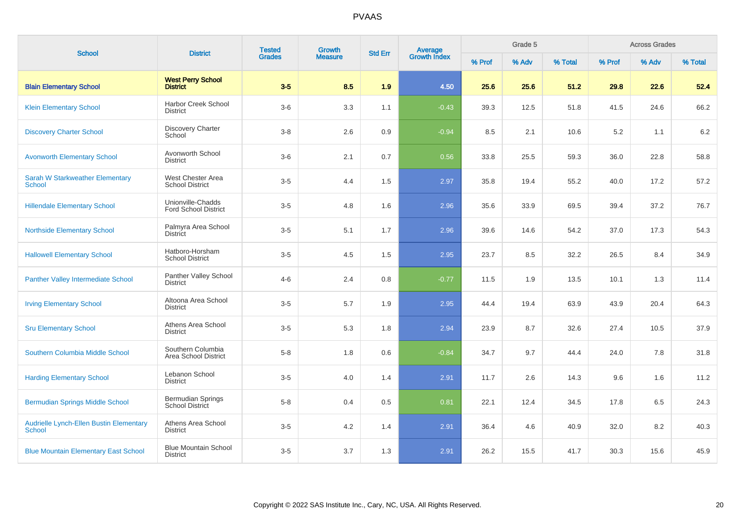| <b>School</b>                                                   | <b>District</b>                                    | <b>Tested</b> | Growth         | <b>Std Err</b> | <b>Average</b><br>Growth Index |        | Grade 5 | <b>Across Grades</b> |        |       |         |
|-----------------------------------------------------------------|----------------------------------------------------|---------------|----------------|----------------|--------------------------------|--------|---------|----------------------|--------|-------|---------|
|                                                                 |                                                    | <b>Grades</b> | <b>Measure</b> |                |                                | % Prof | % Adv   | % Total              | % Prof | % Adv | % Total |
| <b>Blain Elementary School</b>                                  | <b>West Perry School</b><br><b>District</b>        | $3-5$         | 8.5            | 1.9            | 4.50                           | 25.6   | 25.6    | 51.2                 | 29.8   | 22.6  | 52.4    |
| <b>Klein Elementary School</b>                                  | <b>Harbor Creek School</b><br><b>District</b>      | $3-6$         | 3.3            | 1.1            | $-0.43$                        | 39.3   | 12.5    | 51.8                 | 41.5   | 24.6  | 66.2    |
| <b>Discovery Charter School</b>                                 | <b>Discovery Charter</b><br>School                 | $3-8$         | 2.6            | 0.9            | $-0.94$                        | 8.5    | 2.1     | 10.6                 | 5.2    | 1.1   | 6.2     |
| <b>Avonworth Elementary School</b>                              | Avonworth School<br><b>District</b>                | $3-6$         | 2.1            | 0.7            | 0.56                           | 33.8   | 25.5    | 59.3                 | 36.0   | 22.8  | 58.8    |
| <b>Sarah W Starkweather Elementary</b><br>School                | West Chester Area<br><b>School District</b>        | $3-5$         | 4.4            | 1.5            | 2.97                           | 35.8   | 19.4    | 55.2                 | 40.0   | 17.2  | 57.2    |
| <b>Hillendale Elementary School</b>                             | Unionville-Chadds<br><b>Ford School District</b>   | $3-5$         | 4.8            | 1.6            | 2.96                           | 35.6   | 33.9    | 69.5                 | 39.4   | 37.2  | 76.7    |
| <b>Northside Elementary School</b>                              | Palmyra Area School<br><b>District</b>             | $3-5$         | 5.1            | 1.7            | 2.96                           | 39.6   | 14.6    | 54.2                 | 37.0   | 17.3  | 54.3    |
| <b>Hallowell Elementary School</b>                              | Hatboro-Horsham<br><b>School District</b>          | $3-5$         | 4.5            | 1.5            | 2.95                           | 23.7   | 8.5     | 32.2                 | 26.5   | 8.4   | 34.9    |
| <b>Panther Valley Intermediate School</b>                       | Panther Valley School<br><b>District</b>           | $4 - 6$       | 2.4            | 0.8            | $-0.77$                        | 11.5   | 1.9     | 13.5                 | 10.1   | 1.3   | 11.4    |
| <b>Irving Elementary School</b>                                 | Altoona Area School<br><b>District</b>             | $3-5$         | 5.7            | 1.9            | 2.95                           | 44.4   | 19.4    | 63.9                 | 43.9   | 20.4  | 64.3    |
| <b>Sru Elementary School</b>                                    | Athens Area School<br><b>District</b>              | $3-5$         | 5.3            | 1.8            | 2.94                           | 23.9   | 8.7     | 32.6                 | 27.4   | 10.5  | 37.9    |
| <b>Southern Columbia Middle School</b>                          | Southern Columbia<br>Area School District          | $5-8$         | 1.8            | 0.6            | $-0.84$                        | 34.7   | 9.7     | 44.4                 | 24.0   | 7.8   | 31.8    |
| <b>Harding Elementary School</b>                                | Lebanon School<br><b>District</b>                  | $3-5$         | 4.0            | 1.4            | 2.91                           | 11.7   | 2.6     | 14.3                 | 9.6    | 1.6   | 11.2    |
| <b>Bermudian Springs Middle School</b>                          | <b>Bermudian Springs</b><br><b>School District</b> | $5-8$         | 0.4            | 0.5            | 0.81                           | 22.1   | 12.4    | 34.5                 | 17.8   | 6.5   | 24.3    |
| <b>Audrielle Lynch-Ellen Bustin Elementary</b><br><b>School</b> | Athens Area School<br>District                     | $3-5$         | 4.2            | 1.4            | 2.91                           | 36.4   | 4.6     | 40.9                 | 32.0   | 8.2   | 40.3    |
| <b>Blue Mountain Elementary East School</b>                     | <b>Blue Mountain School</b><br><b>District</b>     | $3-5$         | 3.7            | 1.3            | 2.91                           | 26.2   | 15.5    | 41.7                 | 30.3   | 15.6  | 45.9    |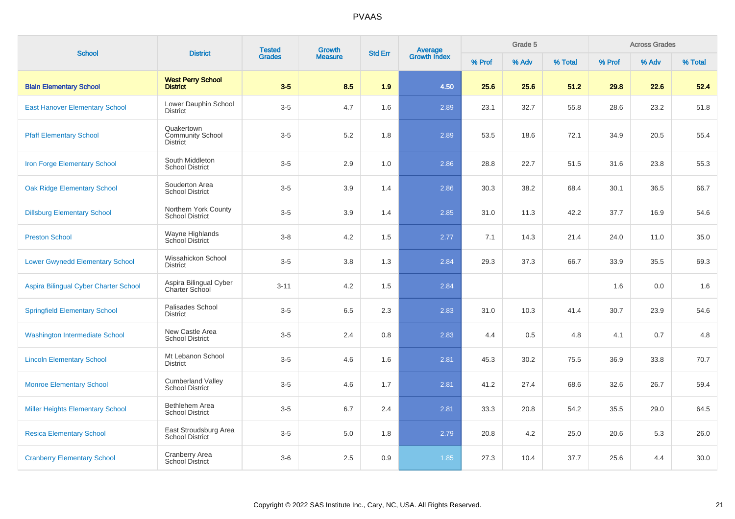| <b>School</b>                           | <b>District</b>                                          | <b>Tested</b> | <b>Growth</b>  | <b>Std Err</b> |                                |        | Grade 5 |         | <b>Across Grades</b> |       |         |
|-----------------------------------------|----------------------------------------------------------|---------------|----------------|----------------|--------------------------------|--------|---------|---------|----------------------|-------|---------|
|                                         |                                                          | <b>Grades</b> | <b>Measure</b> |                | <b>Average</b><br>Growth Index | % Prof | % Adv   | % Total | % Prof               | % Adv | % Total |
| <b>Blain Elementary School</b>          | <b>West Perry School</b><br><b>District</b>              | $3-5$         | 8.5            | 1.9            | 4.50                           | 25.6   | 25.6    | 51.2    | 29.8                 | 22.6  | 52.4    |
| <b>East Hanover Elementary School</b>   | Lower Dauphin School<br><b>District</b>                  | $3-5$         | 4.7            | 1.6            | 2.89                           | 23.1   | 32.7    | 55.8    | 28.6                 | 23.2  | 51.8    |
| <b>Pfaff Elementary School</b>          | Quakertown<br><b>Community School</b><br><b>District</b> | $3-5$         | 5.2            | 1.8            | 2.89                           | 53.5   | 18.6    | 72.1    | 34.9                 | 20.5  | 55.4    |
| Iron Forge Elementary School            | South Middleton<br><b>School District</b>                | $3 - 5$       | 2.9            | 1.0            | 2.86                           | 28.8   | 22.7    | 51.5    | 31.6                 | 23.8  | 55.3    |
| <b>Oak Ridge Elementary School</b>      | Souderton Area<br><b>School District</b>                 | $3-5$         | 3.9            | 1.4            | 2.86                           | 30.3   | 38.2    | 68.4    | 30.1                 | 36.5  | 66.7    |
| <b>Dillsburg Elementary School</b>      | Northern York County<br><b>School District</b>           | $3-5$         | 3.9            | 1.4            | 2.85                           | 31.0   | 11.3    | 42.2    | 37.7                 | 16.9  | 54.6    |
| <b>Preston School</b>                   | Wayne Highlands<br>School District                       | $3 - 8$       | 4.2            | 1.5            | 2.77                           | 7.1    | 14.3    | 21.4    | 24.0                 | 11.0  | 35.0    |
| <b>Lower Gwynedd Elementary School</b>  | Wissahickon School<br><b>District</b>                    | $3-5$         | 3.8            | 1.3            | 2.84                           | 29.3   | 37.3    | 66.7    | 33.9                 | 35.5  | 69.3    |
| Aspira Bilingual Cyber Charter School   | Aspira Bilingual Cyber<br>Charter School                 | $3 - 11$      | 4.2            | 1.5            | 2.84                           |        |         |         | 1.6                  | 0.0   | 1.6     |
| <b>Springfield Elementary School</b>    | Palisades School<br><b>District</b>                      | $3-5$         | 6.5            | 2.3            | 2.83                           | 31.0   | 10.3    | 41.4    | 30.7                 | 23.9  | 54.6    |
| <b>Washington Intermediate School</b>   | New Castle Area<br><b>School District</b>                | $3-5$         | 2.4            | 0.8            | 2.83                           | 4.4    | 0.5     | 4.8     | 4.1                  | 0.7   | 4.8     |
| <b>Lincoln Elementary School</b>        | Mt Lebanon School<br><b>District</b>                     | $3-5$         | 4.6            | 1.6            | 2.81                           | 45.3   | 30.2    | 75.5    | 36.9                 | 33.8  | 70.7    |
| <b>Monroe Elementary School</b>         | <b>Cumberland Valley</b><br><b>School District</b>       | $3-5$         | 4.6            | 1.7            | 2.81                           | 41.2   | 27.4    | 68.6    | 32.6                 | 26.7  | 59.4    |
| <b>Miller Heights Elementary School</b> | Bethlehem Area<br><b>School District</b>                 | $3-5$         | 6.7            | 2.4            | 2.81                           | 33.3   | 20.8    | 54.2    | 35.5                 | 29.0  | 64.5    |
| <b>Resica Elementary School</b>         | East Stroudsburg Area<br><b>School District</b>          | $3-5$         | $5.0$          | 1.8            | 2.79                           | 20.8   | 4.2     | 25.0    | 20.6                 | 5.3   | 26.0    |
| <b>Cranberry Elementary School</b>      | <b>Cranberry Area</b><br>School District                 | $3-6$         | 2.5            | 0.9            | 1.85                           | 27.3   | 10.4    | 37.7    | 25.6                 | 4.4   | 30.0    |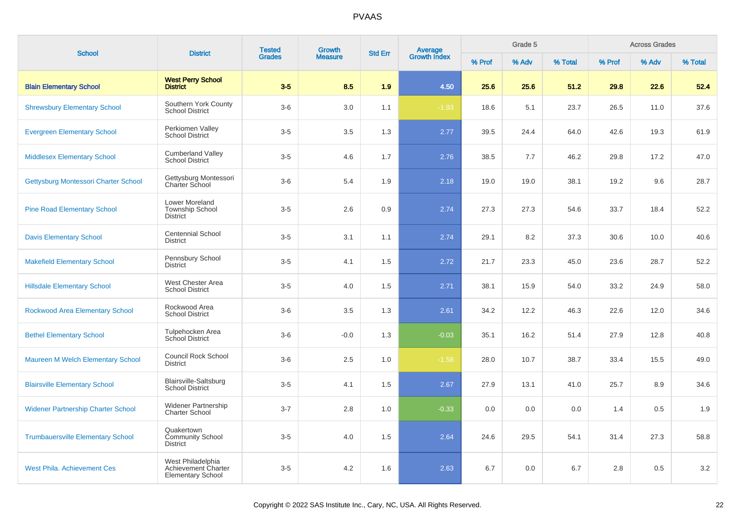| <b>School</b>                             | <b>District</b>                                                      | <b>Tested</b> | <b>Growth</b>  |     | <b>Average</b><br>Growth Index<br><b>Std Err</b> |        | Grade 5 |         |        | <b>Across Grades</b> |         |
|-------------------------------------------|----------------------------------------------------------------------|---------------|----------------|-----|--------------------------------------------------|--------|---------|---------|--------|----------------------|---------|
|                                           |                                                                      | <b>Grades</b> | <b>Measure</b> |     |                                                  | % Prof | % Adv   | % Total | % Prof | % Adv                | % Total |
| <b>Blain Elementary School</b>            | <b>West Perry School</b><br><b>District</b>                          | $3-5$         | 8.5            | 1.9 | 4.50                                             | 25.6   | 25.6    | 51.2    | 29.8   | 22.6                 | 52.4    |
| <b>Shrewsbury Elementary School</b>       | Southern York County<br><b>School District</b>                       | $3-6$         | 3.0            | 1.1 | $-1.93$                                          | 18.6   | 5.1     | 23.7    | 26.5   | 11.0                 | 37.6    |
| <b>Evergreen Elementary School</b>        | Perkiomen Valley<br><b>School District</b>                           | $3-5$         | 3.5            | 1.3 | 2.77                                             | 39.5   | 24.4    | 64.0    | 42.6   | 19.3                 | 61.9    |
| <b>Middlesex Elementary School</b>        | <b>Cumberland Valley</b><br><b>School District</b>                   | $3-5$         | 4.6            | 1.7 | 2.76                                             | 38.5   | 7.7     | 46.2    | 29.8   | 17.2                 | 47.0    |
| Gettysburg Montessori Charter School      | Gettysburg Montessori<br><b>Charter School</b>                       | $3-6$         | 5.4            | 1.9 | 2.18                                             | 19.0   | 19.0    | 38.1    | 19.2   | 9.6                  | 28.7    |
| <b>Pine Road Elementary School</b>        | Lower Moreland<br><b>Township School</b><br><b>District</b>          | $3-5$         | 2.6            | 0.9 | 2.74                                             | 27.3   | 27.3    | 54.6    | 33.7   | 18.4                 | 52.2    |
| <b>Davis Elementary School</b>            | <b>Centennial School</b><br><b>District</b>                          | $3-5$         | 3.1            | 1.1 | 2.74                                             | 29.1   | 8.2     | 37.3    | 30.6   | 10.0                 | 40.6    |
| <b>Makefield Elementary School</b>        | Pennsbury School<br><b>District</b>                                  | $3-5$         | 4.1            | 1.5 | 2.72                                             | 21.7   | 23.3    | 45.0    | 23.6   | 28.7                 | 52.2    |
| <b>Hillsdale Elementary School</b>        | West Chester Area<br><b>School District</b>                          | $3-5$         | 4.0            | 1.5 | 2.71                                             | 38.1   | 15.9    | 54.0    | 33.2   | 24.9                 | 58.0    |
| <b>Rockwood Area Elementary School</b>    | Rockwood Area<br><b>School District</b>                              | $3-6$         | 3.5            | 1.3 | 2.61                                             | 34.2   | 12.2    | 46.3    | 22.6   | 12.0                 | 34.6    |
| <b>Bethel Elementary School</b>           | Tulpehocken Area<br><b>School District</b>                           | $3-6$         | $-0.0$         | 1.3 | $-0.03$                                          | 35.1   | 16.2    | 51.4    | 27.9   | 12.8                 | 40.8    |
| Maureen M Welch Elementary School         | <b>Council Rock School</b><br><b>District</b>                        | $3-6$         | 2.5            | 1.0 | $-1.58$                                          | 28.0   | 10.7    | 38.7    | 33.4   | 15.5                 | 49.0    |
| <b>Blairsville Elementary School</b>      | <b>Blairsville-Saltsburg</b><br><b>School District</b>               | $3-5$         | 4.1            | 1.5 | 2.67                                             | 27.9   | 13.1    | 41.0    | 25.7   | 8.9                  | 34.6    |
| <b>Widener Partnership Charter School</b> | <b>Widener Partnership</b><br><b>Charter School</b>                  | $3 - 7$       | 2.8            | 1.0 | $-0.33$                                          | 0.0    | 0.0     | 0.0     | 1.4    | 0.5                  | 1.9     |
| <b>Trumbauersville Elementary School</b>  | Quakertown<br><b>Community School</b><br><b>District</b>             | $3-5$         | 4.0            | 1.5 | 2.64                                             | 24.6   | 29.5    | 54.1    | 31.4   | 27.3                 | 58.8    |
| <b>West Phila. Achievement Ces</b>        | West Philadelphia<br>Achievement Charter<br><b>Elementary School</b> | $3-5$         | 4.2            | 1.6 | 2.63                                             | 6.7    | 0.0     | 6.7     | 2.8    | 0.5                  | $3.2\,$ |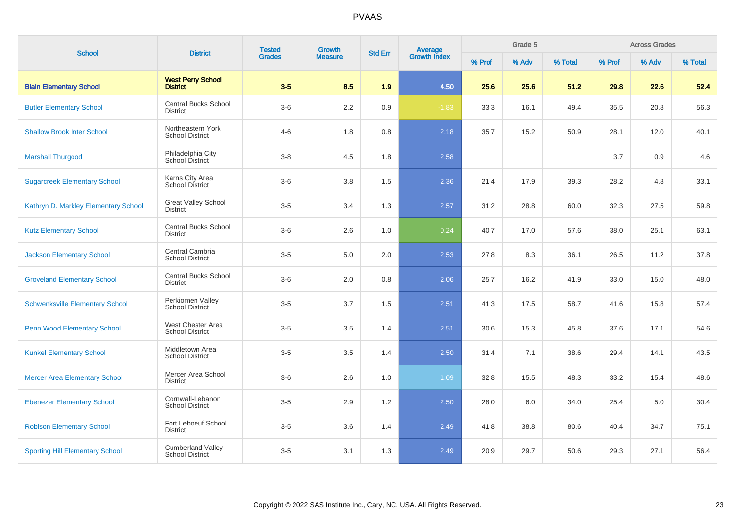| <b>School</b>                          | <b>Tested</b><br>Growth<br><b>Average</b><br>Growth Index<br><b>District</b><br><b>Std Err</b><br><b>Grades</b><br><b>Measure</b> |         | Grade 5 |     | <b>Across Grades</b> |        |       |         |        |       |         |
|----------------------------------------|-----------------------------------------------------------------------------------------------------------------------------------|---------|---------|-----|----------------------|--------|-------|---------|--------|-------|---------|
|                                        |                                                                                                                                   |         |         |     |                      | % Prof | % Adv | % Total | % Prof | % Adv | % Total |
| <b>Blain Elementary School</b>         | <b>West Perry School</b><br><b>District</b>                                                                                       | $3-5$   | 8.5     | 1.9 | 4.50                 | 25.6   | 25.6  | 51.2    | 29.8   | 22.6  | 52.4    |
| <b>Butler Elementary School</b>        | <b>Central Bucks School</b><br><b>District</b>                                                                                    | $3-6$   | 2.2     | 0.9 | $-1.83$              | 33.3   | 16.1  | 49.4    | 35.5   | 20.8  | 56.3    |
| <b>Shallow Brook Inter School</b>      | Northeastern York<br><b>School District</b>                                                                                       | $4 - 6$ | 1.8     | 0.8 | 2.18                 | 35.7   | 15.2  | 50.9    | 28.1   | 12.0  | 40.1    |
| <b>Marshall Thurgood</b>               | Philadelphia City<br>School District                                                                                              | $3 - 8$ | 4.5     | 1.8 | 2.58                 |        |       |         | 3.7    | 0.9   | 4.6     |
| <b>Sugarcreek Elementary School</b>    | Karns City Area<br><b>School District</b>                                                                                         | $3-6$   | 3.8     | 1.5 | 2.36                 | 21.4   | 17.9  | 39.3    | 28.2   | 4.8   | 33.1    |
| Kathryn D. Markley Elementary School   | <b>Great Valley School</b><br><b>District</b>                                                                                     | $3-5$   | 3.4     | 1.3 | 2.57                 | 31.2   | 28.8  | 60.0    | 32.3   | 27.5  | 59.8    |
| <b>Kutz Elementary School</b>          | <b>Central Bucks School</b><br><b>District</b>                                                                                    | $3-6$   | 2.6     | 1.0 | 0.24                 | 40.7   | 17.0  | 57.6    | 38.0   | 25.1  | 63.1    |
| <b>Jackson Elementary School</b>       | Central Cambria<br><b>School District</b>                                                                                         | $3-5$   | 5.0     | 2.0 | 2.53                 | 27.8   | 8.3   | 36.1    | 26.5   | 11.2  | 37.8    |
| <b>Groveland Elementary School</b>     | <b>Central Bucks School</b><br><b>District</b>                                                                                    | $3-6$   | 2.0     | 0.8 | 2.06                 | 25.7   | 16.2  | 41.9    | 33.0   | 15.0  | 48.0    |
| <b>Schwenksville Elementary School</b> | Perkiomen Valley<br><b>School District</b>                                                                                        | $3-5$   | 3.7     | 1.5 | 2.51                 | 41.3   | 17.5  | 58.7    | 41.6   | 15.8  | 57.4    |
| <b>Penn Wood Elementary School</b>     | West Chester Area<br><b>School District</b>                                                                                       | $3-5$   | 3.5     | 1.4 | 2.51                 | 30.6   | 15.3  | 45.8    | 37.6   | 17.1  | 54.6    |
| <b>Kunkel Elementary School</b>        | Middletown Area<br><b>School District</b>                                                                                         | $3-5$   | 3.5     | 1.4 | 2.50                 | 31.4   | 7.1   | 38.6    | 29.4   | 14.1  | 43.5    |
| <b>Mercer Area Elementary School</b>   | Mercer Area School<br><b>District</b>                                                                                             | $3-6$   | 2.6     | 1.0 | 1.09                 | 32.8   | 15.5  | 48.3    | 33.2   | 15.4  | 48.6    |
| <b>Ebenezer Elementary School</b>      | Cornwall-Lebanon<br><b>School District</b>                                                                                        | $3-5$   | 2.9     | 1.2 | 2.50                 | 28.0   | 6.0   | 34.0    | 25.4   | 5.0   | 30.4    |
| <b>Robison Elementary School</b>       | Fort Leboeuf School<br><b>District</b>                                                                                            | $3-5$   | 3.6     | 1.4 | 2.49                 | 41.8   | 38.8  | 80.6    | 40.4   | 34.7  | 75.1    |
| <b>Sporting Hill Elementary School</b> | <b>Cumberland Valley</b><br><b>School District</b>                                                                                | $3-5$   | 3.1     | 1.3 | 2.49                 | 20.9   | 29.7  | 50.6    | 29.3   | 27.1  | 56.4    |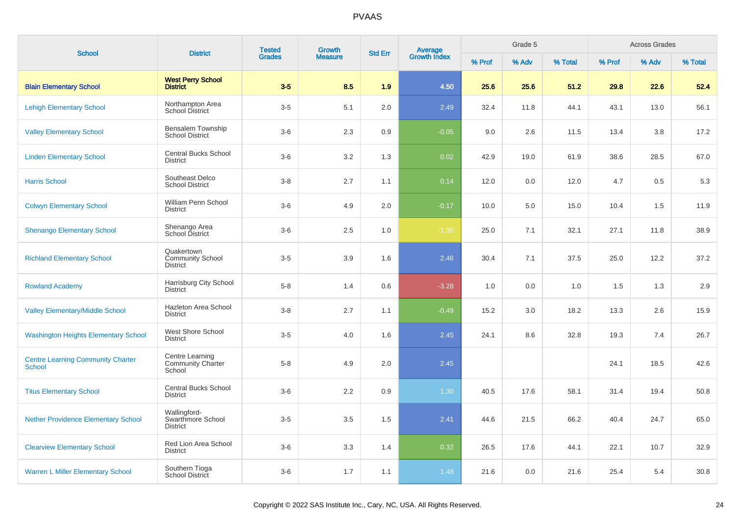| <b>School</b>                                             | <b>District</b>                                          | <b>Tested</b> | <b>Growth</b><br><b>Measure</b> |                |                                |        | Grade 5 |         |        | <b>Across Grades</b> |         |
|-----------------------------------------------------------|----------------------------------------------------------|---------------|---------------------------------|----------------|--------------------------------|--------|---------|---------|--------|----------------------|---------|
|                                                           |                                                          | <b>Grades</b> |                                 | <b>Std Err</b> | <b>Average</b><br>Growth Index | % Prof | % Adv   | % Total | % Prof | % Adv                | % Total |
| <b>Blain Elementary School</b>                            | <b>West Perry School</b><br><b>District</b>              | $3-5$         | 8.5                             | 1.9            | 4.50                           | 25.6   | 25.6    | 51.2    | 29.8   | 22.6                 | 52.4    |
| <b>Lehigh Elementary School</b>                           | Northampton Area<br>School District                      | $3-5$         | 5.1                             | 2.0            | 2.49                           | 32.4   | 11.8    | 44.1    | 43.1   | 13.0                 | 56.1    |
| <b>Valley Elementary School</b>                           | Bensalem Township<br><b>School District</b>              | $3-6$         | 2.3                             | 0.9            | $-0.05$                        | 9.0    | 2.6     | 11.5    | 13.4   | 3.8                  | 17.2    |
| <b>Linden Elementary School</b>                           | Central Bucks School<br><b>District</b>                  | $3-6$         | 3.2                             | 1.3            | 0.02                           | 42.9   | 19.0    | 61.9    | 38.6   | 28.5                 | 67.0    |
| <b>Harris School</b>                                      | Southeast Delco<br><b>School District</b>                | $3-8$         | 2.7                             | 1.1            | 0.14                           | 12.0   | 0.0     | 12.0    | 4.7    | 0.5                  | 5.3     |
| <b>Colwyn Elementary School</b>                           | William Penn School<br><b>District</b>                   | $3-6$         | 4.9                             | 2.0            | $-0.17$                        | 10.0   | 5.0     | 15.0    | 10.4   | 1.5                  | 11.9    |
| <b>Shenango Elementary School</b>                         | Shenango Area<br>School District                         | $3-6$         | 2.5                             | 1.0            | $-1.30$                        | 25.0   | 7.1     | 32.1    | 27.1   | 11.8                 | 38.9    |
| <b>Richland Elementary School</b>                         | Quakertown<br><b>Community School</b><br><b>District</b> | $3-5$         | 3.9                             | 1.6            | 2.46                           | 30.4   | 7.1     | 37.5    | 25.0   | 12.2                 | 37.2    |
| <b>Rowland Academy</b>                                    | Harrisburg City School<br><b>District</b>                | $5-8$         | 1.4                             | 0.6            | $-3.28$                        | 1.0    | 0.0     | 1.0     | 1.5    | 1.3                  | 2.9     |
| <b>Valley Elementary/Middle School</b>                    | Hazleton Area School<br><b>District</b>                  | $3-8$         | 2.7                             | 1.1            | $-0.49$                        | 15.2   | 3.0     | 18.2    | 13.3   | 2.6                  | 15.9    |
| <b>Washington Heights Elementary School</b>               | West Shore School<br><b>District</b>                     | $3-5$         | 4.0                             | 1.6            | 2.45                           | 24.1   | 8.6     | 32.8    | 19.3   | 7.4                  | 26.7    |
| <b>Centre Learning Community Charter</b><br><b>School</b> | Centre Learning<br><b>Community Charter</b><br>School    | $5-8$         | 4.9                             | 2.0            | 2.45                           |        |         |         | 24.1   | 18.5                 | 42.6    |
| <b>Titus Elementary School</b>                            | <b>Central Bucks School</b><br><b>District</b>           | $3-6$         | 2.2                             | 0.9            | $1.30$                         | 40.5   | 17.6    | 58.1    | 31.4   | 19.4                 | 50.8    |
| <b>Nether Providence Elementary School</b>                | Wallingford-<br>Swarthmore School<br><b>District</b>     | $3-5$         | 3.5                             | 1.5            | 2.41                           | 44.6   | 21.5    | 66.2    | 40.4   | 24.7                 | 65.0    |
| <b>Clearview Elementary School</b>                        | Red Lion Area School<br><b>District</b>                  | $3-6$         | 3.3                             | 1.4            | 0.32                           | 26.5   | 17.6    | 44.1    | 22.1   | 10.7                 | 32.9    |
| <b>Warren L Miller Elementary School</b>                  | Southern Tioga<br>School District                        | $3-6$         | 1.7                             | 1.1            | 1.48                           | 21.6   | 0.0     | 21.6    | 25.4   | 5.4                  | 30.8    |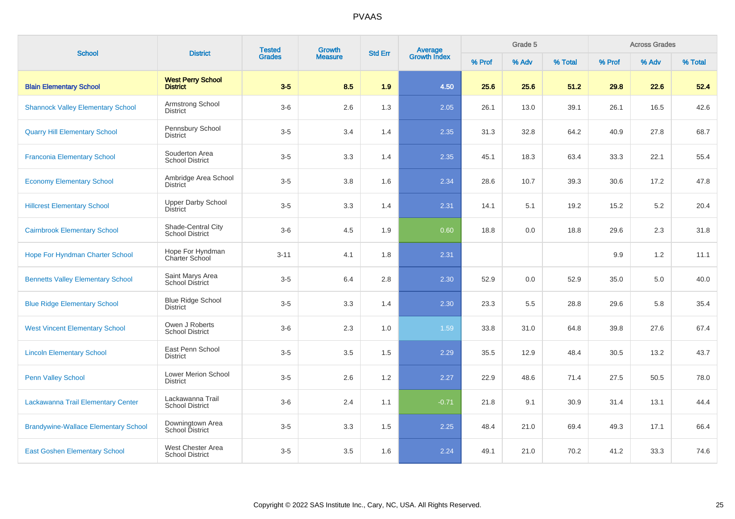| <b>School</b>                               | <b>District</b>                              | <b>Tested</b><br><b>Grades</b> | Growth         | <b>Std Err</b> | <b>Average</b><br>Growth Index |        | Grade 5 |         |        | <b>Across Grades</b> |         |
|---------------------------------------------|----------------------------------------------|--------------------------------|----------------|----------------|--------------------------------|--------|---------|---------|--------|----------------------|---------|
|                                             |                                              |                                | <b>Measure</b> |                |                                | % Prof | % Adv   | % Total | % Prof | % Adv                | % Total |
| <b>Blain Elementary School</b>              | <b>West Perry School</b><br><b>District</b>  | $3-5$                          | 8.5            | 1.9            | 4.50                           | 25.6   | 25.6    | 51.2    | 29.8   | 22.6                 | 52.4    |
| <b>Shannock Valley Elementary School</b>    | Armstrong School<br><b>District</b>          | $3-6$                          | 2.6            | 1.3            | 2.05                           | 26.1   | 13.0    | 39.1    | 26.1   | 16.5                 | 42.6    |
| <b>Quarry Hill Elementary School</b>        | Pennsbury School<br><b>District</b>          | $3-5$                          | 3.4            | 1.4            | 2.35                           | 31.3   | 32.8    | 64.2    | 40.9   | 27.8                 | 68.7    |
| <b>Franconia Elementary School</b>          | Souderton Area<br><b>School District</b>     | $3-5$                          | 3.3            | 1.4            | 2.35                           | 45.1   | 18.3    | 63.4    | 33.3   | 22.1                 | 55.4    |
| <b>Economy Elementary School</b>            | Ambridge Area School<br><b>District</b>      | $3-5$                          | 3.8            | 1.6            | 2.34                           | 28.6   | 10.7    | 39.3    | 30.6   | 17.2                 | 47.8    |
| <b>Hillcrest Elementary School</b>          | <b>Upper Darby School</b><br>District        | $3-5$                          | 3.3            | 1.4            | 2.31                           | 14.1   | 5.1     | 19.2    | 15.2   | $5.2\,$              | 20.4    |
| <b>Cairnbrook Elementary School</b>         | Shade-Central City<br><b>School District</b> | $3-6$                          | 4.5            | 1.9            | 0.60                           | 18.8   | 0.0     | 18.8    | 29.6   | 2.3                  | 31.8    |
| Hope For Hyndman Charter School             | Hope For Hyndman<br><b>Charter School</b>    | $3 - 11$                       | 4.1            | 1.8            | 2.31                           |        |         |         | 9.9    | 1.2                  | 11.1    |
| <b>Bennetts Valley Elementary School</b>    | Saint Marys Area<br><b>School District</b>   | $3-5$                          | 6.4            | 2.8            | 2.30                           | 52.9   | 0.0     | 52.9    | 35.0   | 5.0                  | 40.0    |
| <b>Blue Ridge Elementary School</b>         | <b>Blue Ridge School</b><br><b>District</b>  | $3-5$                          | 3.3            | 1.4            | 2.30                           | 23.3   | 5.5     | 28.8    | 29.6   | 5.8                  | 35.4    |
| <b>West Vincent Elementary School</b>       | Owen J Roberts<br><b>School District</b>     | $3-6$                          | 2.3            | 1.0            | 1.59                           | 33.8   | 31.0    | 64.8    | 39.8   | 27.6                 | 67.4    |
| <b>Lincoln Elementary School</b>            | East Penn School<br><b>District</b>          | $3-5$                          | 3.5            | 1.5            | 2.29                           | 35.5   | 12.9    | 48.4    | 30.5   | 13.2                 | 43.7    |
| <b>Penn Valley School</b>                   | Lower Merion School<br><b>District</b>       | $3-5$                          | 2.6            | 1.2            | 2.27                           | 22.9   | 48.6    | 71.4    | 27.5   | 50.5                 | 78.0    |
| Lackawanna Trail Elementary Center          | Lackawanna Trail<br><b>School District</b>   | $3-6$                          | 2.4            | 1.1            | $-0.71$                        | 21.8   | 9.1     | 30.9    | 31.4   | 13.1                 | 44.4    |
| <b>Brandywine-Wallace Elementary School</b> | Downingtown Area<br><b>School District</b>   | $3-5$                          | 3.3            | 1.5            | 2.25                           | 48.4   | 21.0    | 69.4    | 49.3   | 17.1                 | 66.4    |
| <b>East Goshen Elementary School</b>        | West Chester Area<br><b>School District</b>  | $3-5$                          | 3.5            | 1.6            | 2.24                           | 49.1   | 21.0    | 70.2    | 41.2   | 33.3                 | 74.6    |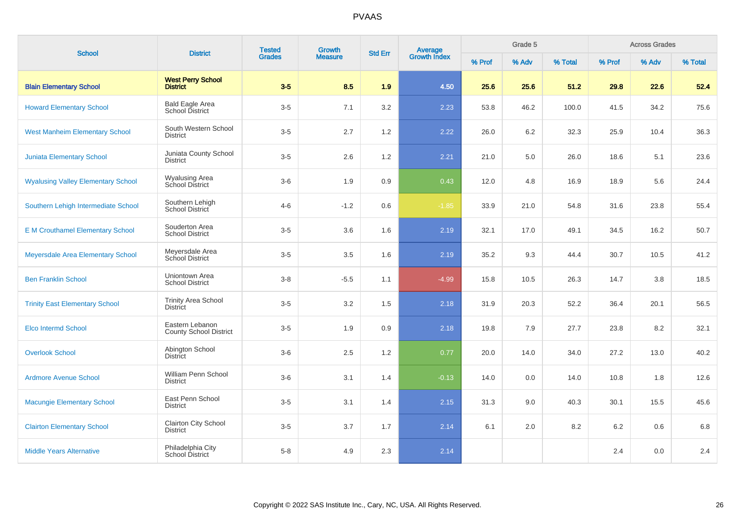| <b>School</b>                             | <b>District</b>                                  | <b>Tested</b><br><b>Grades</b> | Growth         | <b>Std Err</b> | <b>Average</b><br>Growth Index |        | Grade 5 |         |        | <b>Across Grades</b> |         |
|-------------------------------------------|--------------------------------------------------|--------------------------------|----------------|----------------|--------------------------------|--------|---------|---------|--------|----------------------|---------|
|                                           |                                                  |                                | <b>Measure</b> |                |                                | % Prof | % Adv   | % Total | % Prof | % Adv                | % Total |
| <b>Blain Elementary School</b>            | <b>West Perry School</b><br><b>District</b>      | $3-5$                          | 8.5            | 1.9            | 4.50                           | 25.6   | 25.6    | 51.2    | 29.8   | 22.6                 | 52.4    |
| <b>Howard Elementary School</b>           | <b>Bald Eagle Area</b><br>School District        | $3-5$                          | 7.1            | 3.2            | 2.23                           | 53.8   | 46.2    | 100.0   | 41.5   | 34.2                 | 75.6    |
| <b>West Manheim Elementary School</b>     | South Western School<br><b>District</b>          | $3-5$                          | 2.7            | 1.2            | 2.22                           | 26.0   | 6.2     | 32.3    | 25.9   | 10.4                 | 36.3    |
| <b>Juniata Elementary School</b>          | Juniata County School<br><b>District</b>         | $3-5$                          | 2.6            | 1.2            | 2.21                           | 21.0   | 5.0     | 26.0    | 18.6   | 5.1                  | 23.6    |
| <b>Wyalusing Valley Elementary School</b> | <b>Wyalusing Area</b><br>School District         | $3-6$                          | 1.9            | 0.9            | 0.43                           | 12.0   | 4.8     | 16.9    | 18.9   | 5.6                  | 24.4    |
| Southern Lehigh Intermediate School       | Southern Lehigh<br>School District               | $4 - 6$                        | $-1.2$         | 0.6            | $-1.85$                        | 33.9   | 21.0    | 54.8    | 31.6   | 23.8                 | 55.4    |
| <b>E M Crouthamel Elementary School</b>   | Souderton Area<br><b>School District</b>         | $3-5$                          | 3.6            | 1.6            | 2.19                           | 32.1   | 17.0    | 49.1    | 34.5   | 16.2                 | 50.7    |
| Meyersdale Area Elementary School         | Meyersdale Area<br>School District               | $3-5$                          | 3.5            | 1.6            | 2.19                           | 35.2   | 9.3     | 44.4    | 30.7   | 10.5                 | 41.2    |
| <b>Ben Franklin School</b>                | Uniontown Area<br><b>School District</b>         | $3 - 8$                        | $-5.5$         | 1.1            | $-4.99$                        | 15.8   | 10.5    | 26.3    | 14.7   | 3.8                  | 18.5    |
| <b>Trinity East Elementary School</b>     | <b>Trinity Area School</b><br><b>District</b>    | $3-5$                          | 3.2            | 1.5            | 2.18                           | 31.9   | 20.3    | 52.2    | 36.4   | 20.1                 | 56.5    |
| <b>Elco Intermd School</b>                | Eastern Lebanon<br><b>County School District</b> | $3-5$                          | 1.9            | 0.9            | 2.18                           | 19.8   | 7.9     | 27.7    | 23.8   | 8.2                  | 32.1    |
| <b>Overlook School</b>                    | Abington School<br><b>District</b>               | $3-6$                          | 2.5            | 1.2            | 0.77                           | 20.0   | 14.0    | 34.0    | 27.2   | 13.0                 | 40.2    |
| <b>Ardmore Avenue School</b>              | William Penn School<br><b>District</b>           | $3-6$                          | 3.1            | 1.4            | $-0.13$                        | 14.0   | 0.0     | 14.0    | 10.8   | 1.8                  | 12.6    |
| <b>Macungie Elementary School</b>         | East Penn School<br><b>District</b>              | $3-5$                          | 3.1            | 1.4            | 2.15                           | 31.3   | 9.0     | 40.3    | 30.1   | 15.5                 | 45.6    |
| <b>Clairton Elementary School</b>         | Clairton City School<br><b>District</b>          | $3-5$                          | 3.7            | 1.7            | 2.14                           | 6.1    | 2.0     | 8.2     | 6.2    | 0.6                  | 6.8     |
| <b>Middle Years Alternative</b>           | Philadelphia City<br>School District             | $5 - 8$                        | 4.9            | 2.3            | 2.14                           |        |         |         | 2.4    | 0.0                  | 2.4     |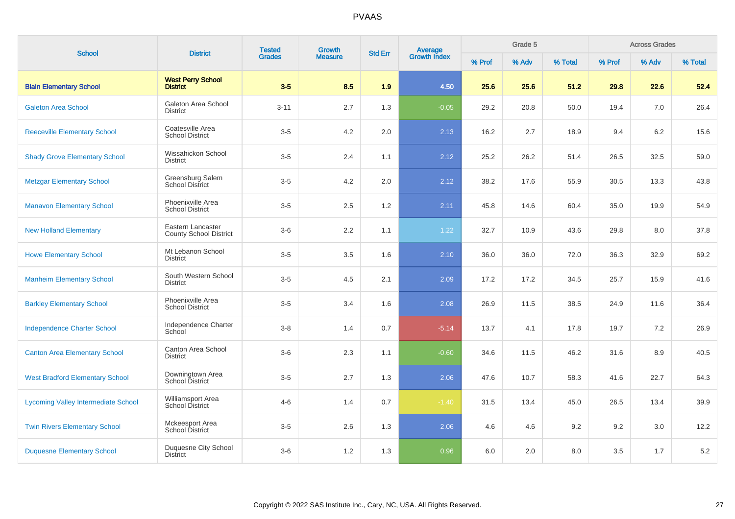| <b>School</b>                              | <b>District</b>                             | <b>Tested</b> | Growth         |     | <b>Average</b><br>Growth Index<br><b>Std Err</b> |        | Grade 5 |         |         | <b>Across Grades</b> |         |
|--------------------------------------------|---------------------------------------------|---------------|----------------|-----|--------------------------------------------------|--------|---------|---------|---------|----------------------|---------|
|                                            |                                             | <b>Grades</b> | <b>Measure</b> |     |                                                  | % Prof | % Adv   | % Total | % Prof  | % Adv                | % Total |
| <b>Blain Elementary School</b>             | <b>West Perry School</b><br><b>District</b> | $3-5$         | 8.5            | 1.9 | 4.50                                             | 25.6   | 25.6    | 51.2    | 29.8    | 22.6                 | 52.4    |
| <b>Galeton Area School</b>                 | Galeton Area School<br><b>District</b>      | $3 - 11$      | 2.7            | 1.3 | $-0.05$                                          | 29.2   | 20.8    | 50.0    | 19.4    | 7.0                  | 26.4    |
| <b>Reeceville Elementary School</b>        | Coatesville Area<br><b>School District</b>  | $3-5$         | 4.2            | 2.0 | 2.13                                             | 16.2   | 2.7     | 18.9    | 9.4     | 6.2                  | 15.6    |
| <b>Shady Grove Elementary School</b>       | Wissahickon School<br><b>District</b>       | $3-5$         | 2.4            | 1.1 | 2.12                                             | 25.2   | 26.2    | 51.4    | 26.5    | 32.5                 | 59.0    |
| <b>Metzgar Elementary School</b>           | Greensburg Salem<br>School District         | $3-5$         | 4.2            | 2.0 | 2.12                                             | 38.2   | 17.6    | 55.9    | 30.5    | 13.3                 | 43.8    |
| <b>Manavon Elementary School</b>           | Phoenixville Area<br><b>School District</b> | $3-5$         | 2.5            | 1.2 | 2.11                                             | 45.8   | 14.6    | 60.4    | 35.0    | 19.9                 | 54.9    |
| <b>New Holland Elementary</b>              | Eastern Lancaster<br>County School District | $3-6$         | 2.2            | 1.1 | 1.22                                             | 32.7   | 10.9    | 43.6    | 29.8    | 8.0                  | 37.8    |
| <b>Howe Elementary School</b>              | Mt Lebanon School<br><b>District</b>        | $3-5$         | 3.5            | 1.6 | 2.10                                             | 36.0   | 36.0    | 72.0    | 36.3    | 32.9                 | 69.2    |
| <b>Manheim Elementary School</b>           | South Western School<br><b>District</b>     | $3-5$         | 4.5            | 2.1 | 2.09                                             | 17.2   | 17.2    | 34.5    | 25.7    | 15.9                 | 41.6    |
| <b>Barkley Elementary School</b>           | Phoenixville Area<br><b>School District</b> | $3-5$         | 3.4            | 1.6 | 2.08                                             | 26.9   | 11.5    | 38.5    | 24.9    | 11.6                 | 36.4    |
| <b>Independence Charter School</b>         | Independence Charter<br>School              | $3-8$         | 1.4            | 0.7 | $-5.14$                                          | 13.7   | 4.1     | 17.8    | 19.7    | 7.2                  | 26.9    |
| <b>Canton Area Elementary School</b>       | Canton Area School<br><b>District</b>       | $3-6$         | 2.3            | 1.1 | $-0.60$                                          | 34.6   | 11.5    | 46.2    | 31.6    | 8.9                  | 40.5    |
| <b>West Bradford Elementary School</b>     | Downingtown Area<br>School District         | $3-5$         | 2.7            | 1.3 | 2.06                                             | 47.6   | 10.7    | 58.3    | 41.6    | 22.7                 | 64.3    |
| <b>Lycoming Valley Intermediate School</b> | Williamsport Area<br><b>School District</b> | $4 - 6$       | 1.4            | 0.7 | $-1.40$                                          | 31.5   | 13.4    | 45.0    | 26.5    | 13.4                 | 39.9    |
| <b>Twin Rivers Elementary School</b>       | Mckeesport Area<br>School District          | $3-5$         | 2.6            | 1.3 | 2.06                                             | 4.6    | 4.6     | 9.2     | 9.2     | 3.0                  | 12.2    |
| <b>Duquesne Elementary School</b>          | Duquesne City School<br><b>District</b>     | $3-6$         | 1.2            | 1.3 | 0.96                                             | 6.0    | 2.0     | 8.0     | $3.5\,$ | 1.7                  | $5.2\,$ |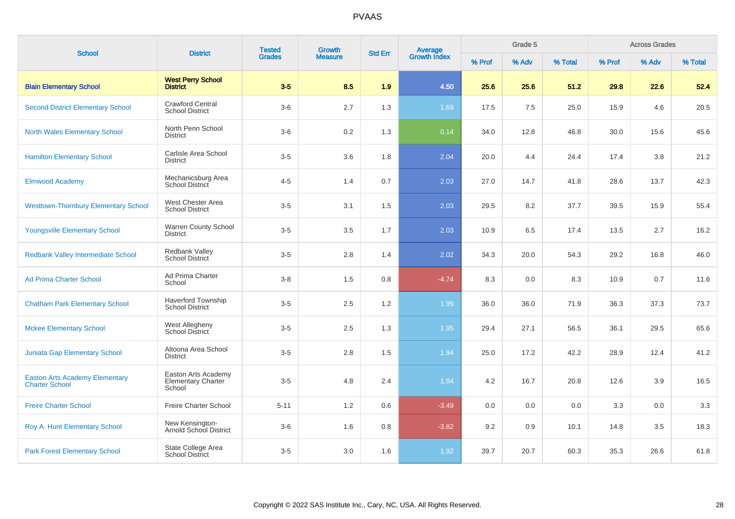| <b>School</b>                                                  | <b>District</b>                                            | <b>Tested</b><br>Growth<br><b>Grades</b><br><b>Measure</b> |     | <b>Std Err</b> | <b>Average</b><br>Growth Index |        | Grade 5 |         |        | <b>Across Grades</b> |         |
|----------------------------------------------------------------|------------------------------------------------------------|------------------------------------------------------------|-----|----------------|--------------------------------|--------|---------|---------|--------|----------------------|---------|
|                                                                |                                                            |                                                            |     |                |                                | % Prof | % Adv   | % Total | % Prof | % Adv                | % Total |
| <b>Blain Elementary School</b>                                 | <b>West Perry School</b><br><b>District</b>                | $3-5$                                                      | 8.5 | 1.9            | 4.50                           | 25.6   | 25.6    | 51.2    | 29.8   | 22.6                 | 52.4    |
| <b>Second District Elementary School</b>                       | <b>Crawford Central</b><br><b>School District</b>          | $3-6$                                                      | 2.7 | 1.3            | 1.69                           | 17.5   | 7.5     | 25.0    | 15.9   | 4.6                  | 20.5    |
| <b>North Wales Elementary School</b>                           | North Penn School<br><b>District</b>                       | $3-6$                                                      | 0.2 | 1.3            | 0.14                           | 34.0   | 12.8    | 46.8    | 30.0   | 15.6                 | 45.6    |
| <b>Hamilton Elementary School</b>                              | Carlisle Area School<br><b>District</b>                    | $3-5$                                                      | 3.6 | 1.8            | 2.04                           | 20.0   | 4.4     | 24.4    | 17.4   | 3.8                  | 21.2    |
| <b>Elmwood Academy</b>                                         | Mechanicsburg Area<br>School District                      | $4 - 5$                                                    | 1.4 | 0.7            | 2.03                           | 27.0   | 14.7    | 41.8    | 28.6   | 13.7                 | 42.3    |
| <b>Westtown-Thornbury Elementary School</b>                    | West Chester Area<br><b>School District</b>                | $3-5$                                                      | 3.1 | 1.5            | 2.03                           | 29.5   | 8.2     | 37.7    | 39.5   | 15.9                 | 55.4    |
| <b>Youngsville Elementary School</b>                           | Warren County School<br><b>District</b>                    | $3-5$                                                      | 3.5 | 1.7            | 2.03                           | 10.9   | 6.5     | 17.4    | 13.5   | 2.7                  | 16.2    |
| <b>Redbank Valley Intermediate School</b>                      | <b>Redbank Valley</b><br><b>School District</b>            | $3-5$                                                      | 2.8 | 1.4            | 2.02                           | 34.3   | 20.0    | 54.3    | 29.2   | 16.8                 | 46.0    |
| <b>Ad Prima Charter School</b>                                 | Ad Prima Charter<br>School                                 | $3 - 8$                                                    | 1.5 | 0.8            | $-4.74$                        | 8.3    | 0.0     | 8.3     | 10.9   | 0.7                  | 11.6    |
| <b>Chatham Park Elementary School</b>                          | <b>Haverford Township</b><br><b>School District</b>        | $3-5$                                                      | 2.5 | 1.2            | 1.99                           | 36.0   | 36.0    | 71.9    | 36.3   | 37.3                 | 73.7    |
| <b>Mckee Elementary School</b>                                 | West Allegheny<br>School District                          | $3-5$                                                      | 2.5 | 1.3            | 1.95                           | 29.4   | 27.1    | 56.5    | 36.1   | 29.5                 | 65.6    |
| <b>Juniata Gap Elementary School</b>                           | Altoona Area School<br><b>District</b>                     | $3-5$                                                      | 2.8 | 1.5            | 1.94                           | 25.0   | 17.2    | 42.2    | 28.9   | 12.4                 | 41.2    |
| <b>Easton Arts Academy Elementary</b><br><b>Charter School</b> | Easton Arts Academy<br><b>Elementary Charter</b><br>School | $3-5$                                                      | 4.8 | 2.4            | 1.94                           | 4.2    | 16.7    | 20.8    | 12.6   | 3.9                  | 16.5    |
| <b>Freire Charter School</b>                                   | Freire Charter School                                      | $5 - 11$                                                   | 1.2 | 0.6            | $-3.49$                        | 0.0    | 0.0     | 0.0     | 3.3    | 0.0                  | 3.3     |
| Roy A. Hunt Elementary School                                  | New Kensington-<br>Arnold School District                  | $3-6$                                                      | 1.6 | 0.8            | $-3.82$                        | 9.2    | 0.9     | 10.1    | 14.8   | 3.5                  | 18.3    |
| <b>Park Forest Elementary School</b>                           | State College Area<br><b>School District</b>               | $3-5$                                                      | 3.0 | 1.6            | 1.92                           | 39.7   | 20.7    | 60.3    | 35.3   | 26.6                 | 61.8    |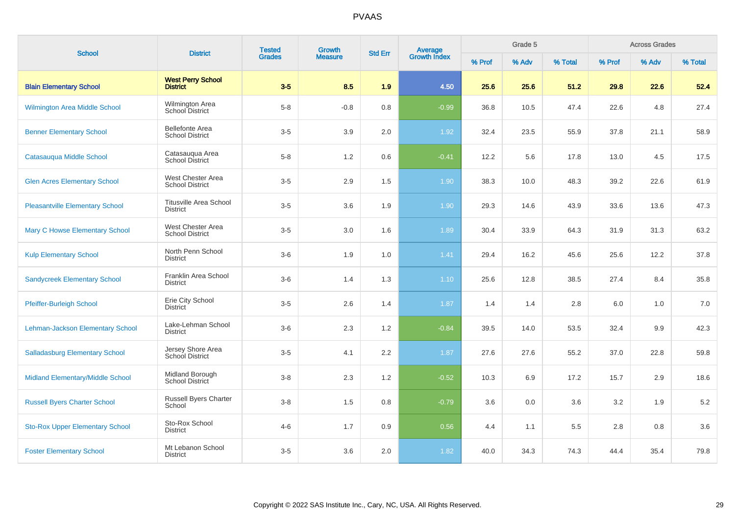| <b>School</b>                          | <b>District</b>                                  | <b>Tested</b><br><b>Grades</b> | Growth         | <b>Std Err</b> | <b>Average</b><br>Growth Index |        | Grade 5 |         |        | <b>Across Grades</b> |         |
|----------------------------------------|--------------------------------------------------|--------------------------------|----------------|----------------|--------------------------------|--------|---------|---------|--------|----------------------|---------|
|                                        |                                                  |                                | <b>Measure</b> |                |                                | % Prof | % Adv   | % Total | % Prof | % Adv                | % Total |
| <b>Blain Elementary School</b>         | <b>West Perry School</b><br><b>District</b>      | $3-5$                          | 8.5            | 1.9            | 4.50                           | 25.6   | 25.6    | 51.2    | 29.8   | 22.6                 | 52.4    |
| Wilmington Area Middle School          | Wilmington Area<br>School District               | $5-8$                          | $-0.8$         | 0.8            | $-0.99$                        | 36.8   | 10.5    | 47.4    | 22.6   | 4.8                  | 27.4    |
| <b>Benner Elementary School</b>        | <b>Bellefonte Area</b><br><b>School District</b> | $3-5$                          | 3.9            | 2.0            | 1.92                           | 32.4   | 23.5    | 55.9    | 37.8   | 21.1                 | 58.9    |
| Catasauqua Middle School               | Catasauqua Area<br><b>School District</b>        | $5-8$                          | 1.2            | 0.6            | $-0.41$                        | 12.2   | 5.6     | 17.8    | 13.0   | 4.5                  | 17.5    |
| <b>Glen Acres Elementary School</b>    | West Chester Area<br><b>School District</b>      | $3-5$                          | 2.9            | 1.5            | 1.90                           | 38.3   | 10.0    | 48.3    | 39.2   | 22.6                 | 61.9    |
| <b>Pleasantville Elementary School</b> | <b>Titusville Area School</b><br><b>District</b> | $3-5$                          | 3.6            | 1.9            | 1.90                           | 29.3   | 14.6    | 43.9    | 33.6   | 13.6                 | 47.3    |
| <b>Mary C Howse Elementary School</b>  | West Chester Area<br><b>School District</b>      | $3-5$                          | 3.0            | 1.6            | 1.89                           | 30.4   | 33.9    | 64.3    | 31.9   | 31.3                 | 63.2    |
| <b>Kulp Elementary School</b>          | North Penn School<br><b>District</b>             | $3-6$                          | 1.9            | 1.0            | 1.41                           | 29.4   | 16.2    | 45.6    | 25.6   | 12.2                 | 37.8    |
| <b>Sandycreek Elementary School</b>    | Franklin Area School<br><b>District</b>          | $3-6$                          | 1.4            | 1.3            | 1.10                           | 25.6   | 12.8    | 38.5    | 27.4   | 8.4                  | 35.8    |
| Pfeiffer-Burleigh School               | Erie City School<br><b>District</b>              | $3-5$                          | 2.6            | 1.4            | 1.87                           | 1.4    | 1.4     | 2.8     | 6.0    | 1.0                  | 7.0     |
| Lehman-Jackson Elementary School       | Lake-Lehman School<br><b>District</b>            | $3-6$                          | 2.3            | 1.2            | $-0.84$                        | 39.5   | 14.0    | 53.5    | 32.4   | 9.9                  | 42.3    |
| <b>Salladasburg Elementary School</b>  | Jersey Shore Area<br><b>School District</b>      | $3-5$                          | 4.1            | 2.2            | 1.87                           | 27.6   | 27.6    | 55.2    | 37.0   | 22.8                 | 59.8    |
| Midland Elementary/Middle School       | Midland Borough<br>School District               | $3-8$                          | 2.3            | 1.2            | $-0.52$                        | 10.3   | 6.9     | 17.2    | 15.7   | 2.9                  | 18.6    |
| <b>Russell Byers Charter School</b>    | Russell Byers Charter<br>School                  | $3-8$                          | 1.5            | 0.8            | $-0.79$                        | 3.6    | 0.0     | 3.6     | 3.2    | 1.9                  | 5.2     |
| <b>Sto-Rox Upper Elementary School</b> | Sto-Rox School<br><b>District</b>                | $4 - 6$                        | 1.7            | 0.9            | 0.56                           | 4.4    | 1.1     | 5.5     | 2.8    | 0.8                  | 3.6     |
| <b>Foster Elementary School</b>        | Mt Lebanon School<br><b>District</b>             | $3-5$                          | 3.6            | 2.0            | 1.82                           | 40.0   | 34.3    | 74.3    | 44.4   | 35.4                 | 79.8    |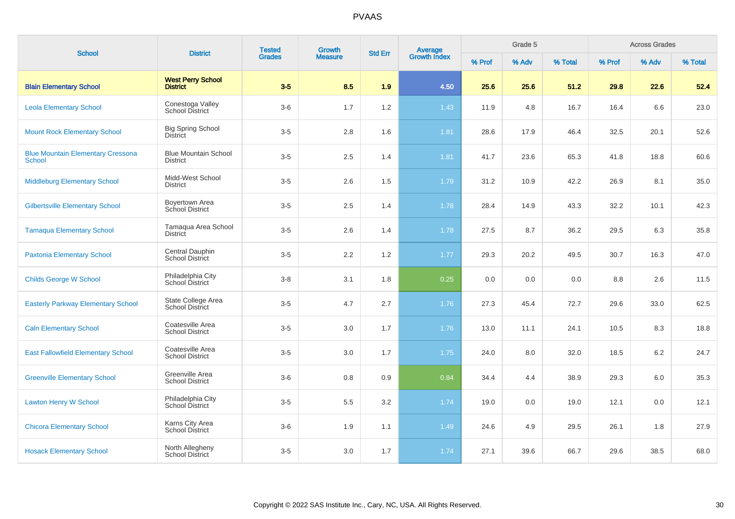| <b>School</b>                                             | <b>District</b>                                | <b>Tested</b> | Growth         | <b>Std Err</b> | <b>Average</b><br>Growth Index |        | Grade 5 |         |        | <b>Across Grades</b> |         |
|-----------------------------------------------------------|------------------------------------------------|---------------|----------------|----------------|--------------------------------|--------|---------|---------|--------|----------------------|---------|
|                                                           |                                                | <b>Grades</b> | <b>Measure</b> |                |                                | % Prof | % Adv   | % Total | % Prof | % Adv                | % Total |
| <b>Blain Elementary School</b>                            | <b>West Perry School</b><br><b>District</b>    | $3-5$         | 8.5            | 1.9            | 4.50                           | 25.6   | 25.6    | 51.2    | 29.8   | 22.6                 | 52.4    |
| <b>Leola Elementary School</b>                            | Conestoga Valley<br><b>School District</b>     | $3-6$         | 1.7            | 1.2            | 1.43                           | 11.9   | 4.8     | 16.7    | 16.4   | 6.6                  | 23.0    |
| <b>Mount Rock Elementary School</b>                       | <b>Big Spring School</b><br><b>District</b>    | $3-5$         | 2.8            | 1.6            | 1.81                           | 28.6   | 17.9    | 46.4    | 32.5   | 20.1                 | 52.6    |
| <b>Blue Mountain Elementary Cressona</b><br><b>School</b> | <b>Blue Mountain School</b><br><b>District</b> | $3-5$         | 2.5            | 1.4            | 1.81                           | 41.7   | 23.6    | 65.3    | 41.8   | 18.8                 | 60.6    |
| <b>Middleburg Elementary School</b>                       | Midd-West School<br><b>District</b>            | $3-5$         | 2.6            | 1.5            | 1.79                           | 31.2   | 10.9    | 42.2    | 26.9   | 8.1                  | 35.0    |
| <b>Gilbertsville Elementary School</b>                    | Boyertown Area<br>School District              | $3-5$         | 2.5            | 1.4            | 1.78                           | 28.4   | 14.9    | 43.3    | 32.2   | 10.1                 | 42.3    |
| <b>Tamaqua Elementary School</b>                          | Tamaqua Area School<br><b>District</b>         | $3-5$         | 2.6            | 1.4            | 1.78                           | 27.5   | 8.7     | 36.2    | 29.5   | 6.3                  | 35.8    |
| <b>Paxtonia Elementary School</b>                         | Central Dauphin<br><b>School District</b>      | $3-5$         | 2.2            | 1.2            | 1.77                           | 29.3   | 20.2    | 49.5    | 30.7   | 16.3                 | 47.0    |
| <b>Childs George W School</b>                             | Philadelphia City<br>School District           | $3 - 8$       | 3.1            | 1.8            | 0.25                           | 0.0    | 0.0     | 0.0     | 8.8    | 2.6                  | 11.5    |
| <b>Easterly Parkway Elementary School</b>                 | State College Area<br>School District          | $3-5$         | 4.7            | 2.7            | 1.76                           | 27.3   | 45.4    | 72.7    | 29.6   | 33.0                 | 62.5    |
| <b>Caln Elementary School</b>                             | Coatesville Area<br><b>School District</b>     | $3-5$         | 3.0            | 1.7            | 1.76                           | 13.0   | 11.1    | 24.1    | 10.5   | 8.3                  | 18.8    |
| <b>East Fallowfield Elementary School</b>                 | Coatesville Area<br><b>School District</b>     | $3-5$         | 3.0            | 1.7            | 1.75                           | 24.0   | 8.0     | 32.0    | 18.5   | 6.2                  | 24.7    |
| <b>Greenville Elementary School</b>                       | Greenville Area<br><b>School District</b>      | $3-6$         | 0.8            | 0.9            | 0.84                           | 34.4   | 4.4     | 38.9    | 29.3   | 6.0                  | 35.3    |
| <b>Lawton Henry W School</b>                              | Philadelphia City<br>School District           | $3-5$         | 5.5            | 3.2            | 1.74                           | 19.0   | 0.0     | 19.0    | 12.1   | 0.0                  | 12.1    |
| <b>Chicora Elementary School</b>                          | Karns City Area<br>School District             | $3-6$         | 1.9            | 1.1            | 1.49                           | 24.6   | 4.9     | 29.5    | 26.1   | 1.8                  | 27.9    |
| <b>Hosack Elementary School</b>                           | North Allegheny<br><b>School District</b>      | $3-5$         | 3.0            | 1.7            | 1.74                           | 27.1   | 39.6    | 66.7    | 29.6   | 38.5                 | 68.0    |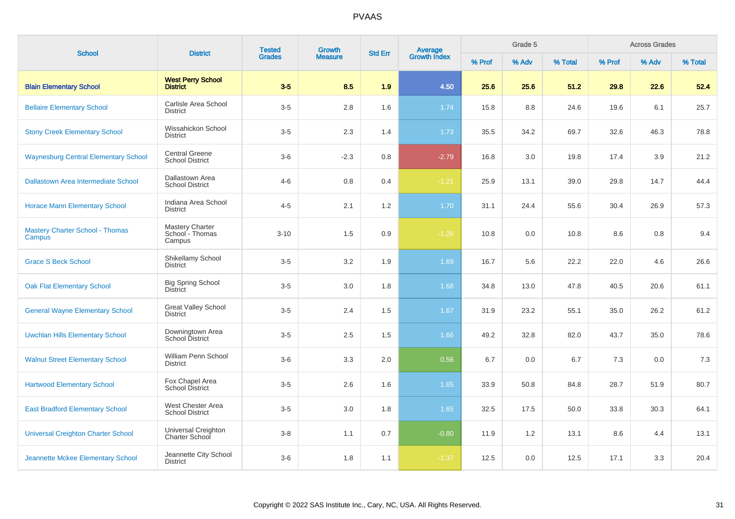| <b>School</b>                                    | <b>District</b>                                     | <b>Tested</b> | Growth         | <b>Std Err</b> |                                |        | Grade 5 |         |        | <b>Across Grades</b> |         |
|--------------------------------------------------|-----------------------------------------------------|---------------|----------------|----------------|--------------------------------|--------|---------|---------|--------|----------------------|---------|
|                                                  |                                                     | <b>Grades</b> | <b>Measure</b> |                | <b>Average</b><br>Growth Index | % Prof | % Adv   | % Total | % Prof | % Adv                | % Total |
| <b>Blain Elementary School</b>                   | <b>West Perry School</b><br><b>District</b>         | $3-5$         | 8.5            | 1.9            | 4.50                           | 25.6   | 25.6    | 51.2    | 29.8   | 22.6                 | 52.4    |
| <b>Bellaire Elementary School</b>                | Carlisle Area School<br><b>District</b>             | $3-5$         | 2.8            | 1.6            | 1.74                           | 15.8   | 8.8     | 24.6    | 19.6   | 6.1                  | 25.7    |
| <b>Stony Creek Elementary School</b>             | Wissahickon School<br><b>District</b>               | $3-5$         | 2.3            | 1.4            | 1.73                           | 35.5   | 34.2    | 69.7    | 32.6   | 46.3                 | 78.8    |
| <b>Waynesburg Central Elementary School</b>      | <b>Central Greene</b><br><b>School District</b>     | $3-6$         | $-2.3$         | 0.8            | $-2.79$                        | 16.8   | 3.0     | 19.8    | 17.4   | 3.9                  | 21.2    |
| Dallastown Area Intermediate School              | Dallastown Area<br><b>School District</b>           | $4 - 6$       | 0.8            | 0.4            | $-1.21$                        | 25.9   | 13.1    | 39.0    | 29.8   | 14.7                 | 44.4    |
| <b>Horace Mann Elementary School</b>             | Indiana Area School<br><b>District</b>              | $4 - 5$       | 2.1            | 1.2            | 1.70                           | 31.1   | 24.4    | 55.6    | 30.4   | 26.9                 | 57.3    |
| <b>Mastery Charter School - Thomas</b><br>Campus | <b>Mastery Charter</b><br>School - Thomas<br>Campus | $3 - 10$      | 1.5            | 0.9            | $-1.26$                        | 10.8   | 0.0     | 10.8    | 8.6    | 0.8                  | 9.4     |
| <b>Grace S Beck School</b>                       | Shikellamy School<br><b>District</b>                | $3-5$         | 3.2            | 1.9            | 1.69                           | 16.7   | 5.6     | 22.2    | 22.0   | 4.6                  | 26.6    |
| <b>Oak Flat Elementary School</b>                | <b>Big Spring School</b><br><b>District</b>         | $3-5$         | 3.0            | 1.8            | 1.68                           | 34.8   | 13.0    | 47.8    | 40.5   | 20.6                 | 61.1    |
| <b>General Wayne Elementary School</b>           | <b>Great Valley School</b><br><b>District</b>       | $3-5$         | 2.4            | 1.5            | 1.67                           | 31.9   | 23.2    | 55.1    | 35.0   | 26.2                 | 61.2    |
| <b>Uwchlan Hills Elementary School</b>           | Downingtown Area<br>School District                 | $3-5$         | 2.5            | 1.5            | 1.66                           | 49.2   | 32.8    | 82.0    | 43.7   | 35.0                 | 78.6    |
| <b>Walnut Street Elementary School</b>           | William Penn School<br><b>District</b>              | $3-6$         | 3.3            | 2.0            | 0.56                           | 6.7    | 0.0     | 6.7     | 7.3    | 0.0                  | 7.3     |
| <b>Hartwood Elementary School</b>                | Fox Chapel Area<br>School District                  | $3-5$         | 2.6            | 1.6            | 1.65                           | 33.9   | 50.8    | 84.8    | 28.7   | 51.9                 | 80.7    |
| <b>East Bradford Elementary School</b>           | West Chester Area<br><b>School District</b>         | $3-5$         | 3.0            | 1.8            | 1.65                           | 32.5   | 17.5    | 50.0    | 33.8   | 30.3                 | 64.1    |
| <b>Universal Creighton Charter School</b>        | Universal Creighton<br>Charter School               | $3-8$         | 1.1            | 0.7            | $-0.80$                        | 11.9   | 1.2     | 13.1    | 8.6    | 4.4                  | 13.1    |
| Jeannette Mckee Elementary School                | Jeannette City School<br><b>District</b>            | $3-6$         | 1.8            | 1.1            | $-1.37$                        | 12.5   | 0.0     | 12.5    | 17.1   | 3.3                  | 20.4    |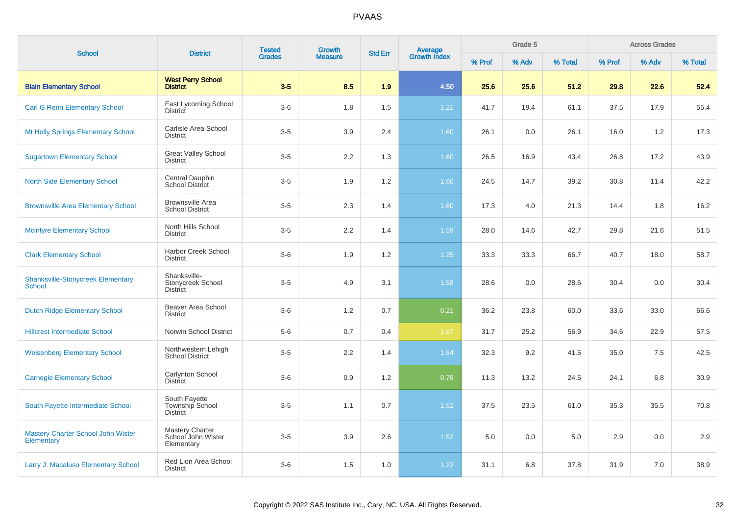| <b>School</b>                                      | <b>District</b>                                            | <b>Tested</b> | <b>Growth</b>  | <b>Std Err</b> | <b>Average</b><br>Growth Index |        | Grade 5 |         |        | <b>Across Grades</b> |         |
|----------------------------------------------------|------------------------------------------------------------|---------------|----------------|----------------|--------------------------------|--------|---------|---------|--------|----------------------|---------|
|                                                    |                                                            | <b>Grades</b> | <b>Measure</b> |                |                                | % Prof | % Adv   | % Total | % Prof | % Adv                | % Total |
| <b>Blain Elementary School</b>                     | <b>West Perry School</b><br><b>District</b>                | $3-5$         | 8.5            | 1.9            | 4.50                           | 25.6   | 25.6    | 51.2    | 29.8   | 22.6                 | 52.4    |
| <b>Carl G Renn Elementary School</b>               | East Lycoming School<br><b>District</b>                    | $3-6$         | 1.8            | 1.5            | $1.21$                         | 41.7   | 19.4    | 61.1    | 37.5   | 17.9                 | 55.4    |
| Mt Holly Springs Elementary School                 | Carlisle Area School<br><b>District</b>                    | $3-5$         | 3.9            | 2.4            | 1.60                           | 26.1   | 0.0     | 26.1    | 16.0   | 1.2                  | 17.3    |
| <b>Sugartown Elementary School</b>                 | <b>Great Valley School</b><br><b>District</b>              | $3-5$         | 2.2            | 1.3            | 1.60                           | 26.5   | 16.9    | 43.4    | 26.8   | 17.2                 | 43.9    |
| <b>North Side Elementary School</b>                | Central Dauphin<br>School District                         | $3-5$         | 1.9            | 1.2            | 1.60                           | 24.5   | 14.7    | 39.2    | 30.8   | 11.4                 | 42.2    |
| <b>Brownsville Area Elementary School</b>          | <b>Brownsville Area</b><br><b>School District</b>          | $3-5$         | 2.3            | 1.4            | 1.60                           | 17.3   | 4.0     | 21.3    | 14.4   | 1.8                  | 16.2    |
| <b>Mcintyre Elementary School</b>                  | North Hills School<br><b>District</b>                      | $3-5$         | 2.2            | 1.4            | 1.59                           | 28.0   | 14.6    | 42.7    | 29.8   | 21.6                 | 51.5    |
| <b>Clark Elementary School</b>                     | Harbor Creek School<br><b>District</b>                     | $3-6$         | 1.9            | 1.2            | $1.25$                         | 33.3   | 33.3    | 66.7    | 40.7   | 18.0                 | 58.7    |
| <b>Shanksville-Stonycreek Elementary</b><br>School | Shanksville-<br>Stonycreek School<br><b>District</b>       | $3-5$         | 4.9            | 3.1            | 1.58                           | 28.6   | 0.0     | 28.6    | 30.4   | 0.0                  | 30.4    |
| <b>Dutch Ridge Elementary School</b>               | Beaver Area School<br><b>District</b>                      | $3-6$         | 1.2            | 0.7            | 0.21                           | 36.2   | 23.8    | 60.0    | 33.6   | 33.0                 | 66.6    |
| <b>Hillcrest Intermediate School</b>               | Norwin School District                                     | $5-6$         | 0.7            | 0.4            | $-1.67$                        | 31.7   | 25.2    | 56.9    | 34.6   | 22.9                 | 57.5    |
| <b>Weisenberg Elementary School</b>                | Northwestern Lehigh<br><b>School District</b>              | $3-5$         | 2.2            | 1.4            | 1.54                           | 32.3   | 9.2     | 41.5    | 35.0   | 7.5                  | 42.5    |
| <b>Carnegie Elementary School</b>                  | Carlynton School<br><b>District</b>                        | $3-6$         | 0.9            | 1.2            | 0.78                           | 11.3   | 13.2    | 24.5    | 24.1   | 6.8                  | 30.9    |
| South Fayette Intermediate School                  | South Fayette<br>Township School<br><b>District</b>        | $3-5$         | 1.1            | 0.7            | 1.52                           | 37.5   | 23.5    | 61.0    | 35.3   | 35.5                 | 70.8    |
| Mastery Charter School John Wister<br>Elementary   | <b>Mastery Charter</b><br>School John Wister<br>Elementary | $3-5$         | 3.9            | 2.6            | 1.52                           | 5.0    | 0.0     | 5.0     | 2.9    | 0.0                  | 2.9     |
| Larry J. Macaluso Elementary School                | Red Lion Area School<br><b>District</b>                    | $3-6$         | 1.5            | 1.0            | 1.22                           | 31.1   | 6.8     | 37.8    | 31.9   | 7.0                  | 38.9    |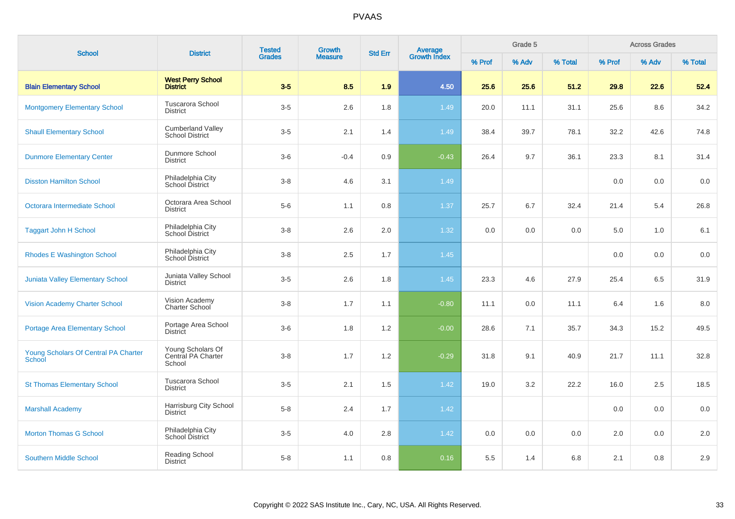| <b>School</b>                                         | <b>District</b>                                    | <b>Tested</b> | Growth         | <b>Std Err</b> | <b>Average</b><br>Growth Index |        | Grade 5 |         |         | <b>Across Grades</b> |         |
|-------------------------------------------------------|----------------------------------------------------|---------------|----------------|----------------|--------------------------------|--------|---------|---------|---------|----------------------|---------|
|                                                       |                                                    | <b>Grades</b> | <b>Measure</b> |                |                                | % Prof | % Adv   | % Total | % Prof  | % Adv                | % Total |
| <b>Blain Elementary School</b>                        | <b>West Perry School</b><br><b>District</b>        | $3-5$         | 8.5            | 1.9            | 4.50                           | 25.6   | 25.6    | 51.2    | 29.8    | 22.6                 | 52.4    |
| <b>Montgomery Elementary School</b>                   | <b>Tuscarora School</b><br><b>District</b>         | $3-5$         | 2.6            | 1.8            | 1.49                           | 20.0   | 11.1    | 31.1    | 25.6    | 8.6                  | 34.2    |
| <b>Shaull Elementary School</b>                       | <b>Cumberland Valley</b><br><b>School District</b> | $3-5$         | 2.1            | 1.4            | 1.49                           | 38.4   | 39.7    | 78.1    | 32.2    | 42.6                 | 74.8    |
| <b>Dunmore Elementary Center</b>                      | Dunmore School<br><b>District</b>                  | $3-6$         | $-0.4$         | 0.9            | $-0.43$                        | 26.4   | 9.7     | 36.1    | 23.3    | 8.1                  | 31.4    |
| <b>Disston Hamilton School</b>                        | Philadelphia City<br>School District               | $3 - 8$       | 4.6            | 3.1            | 1.49                           |        |         |         | 0.0     | 0.0                  | 0.0     |
| Octorara Intermediate School                          | Octorara Area School<br><b>District</b>            | $5-6$         | 1.1            | 0.8            | 1.37                           | 25.7   | 6.7     | 32.4    | 21.4    | 5.4                  | 26.8    |
| <b>Taggart John H School</b>                          | Philadelphia City<br>School District               | $3-8$         | 2.6            | $2.0\,$        | 1.32                           | 0.0    | 0.0     | 0.0     | $5.0\,$ | 1.0                  | 6.1     |
| <b>Rhodes E Washington School</b>                     | Philadelphia City<br>School District               | $3 - 8$       | 2.5            | 1.7            | 1.45                           |        |         |         | 0.0     | 0.0                  | 0.0     |
| Juniata Valley Elementary School                      | Juniata Valley School<br><b>District</b>           | $3 - 5$       | 2.6            | 1.8            | 1.45                           | 23.3   | 4.6     | 27.9    | 25.4    | 6.5                  | 31.9    |
| <b>Vision Academy Charter School</b>                  | Vision Academy<br>Charter School                   | $3-8$         | 1.7            | 1.1            | $-0.80$                        | 11.1   | 0.0     | 11.1    | 6.4     | 1.6                  | 8.0     |
| <b>Portage Area Elementary School</b>                 | Portage Area School<br><b>District</b>             | $3-6$         | 1.8            | 1.2            | $-0.00$                        | 28.6   | 7.1     | 35.7    | 34.3    | 15.2                 | 49.5    |
| Young Scholars Of Central PA Charter<br><b>School</b> | Young Scholars Of<br>Central PA Charter<br>School  | $3-8$         | 1.7            | 1.2            | $-0.29$                        | 31.8   | 9.1     | 40.9    | 21.7    | 11.1                 | 32.8    |
| <b>St Thomas Elementary School</b>                    | Tuscarora School<br><b>District</b>                | $3-5$         | 2.1            | 1.5            | 1.42                           | 19.0   | 3.2     | 22.2    | 16.0    | 2.5                  | 18.5    |
| <b>Marshall Academy</b>                               | Harrisburg City School<br><b>District</b>          | $5-8$         | 2.4            | 1.7            | 1.42                           |        |         |         | 0.0     | 0.0                  | 0.0     |
| <b>Morton Thomas G School</b>                         | Philadelphia City<br><b>School District</b>        | $3-5$         | 4.0            | 2.8            | 1.42                           | 0.0    | 0.0     | 0.0     | 2.0     | 0.0                  | 2.0     |
| <b>Southern Middle School</b>                         | Reading School<br><b>District</b>                  | $5-8$         | 1.1            | 0.8            | 0.16                           | 5.5    | 1.4     | 6.8     | 2.1     | 0.8                  | 2.9     |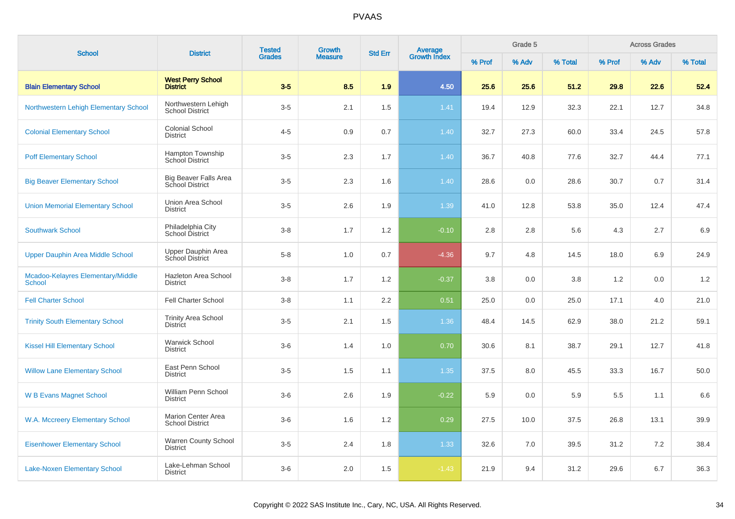|                                                    | <b>District</b>                                        | <b>Tested</b> | <b>Growth</b>  |                |                                |        | Grade 5 |         |        | <b>Across Grades</b> |         |
|----------------------------------------------------|--------------------------------------------------------|---------------|----------------|----------------|--------------------------------|--------|---------|---------|--------|----------------------|---------|
| <b>School</b>                                      |                                                        | <b>Grades</b> | <b>Measure</b> | <b>Std Err</b> | <b>Average</b><br>Growth Index | % Prof | % Adv   | % Total | % Prof | % Adv                | % Total |
| <b>Blain Elementary School</b>                     | <b>West Perry School</b><br><b>District</b>            | $3-5$         | 8.5            | 1.9            | 4.50                           | 25.6   | 25.6    | 51.2    | 29.8   | 22.6                 | 52.4    |
| Northwestern Lehigh Elementary School              | Northwestern Lehigh<br><b>School District</b>          | $3-5$         | 2.1            | 1.5            | 1.41                           | 19.4   | 12.9    | 32.3    | 22.1   | 12.7                 | 34.8    |
| <b>Colonial Elementary School</b>                  | <b>Colonial School</b><br><b>District</b>              | $4 - 5$       | 0.9            | 0.7            | 1.40                           | 32.7   | 27.3    | 60.0    | 33.4   | 24.5                 | 57.8    |
| <b>Poff Elementary School</b>                      | Hampton Township<br><b>School District</b>             | $3-5$         | 2.3            | 1.7            | 1.40                           | 36.7   | 40.8    | 77.6    | 32.7   | 44.4                 | 77.1    |
| <b>Big Beaver Elementary School</b>                | <b>Big Beaver Falls Area</b><br><b>School District</b> | $3-5$         | 2.3            | 1.6            | 1.40                           | 28.6   | 0.0     | 28.6    | 30.7   | 0.7                  | 31.4    |
| <b>Union Memorial Elementary School</b>            | Union Area School<br><b>District</b>                   | $3-5$         | 2.6            | 1.9            | 1.39                           | 41.0   | 12.8    | 53.8    | 35.0   | 12.4                 | 47.4    |
| <b>Southwark School</b>                            | Philadelphia City<br>School District                   | $3 - 8$       | 1.7            | 1.2            | $-0.10$                        | 2.8    | 2.8     | 5.6     | 4.3    | 2.7                  | 6.9     |
| Upper Dauphin Area Middle School                   | Upper Dauphin Area<br>School District                  | $5-8$         | 1.0            | 0.7            | $-4.36$                        | 9.7    | 4.8     | 14.5    | 18.0   | 6.9                  | 24.9    |
| Mcadoo-Kelayres Elementary/Middle<br><b>School</b> | Hazleton Area School<br><b>District</b>                | $3-8$         | 1.7            | 1.2            | $-0.37$                        | 3.8    | 0.0     | 3.8     | 1.2    | 0.0                  | 1.2     |
| <b>Fell Charter School</b>                         | <b>Fell Charter School</b>                             | $3-8$         | 1.1            | 2.2            | 0.51                           | 25.0   | 0.0     | 25.0    | 17.1   | 4.0                  | 21.0    |
| <b>Trinity South Elementary School</b>             | <b>Trinity Area School</b><br><b>District</b>          | $3-5$         | 2.1            | 1.5            | 1.36                           | 48.4   | 14.5    | 62.9    | 38.0   | 21.2                 | 59.1    |
| <b>Kissel Hill Elementary School</b>               | <b>Warwick School</b><br><b>District</b>               | $3-6$         | 1.4            | 1.0            | 0.70                           | 30.6   | 8.1     | 38.7    | 29.1   | 12.7                 | 41.8    |
| <b>Willow Lane Elementary School</b>               | East Penn School<br><b>District</b>                    | $3-5$         | 1.5            | 1.1            | 1.35                           | 37.5   | 8.0     | 45.5    | 33.3   | 16.7                 | 50.0    |
| <b>W B Evans Magnet School</b>                     | William Penn School<br><b>District</b>                 | $3-6$         | 2.6            | 1.9            | $-0.22$                        | 5.9    | 0.0     | 5.9     | 5.5    | 1.1                  | 6.6     |
| W.A. Mccreery Elementary School                    | <b>Marion Center Area</b><br><b>School District</b>    | $3-6$         | 1.6            | 1.2            | 0.29                           | 27.5   | 10.0    | 37.5    | 26.8   | 13.1                 | 39.9    |
| <b>Eisenhower Elementary School</b>                | <b>Warren County School</b><br><b>District</b>         | $3-5$         | 2.4            | 1.8            | 1.33                           | 32.6   | 7.0     | 39.5    | 31.2   | 7.2                  | 38.4    |
| <b>Lake-Noxen Elementary School</b>                | Lake-Lehman School<br><b>District</b>                  | $3-6$         | 2.0            | 1.5            | $-1.43$                        | 21.9   | 9.4     | 31.2    | 29.6   | 6.7                  | 36.3    |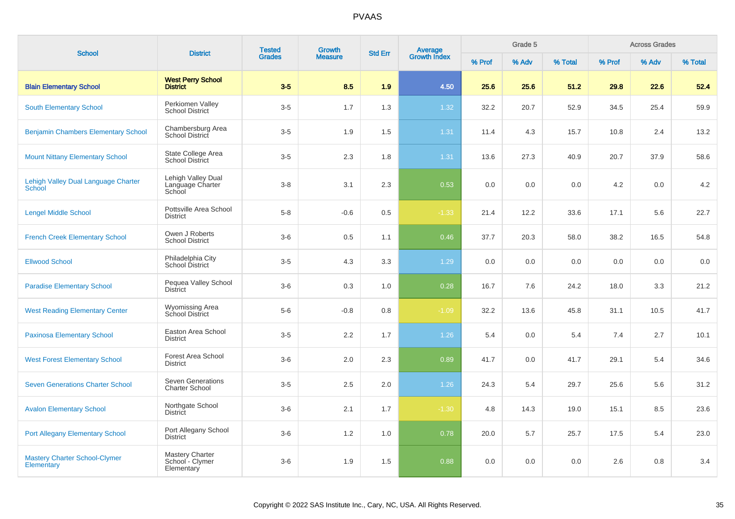| <b>School</b>                                        | <b>District</b>                                   | <b>Tested</b> | <b>Growth</b>  | <b>Std Err</b> | <b>Average</b><br>Growth Index |        | Grade 5 |         |        | <b>Across Grades</b> |         |
|------------------------------------------------------|---------------------------------------------------|---------------|----------------|----------------|--------------------------------|--------|---------|---------|--------|----------------------|---------|
|                                                      |                                                   | <b>Grades</b> | <b>Measure</b> |                |                                | % Prof | % Adv   | % Total | % Prof | % Adv                | % Total |
| <b>Blain Elementary School</b>                       | <b>West Perry School</b><br><b>District</b>       | $3-5$         | 8.5            | 1.9            | 4.50                           | 25.6   | 25.6    | 51.2    | 29.8   | 22.6                 | 52.4    |
| <b>South Elementary School</b>                       | Perkiomen Valley<br><b>School District</b>        | $3-5$         | 1.7            | 1.3            | 1.32                           | 32.2   | 20.7    | 52.9    | 34.5   | 25.4                 | 59.9    |
| <b>Benjamin Chambers Elementary School</b>           | Chambersburg Area<br><b>School District</b>       | $3-5$         | 1.9            | 1.5            | 1.31                           | 11.4   | 4.3     | 15.7    | 10.8   | 2.4                  | 13.2    |
| <b>Mount Nittany Elementary School</b>               | State College Area<br><b>School District</b>      | $3-5$         | 2.3            | 1.8            | 1.31                           | 13.6   | 27.3    | 40.9    | 20.7   | 37.9                 | 58.6    |
| Lehigh Valley Dual Language Charter<br><b>School</b> | Lehigh Valley Dual<br>Language Charter<br>School  | $3 - 8$       | 3.1            | 2.3            | 0.53                           | 0.0    | 0.0     | 0.0     | 4.2    | 0.0                  | 4.2     |
| <b>Lengel Middle School</b>                          | Pottsville Area School<br><b>District</b>         | $5-8$         | $-0.6$         | 0.5            | $-1.33$                        | 21.4   | 12.2    | 33.6    | 17.1   | 5.6                  | 22.7    |
| <b>French Creek Elementary School</b>                | Owen J Roberts<br><b>School District</b>          | $3-6$         | 0.5            | 1.1            | 0.46                           | 37.7   | 20.3    | 58.0    | 38.2   | 16.5                 | 54.8    |
| <b>Ellwood School</b>                                | Philadelphia City<br>School District              | $3-5$         | 4.3            | 3.3            | 1.29                           | 0.0    | 0.0     | 0.0     | 0.0    | 0.0                  | 0.0     |
| <b>Paradise Elementary School</b>                    | Pequea Valley School<br><b>District</b>           | $3-6$         | 0.3            | 1.0            | 0.28                           | 16.7   | 7.6     | 24.2    | 18.0   | 3.3                  | 21.2    |
| <b>West Reading Elementary Center</b>                | <b>Wyomissing Area</b><br>School District         | $5-6$         | $-0.8$         | 0.8            | $-1.09$                        | 32.2   | 13.6    | 45.8    | 31.1   | 10.5                 | 41.7    |
| <b>Paxinosa Elementary School</b>                    | Easton Area School<br><b>District</b>             | $3-5$         | 2.2            | 1.7            | 1.26                           | 5.4    | 0.0     | 5.4     | 7.4    | 2.7                  | 10.1    |
| <b>West Forest Elementary School</b>                 | Forest Area School<br><b>District</b>             | $3-6$         | 2.0            | 2.3            | 0.89                           | 41.7   | 0.0     | 41.7    | 29.1   | 5.4                  | 34.6    |
| <b>Seven Generations Charter School</b>              | <b>Seven Generations</b><br><b>Charter School</b> | $3-5$         | 2.5            | 2.0            | 1.26                           | 24.3   | 5.4     | 29.7    | 25.6   | 5.6                  | 31.2    |
| <b>Avalon Elementary School</b>                      | Northgate School<br><b>District</b>               | $3-6$         | 2.1            | 1.7            | $-1.30$                        | 4.8    | 14.3    | 19.0    | 15.1   | 8.5                  | 23.6    |
| <b>Port Allegany Elementary School</b>               | Port Allegany School<br><b>District</b>           | $3-6$         | 1.2            | 1.0            | 0.78                           | 20.0   | 5.7     | 25.7    | 17.5   | 5.4                  | 23.0    |
| <b>Mastery Charter School-Clymer</b><br>Elementary   | Mastery Charter<br>School - Clymer<br>Elementary  | $3-6$         | 1.9            | 1.5            | 0.88                           | 0.0    | 0.0     | 0.0     | 2.6    | 0.8                  | 3.4     |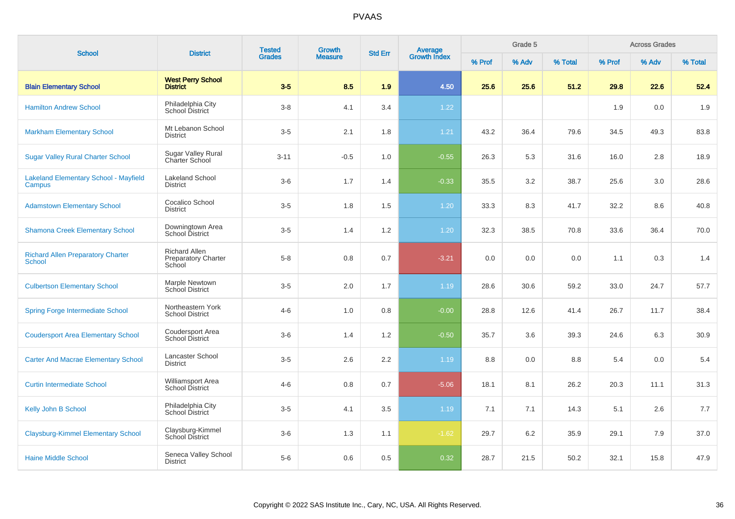| <b>School</b>                                             | <b>District</b>                                              | <b>Tested</b><br><b>Grades</b> | <b>Growth</b><br><b>Measure</b> | <b>Std Err</b>   | <b>Average</b><br>Growth Index | Grade 5 |       |         | <b>Across Grades</b> |       |         |
|-----------------------------------------------------------|--------------------------------------------------------------|--------------------------------|---------------------------------|------------------|--------------------------------|---------|-------|---------|----------------------|-------|---------|
|                                                           |                                                              |                                |                                 |                  |                                | % Prof  | % Adv | % Total | % Prof               | % Adv | % Total |
| <b>Blain Elementary School</b>                            | <b>West Perry School</b><br><b>District</b>                  | $3-5$                          | 8.5                             | 1.9              | 4.50                           | 25.6    | 25.6  | 51.2    | 29.8                 | 22.6  | 52.4    |
| <b>Hamilton Andrew School</b>                             | Philadelphia City<br>School District                         | $3-8$                          | 4.1                             | 3.4              | 1.22                           |         |       |         | 1.9                  | 0.0   | 1.9     |
| <b>Markham Elementary School</b>                          | Mt Lebanon School<br><b>District</b>                         | $3-5$                          | 2.1                             | 1.8              | 1.21                           | 43.2    | 36.4  | 79.6    | 34.5                 | 49.3  | 83.8    |
| <b>Sugar Valley Rural Charter School</b>                  | <b>Sugar Valley Rural</b><br>Charter School                  | $3 - 11$                       | $-0.5$                          | 1.0              | $-0.55$                        | 26.3    | 5.3   | 31.6    | 16.0                 | 2.8   | 18.9    |
| <b>Lakeland Elementary School - Mayfield</b><br>Campus    | <b>Lakeland School</b><br><b>District</b>                    | $3-6$                          | 1.7                             | 1.4              | $-0.33$                        | 35.5    | 3.2   | 38.7    | 25.6                 | 3.0   | 28.6    |
| <b>Adamstown Elementary School</b>                        | Cocalico School<br><b>District</b>                           | $3-5$                          | 1.8                             | 1.5              | 1.20                           | 33.3    | 8.3   | 41.7    | 32.2                 | 8.6   | 40.8    |
| <b>Shamona Creek Elementary School</b>                    | Downingtown Area<br>School District                          | $3-5$                          | 1.4                             | $1.2\,$          | 1.20                           | 32.3    | 38.5  | 70.8    | 33.6                 | 36.4  | 70.0    |
| <b>Richard Allen Preparatory Charter</b><br><b>School</b> | <b>Richard Allen</b><br><b>Preparatory Charter</b><br>School | $5 - 8$                        | 0.8                             | 0.7              | $-3.21$                        | 0.0     | 0.0   | 0.0     | 1.1                  | 0.3   | 1.4     |
| <b>Culbertson Elementary School</b>                       | Marple Newtown<br><b>School District</b>                     | $3-5$                          | 2.0                             | 1.7              | 1.19                           | 28.6    | 30.6  | 59.2    | 33.0                 | 24.7  | 57.7    |
| <b>Spring Forge Intermediate School</b>                   | Northeastern York<br><b>School District</b>                  | $4 - 6$                        | 1.0                             | 0.8              | $-0.00$                        | 28.8    | 12.6  | 41.4    | 26.7                 | 11.7  | 38.4    |
| <b>Coudersport Area Elementary School</b>                 | Coudersport Area<br>School District                          | $3-6$                          | 1.4                             | 1.2              | $-0.50$                        | 35.7    | 3.6   | 39.3    | 24.6                 | 6.3   | 30.9    |
| <b>Carter And Macrae Elementary School</b>                | Lancaster School<br><b>District</b>                          | $3-5$                          | 2.6                             | $2.2\phantom{0}$ | 1.19                           | 8.8     | 0.0   | 8.8     | 5.4                  | 0.0   | 5.4     |
| <b>Curtin Intermediate School</b>                         | Williamsport Area<br><b>School District</b>                  | $4 - 6$                        | 0.8                             | 0.7              | $-5.06$                        | 18.1    | 8.1   | 26.2    | 20.3                 | 11.1  | 31.3    |
| Kelly John B School                                       | Philadelphia City<br>School District                         | $3-5$                          | 4.1                             | 3.5              | 1.19                           | 7.1     | 7.1   | 14.3    | 5.1                  | 2.6   | 7.7     |
| <b>Claysburg-Kimmel Elementary School</b>                 | Claysburg-Kimmel<br><b>School District</b>                   | $3-6$                          | 1.3                             | 1.1              | $-1.62$                        | 29.7    | 6.2   | 35.9    | 29.1                 | 7.9   | 37.0    |
| <b>Haine Middle School</b>                                | Seneca Valley School<br><b>District</b>                      | $5-6$                          | 0.6                             | 0.5              | 0.32                           | 28.7    | 21.5  | 50.2    | 32.1                 | 15.8  | 47.9    |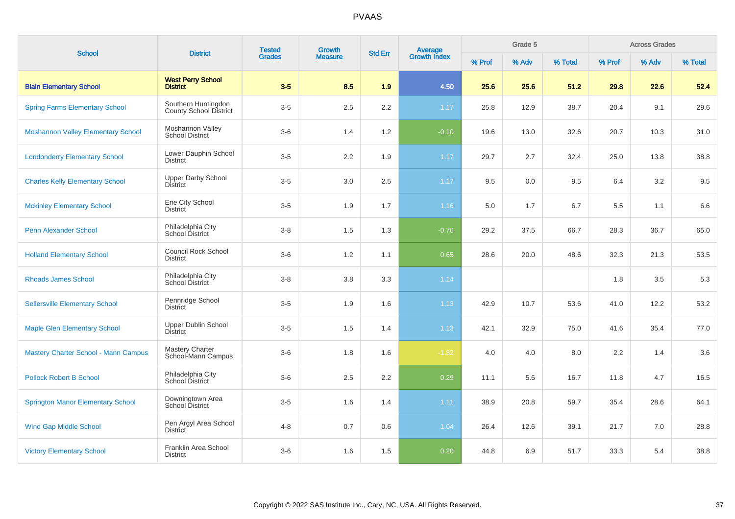| <b>School</b>                               | <b>District</b>                                      | <b>Tested</b> | Growth | <b>Average</b><br>Growth Index<br><b>Std Err</b><br><b>Measure</b> |         | Grade 5 |       |         | <b>Across Grades</b> |       |         |
|---------------------------------------------|------------------------------------------------------|---------------|--------|--------------------------------------------------------------------|---------|---------|-------|---------|----------------------|-------|---------|
|                                             |                                                      | <b>Grades</b> |        |                                                                    |         | % Prof  | % Adv | % Total | % Prof               | % Adv | % Total |
| <b>Blain Elementary School</b>              | <b>West Perry School</b><br><b>District</b>          | $3-5$         | 8.5    | 1.9                                                                | 4.50    | 25.6    | 25.6  | 51.2    | 29.8                 | 22.6  | 52.4    |
| <b>Spring Farms Elementary School</b>       | Southern Huntingdon<br><b>County School District</b> | $3-5$         | 2.5    | 2.2                                                                | 1.17    | 25.8    | 12.9  | 38.7    | 20.4                 | 9.1   | 29.6    |
| <b>Moshannon Valley Elementary School</b>   | Moshannon Valley<br><b>School District</b>           | $3-6$         | 1.4    | 1.2                                                                | $-0.10$ | 19.6    | 13.0  | 32.6    | 20.7                 | 10.3  | 31.0    |
| <b>Londonderry Elementary School</b>        | Lower Dauphin School<br><b>District</b>              | $3-5$         | 2.2    | 1.9                                                                | 1.17    | 29.7    | 2.7   | 32.4    | 25.0                 | 13.8  | 38.8    |
| <b>Charles Kelly Elementary School</b>      | <b>Upper Darby School</b><br><b>District</b>         | $3-5$         | 3.0    | 2.5                                                                | 1.17    | 9.5     | 0.0   | 9.5     | 6.4                  | 3.2   | 9.5     |
| <b>Mckinley Elementary School</b>           | Erie City School<br><b>District</b>                  | $3-5$         | 1.9    | 1.7                                                                | 1.16    | 5.0     | 1.7   | 6.7     | 5.5                  | 1.1   | 6.6     |
| <b>Penn Alexander School</b>                | Philadelphia City<br><b>School District</b>          | $3-8$         | 1.5    | 1.3                                                                | $-0.76$ | 29.2    | 37.5  | 66.7    | 28.3                 | 36.7  | 65.0    |
| <b>Holland Elementary School</b>            | <b>Council Rock School</b><br><b>District</b>        | $3-6$         | 1.2    | 1.1                                                                | 0.65    | 28.6    | 20.0  | 48.6    | 32.3                 | 21.3  | 53.5    |
| <b>Rhoads James School</b>                  | Philadelphia City<br>School District                 | $3 - 8$       | 3.8    | 3.3                                                                | 1.14    |         |       |         | 1.8                  | 3.5   | 5.3     |
| <b>Sellersville Elementary School</b>       | Pennridge School<br><b>District</b>                  | $3-5$         | 1.9    | 1.6                                                                | 1.13    | 42.9    | 10.7  | 53.6    | 41.0                 | 12.2  | 53.2    |
| <b>Maple Glen Elementary School</b>         | <b>Upper Dublin School</b><br><b>District</b>        | $3-5$         | 1.5    | 1.4                                                                | 1.13    | 42.1    | 32.9  | 75.0    | 41.6                 | 35.4  | 77.0    |
| <b>Mastery Charter School - Mann Campus</b> | <b>Mastery Charter</b><br>School-Mann Campus         | $3-6$         | 1.8    | 1.6                                                                | $-1.82$ | 4.0     | 4.0   | 8.0     | 2.2                  | 1.4   | 3.6     |
| <b>Pollock Robert B School</b>              | Philadelphia City<br>School District                 | $3-6$         | 2.5    | 2.2                                                                | 0.29    | 11.1    | 5.6   | 16.7    | 11.8                 | 4.7   | 16.5    |
| <b>Springton Manor Elementary School</b>    | Downingtown Area<br>School District                  | $3-5$         | 1.6    | 1.4                                                                | 1.11    | 38.9    | 20.8  | 59.7    | 35.4                 | 28.6  | 64.1    |
| <b>Wind Gap Middle School</b>               | Pen Argyl Area School<br>District                    | $4 - 8$       | 0.7    | 0.6                                                                | 1.04    | 26.4    | 12.6  | 39.1    | 21.7                 | 7.0   | 28.8    |
| <b>Victory Elementary School</b>            | Franklin Area School<br><b>District</b>              | $3-6$         | 1.6    | 1.5                                                                | 0.20    | 44.8    | 6.9   | 51.7    | 33.3                 | 5.4   | 38.8    |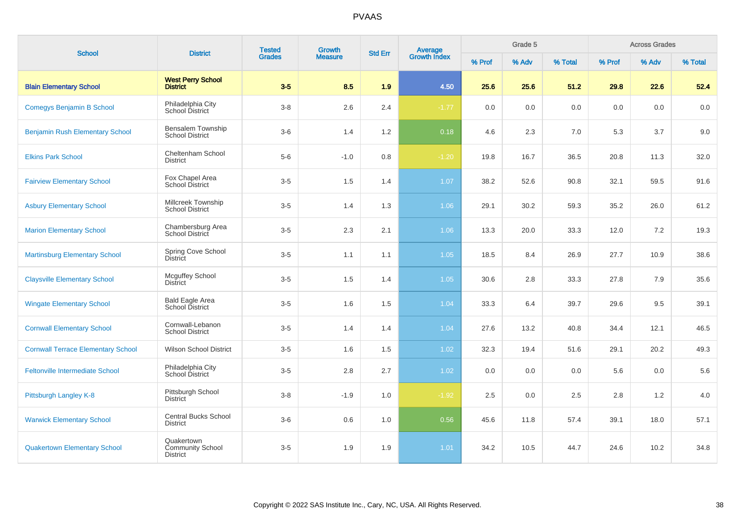| <b>School</b>                             | <b>District</b>                                          | <b>Tested</b><br><b>Grades</b> | Growth         | <b>Std Err</b> |                                |         | Grade 5 |         |         | <b>Across Grades</b> |         |
|-------------------------------------------|----------------------------------------------------------|--------------------------------|----------------|----------------|--------------------------------|---------|---------|---------|---------|----------------------|---------|
|                                           |                                                          |                                | <b>Measure</b> |                | <b>Average</b><br>Growth Index | % Prof  | % Adv   | % Total | % Prof  | % Adv                | % Total |
| <b>Blain Elementary School</b>            | <b>West Perry School</b><br><b>District</b>              | $3-5$                          | 8.5            | 1.9            | 4.50                           | 25.6    | 25.6    | 51.2    | 29.8    | 22.6                 | 52.4    |
| <b>Comegys Benjamin B School</b>          | Philadelphia City<br>School District                     | $3 - 8$                        | 2.6            | 2.4            | $-1.77$                        | $0.0\,$ | 0.0     | $0.0\,$ | $0.0\,$ | 0.0                  | 0.0     |
| <b>Benjamin Rush Elementary School</b>    | Bensalem Township<br><b>School District</b>              | $3-6$                          | 1.4            | 1.2            | 0.18                           | 4.6     | 2.3     | 7.0     | 5.3     | 3.7                  | 9.0     |
| <b>Elkins Park School</b>                 | Cheltenham School<br><b>District</b>                     | $5-6$                          | $-1.0$         | 0.8            | $-1.20$                        | 19.8    | 16.7    | 36.5    | 20.8    | 11.3                 | 32.0    |
| <b>Fairview Elementary School</b>         | Fox Chapel Area<br><b>School District</b>                | $3-5$                          | 1.5            | 1.4            | 1.07                           | 38.2    | 52.6    | 90.8    | 32.1    | 59.5                 | 91.6    |
| <b>Asbury Elementary School</b>           | Millcreek Township<br><b>School District</b>             | $3-5$                          | 1.4            | 1.3            | 1.06                           | 29.1    | 30.2    | 59.3    | 35.2    | 26.0                 | 61.2    |
| <b>Marion Elementary School</b>           | Chambersburg Area<br>School District                     | $3-5$                          | 2.3            | 2.1            | 1.06                           | 13.3    | 20.0    | 33.3    | 12.0    | 7.2                  | 19.3    |
| <b>Martinsburg Elementary School</b>      | Spring Cove School<br><b>District</b>                    | $3-5$                          | 1.1            | 1.1            | 1.05                           | 18.5    | 8.4     | 26.9    | 27.7    | 10.9                 | 38.6    |
| <b>Claysville Elementary School</b>       | <b>Mcguffey School</b><br><b>District</b>                | $3-5$                          | 1.5            | 1.4            | 1.05                           | 30.6    | 2.8     | 33.3    | 27.8    | 7.9                  | 35.6    |
| <b>Wingate Elementary School</b>          | <b>Bald Eagle Area</b><br>School District                | $3-5$                          | 1.6            | 1.5            | 1.04                           | 33.3    | 6.4     | 39.7    | 29.6    | 9.5                  | 39.1    |
| <b>Cornwall Elementary School</b>         | Cornwall-Lebanon<br><b>School District</b>               | $3-5$                          | 1.4            | 1.4            | 1.04                           | 27.6    | 13.2    | 40.8    | 34.4    | 12.1                 | 46.5    |
| <b>Cornwall Terrace Elementary School</b> | <b>Wilson School District</b>                            | $3-5$                          | 1.6            | 1.5            | 1.02                           | 32.3    | 19.4    | 51.6    | 29.1    | 20.2                 | 49.3    |
| <b>Feltonville Intermediate School</b>    | Philadelphia City<br>School District                     | $3-5$                          | 2.8            | 2.7            | 1.02                           | 0.0     | 0.0     | 0.0     | 5.6     | 0.0                  | 5.6     |
| Pittsburgh Langley K-8                    | Pittsburgh School<br><b>District</b>                     | $3-8$                          | $-1.9$         | 1.0            | $-1.92$                        | 2.5     | 0.0     | 2.5     | 2.8     | 1.2                  | 4.0     |
| <b>Warwick Elementary School</b>          | <b>Central Bucks School</b><br><b>District</b>           | $3-6$                          | 0.6            | 1.0            | 0.56                           | 45.6    | 11.8    | 57.4    | 39.1    | 18.0                 | 57.1    |
| <b>Quakertown Elementary School</b>       | Quakertown<br><b>Community School</b><br><b>District</b> | $3-5$                          | 1.9            | 1.9            | 1.01                           | 34.2    | 10.5    | 44.7    | 24.6    | 10.2                 | 34.8    |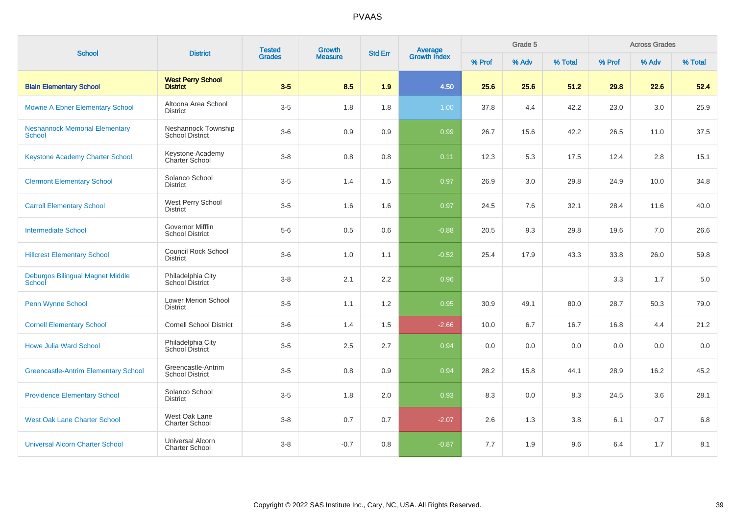| <b>School</b>                                          | <b>District</b>                                   | <b>Tested</b><br><b>Grades</b> | Growth         | <b>Std Err</b> | <b>Average</b><br>Growth Index |        | Grade 5 |         |        | <b>Across Grades</b> |         |
|--------------------------------------------------------|---------------------------------------------------|--------------------------------|----------------|----------------|--------------------------------|--------|---------|---------|--------|----------------------|---------|
|                                                        |                                                   |                                | <b>Measure</b> |                |                                | % Prof | % Adv   | % Total | % Prof | % Adv                | % Total |
| <b>Blain Elementary School</b>                         | <b>West Perry School</b><br><b>District</b>       | $3-5$                          | 8.5            | 1.9            | 4.50                           | 25.6   | 25.6    | 51.2    | 29.8   | 22.6                 | 52.4    |
| <b>Mowrie A Ebner Elementary School</b>                | Altoona Area School<br><b>District</b>            | $3-5$                          | 1.8            | 1.8            | 1.00                           | 37.8   | 4.4     | 42.2    | 23.0   | 3.0                  | 25.9    |
| <b>Neshannock Memorial Elementary</b><br><b>School</b> | Neshannock Township<br><b>School District</b>     | $3-6$                          | 0.9            | 0.9            | 0.99                           | 26.7   | 15.6    | 42.2    | 26.5   | 11.0                 | 37.5    |
| <b>Keystone Academy Charter School</b>                 | Keystone Academy<br>Charter School                | $3 - 8$                        | 0.8            | 0.8            | 0.11                           | 12.3   | 5.3     | 17.5    | 12.4   | 2.8                  | 15.1    |
| <b>Clermont Elementary School</b>                      | Solanco School<br><b>District</b>                 | $3-5$                          | 1.4            | 1.5            | 0.97                           | 26.9   | 3.0     | 29.8    | 24.9   | 10.0                 | 34.8    |
| <b>Carroll Elementary School</b>                       | West Perry School<br>District                     | $3-5$                          | 1.6            | 1.6            | 0.97                           | 24.5   | 7.6     | 32.1    | 28.4   | 11.6                 | 40.0    |
| <b>Intermediate School</b>                             | <b>Governor Mifflin</b><br><b>School District</b> | $5-6$                          | 0.5            | 0.6            | $-0.88$                        | 20.5   | 9.3     | 29.8    | 19.6   | 7.0                  | 26.6    |
| <b>Hillcrest Elementary School</b>                     | <b>Council Rock School</b><br><b>District</b>     | $3-6$                          | 1.0            | 1.1            | $-0.52$                        | 25.4   | 17.9    | 43.3    | 33.8   | 26.0                 | 59.8    |
| Deburgos Bilingual Magnet Middle<br>School             | Philadelphia City<br>School District              | $3 - 8$                        | 2.1            | 2.2            | 0.96                           |        |         |         | 3.3    | 1.7                  | 5.0     |
| Penn Wynne School                                      | <b>Lower Merion School</b><br><b>District</b>     | $3-5$                          | 1.1            | 1.2            | 0.95                           | 30.9   | 49.1    | 80.0    | 28.7   | 50.3                 | 79.0    |
| <b>Cornell Elementary School</b>                       | <b>Cornell School District</b>                    | $3-6$                          | 1.4            | 1.5            | $-2.66$                        | 10.0   | 6.7     | 16.7    | 16.8   | 4.4                  | 21.2    |
| <b>Howe Julia Ward School</b>                          | Philadelphia City<br>School District              | $3-5$                          | 2.5            | 2.7            | 0.94                           | 0.0    | 0.0     | 0.0     | 0.0    | 0.0                  | 0.0     |
| <b>Greencastle-Antrim Elementary School</b>            | Greencastle-Antrim<br><b>School District</b>      | $3-5$                          | 0.8            | 0.9            | 0.94                           | 28.2   | 15.8    | 44.1    | 28.9   | 16.2                 | 45.2    |
| <b>Providence Elementary School</b>                    | Solanco School<br><b>District</b>                 | $3-5$                          | 1.8            | 2.0            | 0.93                           | 8.3    | 0.0     | 8.3     | 24.5   | 3.6                  | 28.1    |
| <b>West Oak Lane Charter School</b>                    | West Oak Lane<br><b>Charter School</b>            | $3 - 8$                        | 0.7            | 0.7            | $-2.07$                        | 2.6    | 1.3     | 3.8     | 6.1    | 0.7                  | 6.8     |
| <b>Universal Alcorn Charter School</b>                 | <b>Universal Alcorn</b><br><b>Charter School</b>  | $3 - 8$                        | $-0.7$         | 0.8            | $-0.87$                        | 7.7    | 1.9     | 9.6     | 6.4    | 1.7                  | 8.1     |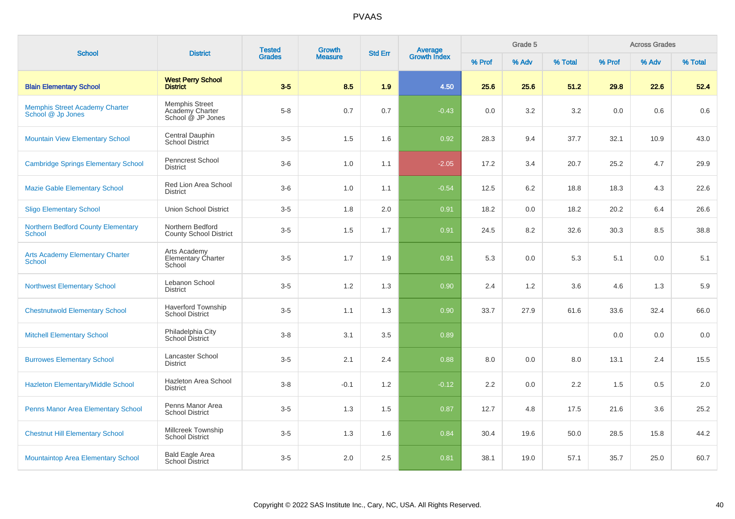| <b>School</b>                                              | <b>District</b>                                                      | <b>Tested</b> | <b>Growth</b>  | <b>Std Err</b> | Average<br>Growth Index |        | Grade 5 |         |        | <b>Across Grades</b> |         |
|------------------------------------------------------------|----------------------------------------------------------------------|---------------|----------------|----------------|-------------------------|--------|---------|---------|--------|----------------------|---------|
|                                                            |                                                                      | <b>Grades</b> | <b>Measure</b> |                |                         | % Prof | % Adv   | % Total | % Prof | % Adv                | % Total |
| <b>Blain Elementary School</b>                             | <b>West Perry School</b><br><b>District</b>                          | $3-5$         | 8.5            | 1.9            | 4.50                    | 25.6   | 25.6    | 51.2    | 29.8   | 22.6                 | 52.4    |
| <b>Memphis Street Academy Charter</b><br>School @ Jp Jones | <b>Memphis Street</b><br><b>Academy Charter</b><br>School @ JP Jones | $5 - 8$       | 0.7            | 0.7            | $-0.43$                 | 0.0    | 3.2     | 3.2     | 0.0    | 0.6                  | 0.6     |
| <b>Mountain View Elementary School</b>                     | Central Dauphin<br>School District                                   | $3-5$         | 1.5            | 1.6            | 0.92                    | 28.3   | 9.4     | 37.7    | 32.1   | 10.9                 | 43.0    |
| <b>Cambridge Springs Elementary School</b>                 | Penncrest School<br>District                                         | $3-6$         | 1.0            | 1.1            | $-2.05$                 | 17.2   | 3.4     | 20.7    | 25.2   | 4.7                  | 29.9    |
| <b>Mazie Gable Elementary School</b>                       | Red Lion Area School<br><b>District</b>                              | $3-6$         | 1.0            | 1.1            | $-0.54$                 | 12.5   | 6.2     | 18.8    | 18.3   | 4.3                  | 22.6    |
| <b>Sligo Elementary School</b>                             | <b>Union School District</b>                                         | $3-5$         | 1.8            | 2.0            | 0.91                    | 18.2   | 0.0     | 18.2    | 20.2   | 6.4                  | 26.6    |
| <b>Northern Bedford County Elementary</b><br><b>School</b> | Northern Bedford<br><b>County School District</b>                    | $3-5$         | 1.5            | 1.7            | 0.91                    | 24.5   | 8.2     | 32.6    | 30.3   | 8.5                  | 38.8    |
| <b>Arts Academy Elementary Charter</b><br>School           | Arts Academy<br>Elementary Charter<br>School                         | $3-5$         | 1.7            | 1.9            | 0.91                    | 5.3    | 0.0     | 5.3     | 5.1    | 0.0                  | 5.1     |
| <b>Northwest Elementary School</b>                         | Lebanon School<br><b>District</b>                                    | $3-5$         | 1.2            | 1.3            | 0.90                    | 2.4    | 1.2     | 3.6     | 4.6    | 1.3                  | 5.9     |
| <b>Chestnutwold Elementary School</b>                      | <b>Haverford Township</b><br><b>School District</b>                  | $3-5$         | 1.1            | 1.3            | 0.90                    | 33.7   | 27.9    | 61.6    | 33.6   | 32.4                 | 66.0    |
| <b>Mitchell Elementary School</b>                          | Philadelphia City<br>School District                                 | $3 - 8$       | 3.1            | 3.5            | 0.89                    |        |         |         | 0.0    | 0.0                  | 0.0     |
| <b>Burrowes Elementary School</b>                          | Lancaster School<br><b>District</b>                                  | $3-5$         | 2.1            | 2.4            | 0.88                    | 8.0    | 0.0     | 8.0     | 13.1   | 2.4                  | 15.5    |
| Hazleton Elementary/Middle School                          | Hazleton Area School<br><b>District</b>                              | $3 - 8$       | $-0.1$         | 1.2            | $-0.12$                 | 2.2    | 0.0     | 2.2     | 1.5    | 0.5                  | 2.0     |
| <b>Penns Manor Area Elementary School</b>                  | Penns Manor Area<br><b>School District</b>                           | $3-5$         | 1.3            | 1.5            | 0.87                    | 12.7   | 4.8     | 17.5    | 21.6   | 3.6                  | 25.2    |
| <b>Chestnut Hill Elementary School</b>                     | Millcreek Township<br><b>School District</b>                         | $3-5$         | 1.3            | 1.6            | 0.84                    | 30.4   | 19.6    | 50.0    | 28.5   | 15.8                 | 44.2    |
| <b>Mountaintop Area Elementary School</b>                  | <b>Bald Eagle Area</b><br>School District                            | $3-5$         | 2.0            | 2.5            | 0.81                    | 38.1   | 19.0    | 57.1    | 35.7   | 25.0                 | 60.7    |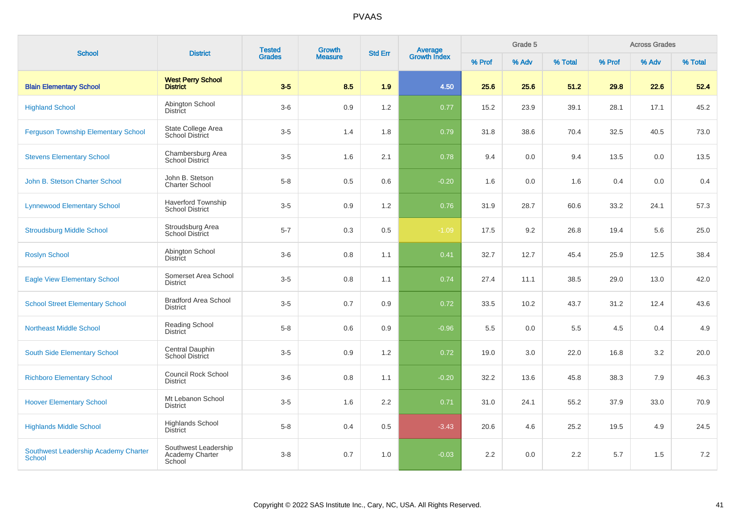| <b>School</b>                                  | <b>District</b>                                   | <b>Tested</b> | <b>Growth</b>  | Average<br>Growth Index<br><b>Std Err</b> |         | Grade 5 |       |         | <b>Across Grades</b> |       |         |
|------------------------------------------------|---------------------------------------------------|---------------|----------------|-------------------------------------------|---------|---------|-------|---------|----------------------|-------|---------|
|                                                |                                                   | <b>Grades</b> | <b>Measure</b> |                                           |         | % Prof  | % Adv | % Total | % Prof               | % Adv | % Total |
| <b>Blain Elementary School</b>                 | <b>West Perry School</b><br><b>District</b>       | $3-5$         | 8.5            | 1.9                                       | 4.50    | 25.6    | 25.6  | 51.2    | 29.8                 | 22.6  | 52.4    |
| <b>Highland School</b>                         | Abington School<br><b>District</b>                | $3-6$         | 0.9            | 1.2                                       | 0.77    | 15.2    | 23.9  | 39.1    | 28.1                 | 17.1  | 45.2    |
| <b>Ferguson Township Elementary School</b>     | State College Area<br><b>School District</b>      | $3-5$         | 1.4            | 1.8                                       | 0.79    | 31.8    | 38.6  | 70.4    | 32.5                 | 40.5  | 73.0    |
| <b>Stevens Elementary School</b>               | Chambersburg Area<br>School District              | $3-5$         | 1.6            | 2.1                                       | 0.78    | 9.4     | 0.0   | 9.4     | 13.5                 | 0.0   | 13.5    |
| John B. Stetson Charter School                 | John B. Stetson<br><b>Charter School</b>          | $5 - 8$       | 0.5            | 0.6                                       | $-0.20$ | 1.6     | 0.0   | 1.6     | 0.4                  | 0.0   | 0.4     |
| <b>Lynnewood Elementary School</b>             | Haverford Township<br><b>School District</b>      | $3-5$         | 0.9            | 1.2                                       | 0.76    | 31.9    | 28.7  | 60.6    | 33.2                 | 24.1  | 57.3    |
| <b>Stroudsburg Middle School</b>               | Stroudsburg Area<br>School District               | $5 - 7$       | 0.3            | 0.5                                       | $-1.09$ | 17.5    | 9.2   | 26.8    | 19.4                 | 5.6   | 25.0    |
| <b>Roslyn School</b>                           | Abington School<br><b>District</b>                | $3-6$         | 0.8            | 1.1                                       | 0.41    | 32.7    | 12.7  | 45.4    | 25.9                 | 12.5  | 38.4    |
| <b>Eagle View Elementary School</b>            | Somerset Area School<br><b>District</b>           | $3-5$         | 0.8            | 1.1                                       | 0.74    | 27.4    | 11.1  | 38.5    | 29.0                 | 13.0  | 42.0    |
| <b>School Street Elementary School</b>         | <b>Bradford Area School</b><br><b>District</b>    | $3-5$         | 0.7            | 0.9                                       | 0.72    | 33.5    | 10.2  | 43.7    | 31.2                 | 12.4  | 43.6    |
| <b>Northeast Middle School</b>                 | <b>Reading School</b><br><b>District</b>          | $5-8$         | 0.6            | 0.9                                       | $-0.96$ | 5.5     | 0.0   | 5.5     | 4.5                  | 0.4   | 4.9     |
| <b>South Side Elementary School</b>            | Central Dauphin<br><b>School District</b>         | $3-5$         | 0.9            | 1.2                                       | 0.72    | 19.0    | 3.0   | 22.0    | 16.8                 | 3.2   | 20.0    |
| <b>Richboro Elementary School</b>              | Council Rock School<br><b>District</b>            | $3-6$         | 0.8            | 1.1                                       | $-0.20$ | 32.2    | 13.6  | 45.8    | 38.3                 | 7.9   | 46.3    |
| <b>Hoover Elementary School</b>                | Mt Lebanon School<br><b>District</b>              | $3-5$         | 1.6            | 2.2                                       | 0.71    | 31.0    | 24.1  | 55.2    | 37.9                 | 33.0  | 70.9    |
| <b>Highlands Middle School</b>                 | <b>Highlands School</b><br><b>District</b>        | $5 - 8$       | 0.4            | 0.5                                       | $-3.43$ | 20.6    | 4.6   | 25.2    | 19.5                 | 4.9   | 24.5    |
| Southwest Leadership Academy Charter<br>School | Southwest Leadership<br>Academy Charter<br>School | $3 - 8$       | 0.7            | 1.0                                       | $-0.03$ | 2.2     | 0.0   | 2.2     | 5.7                  | 1.5   | 7.2     |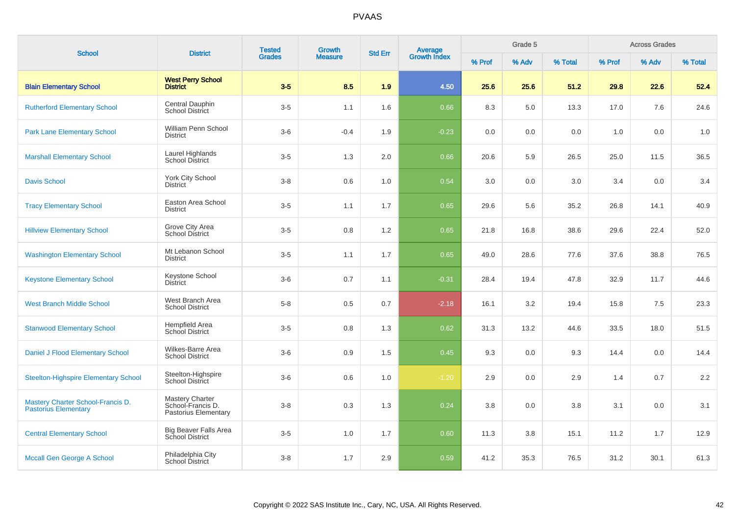| <b>School</b>                                                    | <b>District</b>                                                     | <b>Tested</b> | <b>Growth</b>  | <b>Std Err</b> | Average<br>Growth Index |        | Grade 5 |         |        | <b>Across Grades</b> |         |
|------------------------------------------------------------------|---------------------------------------------------------------------|---------------|----------------|----------------|-------------------------|--------|---------|---------|--------|----------------------|---------|
|                                                                  |                                                                     | <b>Grades</b> | <b>Measure</b> |                |                         | % Prof | % Adv   | % Total | % Prof | % Adv                | % Total |
| <b>Blain Elementary School</b>                                   | <b>West Perry School</b><br><b>District</b>                         | $3-5$         | 8.5            | 1.9            | 4.50                    | 25.6   | 25.6    | 51.2    | 29.8   | 22.6                 | 52.4    |
| <b>Rutherford Elementary School</b>                              | <b>Central Dauphin</b><br><b>School District</b>                    | $3-5$         | 1.1            | 1.6            | 0.66                    | 8.3    | 5.0     | 13.3    | 17.0   | 7.6                  | 24.6    |
| <b>Park Lane Elementary School</b>                               | William Penn School<br><b>District</b>                              | $3-6$         | $-0.4$         | 1.9            | $-0.23$                 | 0.0    | 0.0     | 0.0     | 1.0    | 0.0                  | 1.0     |
| <b>Marshall Elementary School</b>                                | Laurel Highlands<br>School District                                 | $3-5$         | 1.3            | 2.0            | 0.66                    | 20.6   | 5.9     | 26.5    | 25.0   | 11.5                 | 36.5    |
| <b>Davis School</b>                                              | York City School<br><b>District</b>                                 | $3 - 8$       | 0.6            | 1.0            | 0.54                    | 3.0    | 0.0     | 3.0     | 3.4    | 0.0                  | 3.4     |
| <b>Tracy Elementary School</b>                                   | Easton Area School<br><b>District</b>                               | $3-5$         | 1.1            | 1.7            | 0.65                    | 29.6   | 5.6     | 35.2    | 26.8   | 14.1                 | 40.9    |
| <b>Hillview Elementary School</b>                                | Grove City Area<br><b>School District</b>                           | $3-5$         | 0.8            | 1.2            | 0.65                    | 21.8   | 16.8    | 38.6    | 29.6   | 22.4                 | 52.0    |
| <b>Washington Elementary School</b>                              | Mt Lebanon School<br><b>District</b>                                | $3-5$         | 1.1            | 1.7            | 0.65                    | 49.0   | 28.6    | 77.6    | 37.6   | 38.8                 | 76.5    |
| <b>Keystone Elementary School</b>                                | Keystone School<br><b>District</b>                                  | $3-6$         | 0.7            | 1.1            | $-0.31$                 | 28.4   | 19.4    | 47.8    | 32.9   | 11.7                 | 44.6    |
| <b>West Branch Middle School</b>                                 | West Branch Area<br><b>School District</b>                          | $5-8$         | 0.5            | 0.7            | $-2.18$                 | 16.1   | 3.2     | 19.4    | 15.8   | 7.5                  | 23.3    |
| <b>Stanwood Elementary School</b>                                | Hempfield Area<br>School District                                   | $3-5$         | 0.8            | 1.3            | 0.62                    | 31.3   | 13.2    | 44.6    | 33.5   | 18.0                 | 51.5    |
| Daniel J Flood Elementary School                                 | Wilkes-Barre Area<br><b>School District</b>                         | $3-6$         | 0.9            | 1.5            | 0.45                    | 9.3    | 0.0     | 9.3     | 14.4   | 0.0                  | 14.4    |
| <b>Steelton-Highspire Elementary School</b>                      | Steelton-Highspire<br>School District                               | $3-6$         | 0.6            | 1.0            | $-1.20$                 | 2.9    | 0.0     | 2.9     | 1.4    | 0.7                  | 2.2     |
| Mastery Charter School-Francis D.<br><b>Pastorius Elementary</b> | <b>Mastery Charter</b><br>School-Francis D.<br>Pastorius Elementary | $3-8$         | 0.3            | 1.3            | 0.24                    | 3.8    | 0.0     | 3.8     | 3.1    | 0.0                  | 3.1     |
| <b>Central Elementary School</b>                                 | <b>Big Beaver Falls Area</b><br><b>School District</b>              | $3-5$         | 1.0            | 1.7            | 0.60                    | 11.3   | 3.8     | 15.1    | 11.2   | 1.7                  | 12.9    |
| <b>Mccall Gen George A School</b>                                | Philadelphia City<br><b>School District</b>                         | $3 - 8$       | 1.7            | 2.9            | 0.59                    | 41.2   | 35.3    | 76.5    | 31.2   | 30.1                 | 61.3    |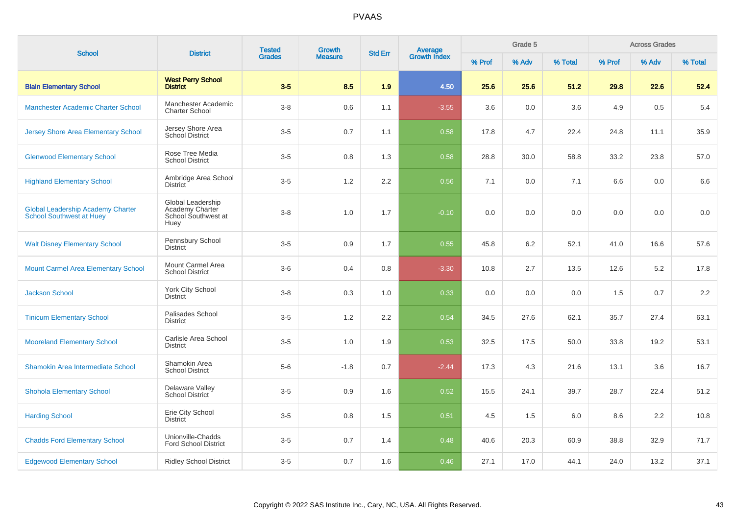| <b>School</b>                                                               | <b>District</b>                                                     | <b>Tested</b><br><b>Grades</b> | Growth         | <b>Std Err</b> |                                |        | Grade 5 |         |        | <b>Across Grades</b> |         |
|-----------------------------------------------------------------------------|---------------------------------------------------------------------|--------------------------------|----------------|----------------|--------------------------------|--------|---------|---------|--------|----------------------|---------|
|                                                                             |                                                                     |                                | <b>Measure</b> |                | <b>Average</b><br>Growth Index | % Prof | % Adv   | % Total | % Prof | % Adv                | % Total |
| <b>Blain Elementary School</b>                                              | <b>West Perry School</b><br><b>District</b>                         | $3-5$                          | 8.5            | 1.9            | 4.50                           | 25.6   | 25.6    | 51.2    | 29.8   | 22.6                 | 52.4    |
| Manchester Academic Charter School                                          | Manchester Academic<br><b>Charter School</b>                        | $3-8$                          | 0.6            | 1.1            | $-3.55$                        | 3.6    | 0.0     | 3.6     | 4.9    | 0.5                  | 5.4     |
| <b>Jersey Shore Area Elementary School</b>                                  | Jersey Shore Area<br>School District                                | $3-5$                          | 0.7            | 1.1            | 0.58                           | 17.8   | 4.7     | 22.4    | 24.8   | 11.1                 | 35.9    |
| <b>Glenwood Elementary School</b>                                           | Rose Tree Media<br><b>School District</b>                           | $3-5$                          | 0.8            | 1.3            | 0.58                           | 28.8   | 30.0    | 58.8    | 33.2   | 23.8                 | 57.0    |
| <b>Highland Elementary School</b>                                           | Ambridge Area School<br><b>District</b>                             | $3-5$                          | $1.2\,$        | 2.2            | 0.56                           | 7.1    | 0.0     | 7.1     | 6.6    | 0.0                  | 6.6     |
| <b>Global Leadership Academy Charter</b><br><b>School Southwest at Huey</b> | Global Leadership<br>Academy Charter<br>School Southwest at<br>Huey | $3 - 8$                        | 1.0            | 1.7            | $-0.10$                        | 0.0    | 0.0     | 0.0     | 0.0    | 0.0                  | $0.0\,$ |
| <b>Walt Disney Elementary School</b>                                        | Pennsbury School<br><b>District</b>                                 | $3-5$                          | 0.9            | 1.7            | 0.55                           | 45.8   | 6.2     | 52.1    | 41.0   | 16.6                 | 57.6    |
| <b>Mount Carmel Area Elementary School</b>                                  | Mount Carmel Area<br><b>School District</b>                         | $3-6$                          | 0.4            | 0.8            | $-3.30$                        | 10.8   | 2.7     | 13.5    | 12.6   | 5.2                  | 17.8    |
| <b>Jackson School</b>                                                       | York City School<br><b>District</b>                                 | $3-8$                          | 0.3            | 1.0            | 0.33                           | 0.0    | 0.0     | 0.0     | 1.5    | 0.7                  | 2.2     |
| <b>Tinicum Elementary School</b>                                            | Palisades School<br><b>District</b>                                 | $3-5$                          | 1.2            | 2.2            | 0.54                           | 34.5   | 27.6    | 62.1    | 35.7   | 27.4                 | 63.1    |
| <b>Mooreland Elementary School</b>                                          | Carlisle Area School<br><b>District</b>                             | $3-5$                          | 1.0            | 1.9            | 0.53                           | 32.5   | 17.5    | 50.0    | 33.8   | 19.2                 | 53.1    |
| Shamokin Area Intermediate School                                           | Shamokin Area<br><b>School District</b>                             | $5-6$                          | $-1.8$         | 0.7            | $-2.44$                        | 17.3   | 4.3     | 21.6    | 13.1   | 3.6                  | 16.7    |
| <b>Shohola Elementary School</b>                                            | Delaware Valley<br><b>School District</b>                           | $3-5$                          | 0.9            | 1.6            | 0.52                           | 15.5   | 24.1    | 39.7    | 28.7   | 22.4                 | 51.2    |
| <b>Harding School</b>                                                       | Erie City School<br><b>District</b>                                 | $3-5$                          | 0.8            | 1.5            | 0.51                           | 4.5    | 1.5     | 6.0     | 8.6    | 2.2                  | 10.8    |
| <b>Chadds Ford Elementary School</b>                                        | Unionville-Chadds<br><b>Ford School District</b>                    | $3-5$                          | 0.7            | 1.4            | 0.48                           | 40.6   | 20.3    | 60.9    | 38.8   | 32.9                 | 71.7    |
| <b>Edgewood Elementary School</b>                                           | <b>Ridley School District</b>                                       | $3-5$                          | 0.7            | 1.6            | 0.46                           | 27.1   | 17.0    | 44.1    | 24.0   | 13.2                 | 37.1    |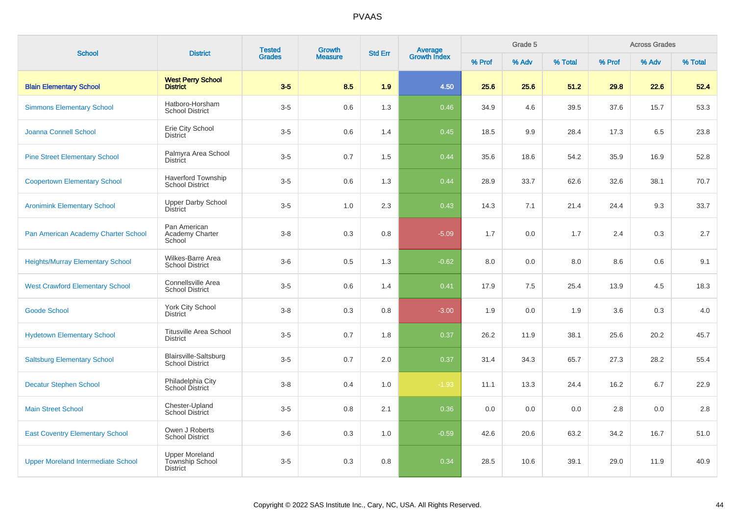| <b>School</b>                             | <b>District</b>                                             | <b>Tested</b><br><b>Grades</b> | Growth         | <b>Std Err</b> | Average<br>Growth Index |        | Grade 5 |         |        | <b>Across Grades</b> |         |
|-------------------------------------------|-------------------------------------------------------------|--------------------------------|----------------|----------------|-------------------------|--------|---------|---------|--------|----------------------|---------|
|                                           |                                                             |                                | <b>Measure</b> |                |                         | % Prof | % Adv   | % Total | % Prof | % Adv                | % Total |
| <b>Blain Elementary School</b>            | <b>West Perry School</b><br><b>District</b>                 | $3-5$                          | 8.5            | 1.9            | 4.50                    | 25.6   | 25.6    | 51.2    | 29.8   | 22.6                 | 52.4    |
| <b>Simmons Elementary School</b>          | Hatboro-Horsham<br><b>School District</b>                   | $3-5$                          | 0.6            | 1.3            | 0.46                    | 34.9   | 4.6     | 39.5    | 37.6   | 15.7                 | 53.3    |
| Joanna Connell School                     | Erie City School<br><b>District</b>                         | $3-5$                          | 0.6            | 1.4            | 0.45                    | 18.5   | 9.9     | 28.4    | 17.3   | 6.5                  | 23.8    |
| <b>Pine Street Elementary School</b>      | Palmyra Area School<br><b>District</b>                      | $3-5$                          | 0.7            | 1.5            | 0.44                    | 35.6   | 18.6    | 54.2    | 35.9   | 16.9                 | 52.8    |
| <b>Coopertown Elementary School</b>       | <b>Haverford Township</b><br><b>School District</b>         | $3-5$                          | 0.6            | 1.3            | 0.44                    | 28.9   | 33.7    | 62.6    | 32.6   | 38.1                 | 70.7    |
| <b>Aronimink Elementary School</b>        | <b>Upper Darby School</b><br><b>District</b>                | $3-5$                          | 1.0            | 2.3            | 0.43                    | 14.3   | 7.1     | 21.4    | 24.4   | 9.3                  | 33.7    |
| Pan American Academy Charter School       | Pan American<br>Academy Charter<br>School                   | $3 - 8$                        | 0.3            | 0.8            | $-5.09$                 | 1.7    | 0.0     | 1.7     | 2.4    | 0.3                  | $2.7\,$ |
| <b>Heights/Murray Elementary School</b>   | Wilkes-Barre Area<br><b>School District</b>                 | $3-6$                          | 0.5            | 1.3            | $-0.62$                 | 8.0    | 0.0     | 8.0     | 8.6    | 0.6                  | 9.1     |
| <b>West Crawford Elementary School</b>    | Connellsville Area<br><b>School District</b>                | $3-5$                          | 0.6            | 1.4            | 0.41                    | 17.9   | 7.5     | 25.4    | 13.9   | 4.5                  | 18.3    |
| <b>Goode School</b>                       | <b>York City School</b><br><b>District</b>                  | $3 - 8$                        | 0.3            | 0.8            | $-3.00$                 | 1.9    | 0.0     | 1.9     | 3.6    | 0.3                  | $4.0\,$ |
| <b>Hydetown Elementary School</b>         | <b>Titusville Area School</b><br><b>District</b>            | $3-5$                          | 0.7            | 1.8            | 0.37                    | 26.2   | 11.9    | 38.1    | 25.6   | 20.2                 | 45.7    |
| <b>Saltsburg Elementary School</b>        | Blairsville-Saltsburg<br><b>School District</b>             | $3-5$                          | 0.7            | 2.0            | 0.37                    | 31.4   | 34.3    | 65.7    | 27.3   | 28.2                 | 55.4    |
| <b>Decatur Stephen School</b>             | Philadelphia City<br>School District                        | $3 - 8$                        | 0.4            | 1.0            | $-1.93$                 | 11.1   | 13.3    | 24.4    | 16.2   | 6.7                  | 22.9    |
| <b>Main Street School</b>                 | Chester-Upland<br>School District                           | $3-5$                          | 0.8            | 2.1            | 0.36                    | 0.0    | 0.0     | 0.0     | 2.8    | 0.0                  | 2.8     |
| <b>East Coventry Elementary School</b>    | Owen J Roberts<br><b>School District</b>                    | $3-6$                          | 0.3            | 1.0            | $-0.59$                 | 42.6   | 20.6    | 63.2    | 34.2   | 16.7                 | 51.0    |
| <b>Upper Moreland Intermediate School</b> | <b>Upper Moreland</b><br>Township School<br><b>District</b> | $3-5$                          | 0.3            | 0.8            | 0.34                    | 28.5   | 10.6    | 39.1    | 29.0   | 11.9                 | 40.9    |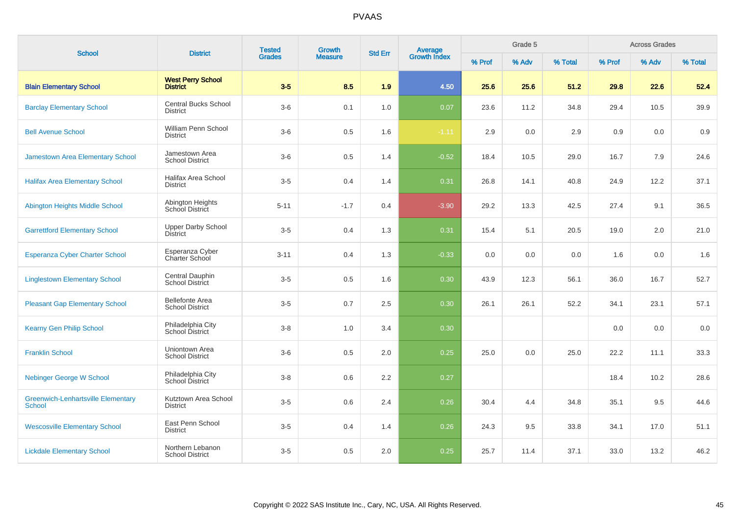| <b>School</b>                                              | <b>District</b>                                  | <b>Tested</b> | Growth         | <b>Std Err</b> | <b>Average</b><br>Growth Index |        | Grade 5 |         |        | <b>Across Grades</b> |         |
|------------------------------------------------------------|--------------------------------------------------|---------------|----------------|----------------|--------------------------------|--------|---------|---------|--------|----------------------|---------|
|                                                            |                                                  | <b>Grades</b> | <b>Measure</b> |                |                                | % Prof | % Adv   | % Total | % Prof | % Adv                | % Total |
| <b>Blain Elementary School</b>                             | <b>West Perry School</b><br><b>District</b>      | $3-5$         | 8.5            | 1.9            | 4.50                           | 25.6   | 25.6    | 51.2    | 29.8   | 22.6                 | 52.4    |
| <b>Barclay Elementary School</b>                           | <b>Central Bucks School</b><br><b>District</b>   | $3-6$         | 0.1            | 1.0            | 0.07                           | 23.6   | 11.2    | 34.8    | 29.4   | 10.5                 | 39.9    |
| <b>Bell Avenue School</b>                                  | William Penn School<br><b>District</b>           | $3-6$         | 0.5            | 1.6            | $-1.11$                        | 2.9    | 0.0     | 2.9     | 0.9    | 0.0                  | 0.9     |
| Jamestown Area Elementary School                           | Jamestown Area<br><b>School District</b>         | $3-6$         | 0.5            | 1.4            | $-0.52$                        | 18.4   | 10.5    | 29.0    | 16.7   | 7.9                  | 24.6    |
| <b>Halifax Area Elementary School</b>                      | Halifax Area School<br><b>District</b>           | $3-5$         | 0.4            | 1.4            | 0.31                           | 26.8   | 14.1    | 40.8    | 24.9   | 12.2                 | 37.1    |
| Abington Heights Middle School                             | Abington Heights<br>School District              | $5 - 11$      | $-1.7$         | 0.4            | $-3.90$                        | 29.2   | 13.3    | 42.5    | 27.4   | 9.1                  | 36.5    |
| <b>Garrettford Elementary School</b>                       | <b>Upper Darby School</b><br><b>District</b>     | $3-5$         | 0.4            | 1.3            | 0.31                           | 15.4   | 5.1     | 20.5    | 19.0   | 2.0                  | 21.0    |
| Esperanza Cyber Charter School                             | Esperanza Cyber<br>Charter School                | $3 - 11$      | 0.4            | 1.3            | $-0.33$                        | 0.0    | 0.0     | 0.0     | 1.6    | 0.0                  | 1.6     |
| <b>Linglestown Elementary School</b>                       | Central Dauphin<br><b>School District</b>        | $3-5$         | 0.5            | 1.6            | 0.30                           | 43.9   | 12.3    | 56.1    | 36.0   | 16.7                 | 52.7    |
| <b>Pleasant Gap Elementary School</b>                      | <b>Bellefonte Area</b><br><b>School District</b> | $3-5$         | 0.7            | 2.5            | 0.30                           | 26.1   | 26.1    | 52.2    | 34.1   | 23.1                 | 57.1    |
| <b>Kearny Gen Philip School</b>                            | Philadelphia City<br>School District             | $3 - 8$       | 1.0            | 3.4            | 0.30                           |        |         |         | 0.0    | 0.0                  | 0.0     |
| <b>Franklin School</b>                                     | Uniontown Area<br><b>School District</b>         | $3-6$         | 0.5            | $2.0\,$        | 0.25                           | 25.0   | 0.0     | 25.0    | 22.2   | 11.1                 | 33.3    |
| <b>Nebinger George W School</b>                            | Philadelphia City<br>School District             | $3-8$         | 0.6            | 2.2            | 0.27                           |        |         |         | 18.4   | 10.2                 | 28.6    |
| <b>Greenwich-Lenhartsville Elementary</b><br><b>School</b> | Kutztown Area School<br><b>District</b>          | $3-5$         | 0.6            | 2.4            | 0.26                           | 30.4   | 4.4     | 34.8    | 35.1   | 9.5                  | 44.6    |
| <b>Wescosville Elementary School</b>                       | East Penn School<br><b>District</b>              | $3-5$         | 0.4            | 1.4            | 0.26                           | 24.3   | 9.5     | 33.8    | 34.1   | 17.0                 | 51.1    |
| <b>Lickdale Elementary School</b>                          | Northern Lebanon<br><b>School District</b>       | $3-5$         | 0.5            | 2.0            | 0.25                           | 25.7   | 11.4    | 37.1    | 33.0   | 13.2                 | 46.2    |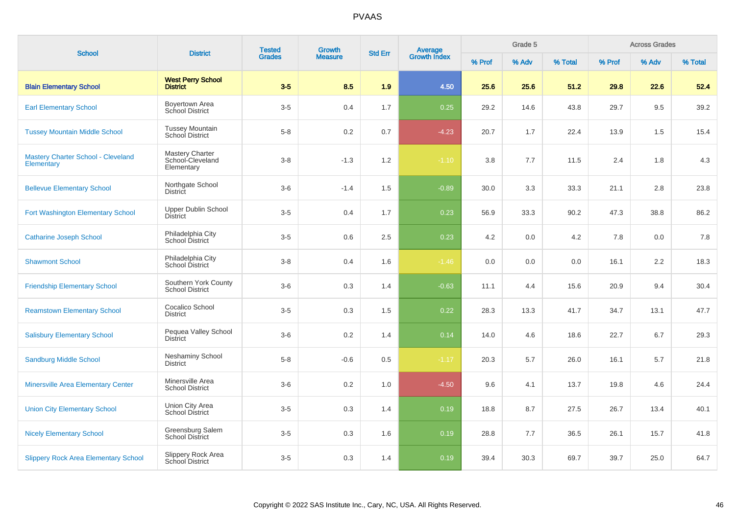| <b>School</b>                                           | <b>District</b>                                          | <b>Tested</b> | <b>Growth</b>  | <b>Std Err</b> |                                |        | Grade 5 |         |        | <b>Across Grades</b> |         |
|---------------------------------------------------------|----------------------------------------------------------|---------------|----------------|----------------|--------------------------------|--------|---------|---------|--------|----------------------|---------|
|                                                         |                                                          | <b>Grades</b> | <b>Measure</b> |                | <b>Average</b><br>Growth Index | % Prof | % Adv   | % Total | % Prof | % Adv                | % Total |
| <b>Blain Elementary School</b>                          | <b>West Perry School</b><br><b>District</b>              | $3-5$         | 8.5            | 1.9            | 4.50                           | 25.6   | 25.6    | 51.2    | 29.8   | 22.6                 | 52.4    |
| <b>Earl Elementary School</b>                           | Boyertown Area<br>School District                        | $3-5$         | 0.4            | 1.7            | 0.25                           | 29.2   | 14.6    | 43.8    | 29.7   | 9.5                  | 39.2    |
| <b>Tussey Mountain Middle School</b>                    | <b>Tussey Mountain</b><br>School District                | $5 - 8$       | 0.2            | 0.7            | $-4.23$                        | 20.7   | 1.7     | 22.4    | 13.9   | 1.5                  | 15.4    |
| <b>Mastery Charter School - Cleveland</b><br>Elementary | <b>Mastery Charter</b><br>School-Cleveland<br>Elementary | $3 - 8$       | $-1.3$         | 1.2            | $-1.10$                        | 3.8    | 7.7     | 11.5    | 2.4    | 1.8                  | 4.3     |
| <b>Bellevue Elementary School</b>                       | Northgate School<br>District                             | $3-6$         | $-1.4$         | 1.5            | $-0.89$                        | 30.0   | 3.3     | 33.3    | 21.1   | 2.8                  | 23.8    |
| Fort Washington Elementary School                       | <b>Upper Dublin School</b><br><b>District</b>            | $3-5$         | 0.4            | 1.7            | 0.23                           | 56.9   | 33.3    | 90.2    | 47.3   | 38.8                 | 86.2    |
| <b>Catharine Joseph School</b>                          | Philadelphia City<br><b>School District</b>              | $3-5$         | 0.6            | 2.5            | 0.23                           | 4.2    | 0.0     | 4.2     | 7.8    | 0.0                  | 7.8     |
| <b>Shawmont School</b>                                  | Philadelphia City<br>School District                     | $3-8$         | 0.4            | 1.6            | $-1.46$                        | 0.0    | 0.0     | 0.0     | 16.1   | 2.2                  | 18.3    |
| <b>Friendship Elementary School</b>                     | Southern York County<br><b>School District</b>           | $3-6$         | 0.3            | 1.4            | $-0.63$                        | 11.1   | 4.4     | 15.6    | 20.9   | 9.4                  | 30.4    |
| <b>Reamstown Elementary School</b>                      | Cocalico School<br><b>District</b>                       | $3-5$         | 0.3            | 1.5            | 0.22                           | 28.3   | 13.3    | 41.7    | 34.7   | 13.1                 | 47.7    |
| <b>Salisbury Elementary School</b>                      | Pequea Valley School<br><b>District</b>                  | $3-6$         | 0.2            | 1.4            | 0.14                           | 14.0   | 4.6     | 18.6    | 22.7   | 6.7                  | 29.3    |
| <b>Sandburg Middle School</b>                           | <b>Neshaminy School</b><br><b>District</b>               | $5 - 8$       | $-0.6$         | 0.5            | $-1.17$                        | 20.3   | 5.7     | 26.0    | 16.1   | 5.7                  | 21.8    |
| <b>Minersville Area Elementary Center</b>               | Minersville Area<br><b>School District</b>               | $3-6$         | 0.2            | 1.0            | $-4.50$                        | 9.6    | 4.1     | 13.7    | 19.8   | 4.6                  | 24.4    |
| <b>Union City Elementary School</b>                     | Union City Area<br><b>School District</b>                | $3-5$         | 0.3            | 1.4            | 0.19                           | 18.8   | 8.7     | 27.5    | 26.7   | 13.4                 | 40.1    |
| <b>Nicely Elementary School</b>                         | Greensburg Salem<br><b>School District</b>               | $3-5$         | 0.3            | 1.6            | 0.19                           | 28.8   | 7.7     | 36.5    | 26.1   | 15.7                 | 41.8    |
| <b>Slippery Rock Area Elementary School</b>             | Slippery Rock Area<br>School District                    | $3-5$         | 0.3            | 1.4            | 0.19                           | 39.4   | 30.3    | 69.7    | 39.7   | 25.0                 | 64.7    |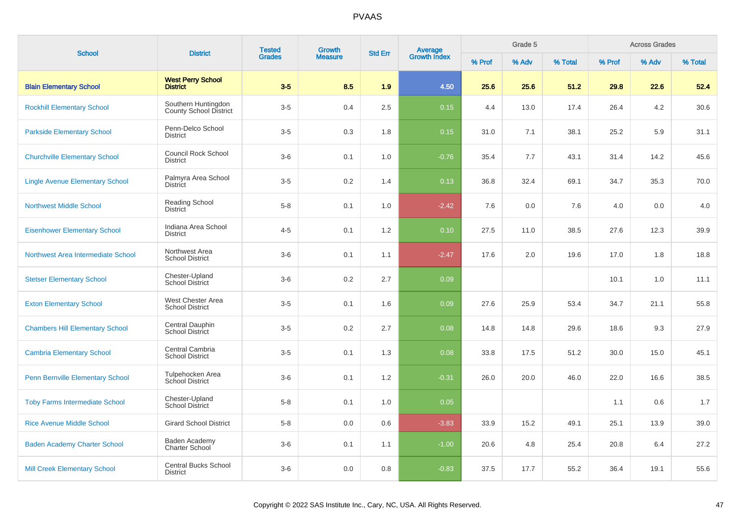| <b>School</b>                           | <b>District</b>                                      | <b>Tested</b> | <b>Growth</b>  | <b>Std Err</b> |                                |        | Grade 5 |         |        | <b>Across Grades</b> |         |
|-----------------------------------------|------------------------------------------------------|---------------|----------------|----------------|--------------------------------|--------|---------|---------|--------|----------------------|---------|
|                                         |                                                      | <b>Grades</b> | <b>Measure</b> |                | <b>Average</b><br>Growth Index | % Prof | % Adv   | % Total | % Prof | % Adv                | % Total |
| <b>Blain Elementary School</b>          | <b>West Perry School</b><br><b>District</b>          | $3-5$         | 8.5            | 1.9            | 4.50                           | 25.6   | 25.6    | 51.2    | 29.8   | 22.6                 | 52.4    |
| <b>Rockhill Elementary School</b>       | Southern Huntingdon<br><b>County School District</b> | $3-5$         | 0.4            | 2.5            | 0.15                           | 4.4    | 13.0    | 17.4    | 26.4   | 4.2                  | 30.6    |
| <b>Parkside Elementary School</b>       | Penn-Delco School<br><b>District</b>                 | $3-5$         | 0.3            | 1.8            | 0.15                           | 31.0   | 7.1     | 38.1    | 25.2   | 5.9                  | 31.1    |
| <b>Churchville Elementary School</b>    | <b>Council Rock School</b><br><b>District</b>        | $3-6$         | 0.1            | 1.0            | $-0.76$                        | 35.4   | 7.7     | 43.1    | 31.4   | 14.2                 | 45.6    |
| <b>Lingle Avenue Elementary School</b>  | Palmyra Area School<br><b>District</b>               | $3-5$         | 0.2            | 1.4            | 0.13                           | 36.8   | 32.4    | 69.1    | 34.7   | 35.3                 | 70.0    |
| <b>Northwest Middle School</b>          | <b>Reading School</b><br><b>District</b>             | $5 - 8$       | 0.1            | 1.0            | $-2.42$                        | 7.6    | 0.0     | 7.6     | 4.0    | 0.0                  | 4.0     |
| <b>Eisenhower Elementary School</b>     | Indiana Area School<br><b>District</b>               | $4 - 5$       | 0.1            | 1.2            | 0.10                           | 27.5   | 11.0    | 38.5    | 27.6   | 12.3                 | 39.9    |
| Northwest Area Intermediate School      | Northwest Area<br><b>School District</b>             | $3-6$         | 0.1            | 1.1            | $-2.47$                        | 17.6   | 2.0     | 19.6    | 17.0   | 1.8                  | 18.8    |
| <b>Stetser Elementary School</b>        | Chester-Upland<br><b>School District</b>             | $3-6$         | 0.2            | 2.7            | 0.09                           |        |         |         | 10.1   | 1.0                  | 11.1    |
| <b>Exton Elementary School</b>          | West Chester Area<br><b>School District</b>          | $3-5$         | 0.1            | 1.6            | 0.09                           | 27.6   | 25.9    | 53.4    | 34.7   | 21.1                 | 55.8    |
| <b>Chambers Hill Elementary School</b>  | Central Dauphin<br>School District                   | $3-5$         | 0.2            | 2.7            | 0.08                           | 14.8   | 14.8    | 29.6    | 18.6   | 9.3                  | 27.9    |
| <b>Cambria Elementary School</b>        | Central Cambria<br><b>School District</b>            | $3-5$         | 0.1            | 1.3            | 0.08                           | 33.8   | 17.5    | 51.2    | 30.0   | 15.0                 | 45.1    |
| <b>Penn Bernville Elementary School</b> | Tulpehocken Area<br>School District                  | $3-6$         | 0.1            | 1.2            | $-0.31$                        | 26.0   | 20.0    | 46.0    | 22.0   | 16.6                 | 38.5    |
| <b>Toby Farms Intermediate School</b>   | Chester-Upland<br><b>School District</b>             | $5-8$         | 0.1            | 1.0            | 0.05                           |        |         |         | 1.1    | 0.6                  | 1.7     |
| <b>Rice Avenue Middle School</b>        | <b>Girard School District</b>                        | $5-8$         | 0.0            | 0.6            | $-3.83$                        | 33.9   | 15.2    | 49.1    | 25.1   | 13.9                 | 39.0    |
| <b>Baden Academy Charter School</b>     | Baden Academy<br>Charter School                      | $3-6$         | 0.1            | 1.1            | $-1.00$                        | 20.6   | 4.8     | 25.4    | 20.8   | 6.4                  | 27.2    |
| <b>Mill Creek Elementary School</b>     | <b>Central Bucks School</b><br><b>District</b>       | $3-6$         | 0.0            | 0.8            | $-0.83$                        | 37.5   | 17.7    | 55.2    | 36.4   | 19.1                 | 55.6    |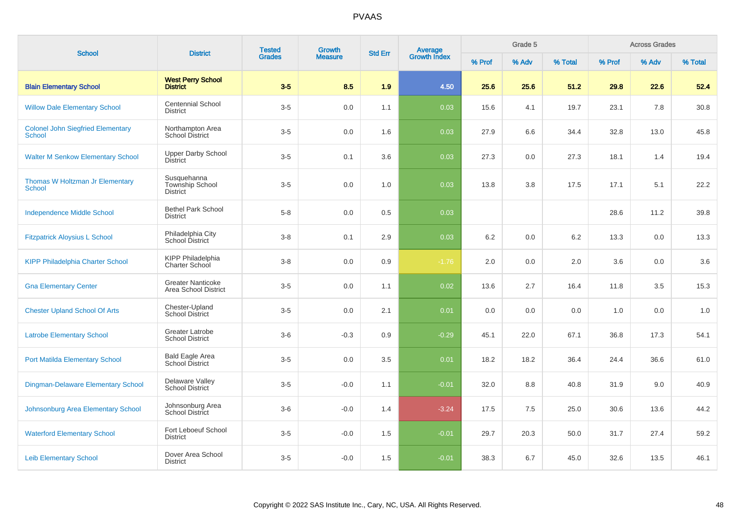| <b>School</b>                                             | <b>District</b>                                          | <b>Tested</b> | <b>Growth</b>  | <b>Std Err</b> |                                |        | Grade 5 |         |        | <b>Across Grades</b> |         |
|-----------------------------------------------------------|----------------------------------------------------------|---------------|----------------|----------------|--------------------------------|--------|---------|---------|--------|----------------------|---------|
|                                                           |                                                          | <b>Grades</b> | <b>Measure</b> |                | <b>Average</b><br>Growth Index | % Prof | % Adv   | % Total | % Prof | % Adv                | % Total |
| <b>Blain Elementary School</b>                            | <b>West Perry School</b><br><b>District</b>              | $3-5$         | 8.5            | 1.9            | 4.50                           | 25.6   | 25.6    | 51.2    | 29.8   | 22.6                 | 52.4    |
| <b>Willow Dale Elementary School</b>                      | <b>Centennial School</b><br><b>District</b>              | $3-5$         | 0.0            | 1.1            | 0.03                           | 15.6   | 4.1     | 19.7    | 23.1   | 7.8                  | 30.8    |
| <b>Colonel John Siegfried Elementary</b><br><b>School</b> | Northampton Area<br><b>School District</b>               | $3-5$         | 0.0            | 1.6            | 0.03                           | 27.9   | 6.6     | 34.4    | 32.8   | 13.0                 | 45.8    |
| <b>Walter M Senkow Elementary School</b>                  | <b>Upper Darby School</b><br><b>District</b>             | $3-5$         | 0.1            | 3.6            | 0.03                           | 27.3   | 0.0     | 27.3    | 18.1   | 1.4                  | 19.4    |
| Thomas W Holtzman Jr Elementary<br><b>School</b>          | Susquehanna<br><b>Township School</b><br><b>District</b> | $3-5$         | 0.0            | 1.0            | 0.03                           | 13.8   | 3.8     | 17.5    | 17.1   | 5.1                  | 22.2    |
| <b>Independence Middle School</b>                         | <b>Bethel Park School</b><br><b>District</b>             | $5 - 8$       | 0.0            | 0.5            | 0.03                           |        |         |         | 28.6   | 11.2                 | 39.8    |
| <b>Fitzpatrick Aloysius L School</b>                      | Philadelphia City<br>School District                     | $3 - 8$       | 0.1            | 2.9            | 0.03                           | 6.2    | 0.0     | 6.2     | 13.3   | 0.0                  | 13.3    |
| <b>KIPP Philadelphia Charter School</b>                   | <b>KIPP Philadelphia</b><br>Charter School               | $3 - 8$       | 0.0            | 0.9            | $-1.76$                        | 2.0    | 0.0     | 2.0     | 3.6    | 0.0                  | 3.6     |
| <b>Gna Elementary Center</b>                              | <b>Greater Nanticoke</b><br>Area School District         | $3-5$         | 0.0            | 1.1            | 0.02                           | 13.6   | 2.7     | 16.4    | 11.8   | 3.5                  | 15.3    |
| <b>Chester Upland School Of Arts</b>                      | Chester-Upland<br><b>School District</b>                 | $3-5$         | 0.0            | 2.1            | 0.01                           | 0.0    | 0.0     | 0.0     | 1.0    | 0.0                  | 1.0     |
| <b>Latrobe Elementary School</b>                          | <b>Greater Latrobe</b><br><b>School District</b>         | $3-6$         | $-0.3$         | 0.9            | $-0.29$                        | 45.1   | 22.0    | 67.1    | 36.8   | 17.3                 | 54.1    |
| <b>Port Matilda Elementary School</b>                     | Bald Eagle Area<br>School District                       | $3-5$         | 0.0            | 3.5            | 0.01                           | 18.2   | 18.2    | 36.4    | 24.4   | 36.6                 | 61.0    |
| <b>Dingman-Delaware Elementary School</b>                 | Delaware Valley<br><b>School District</b>                | $3-5$         | $-0.0$         | 1.1            | $-0.01$                        | 32.0   | 8.8     | 40.8    | 31.9   | 9.0                  | 40.9    |
| Johnsonburg Area Elementary School                        | Johnsonburg Area<br>School District                      | $3-6$         | $-0.0$         | 1.4            | $-3.24$                        | 17.5   | 7.5     | 25.0    | 30.6   | 13.6                 | 44.2    |
| <b>Waterford Elementary School</b>                        | Fort Leboeuf School<br><b>District</b>                   | $3-5$         | $-0.0$         | 1.5            | $-0.01$                        | 29.7   | 20.3    | 50.0    | 31.7   | 27.4                 | 59.2    |
| <b>Leib Elementary School</b>                             | Dover Area School<br><b>District</b>                     | $3-5$         | $-0.0$         | 1.5            | $-0.01$                        | 38.3   | 6.7     | 45.0    | 32.6   | 13.5                 | 46.1    |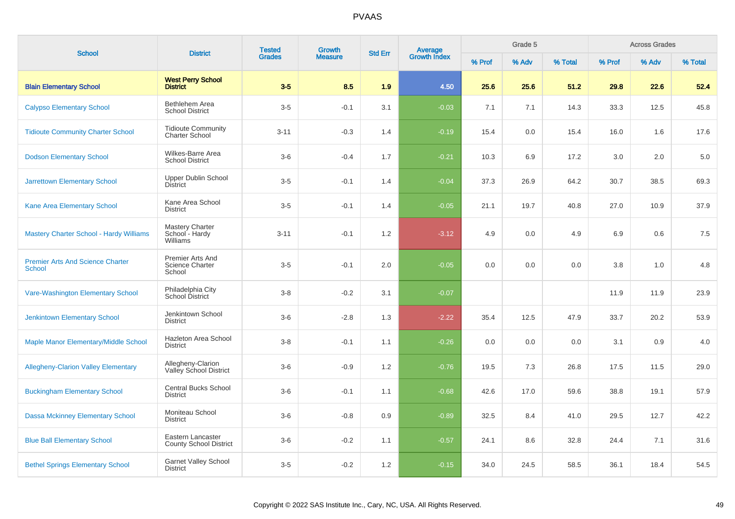| <b>School</b>                                            | <b>District</b>                                      | <b>Tested</b><br><b>Grades</b> | <b>Growth</b>  | <b>Std Err</b> | Average<br>Growth Index |        | Grade 5 |         |        | <b>Across Grades</b> |         |
|----------------------------------------------------------|------------------------------------------------------|--------------------------------|----------------|----------------|-------------------------|--------|---------|---------|--------|----------------------|---------|
|                                                          |                                                      |                                | <b>Measure</b> |                |                         | % Prof | % Adv   | % Total | % Prof | % Adv                | % Total |
| <b>Blain Elementary School</b>                           | <b>West Perry School</b><br><b>District</b>          | $3-5$                          | 8.5            | 1.9            | 4.50                    | 25.6   | 25.6    | 51.2    | 29.8   | 22.6                 | 52.4    |
| <b>Calypso Elementary School</b>                         | Bethlehem Area<br><b>School District</b>             | $3-5$                          | $-0.1$         | 3.1            | $-0.03$                 | 7.1    | 7.1     | 14.3    | 33.3   | 12.5                 | 45.8    |
| <b>Tidioute Community Charter School</b>                 | <b>Tidioute Community</b><br><b>Charter School</b>   | $3 - 11$                       | $-0.3$         | 1.4            | $-0.19$                 | 15.4   | 0.0     | 15.4    | 16.0   | 1.6                  | 17.6    |
| <b>Dodson Elementary School</b>                          | Wilkes-Barre Area<br><b>School District</b>          | $3-6$                          | $-0.4$         | 1.7            | $-0.21$                 | 10.3   | 6.9     | 17.2    | 3.0    | 2.0                  | 5.0     |
| <b>Jarrettown Elementary School</b>                      | <b>Upper Dublin School</b><br><b>District</b>        | $3-5$                          | $-0.1$         | 1.4            | $-0.04$                 | 37.3   | 26.9    | 64.2    | 30.7   | 38.5                 | 69.3    |
| Kane Area Elementary School                              | Kane Area School<br><b>District</b>                  | $3-5$                          | $-0.1$         | 1.4            | $-0.05$                 | 21.1   | 19.7    | 40.8    | 27.0   | 10.9                 | 37.9    |
| <b>Mastery Charter School - Hardy Williams</b>           | <b>Mastery Charter</b><br>School - Hardy<br>Williams | $3 - 11$                       | $-0.1$         | 1.2            | $-3.12$                 | 4.9    | 0.0     | 4.9     | 6.9    | 0.6                  | 7.5     |
| <b>Premier Arts And Science Charter</b><br><b>School</b> | Premier Arts And<br>Science Charter<br>School        | $3-5$                          | $-0.1$         | 2.0            | $-0.05$                 | 0.0    | 0.0     | 0.0     | 3.8    | 1.0                  | 4.8     |
| Vare-Washington Elementary School                        | Philadelphia City<br>School District                 | $3 - 8$                        | $-0.2$         | 3.1            | $-0.07$                 |        |         |         | 11.9   | 11.9                 | 23.9    |
| <b>Jenkintown Elementary School</b>                      | Jenkintown School<br><b>District</b>                 | $3-6$                          | $-2.8$         | 1.3            | $-2.22$                 | 35.4   | 12.5    | 47.9    | 33.7   | 20.2                 | 53.9    |
| Maple Manor Elementary/Middle School                     | Hazleton Area School<br><b>District</b>              | $3 - 8$                        | $-0.1$         | 1.1            | $-0.26$                 | 0.0    | 0.0     | 0.0     | 3.1    | 0.9                  | 4.0     |
| <b>Allegheny-Clarion Valley Elementary</b>               | Allegheny-Clarion<br>Valley School District          | $3-6$                          | $-0.9$         | 1.2            | $-0.76$                 | 19.5   | 7.3     | 26.8    | 17.5   | 11.5                 | 29.0    |
| <b>Buckingham Elementary School</b>                      | <b>Central Bucks School</b><br><b>District</b>       | $3-6$                          | $-0.1$         | 1.1            | $-0.68$                 | 42.6   | 17.0    | 59.6    | 38.8   | 19.1                 | 57.9    |
| <b>Dassa Mckinney Elementary School</b>                  | Moniteau School<br><b>District</b>                   | $3-6$                          | $-0.8$         | 0.9            | $-0.89$                 | 32.5   | 8.4     | 41.0    | 29.5   | 12.7                 | 42.2    |
| <b>Blue Ball Elementary School</b>                       | Eastern Lancaster<br><b>County School District</b>   | $3-6$                          | $-0.2$         | 1.1            | $-0.57$                 | 24.1   | 8.6     | 32.8    | 24.4   | 7.1                  | 31.6    |
| <b>Bethel Springs Elementary School</b>                  | <b>Garnet Valley School</b><br><b>District</b>       | $3-5$                          | $-0.2$         | 1.2            | $-0.15$                 | 34.0   | 24.5    | 58.5    | 36.1   | 18.4                 | 54.5    |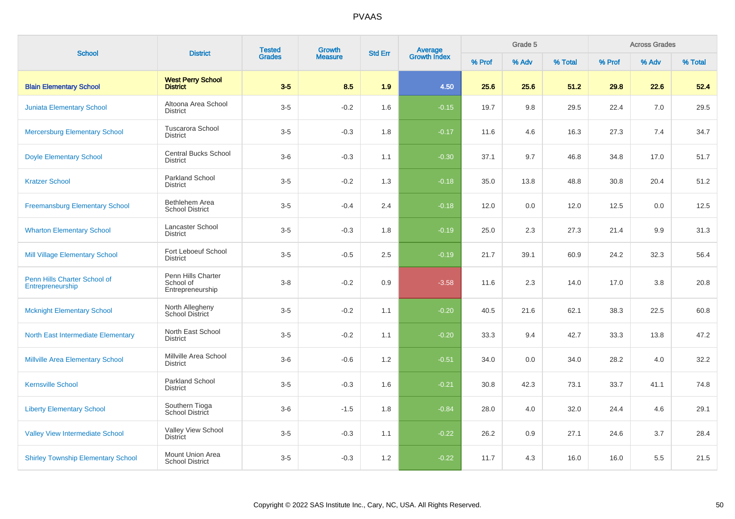| <b>School</b>                                    | <b>District</b>                                     | <b>Tested</b> | <b>Growth</b>  | <b>Std Err</b> | Average<br>Growth Index |        | Grade 5 | <b>Across Grades</b> |        |       |         |
|--------------------------------------------------|-----------------------------------------------------|---------------|----------------|----------------|-------------------------|--------|---------|----------------------|--------|-------|---------|
|                                                  |                                                     | <b>Grades</b> | <b>Measure</b> |                |                         | % Prof | % Adv   | % Total              | % Prof | % Adv | % Total |
| <b>Blain Elementary School</b>                   | <b>West Perry School</b><br><b>District</b>         | $3-5$         | 8.5            | 1.9            | 4.50                    | 25.6   | 25.6    | 51.2                 | 29.8   | 22.6  | 52.4    |
| <b>Juniata Elementary School</b>                 | Altoona Area School<br><b>District</b>              | $3-5$         | $-0.2$         | 1.6            | $-0.15$                 | 19.7   | 9.8     | 29.5                 | 22.4   | 7.0   | 29.5    |
| <b>Mercersburg Elementary School</b>             | <b>Tuscarora School</b><br><b>District</b>          | $3-5$         | $-0.3$         | 1.8            | $-0.17$                 | 11.6   | 4.6     | 16.3                 | 27.3   | 7.4   | 34.7    |
| <b>Doyle Elementary School</b>                   | <b>Central Bucks School</b><br><b>District</b>      | $3-6$         | $-0.3$         | 1.1            | $-0.30$                 | 37.1   | 9.7     | 46.8                 | 34.8   | 17.0  | 51.7    |
| <b>Kratzer School</b>                            | <b>Parkland School</b><br><b>District</b>           | $3-5$         | $-0.2$         | 1.3            | $-0.18$                 | 35.0   | 13.8    | 48.8                 | 30.8   | 20.4  | 51.2    |
| <b>Freemansburg Elementary School</b>            | Bethlehem Area<br><b>School District</b>            | $3-5$         | $-0.4$         | 2.4            | $-0.18$                 | 12.0   | 0.0     | 12.0                 | 12.5   | 0.0   | 12.5    |
| <b>Wharton Elementary School</b>                 | Lancaster School<br><b>District</b>                 | $3-5$         | $-0.3$         | 1.8            | $-0.19$                 | 25.0   | 2.3     | 27.3                 | 21.4   | 9.9   | 31.3    |
| <b>Mill Village Elementary School</b>            | Fort Leboeuf School<br><b>District</b>              | $3-5$         | $-0.5$         | 2.5            | $-0.19$                 | 21.7   | 39.1    | 60.9                 | 24.2   | 32.3  | 56.4    |
| Penn Hills Charter School of<br>Entrepreneurship | Penn Hills Charter<br>School of<br>Entrepreneurship | $3 - 8$       | $-0.2$         | 0.9            | $-3.58$                 | 11.6   | 2.3     | 14.0                 | 17.0   | 3.8   | 20.8    |
| <b>Mcknight Elementary School</b>                | North Allegheny<br><b>School District</b>           | $3-5$         | $-0.2$         | 1.1            | $-0.20$                 | 40.5   | 21.6    | 62.1                 | 38.3   | 22.5  | 60.8    |
| <b>North East Intermediate Elementary</b>        | North East School<br><b>District</b>                | $3-5$         | $-0.2$         | 1.1            | $-0.20$                 | 33.3   | 9.4     | 42.7                 | 33.3   | 13.8  | 47.2    |
| <b>Millville Area Elementary School</b>          | Millville Area School<br><b>District</b>            | $3-6$         | $-0.6$         | 1.2            | $-0.51$                 | 34.0   | 0.0     | 34.0                 | 28.2   | 4.0   | 32.2    |
| <b>Kernsville School</b>                         | Parkland School<br><b>District</b>                  | $3-5$         | $-0.3$         | 1.6            | $-0.21$                 | 30.8   | 42.3    | 73.1                 | 33.7   | 41.1  | 74.8    |
| <b>Liberty Elementary School</b>                 | Southern Tioga<br>School District                   | $3-6$         | $-1.5$         | 1.8            | $-0.84$                 | 28.0   | 4.0     | 32.0                 | 24.4   | 4.6   | 29.1    |
| <b>Valley View Intermediate School</b>           | Valley View School<br>District                      | $3-5$         | $-0.3$         | 1.1            | $-0.22$                 | 26.2   | 0.9     | 27.1                 | 24.6   | 3.7   | 28.4    |
| <b>Shirley Township Elementary School</b>        | <b>Mount Union Area</b><br><b>School District</b>   | $3-5$         | $-0.3$         | 1.2            | $-0.22$                 | 11.7   | 4.3     | 16.0                 | 16.0   | 5.5   | 21.5    |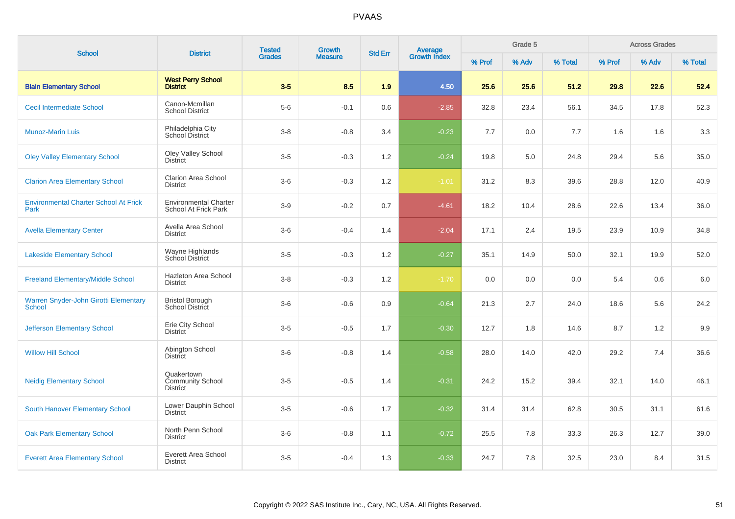| <b>School</b>                                                 | <b>District</b>                                          | <b>Tested</b> | <b>Growth</b>  | <b>Std Err</b> | Average<br>Growth Index |        | Grade 5 |         |        | <b>Across Grades</b> |         |
|---------------------------------------------------------------|----------------------------------------------------------|---------------|----------------|----------------|-------------------------|--------|---------|---------|--------|----------------------|---------|
|                                                               |                                                          | <b>Grades</b> | <b>Measure</b> |                |                         | % Prof | % Adv   | % Total | % Prof | % Adv                | % Total |
| <b>Blain Elementary School</b>                                | <b>West Perry School</b><br><b>District</b>              | $3-5$         | 8.5            | 1.9            | 4.50                    | 25.6   | 25.6    | 51.2    | 29.8   | 22.6                 | 52.4    |
| <b>Cecil Intermediate School</b>                              | Canon-Mcmillan<br><b>School District</b>                 | $5-6$         | $-0.1$         | 0.6            | $-2.85$                 | 32.8   | 23.4    | 56.1    | 34.5   | 17.8                 | 52.3    |
| <b>Munoz-Marin Luis</b>                                       | Philadelphia City<br><b>School District</b>              | $3 - 8$       | $-0.8$         | 3.4            | $-0.23$                 | 7.7    | 0.0     | 7.7     | 1.6    | 1.6                  | 3.3     |
| <b>Oley Valley Elementary School</b>                          | <b>Oley Valley School</b><br><b>District</b>             | $3-5$         | $-0.3$         | 1.2            | $-0.24$                 | 19.8   | 5.0     | 24.8    | 29.4   | 5.6                  | 35.0    |
| <b>Clarion Area Elementary School</b>                         | Clarion Area School<br><b>District</b>                   | $3-6$         | $-0.3$         | 1.2            | $-1.01$                 | 31.2   | 8.3     | 39.6    | 28.8   | 12.0                 | 40.9    |
| <b>Environmental Charter School At Frick</b><br>Park          | <b>Environmental Charter</b><br>School At Frick Park     | $3-9$         | $-0.2$         | 0.7            | $-4.61$                 | 18.2   | 10.4    | 28.6    | 22.6   | 13.4                 | 36.0    |
| <b>Avella Elementary Center</b>                               | Avella Area School<br><b>District</b>                    | $3-6$         | $-0.4$         | 1.4            | $-2.04$                 | 17.1   | 2.4     | 19.5    | 23.9   | 10.9                 | 34.8    |
| <b>Lakeside Elementary School</b>                             | Wayne Highlands<br>School District                       | $3-5$         | $-0.3$         | 1.2            | $-0.27$                 | 35.1   | 14.9    | 50.0    | 32.1   | 19.9                 | 52.0    |
| <b>Freeland Elementary/Middle School</b>                      | Hazleton Area School<br><b>District</b>                  | $3-8$         | $-0.3$         | 1.2            | $-1.70$                 | 0.0    | 0.0     | 0.0     | 5.4    | 0.6                  | 6.0     |
| <b>Warren Snyder-John Girotti Elementary</b><br><b>School</b> | <b>Bristol Borough</b><br>School District                | $3-6$         | $-0.6$         | 0.9            | $-0.64$                 | 21.3   | 2.7     | 24.0    | 18.6   | 5.6                  | 24.2    |
| <b>Jefferson Elementary School</b>                            | Erie City School<br><b>District</b>                      | $3-5$         | $-0.5$         | 1.7            | $-0.30$                 | 12.7   | 1.8     | 14.6    | 8.7    | 1.2                  | 9.9     |
| <b>Willow Hill School</b>                                     | Abington School<br><b>District</b>                       | $3-6$         | $-0.8$         | 1.4            | $-0.58$                 | 28.0   | 14.0    | 42.0    | 29.2   | 7.4                  | 36.6    |
| <b>Neidig Elementary School</b>                               | Quakertown<br><b>Community School</b><br><b>District</b> | $3-5$         | $-0.5$         | 1.4            | $-0.31$                 | 24.2   | 15.2    | 39.4    | 32.1   | 14.0                 | 46.1    |
| <b>South Hanover Elementary School</b>                        | Lower Dauphin School<br><b>District</b>                  | $3-5$         | $-0.6$         | 1.7            | $-0.32$                 | 31.4   | 31.4    | 62.8    | 30.5   | 31.1                 | 61.6    |
| <b>Oak Park Elementary School</b>                             | North Penn School<br><b>District</b>                     | $3-6$         | $-0.8$         | 1.1            | $-0.72$                 | 25.5   | 7.8     | 33.3    | 26.3   | 12.7                 | 39.0    |
| <b>Everett Area Elementary School</b>                         | Everett Area School<br><b>District</b>                   | $3-5$         | $-0.4$         | 1.3            | $-0.33$                 | 24.7   | 7.8     | 32.5    | 23.0   | 8.4                  | 31.5    |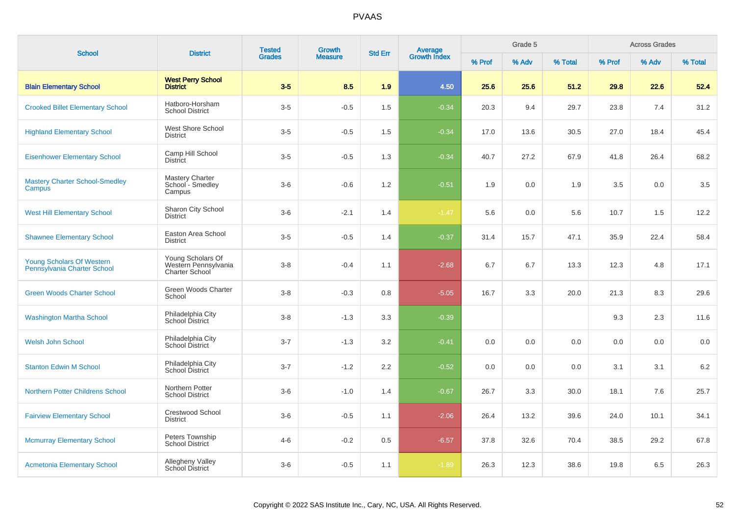| <b>School</b>                                            | <b>District</b>                                                    | <b>Tested</b> | <b>Growth</b>  | <b>Std Err</b> | <b>Average</b><br>Growth Index |        | Grade 5 |         |         | <b>Across Grades</b> |         |  |
|----------------------------------------------------------|--------------------------------------------------------------------|---------------|----------------|----------------|--------------------------------|--------|---------|---------|---------|----------------------|---------|--|
|                                                          |                                                                    | <b>Grades</b> | <b>Measure</b> |                |                                | % Prof | % Adv   | % Total | % Prof  | % Adv                | % Total |  |
| <b>Blain Elementary School</b>                           | <b>West Perry School</b><br><b>District</b>                        | $3-5$         | 8.5            | 1.9            | 4.50                           | 25.6   | 25.6    | 51.2    | 29.8    | 22.6                 | 52.4    |  |
| <b>Crooked Billet Elementary School</b>                  | Hatboro-Horsham<br><b>School District</b>                          | $3-5$         | $-0.5$         | 1.5            | $-0.34$                        | 20.3   | 9.4     | 29.7    | 23.8    | 7.4                  | 31.2    |  |
| <b>Highland Elementary School</b>                        | West Shore School<br><b>District</b>                               | $3-5$         | $-0.5$         | 1.5            | $-0.34$                        | 17.0   | 13.6    | 30.5    | 27.0    | 18.4                 | 45.4    |  |
| <b>Eisenhower Elementary School</b>                      | Camp Hill School<br>District                                       | $3-5$         | $-0.5$         | 1.3            | $-0.34$                        | 40.7   | 27.2    | 67.9    | 41.8    | 26.4                 | 68.2    |  |
| <b>Mastery Charter School-Smedley</b><br>Campus          | <b>Mastery Charter</b><br>School - Smedley<br>Campus               | $3-6$         | $-0.6$         | 1.2            | $-0.51$                        | 1.9    | 0.0     | 1.9     | $3.5\,$ | 0.0                  | 3.5     |  |
| <b>West Hill Elementary School</b>                       | Sharon City School<br><b>District</b>                              | $3-6$         | $-2.1$         | 1.4            | $-1.47$                        | 5.6    | 0.0     | 5.6     | 10.7    | 1.5                  | 12.2    |  |
| <b>Shawnee Elementary School</b>                         | Easton Area School<br><b>District</b>                              | $3-5$         | $-0.5$         | 1.4            | $-0.37$                        | 31.4   | 15.7    | 47.1    | 35.9    | 22.4                 | 58.4    |  |
| Young Scholars Of Western<br>Pennsylvania Charter School | Young Scholars Of<br>Western Pennsylvania<br><b>Charter School</b> | $3 - 8$       | $-0.4$         | 1.1            | $-2.68$                        | 6.7    | 6.7     | 13.3    | 12.3    | 4.8                  | 17.1    |  |
| <b>Green Woods Charter School</b>                        | Green Woods Charter<br>School                                      | $3 - 8$       | $-0.3$         | 0.8            | $-5.05$                        | 16.7   | 3.3     | 20.0    | 21.3    | 8.3                  | 29.6    |  |
| <b>Washington Martha School</b>                          | Philadelphia City<br>School District                               | $3-8$         | $-1.3$         | 3.3            | $-0.39$                        |        |         |         | 9.3     | 2.3                  | 11.6    |  |
| <b>Welsh John School</b>                                 | Philadelphia City<br>School District                               | $3 - 7$       | $-1.3$         | 3.2            | $-0.41$                        | 0.0    | 0.0     | 0.0     | 0.0     | 0.0                  | 0.0     |  |
| <b>Stanton Edwin M School</b>                            | Philadelphia City<br><b>School District</b>                        | $3 - 7$       | $-1.2$         | 2.2            | $-0.52$                        | 0.0    | 0.0     | 0.0     | 3.1     | 3.1                  | 6.2     |  |
| <b>Northern Potter Childrens School</b>                  | Northern Potter<br><b>School District</b>                          | $3-6$         | $-1.0$         | 1.4            | $-0.67$                        | 26.7   | 3.3     | 30.0    | 18.1    | 7.6                  | 25.7    |  |
| <b>Fairview Elementary School</b>                        | <b>Crestwood School</b><br><b>District</b>                         | $3-6$         | $-0.5$         | 1.1            | $-2.06$                        | 26.4   | 13.2    | 39.6    | 24.0    | 10.1                 | 34.1    |  |
| <b>Mcmurray Elementary School</b>                        | Peters Township<br><b>School District</b>                          | $4 - 6$       | $-0.2$         | 0.5            | $-6.57$                        | 37.8   | 32.6    | 70.4    | 38.5    | 29.2                 | 67.8    |  |
| <b>Acmetonia Elementary School</b>                       | <b>Allegheny Valley</b><br><b>School District</b>                  | $3-6$         | $-0.5$         | 1.1            | $-1.89$                        | 26.3   | 12.3    | 38.6    | 19.8    | 6.5                  | 26.3    |  |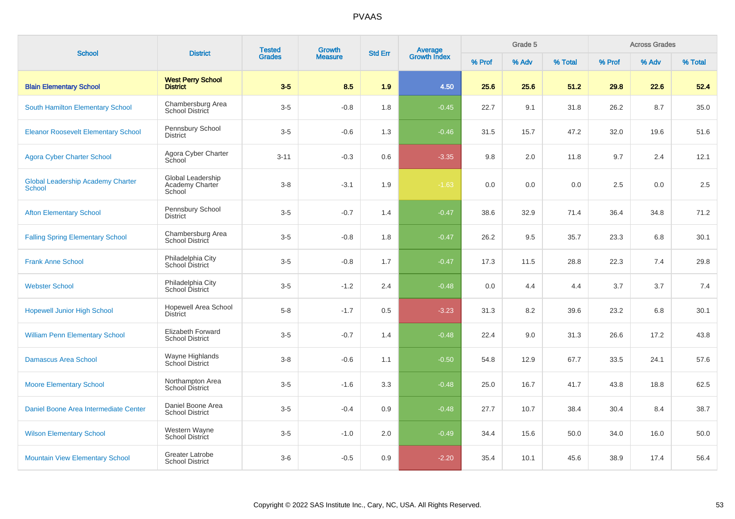| <b>School</b>                                             | <b>District</b>                                  | <b>Tested</b><br><b>Grades</b> | Growth         | <b>Std Err</b> |                                |        | Grade 5 |         |        | <b>Across Grades</b> |         |
|-----------------------------------------------------------|--------------------------------------------------|--------------------------------|----------------|----------------|--------------------------------|--------|---------|---------|--------|----------------------|---------|
|                                                           |                                                  |                                | <b>Measure</b> |                | <b>Average</b><br>Growth Index | % Prof | % Adv   | % Total | % Prof | % Adv                | % Total |
| <b>Blain Elementary School</b>                            | <b>West Perry School</b><br><b>District</b>      | $3-5$                          | 8.5            | 1.9            | 4.50                           | 25.6   | 25.6    | 51.2    | 29.8   | 22.6                 | 52.4    |
| <b>South Hamilton Elementary School</b>                   | Chambersburg Area<br>School District             | $3-5$                          | $-0.8$         | 1.8            | $-0.45$                        | 22.7   | 9.1     | 31.8    | 26.2   | 8.7                  | 35.0    |
| <b>Eleanor Roosevelt Elementary School</b>                | Pennsbury School<br><b>District</b>              | $3-5$                          | $-0.6$         | 1.3            | $-0.46$                        | 31.5   | 15.7    | 47.2    | 32.0   | 19.6                 | 51.6    |
| <b>Agora Cyber Charter School</b>                         | Agora Cyber Charter<br>School                    | $3 - 11$                       | $-0.3$         | 0.6            | $-3.35$                        | 9.8    | 2.0     | 11.8    | 9.7    | 2.4                  | 12.1    |
| <b>Global Leadership Academy Charter</b><br><b>School</b> | Global Leadership<br>Academy Charter<br>School   | $3-8$                          | $-3.1$         | 1.9            | $-1.63$                        | 0.0    | 0.0     | 0.0     | 2.5    | 0.0                  | 2.5     |
| <b>Afton Elementary School</b>                            | Pennsbury School<br><b>District</b>              | $3-5$                          | $-0.7$         | 1.4            | $-0.47$                        | 38.6   | 32.9    | 71.4    | 36.4   | 34.8                 | 71.2    |
| <b>Falling Spring Elementary School</b>                   | Chambersburg Area<br><b>School District</b>      | $3-5$                          | $-0.8$         | 1.8            | $-0.47$                        | 26.2   | 9.5     | 35.7    | 23.3   | 6.8                  | 30.1    |
| <b>Frank Anne School</b>                                  | Philadelphia City<br>School District             | $3-5$                          | $-0.8$         | 1.7            | $-0.47$                        | 17.3   | 11.5    | 28.8    | 22.3   | 7.4                  | 29.8    |
| <b>Webster School</b>                                     | Philadelphia City<br>School District             | $3-5$                          | $-1.2$         | 2.4            | $-0.48$                        | 0.0    | 4.4     | 4.4     | 3.7    | 3.7                  | 7.4     |
| <b>Hopewell Junior High School</b>                        | <b>Hopewell Area School</b><br><b>District</b>   | $5 - 8$                        | $-1.7$         | 0.5            | $-3.23$                        | 31.3   | 8.2     | 39.6    | 23.2   | 6.8                  | 30.1    |
| <b>William Penn Elementary School</b>                     | Elizabeth Forward<br><b>School District</b>      | $3-5$                          | $-0.7$         | 1.4            | $-0.48$                        | 22.4   | 9.0     | 31.3    | 26.6   | 17.2                 | 43.8    |
| <b>Damascus Area School</b>                               | Wayne Highlands<br>School District               | $3-8$                          | $-0.6$         | 1.1            | $-0.50$                        | 54.8   | 12.9    | 67.7    | 33.5   | 24.1                 | 57.6    |
| <b>Moore Elementary School</b>                            | Northampton Area<br><b>School District</b>       | $3-5$                          | $-1.6$         | 3.3            | $-0.48$                        | 25.0   | 16.7    | 41.7    | 43.8   | 18.8                 | 62.5    |
| Daniel Boone Area Intermediate Center                     | Daniel Boone Area<br><b>School District</b>      | $3-5$                          | $-0.4$         | 0.9            | $-0.48$                        | 27.7   | 10.7    | 38.4    | 30.4   | 8.4                  | 38.7    |
| <b>Wilson Elementary School</b>                           | Western Wayne<br>School District                 | $3-5$                          | $-1.0$         | 2.0            | $-0.49$                        | 34.4   | 15.6    | 50.0    | 34.0   | 16.0                 | 50.0    |
| <b>Mountain View Elementary School</b>                    | <b>Greater Latrobe</b><br><b>School District</b> | $3-6$                          | $-0.5$         | 0.9            | $-2.20$                        | 35.4   | 10.1    | 45.6    | 38.9   | 17.4                 | 56.4    |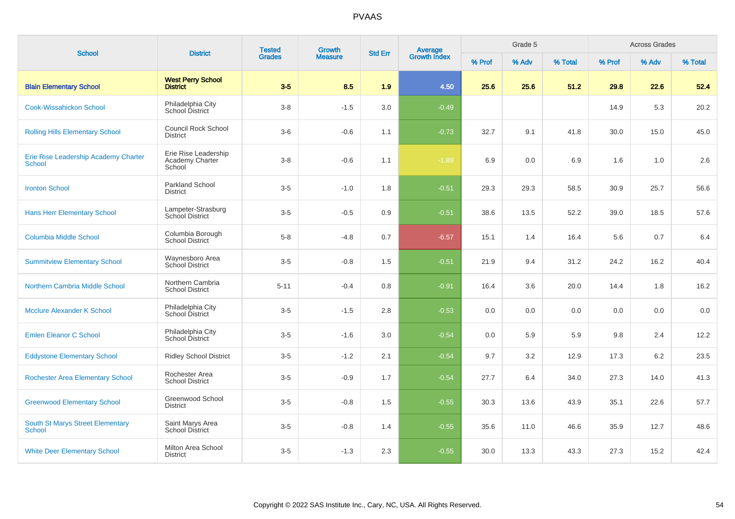| <b>School</b>                                         |                                                   | <b>Tested</b><br><b>District</b><br><b>Grades</b> | <b>Growth</b><br><b>Std Err</b> |     |                                | Grade 5 |       |         | <b>Across Grades</b> |       |         |
|-------------------------------------------------------|---------------------------------------------------|---------------------------------------------------|---------------------------------|-----|--------------------------------|---------|-------|---------|----------------------|-------|---------|
|                                                       |                                                   |                                                   | <b>Measure</b>                  |     | <b>Average</b><br>Growth Index | % Prof  | % Adv | % Total | % Prof               | % Adv | % Total |
| <b>Blain Elementary School</b>                        | <b>West Perry School</b><br><b>District</b>       | $3-5$                                             | 8.5                             | 1.9 | 4.50                           | 25.6    | 25.6  | 51.2    | 29.8                 | 22.6  | 52.4    |
| <b>Cook-Wissahickon School</b>                        | Philadelphia City<br>School District              | $3 - 8$                                           | $-1.5$                          | 3.0 | $-0.49$                        |         |       |         | 14.9                 | 5.3   | 20.2    |
| <b>Rolling Hills Elementary School</b>                | <b>Council Rock School</b><br><b>District</b>     | $3-6$                                             | $-0.6$                          | 1.1 | $-0.73$                        | 32.7    | 9.1   | 41.8    | 30.0                 | 15.0  | 45.0    |
| Erie Rise Leadership Academy Charter<br><b>School</b> | Erie Rise Leadership<br>Academy Charter<br>School | $3-8$                                             | $-0.6$                          | 1.1 | $-1.89$                        | 6.9     | 0.0   | 6.9     | 1.6                  | 1.0   | 2.6     |
| <b>Ironton School</b>                                 | <b>Parkland School</b><br><b>District</b>         | $3-5$                                             | $-1.0$                          | 1.8 | $-0.51$                        | 29.3    | 29.3  | 58.5    | 30.9                 | 25.7  | 56.6    |
| <b>Hans Herr Elementary School</b>                    | Lampeter-Strasburg<br><b>School District</b>      | $3-5$                                             | $-0.5$                          | 0.9 | $-0.51$                        | 38.6    | 13.5  | 52.2    | 39.0                 | 18.5  | 57.6    |
| <b>Columbia Middle School</b>                         | Columbia Borough<br><b>School District</b>        | $5-8$                                             | $-4.8$                          | 0.7 | $-6.57$                        | 15.1    | 1.4   | 16.4    | 5.6                  | 0.7   | 6.4     |
| <b>Summitview Elementary School</b>                   | Waynesboro Area<br>School District                | $3-5$                                             | $-0.8$                          | 1.5 | $-0.51$                        | 21.9    | 9.4   | 31.2    | 24.2                 | 16.2  | 40.4    |
| Northern Cambria Middle School                        | Northern Cambria<br><b>School District</b>        | $5 - 11$                                          | $-0.4$                          | 0.8 | $-0.91$                        | 16.4    | 3.6   | 20.0    | 14.4                 | 1.8   | 16.2    |
| <b>Mcclure Alexander K School</b>                     | Philadelphia City<br>School District              | $3-5$                                             | $-1.5$                          | 2.8 | $-0.53$                        | 0.0     | 0.0   | 0.0     | 0.0                  | 0.0   | 0.0     |
| <b>Emlen Eleanor C School</b>                         | Philadelphia City<br>School District              | $3-5$                                             | $-1.6$                          | 3.0 | $-0.54$                        | 0.0     | 5.9   | 5.9     | 9.8                  | 2.4   | 12.2    |
| <b>Eddystone Elementary School</b>                    | <b>Ridley School District</b>                     | $3-5$                                             | $-1.2$                          | 2.1 | $-0.54$                        | 9.7     | 3.2   | 12.9    | 17.3                 | 6.2   | 23.5    |
| <b>Rochester Area Elementary School</b>               | Rochester Area<br><b>School District</b>          | $3-5$                                             | $-0.9$                          | 1.7 | $-0.54$                        | 27.7    | 6.4   | 34.0    | 27.3                 | 14.0  | 41.3    |
| <b>Greenwood Elementary School</b>                    | Greenwood School<br><b>District</b>               | $3-5$                                             | $-0.8$                          | 1.5 | $-0.55$                        | 30.3    | 13.6  | 43.9    | 35.1                 | 22.6  | 57.7    |
| South St Marys Street Elementary<br><b>School</b>     | Saint Marys Area<br><b>School District</b>        | $3-5$                                             | $-0.8$                          | 1.4 | $-0.55$                        | 35.6    | 11.0  | 46.6    | 35.9                 | 12.7  | 48.6    |
| <b>White Deer Elementary School</b>                   | Milton Area School<br><b>District</b>             | $3-5$                                             | $-1.3$                          | 2.3 | $-0.55$                        | 30.0    | 13.3  | 43.3    | 27.3                 | 15.2  | 42.4    |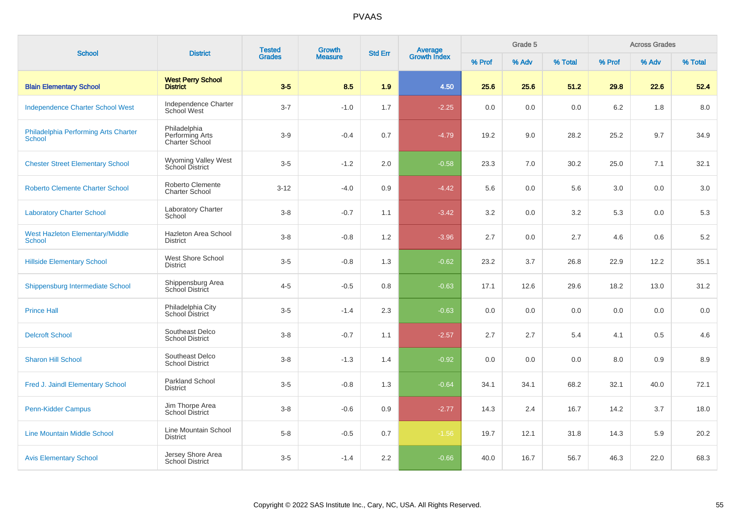| <b>School</b>                                           | <b>District</b>                                   | <b>Tested</b> | <b>Growth</b><br><b>Std Err</b> |     |                                | Grade 5 |       |         | <b>Across Grades</b> |       |         |
|---------------------------------------------------------|---------------------------------------------------|---------------|---------------------------------|-----|--------------------------------|---------|-------|---------|----------------------|-------|---------|
|                                                         |                                                   | <b>Grades</b> | <b>Measure</b>                  |     | <b>Average</b><br>Growth Index | % Prof  | % Adv | % Total | % Prof               | % Adv | % Total |
| <b>Blain Elementary School</b>                          | <b>West Perry School</b><br><b>District</b>       | $3-5$         | 8.5                             | 1.9 | 4.50                           | 25.6    | 25.6  | 51.2    | 29.8                 | 22.6  | 52.4    |
| <b>Independence Charter School West</b>                 | Independence Charter<br>School West               | $3 - 7$       | $-1.0$                          | 1.7 | $-2.25$                        | 0.0     | 0.0   | 0.0     | 6.2                  | 1.8   | 8.0     |
| Philadelphia Performing Arts Charter<br>School          | Philadelphia<br>Performing Arts<br>Charter School | $3-9$         | $-0.4$                          | 0.7 | $-4.79$                        | 19.2    | 9.0   | 28.2    | 25.2                 | 9.7   | 34.9    |
| <b>Chester Street Elementary School</b>                 | Wyoming Valley West<br>School District            | $3-5$         | $-1.2$                          | 2.0 | $-0.58$                        | 23.3    | 7.0   | 30.2    | 25.0                 | 7.1   | 32.1    |
| <b>Roberto Clemente Charter School</b>                  | Roberto Clemente<br><b>Charter School</b>         | $3-12$        | $-4.0$                          | 0.9 | $-4.42$                        | 5.6     | 0.0   | 5.6     | 3.0                  | 0.0   | 3.0     |
| <b>Laboratory Charter School</b>                        | <b>Laboratory Charter</b><br>School               | $3 - 8$       | $-0.7$                          | 1.1 | $-3.42$                        | 3.2     | 0.0   | 3.2     | 5.3                  | 0.0   | 5.3     |
| <b>West Hazleton Elementary/Middle</b><br><b>School</b> | Hazleton Area School<br><b>District</b>           | $3 - 8$       | $-0.8$                          | 1.2 | $-3.96$                        | 2.7     | 0.0   | 2.7     | 4.6                  | 0.6   | $5.2\,$ |
| <b>Hillside Elementary School</b>                       | West Shore School<br><b>District</b>              | $3-5$         | $-0.8$                          | 1.3 | $-0.62$                        | 23.2    | 3.7   | 26.8    | 22.9                 | 12.2  | 35.1    |
| Shippensburg Intermediate School                        | Shippensburg Area<br>School District              | $4 - 5$       | $-0.5$                          | 0.8 | $-0.63$                        | 17.1    | 12.6  | 29.6    | 18.2                 | 13.0  | 31.2    |
| <b>Prince Hall</b>                                      | Philadelphia City<br>School District              | $3-5$         | $-1.4$                          | 2.3 | $-0.63$                        | 0.0     | 0.0   | 0.0     | 0.0                  | 0.0   | 0.0     |
| <b>Delcroft School</b>                                  | Southeast Delco<br><b>School District</b>         | $3 - 8$       | $-0.7$                          | 1.1 | $-2.57$                        | 2.7     | 2.7   | 5.4     | 4.1                  | 0.5   | 4.6     |
| <b>Sharon Hill School</b>                               | Southeast Delco<br><b>School District</b>         | $3-8$         | $-1.3$                          | 1.4 | $-0.92$                        | 0.0     | 0.0   | 0.0     | 8.0                  | 0.9   | 8.9     |
| Fred J. Jaindl Elementary School                        | Parkland School<br><b>District</b>                | $3-5$         | $-0.8$                          | 1.3 | $-0.64$                        | 34.1    | 34.1  | 68.2    | 32.1                 | 40.0  | 72.1    |
| Penn-Kidder Campus                                      | Jim Thorpe Area<br><b>School District</b>         | $3 - 8$       | $-0.6$                          | 0.9 | $-2.77$                        | 14.3    | 2.4   | 16.7    | 14.2                 | 3.7   | 18.0    |
| <b>Line Mountain Middle School</b>                      | Line Mountain School<br><b>District</b>           | $5 - 8$       | $-0.5$                          | 0.7 | $-1.56$                        | 19.7    | 12.1  | 31.8    | 14.3                 | 5.9   | 20.2    |
| <b>Avis Elementary School</b>                           | Jersey Shore Area<br>School District              | $3-5$         | $-1.4$                          | 2.2 | $-0.66$                        | 40.0    | 16.7  | 56.7    | 46.3                 | 22.0  | 68.3    |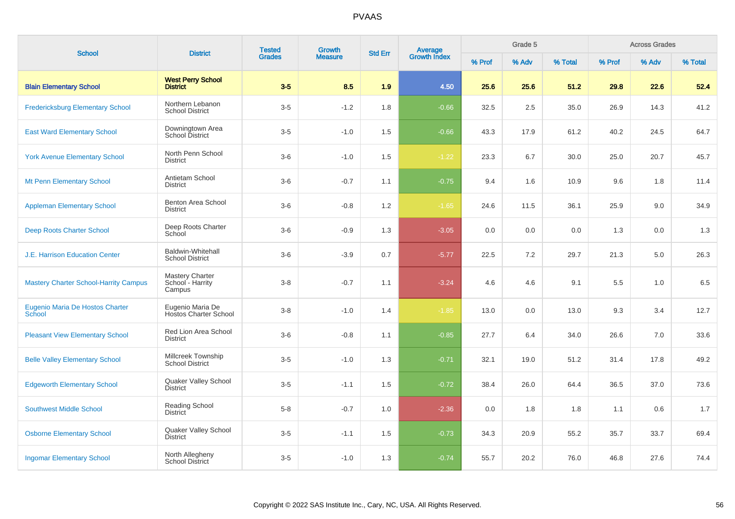| <b>School</b>                                    | <b>District</b>                                  | <b>Tested</b> | <b>Growth</b>  | <b>Std Err</b> | Average<br>Growth Index |        | Grade 5 |         |        | <b>Across Grades</b><br>% Adv |         |  |
|--------------------------------------------------|--------------------------------------------------|---------------|----------------|----------------|-------------------------|--------|---------|---------|--------|-------------------------------|---------|--|
|                                                  |                                                  | <b>Grades</b> | <b>Measure</b> |                |                         | % Prof | % Adv   | % Total | % Prof |                               | % Total |  |
| <b>Blain Elementary School</b>                   | <b>West Perry School</b><br><b>District</b>      | $3-5$         | 8.5            | 1.9            | 4.50                    | 25.6   | 25.6    | 51.2    | 29.8   | 22.6                          | 52.4    |  |
| <b>Fredericksburg Elementary School</b>          | Northern Lebanon<br><b>School District</b>       | $3-5$         | $-1.2$         | 1.8            | $-0.66$                 | 32.5   | 2.5     | 35.0    | 26.9   | 14.3                          | 41.2    |  |
| <b>East Ward Elementary School</b>               | Downingtown Area<br>School District              | $3-5$         | $-1.0$         | 1.5            | $-0.66$                 | 43.3   | 17.9    | 61.2    | 40.2   | 24.5                          | 64.7    |  |
| <b>York Avenue Elementary School</b>             | North Penn School<br><b>District</b>             | $3-6$         | $-1.0$         | 1.5            | $-1.22$                 | 23.3   | 6.7     | 30.0    | 25.0   | 20.7                          | 45.7    |  |
| Mt Penn Elementary School                        | Antietam School<br><b>District</b>               | $3-6$         | $-0.7$         | 1.1            | $-0.75$                 | 9.4    | 1.6     | 10.9    | 9.6    | 1.8                           | 11.4    |  |
| <b>Appleman Elementary School</b>                | <b>Benton Area School</b><br><b>District</b>     | $3-6$         | $-0.8$         | 1.2            | $-1.65$                 | 24.6   | 11.5    | 36.1    | 25.9   | 9.0                           | 34.9    |  |
| <b>Deep Roots Charter School</b>                 | Deep Roots Charter<br>School                     | $3-6$         | $-0.9$         | 1.3            | $-3.05$                 | 0.0    | 0.0     | 0.0     | 1.3    | 0.0                           | 1.3     |  |
| <b>J.E. Harrison Education Center</b>            | Baldwin-Whitehall<br><b>School District</b>      | $3-6$         | $-3.9$         | 0.7            | $-5.77$                 | 22.5   | 7.2     | 29.7    | 21.3   | 5.0                           | 26.3    |  |
| <b>Mastery Charter School-Harrity Campus</b>     | Mastery Charter<br>School - Harrity<br>Campus    | $3 - 8$       | $-0.7$         | 1.1            | $-3.24$                 | 4.6    | 4.6     | 9.1     | 5.5    | 1.0                           | 6.5     |  |
| Eugenio Maria De Hostos Charter<br><b>School</b> | Eugenio Maria De<br><b>Hostos Charter School</b> | $3-8$         | $-1.0$         | 1.4            | $-1.85$                 | 13.0   | 0.0     | 13.0    | 9.3    | 3.4                           | 12.7    |  |
| <b>Pleasant View Elementary School</b>           | Red Lion Area School<br><b>District</b>          | $3-6$         | $-0.8$         | 1.1            | $-0.85$                 | 27.7   | 6.4     | 34.0    | 26.6   | 7.0                           | 33.6    |  |
| <b>Belle Valley Elementary School</b>            | Millcreek Township<br><b>School District</b>     | $3-5$         | $-1.0$         | 1.3            | $-0.71$                 | 32.1   | 19.0    | 51.2    | 31.4   | 17.8                          | 49.2    |  |
| <b>Edgeworth Elementary School</b>               | Quaker Valley School<br><b>District</b>          | $3-5$         | $-1.1$         | 1.5            | $-0.72$                 | 38.4   | 26.0    | 64.4    | 36.5   | 37.0                          | 73.6    |  |
| <b>Southwest Middle School</b>                   | Reading School<br><b>District</b>                | $5-8$         | $-0.7$         | 1.0            | $-2.36$                 | 0.0    | 1.8     | 1.8     | 1.1    | 0.6                           | 1.7     |  |
| <b>Osborne Elementary School</b>                 | Quaker Valley School<br><b>District</b>          | $3-5$         | $-1.1$         | 1.5            | $-0.73$                 | 34.3   | 20.9    | 55.2    | 35.7   | 33.7                          | 69.4    |  |
| <b>Ingomar Elementary School</b>                 | North Allegheny<br><b>School District</b>        | $3-5$         | $-1.0$         | 1.3            | $-0.74$                 | 55.7   | 20.2    | 76.0    | 46.8   | 27.6                          | 74.4    |  |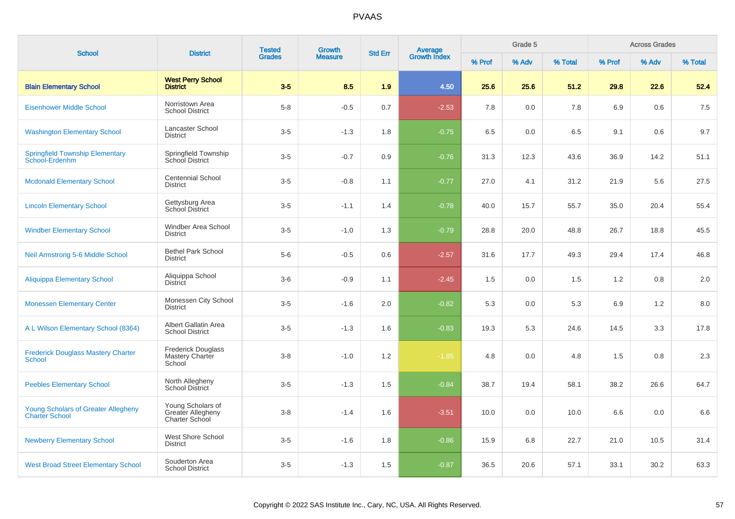| <b>School</b>                                                       | <b>District</b>                                          | <b>Tested</b><br><b>Growth</b> |                | <b>Std Err</b> | Average<br>Growth Index |        | Grade 5 |         |        | <b>Across Grades</b> |         |
|---------------------------------------------------------------------|----------------------------------------------------------|--------------------------------|----------------|----------------|-------------------------|--------|---------|---------|--------|----------------------|---------|
|                                                                     |                                                          | <b>Grades</b>                  | <b>Measure</b> |                |                         | % Prof | % Adv   | % Total | % Prof | % Adv                | % Total |
| <b>Blain Elementary School</b>                                      | <b>West Perry School</b><br><b>District</b>              | $3-5$                          | 8.5            | 1.9            | 4.50                    | 25.6   | 25.6    | 51.2    | 29.8   | 22.6                 | 52.4    |
| <b>Eisenhower Middle School</b>                                     | Norristown Area<br><b>School District</b>                | $5-8$                          | $-0.5$         | 0.7            | $-2.53$                 | 7.8    | 0.0     | 7.8     | 6.9    | 0.6                  | 7.5     |
| <b>Washington Elementary School</b>                                 | Lancaster School<br><b>District</b>                      | $3-5$                          | $-1.3$         | 1.8            | $-0.75$                 | 6.5    | 0.0     | 6.5     | 9.1    | 0.6                  | 9.7     |
| <b>Springfield Township Elementary</b><br>School-Erdenhm            | Springfield Township<br>School District                  | $3-5$                          | $-0.7$         | 0.9            | $-0.76$                 | 31.3   | 12.3    | 43.6    | 36.9   | 14.2                 | 51.1    |
| <b>Mcdonald Elementary School</b>                                   | <b>Centennial School</b><br><b>District</b>              | $3 - 5$                        | $-0.8$         | 1.1            | $-0.77$                 | 27.0   | 4.1     | 31.2    | 21.9   | 5.6                  | 27.5    |
| <b>Lincoln Elementary School</b>                                    | Gettysburg Area<br>School District                       | $3-5$                          | $-1.1$         | 1.4            | $-0.78$                 | 40.0   | 15.7    | 55.7    | 35.0   | 20.4                 | 55.4    |
| <b>Windber Elementary School</b>                                    | <b>Windber Area School</b><br><b>District</b>            | $3-5$                          | $-1.0$         | 1.3            | $-0.79$                 | 28.8   | 20.0    | 48.8    | 26.7   | 18.8                 | 45.5    |
| Neil Armstrong 5-6 Middle School                                    | <b>Bethel Park School</b><br><b>District</b>             | $5-6$                          | $-0.5$         | 0.6            | $-2.57$                 | 31.6   | 17.7    | 49.3    | 29.4   | 17.4                 | 46.8    |
| <b>Aliquippa Elementary School</b>                                  | Aliquippa School<br><b>District</b>                      | $3-6$                          | $-0.9$         | 1.1            | $-2.45$                 | 1.5    | 0.0     | 1.5     | 1.2    | 0.8                  | 2.0     |
| <b>Monessen Elementary Center</b>                                   | Monessen City School<br><b>District</b>                  | $3-5$                          | $-1.6$         | 2.0            | $-0.82$                 | 5.3    | 0.0     | 5.3     | 6.9    | 1.2                  | 8.0     |
| A L Wilson Elementary School (8364)                                 | Albert Gallatin Area<br><b>School District</b>           | $3-5$                          | $-1.3$         | 1.6            | $-0.83$                 | 19.3   | 5.3     | 24.6    | 14.5   | 3.3                  | 17.8    |
| <b>Frederick Douglass Mastery Charter</b><br>School                 | <b>Frederick Douglass</b><br>Mastery Charter<br>School   | $3 - 8$                        | $-1.0$         | 1.2            | $-1.85$                 | 4.8    | 0.0     | 4.8     | 1.5    | 0.8                  | 2.3     |
| <b>Peebles Elementary School</b>                                    | North Allegheny<br><b>School District</b>                | $3-5$                          | $-1.3$         | 1.5            | $-0.84$                 | 38.7   | 19.4    | 58.1    | 38.2   | 26.6                 | 64.7    |
| <b>Young Scholars of Greater Allegheny</b><br><b>Charter School</b> | Young Scholars of<br>Greater Allegheny<br>Charter School | $3 - 8$                        | $-1.4$         | 1.6            | $-3.51$                 | 10.0   | 0.0     | 10.0    | 6.6    | 0.0                  | 6.6     |
| <b>Newberry Elementary School</b>                                   | West Shore School<br><b>District</b>                     | $3-5$                          | $-1.6$         | 1.8            | $-0.86$                 | 15.9   | 6.8     | 22.7    | 21.0   | 10.5                 | 31.4    |
| <b>West Broad Street Elementary School</b>                          | Souderton Area<br><b>School District</b>                 | $3-5$                          | $-1.3$         | 1.5            | $-0.87$                 | 36.5   | 20.6    | 57.1    | 33.1   | 30.2                 | 63.3    |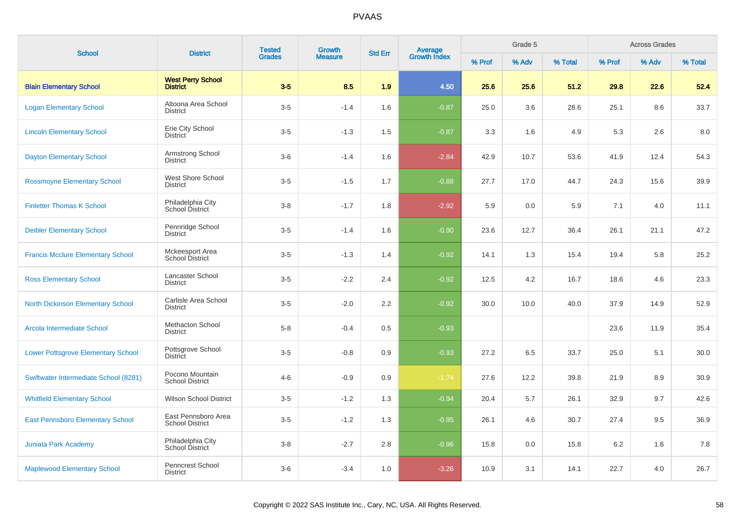| <b>School</b>                             | <b>District</b>                               | <b>Tested</b><br><b>Grades</b> | <b>Growth</b>  | <b>Std Err</b> |                                |        | Grade 5 |         |        | <b>Across Grades</b> |         |
|-------------------------------------------|-----------------------------------------------|--------------------------------|----------------|----------------|--------------------------------|--------|---------|---------|--------|----------------------|---------|
|                                           |                                               |                                | <b>Measure</b> |                | <b>Average</b><br>Growth Index | % Prof | % Adv   | % Total | % Prof | % Adv                | % Total |
| <b>Blain Elementary School</b>            | <b>West Perry School</b><br><b>District</b>   | $3-5$                          | 8.5            | 1.9            | 4.50                           | 25.6   | 25.6    | 51.2    | 29.8   | 22.6                 | 52.4    |
| <b>Logan Elementary School</b>            | Altoona Area School<br><b>District</b>        | $3-5$                          | $-1.4$         | 1.6            | $-0.87$                        | 25.0   | 3.6     | 28.6    | 25.1   | 8.6                  | 33.7    |
| <b>Lincoln Elementary School</b>          | Erie City School<br><b>District</b>           | $3-5$                          | $-1.3$         | 1.5            | $-0.87$                        | 3.3    | 1.6     | 4.9     | 5.3    | 2.6                  | 8.0     |
| <b>Dayton Elementary School</b>           | Armstrong School<br><b>District</b>           | $3-6$                          | $-1.4$         | 1.6            | $-2.84$                        | 42.9   | 10.7    | 53.6    | 41.9   | 12.4                 | 54.3    |
| <b>Rossmoyne Elementary School</b>        | West Shore School<br><b>District</b>          | $3-5$                          | $-1.5$         | 1.7            | $-0.88$                        | 27.7   | 17.0    | 44.7    | 24.3   | 15.6                 | 39.9    |
| <b>Finletter Thomas K School</b>          | Philadelphia City<br>School District          | $3 - 8$                        | $-1.7$         | 1.8            | $-2.92$                        | 5.9    | 0.0     | 5.9     | 7.1    | 4.0                  | 11.1    |
| <b>Deibler Elementary School</b>          | Pennridge School<br><b>District</b>           | $3-5$                          | $-1.4$         | 1.6            | $-0.90$                        | 23.6   | 12.7    | 36.4    | 26.1   | 21.1                 | 47.2    |
| <b>Francis Mcclure Elementary School</b>  | Mckeesport Area<br>School District            | $3-5$                          | $-1.3$         | 1.4            | $-0.92$                        | 14.1   | 1.3     | 15.4    | 19.4   | 5.8                  | 25.2    |
| <b>Ross Elementary School</b>             | Lancaster School<br><b>District</b>           | $3-5$                          | $-2.2$         | 2.4            | $-0.92$                        | 12.5   | 4.2     | 16.7    | 18.6   | 4.6                  | 23.3    |
| <b>North Dickinson Elementary School</b>  | Carlisle Area School<br><b>District</b>       | $3-5$                          | $-2.0$         | 2.2            | $-0.92$                        | 30.0   | 10.0    | 40.0    | 37.9   | 14.9                 | 52.9    |
| Arcola Intermediate School                | <b>Methacton School</b><br><b>District</b>    | $5-8$                          | $-0.4$         | 0.5            | $-0.93$                        |        |         |         | 23.6   | 11.9                 | 35.4    |
| <b>Lower Pottsgrove Elementary School</b> | Pottsgrove School<br><b>District</b>          | $3-5$                          | $-0.8$         | 0.9            | $-0.93$                        | 27.2   | 6.5     | 33.7    | 25.0   | 5.1                  | 30.0    |
| Swiftwater Intermediate School (8281)     | Pocono Mountain<br><b>School District</b>     | $4 - 6$                        | $-0.9$         | 0.9            | $-1.74$                        | 27.6   | 12.2    | 39.8    | 21.9   | 8.9                  | 30.9    |
| <b>Whitfield Elementary School</b>        | <b>Wilson School District</b>                 | $3-5$                          | $-1.2$         | 1.3            | $-0.94$                        | 20.4   | 5.7     | 26.1    | 32.9   | 9.7                  | 42.6    |
| <b>East Pennsboro Elementary School</b>   | East Pennsboro Area<br><b>School District</b> | $3-5$                          | $-1.2$         | 1.3            | $-0.95$                        | 26.1   | 4.6     | 30.7    | 27.4   | 9.5                  | 36.9    |
| Juniata Park Academy                      | Philadelphia City<br>School District          | $3 - 8$                        | $-2.7$         | 2.8            | $-0.96$                        | 15.8   | 0.0     | 15.8    | 6.2    | 1.6                  | 7.8     |
| <b>Maplewood Elementary School</b>        | Penncrest School<br><b>District</b>           | $3-6$                          | $-3.4$         | 1.0            | $-3.26$                        | 10.9   | 3.1     | 14.1    | 22.7   | 4.0                  | 26.7    |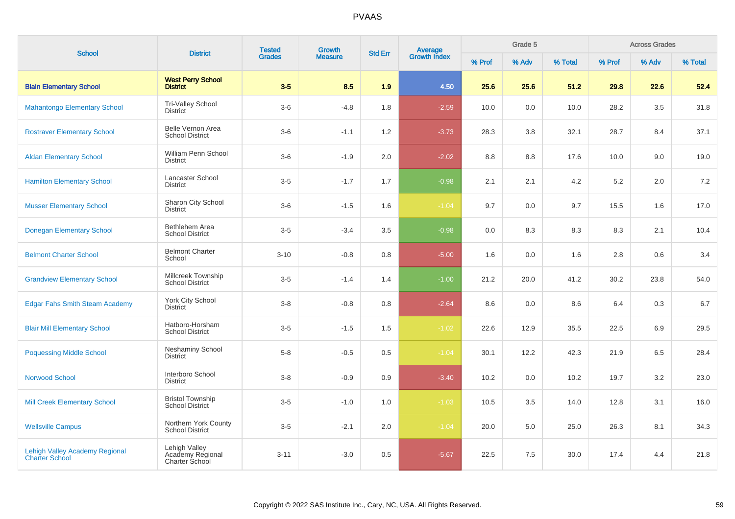| <b>School</b>                                                  | <b>District</b>                                     | <b>Tested</b> | Growth         | <b>Std Err</b> | <b>Average</b><br>Growth Index |        | Grade 5 |         |         | <b>Across Grades</b> |         |
|----------------------------------------------------------------|-----------------------------------------------------|---------------|----------------|----------------|--------------------------------|--------|---------|---------|---------|----------------------|---------|
|                                                                |                                                     | <b>Grades</b> | <b>Measure</b> |                |                                | % Prof | % Adv   | % Total | % Prof  | % Adv                | % Total |
| <b>Blain Elementary School</b>                                 | <b>West Perry School</b><br><b>District</b>         | $3-5$         | 8.5            | 1.9            | 4.50                           | 25.6   | 25.6    | 51.2    | 29.8    | 22.6                 | 52.4    |
| <b>Mahantongo Elementary School</b>                            | <b>Tri-Valley School</b><br><b>District</b>         | $3-6$         | $-4.8$         | 1.8            | $-2.59$                        | 10.0   | 0.0     | 10.0    | 28.2    | 3.5                  | 31.8    |
| <b>Rostraver Elementary School</b>                             | Belle Vernon Area<br><b>School District</b>         | $3-6$         | $-1.1$         | 1.2            | $-3.73$                        | 28.3   | 3.8     | 32.1    | 28.7    | 8.4                  | 37.1    |
| <b>Aldan Elementary School</b>                                 | William Penn School<br><b>District</b>              | $3-6$         | $-1.9$         | 2.0            | $-2.02$                        | 8.8    | 8.8     | 17.6    | 10.0    | 9.0                  | 19.0    |
| <b>Hamilton Elementary School</b>                              | <b>Lancaster School</b><br><b>District</b>          | $3-5$         | $-1.7$         | 1.7            | $-0.98$                        | 2.1    | 2.1     | 4.2     | $5.2\,$ | 2.0                  | 7.2     |
| <b>Musser Elementary School</b>                                | Sharon City School<br><b>District</b>               | $3-6$         | $-1.5$         | 1.6            | $-1.04$                        | 9.7    | 0.0     | 9.7     | 15.5    | 1.6                  | 17.0    |
| <b>Donegan Elementary School</b>                               | Bethlehem Area<br><b>School District</b>            | $3-5$         | $-3.4$         | 3.5            | $-0.98$                        | 0.0    | 8.3     | 8.3     | 8.3     | 2.1                  | 10.4    |
| <b>Belmont Charter School</b>                                  | <b>Belmont Charter</b><br>School                    | $3 - 10$      | $-0.8$         | 0.8            | $-5.00$                        | 1.6    | 0.0     | 1.6     | 2.8     | 0.6                  | 3.4     |
| <b>Grandview Elementary School</b>                             | Millcreek Township<br><b>School District</b>        | $3 - 5$       | $-1.4$         | 1.4            | $-1.00$                        | 21.2   | 20.0    | 41.2    | 30.2    | 23.8                 | 54.0    |
| <b>Edgar Fahs Smith Steam Academy</b>                          | York City School<br><b>District</b>                 | $3-8$         | $-0.8$         | 0.8            | $-2.64$                        | 8.6    | 0.0     | 8.6     | 6.4     | 0.3                  | 6.7     |
| <b>Blair Mill Elementary School</b>                            | Hatboro-Horsham<br><b>School District</b>           | $3-5$         | $-1.5$         | 1.5            | $-1.02$                        | 22.6   | 12.9    | 35.5    | 22.5    | 6.9                  | 29.5    |
| <b>Poquessing Middle School</b>                                | <b>Neshaminy School</b><br><b>District</b>          | $5-8$         | $-0.5$         | 0.5            | $-1.04$                        | 30.1   | 12.2    | 42.3    | 21.9    | 6.5                  | 28.4    |
| <b>Norwood School</b>                                          | Interboro School<br><b>District</b>                 | $3-8$         | $-0.9$         | 0.9            | $-3.40$                        | 10.2   | 0.0     | 10.2    | 19.7    | 3.2                  | 23.0    |
| <b>Mill Creek Elementary School</b>                            | <b>Bristol Township</b><br><b>School District</b>   | $3-5$         | $-1.0$         | 1.0            | $-1.03$                        | 10.5   | 3.5     | 14.0    | 12.8    | 3.1                  | 16.0    |
| <b>Wellsville Campus</b>                                       | Northern York County<br><b>School District</b>      | $3-5$         | $-2.1$         | 2.0            | $-1.04$                        | 20.0   | 5.0     | 25.0    | 26.3    | 8.1                  | 34.3    |
| <b>Lehigh Valley Academy Regional</b><br><b>Charter School</b> | Lehigh Valley<br>Academy Regional<br>Charter School | $3 - 11$      | $-3.0$         | 0.5            | $-5.67$                        | 22.5   | 7.5     | 30.0    | 17.4    | 4.4                  | 21.8    |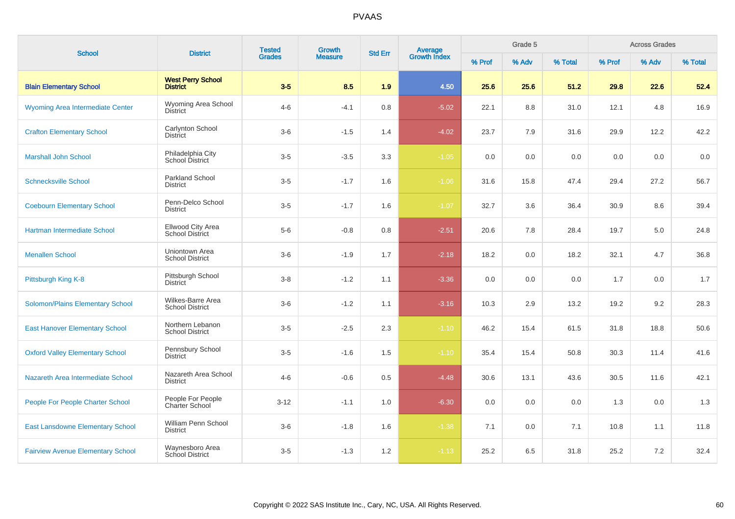| <b>School</b>                            | <b>District</b>                             | <b>Tested</b> | Growth         | <b>Std Err</b> | <b>Average</b><br>Growth Index |        | Grade 5 |         | <b>Across Grades</b> |       |         |
|------------------------------------------|---------------------------------------------|---------------|----------------|----------------|--------------------------------|--------|---------|---------|----------------------|-------|---------|
|                                          |                                             | <b>Grades</b> | <b>Measure</b> |                |                                | % Prof | % Adv   | % Total | % Prof               | % Adv | % Total |
| <b>Blain Elementary School</b>           | <b>West Perry School</b><br><b>District</b> | $3-5$         | 8.5            | 1.9            | 4.50                           | 25.6   | 25.6    | 51.2    | 29.8                 | 22.6  | 52.4    |
| <b>Wyoming Area Intermediate Center</b>  | Wyoming Area School<br><b>District</b>      | $4 - 6$       | $-4.1$         | 0.8            | $-5.02$                        | 22.1   | 8.8     | 31.0    | 12.1                 | 4.8   | 16.9    |
| <b>Crafton Elementary School</b>         | Carlynton School<br><b>District</b>         | $3-6$         | $-1.5$         | 1.4            | $-4.02$                        | 23.7   | 7.9     | 31.6    | 29.9                 | 12.2  | 42.2    |
| <b>Marshall John School</b>              | Philadelphia City<br>School District        | $3-5$         | $-3.5$         | 3.3            | $-1.05$                        | 0.0    | 0.0     | 0.0     | 0.0                  | 0.0   | 0.0     |
| <b>Schnecksville School</b>              | <b>Parkland School</b><br><b>District</b>   | $3-5$         | $-1.7$         | 1.6            | $-1.06$                        | 31.6   | 15.8    | 47.4    | 29.4                 | 27.2  | 56.7    |
| <b>Coebourn Elementary School</b>        | Penn-Delco School<br><b>District</b>        | $3-5$         | $-1.7$         | 1.6            | $-1.07$                        | 32.7   | 3.6     | 36.4    | 30.9                 | 8.6   | 39.4    |
| Hartman Intermediate School              | Ellwood City Area<br>School District        | $5-6$         | $-0.8$         | 0.8            | $-2.51$                        | 20.6   | 7.8     | 28.4    | 19.7                 | 5.0   | 24.8    |
| <b>Menallen School</b>                   | Uniontown Area<br><b>School District</b>    | $3-6$         | $-1.9$         | 1.7            | $-2.18$                        | 18.2   | 0.0     | 18.2    | 32.1                 | 4.7   | 36.8    |
| Pittsburgh King K-8                      | Pittsburgh School<br><b>District</b>        | $3 - 8$       | $-1.2$         | 1.1            | $-3.36$                        | 0.0    | 0.0     | 0.0     | 1.7                  | 0.0   | 1.7     |
| Solomon/Plains Elementary School         | Wilkes-Barre Area<br><b>School District</b> | $3-6$         | $-1.2$         | 1.1            | $-3.16$                        | 10.3   | 2.9     | 13.2    | 19.2                 | 9.2   | 28.3    |
| <b>East Hanover Elementary School</b>    | Northern Lebanon<br><b>School District</b>  | $3-5$         | $-2.5$         | 2.3            | $-1.10$                        | 46.2   | 15.4    | 61.5    | 31.8                 | 18.8  | 50.6    |
| <b>Oxford Valley Elementary School</b>   | Pennsbury School<br><b>District</b>         | $3-5$         | $-1.6$         | 1.5            | $-1.10$                        | 35.4   | 15.4    | 50.8    | 30.3                 | 11.4  | 41.6    |
| Nazareth Area Intermediate School        | Nazareth Area School<br><b>District</b>     | $4 - 6$       | $-0.6$         | 0.5            | $-4.48$                        | 30.6   | 13.1    | 43.6    | 30.5                 | 11.6  | 42.1    |
| <b>People For People Charter School</b>  | People For People<br><b>Charter School</b>  | $3 - 12$      | $-1.1$         | 1.0            | $-6.30$                        | 0.0    | 0.0     | 0.0     | 1.3                  | 0.0   | 1.3     |
| <b>East Lansdowne Elementary School</b>  | William Penn School<br><b>District</b>      | $3-6$         | $-1.8$         | 1.6            | $-1.38$                        | 7.1    | 0.0     | 7.1     | 10.8                 | 1.1   | 11.8    |
| <b>Fairview Avenue Elementary School</b> | Waynesboro Area<br>School District          | $3-5$         | $-1.3$         | 1.2            | $-1.13$                        | 25.2   | 6.5     | 31.8    | 25.2                 | 7.2   | 32.4    |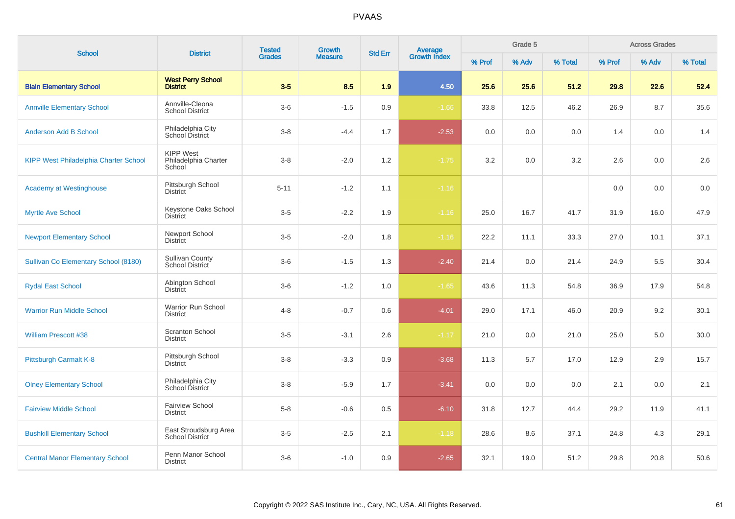| <b>School</b>                                | <b>District</b>                                    | <b>Tested</b> | Growth         | <b>Std Err</b> |                                |        | Grade 5 |         |        | <b>Across Grades</b> |         |
|----------------------------------------------|----------------------------------------------------|---------------|----------------|----------------|--------------------------------|--------|---------|---------|--------|----------------------|---------|
|                                              |                                                    | <b>Grades</b> | <b>Measure</b> |                | <b>Average</b><br>Growth Index | % Prof | % Adv   | % Total | % Prof | % Adv                | % Total |
| <b>Blain Elementary School</b>               | <b>West Perry School</b><br><b>District</b>        | $3-5$         | 8.5            | 1.9            | 4.50                           | 25.6   | 25.6    | 51.2    | 29.8   | 22.6                 | 52.4    |
| <b>Annville Elementary School</b>            | Annville-Cleona<br><b>School District</b>          | $3-6$         | $-1.5$         | 0.9            | $-1.66$                        | 33.8   | 12.5    | 46.2    | 26.9   | 8.7                  | 35.6    |
| <b>Anderson Add B School</b>                 | Philadelphia City<br>School District               | $3 - 8$       | $-4.4$         | 1.7            | $-2.53$                        | 0.0    | 0.0     | 0.0     | 1.4    | 0.0                  | 1.4     |
| <b>KIPP West Philadelphia Charter School</b> | <b>KIPP West</b><br>Philadelphia Charter<br>School | $3 - 8$       | $-2.0$         | 1.2            | $-1.75$                        | 3.2    | 0.0     | 3.2     | 2.6    | 0.0                  | 2.6     |
| <b>Academy at Westinghouse</b>               | Pittsburgh School<br><b>District</b>               | $5 - 11$      | $-1.2$         | 1.1            | $-1.16$                        |        |         |         | 0.0    | 0.0                  | 0.0     |
| <b>Myrtle Ave School</b>                     | Keystone Oaks School<br><b>District</b>            | $3-5$         | $-2.2$         | 1.9            | $-1.16$                        | 25.0   | 16.7    | 41.7    | 31.9   | 16.0                 | 47.9    |
| <b>Newport Elementary School</b>             | Newport School<br><b>District</b>                  | $3-5$         | $-2.0$         | 1.8            | $-1.16$                        | 22.2   | 11.1    | 33.3    | 27.0   | 10.1                 | 37.1    |
| Sullivan Co Elementary School (8180)         | <b>Sullivan County</b><br>School District          | $3-6$         | $-1.5$         | 1.3            | $-2.40$                        | 21.4   | 0.0     | 21.4    | 24.9   | 5.5                  | 30.4    |
| <b>Rydal East School</b>                     | Abington School<br><b>District</b>                 | $3-6$         | $-1.2$         | 1.0            | $-1.65$                        | 43.6   | 11.3    | 54.8    | 36.9   | 17.9                 | 54.8    |
| <b>Warrior Run Middle School</b>             | Warrior Run School<br><b>District</b>              | $4 - 8$       | $-0.7$         | 0.6            | $-4.01$                        | 29.0   | 17.1    | 46.0    | 20.9   | 9.2                  | 30.1    |
| <b>William Prescott #38</b>                  | <b>Scranton School</b><br><b>District</b>          | $3-5$         | $-3.1$         | 2.6            | $-1.17$                        | 21.0   | 0.0     | 21.0    | 25.0   | 5.0                  | 30.0    |
| Pittsburgh Carmalt K-8                       | Pittsburgh School<br><b>District</b>               | $3 - 8$       | $-3.3$         | 0.9            | $-3.68$                        | 11.3   | 5.7     | 17.0    | 12.9   | 2.9                  | 15.7    |
| <b>Olney Elementary School</b>               | Philadelphia City<br>School District               | $3-8$         | $-5.9$         | 1.7            | $-3.41$                        | 0.0    | 0.0     | 0.0     | 2.1    | 0.0                  | 2.1     |
| <b>Fairview Middle School</b>                | <b>Fairview School</b><br><b>District</b>          | $5 - 8$       | $-0.6$         | 0.5            | $-6.10$                        | 31.8   | 12.7    | 44.4    | 29.2   | 11.9                 | 41.1    |
| <b>Bushkill Elementary School</b>            | East Stroudsburg Area<br><b>School District</b>    | $3-5$         | $-2.5$         | 2.1            | $-1.18$                        | 28.6   | 8.6     | 37.1    | 24.8   | 4.3                  | 29.1    |
| <b>Central Manor Elementary School</b>       | Penn Manor School<br><b>District</b>               | $3-6$         | $-1.0$         | 0.9            | $-2.65$                        | 32.1   | 19.0    | 51.2    | 29.8   | 20.8                 | 50.6    |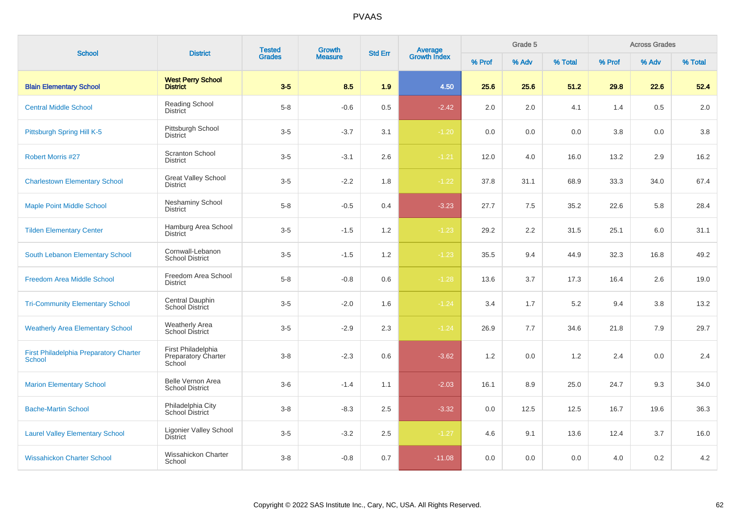| <b>School</b>                                                  | <b>District</b>                                            | <b>Tested</b> | Growth         | <b>Std Err</b> |                                |        | Grade 5 |         |        | <b>Across Grades</b> |         |
|----------------------------------------------------------------|------------------------------------------------------------|---------------|----------------|----------------|--------------------------------|--------|---------|---------|--------|----------------------|---------|
|                                                                |                                                            | <b>Grades</b> | <b>Measure</b> |                | <b>Average</b><br>Growth Index | % Prof | % Adv   | % Total | % Prof | % Adv                | % Total |
| <b>Blain Elementary School</b>                                 | <b>West Perry School</b><br><b>District</b>                | $3-5$         | 8.5            | 1.9            | 4.50                           | 25.6   | 25.6    | 51.2    | 29.8   | 22.6                 | 52.4    |
| <b>Central Middle School</b>                                   | Reading School<br><b>District</b>                          | $5 - 8$       | $-0.6$         | 0.5            | $-2.42$                        | 2.0    | 2.0     | 4.1     | 1.4    | 0.5                  | 2.0     |
| Pittsburgh Spring Hill K-5                                     | Pittsburgh School<br><b>District</b>                       | $3-5$         | $-3.7$         | 3.1            | $-1.20$                        | 0.0    | 0.0     | 0.0     | 3.8    | 0.0                  | 3.8     |
| <b>Robert Morris #27</b>                                       | <b>Scranton School</b><br><b>District</b>                  | $3-5$         | $-3.1$         | 2.6            | $-1.21$                        | 12.0   | 4.0     | 16.0    | 13.2   | 2.9                  | 16.2    |
| <b>Charlestown Elementary School</b>                           | <b>Great Valley School</b><br><b>District</b>              | $3-5$         | $-2.2$         | 1.8            | $-1.22$                        | 37.8   | 31.1    | 68.9    | 33.3   | 34.0                 | 67.4    |
| <b>Maple Point Middle School</b>                               | <b>Neshaminy School</b><br><b>District</b>                 | $5 - 8$       | $-0.5$         | 0.4            | $-3.23$                        | 27.7   | 7.5     | 35.2    | 22.6   | 5.8                  | 28.4    |
| <b>Tilden Elementary Center</b>                                | Hamburg Area School<br><b>District</b>                     | $3-5$         | $-1.5$         | 1.2            | $-1.23$                        | 29.2   | 2.2     | 31.5    | 25.1   | 6.0                  | 31.1    |
| South Lebanon Elementary School                                | Cornwall-Lebanon<br><b>School District</b>                 | $3-5$         | $-1.5$         | 1.2            | $-1.23$                        | 35.5   | 9.4     | 44.9    | 32.3   | 16.8                 | 49.2    |
| <b>Freedom Area Middle School</b>                              | Freedom Area School<br><b>District</b>                     | $5 - 8$       | $-0.8$         | 0.6            | $-1.28$                        | 13.6   | 3.7     | 17.3    | 16.4   | 2.6                  | 19.0    |
| <b>Tri-Community Elementary School</b>                         | Central Dauphin<br>School District                         | $3-5$         | $-2.0$         | 1.6            | $-1.24$                        | 3.4    | 1.7     | 5.2     | 9.4    | 3.8                  | 13.2    |
| <b>Weatherly Area Elementary School</b>                        | <b>Weatherly Area</b><br>School District                   | $3-5$         | $-2.9$         | 2.3            | $-1.24$                        | 26.9   | 7.7     | 34.6    | 21.8   | 7.9                  | 29.7    |
| <b>First Philadelphia Preparatory Charter</b><br><b>School</b> | First Philadelphia<br><b>Preparatory Charter</b><br>School | $3-8$         | $-2.3$         | 0.6            | $-3.62$                        | 1.2    | 0.0     | 1.2     | 2.4    | 0.0                  | 2.4     |
| <b>Marion Elementary School</b>                                | Belle Vernon Area<br><b>School District</b>                | $3-6$         | $-1.4$         | 1.1            | $-2.03$                        | 16.1   | 8.9     | 25.0    | 24.7   | 9.3                  | 34.0    |
| <b>Bache-Martin School</b>                                     | Philadelphia City<br>School District                       | $3-8$         | $-8.3$         | 2.5            | $-3.32$                        | 0.0    | 12.5    | 12.5    | 16.7   | 19.6                 | 36.3    |
| <b>Laurel Valley Elementary School</b>                         | <b>Ligonier Valley School</b><br><b>District</b>           | $3-5$         | $-3.2$         | $2.5\,$        | $-1.27$                        | 4.6    | 9.1     | 13.6    | 12.4   | 3.7                  | 16.0    |
| <b>Wissahickon Charter School</b>                              | Wissahickon Charter<br>School                              | $3-8$         | $-0.8$         | 0.7            | $-11.08$                       | 0.0    | 0.0     | 0.0     | 4.0    | 0.2                  | 4.2     |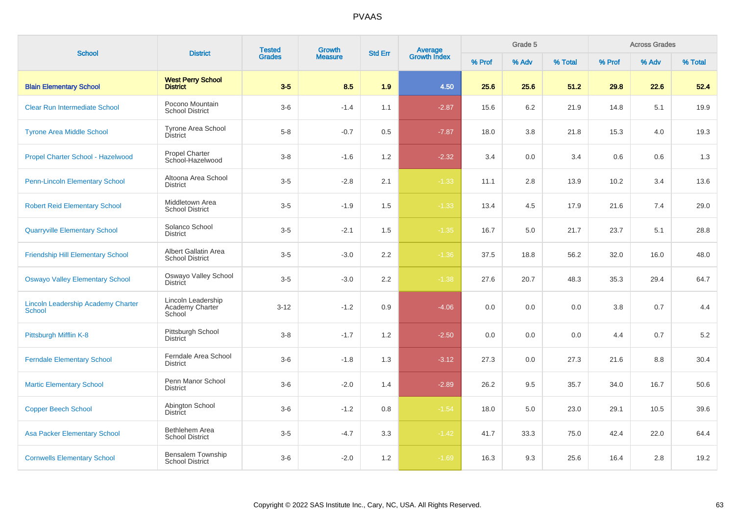| <b>School</b>                                              | <b>District</b>                                 | <b>Tested</b> | Growth         | <b>Std Err</b> | <b>Average</b><br>Growth Index |        | Grade 5 |         |         | <b>Across Grades</b> |         |
|------------------------------------------------------------|-------------------------------------------------|---------------|----------------|----------------|--------------------------------|--------|---------|---------|---------|----------------------|---------|
|                                                            |                                                 | <b>Grades</b> | <b>Measure</b> |                |                                | % Prof | % Adv   | % Total | % Prof  | % Adv                | % Total |
| <b>Blain Elementary School</b>                             | <b>West Perry School</b><br><b>District</b>     | $3-5$         | 8.5            | 1.9            | 4.50                           | 25.6   | 25.6    | 51.2    | 29.8    | 22.6                 | 52.4    |
| <b>Clear Run Intermediate School</b>                       | Pocono Mountain<br><b>School District</b>       | $3-6$         | $-1.4$         | 1.1            | $-2.87$                        | 15.6   | 6.2     | 21.9    | 14.8    | 5.1                  | 19.9    |
| <b>Tyrone Area Middle School</b>                           | <b>Tyrone Area School</b><br><b>District</b>    | $5 - 8$       | $-0.7$         | 0.5            | $-7.87$                        | 18.0   | 3.8     | 21.8    | 15.3    | 4.0                  | 19.3    |
| Propel Charter School - Hazelwood                          | <b>Propel Charter</b><br>School-Hazelwood       | $3 - 8$       | $-1.6$         | 1.2            | $-2.32$                        | 3.4    | 0.0     | 3.4     | 0.6     | 0.6                  | 1.3     |
| <b>Penn-Lincoln Elementary School</b>                      | Altoona Area School<br><b>District</b>          | $3-5$         | $-2.8$         | 2.1            | $-1.33$                        | 11.1   | 2.8     | 13.9    | 10.2    | 3.4                  | 13.6    |
| <b>Robert Reid Elementary School</b>                       | Middletown Area<br><b>School District</b>       | $3-5$         | $-1.9$         | 1.5            | $-1.33$                        | 13.4   | 4.5     | 17.9    | 21.6    | 7.4                  | 29.0    |
| <b>Quarryville Elementary School</b>                       | Solanco School<br><b>District</b>               | $3-5$         | $-2.1$         | 1.5            | $-1.35$                        | 16.7   | 5.0     | 21.7    | 23.7    | 5.1                  | 28.8    |
| <b>Friendship Hill Elementary School</b>                   | Albert Gallatin Area<br><b>School District</b>  | $3-5$         | $-3.0$         | 2.2            | $-1.36$                        | 37.5   | 18.8    | 56.2    | 32.0    | 16.0                 | 48.0    |
| <b>Oswayo Valley Elementary School</b>                     | Oswayo Valley School<br><b>District</b>         | $3 - 5$       | $-3.0$         | 2.2            | $-1.38$                        | 27.6   | 20.7    | 48.3    | 35.3    | 29.4                 | 64.7    |
| <b>Lincoln Leadership Academy Charter</b><br><b>School</b> | Lincoln Leadership<br>Academy Charter<br>School | $3 - 12$      | $-1.2$         | $0.9\,$        | $-4.06$                        | 0.0    | 0.0     | $0.0\,$ | $3.8\,$ | 0.7                  | 4.4     |
| Pittsburgh Mifflin K-8                                     | Pittsburgh School<br><b>District</b>            | $3 - 8$       | $-1.7$         | 1.2            | $-2.50$                        | 0.0    | 0.0     | 0.0     | 4.4     | 0.7                  | 5.2     |
| <b>Ferndale Elementary School</b>                          | Ferndale Area School<br><b>District</b>         | $3-6$         | $-1.8$         | 1.3            | $-3.12$                        | 27.3   | 0.0     | 27.3    | 21.6    | 8.8                  | 30.4    |
| <b>Martic Elementary School</b>                            | Penn Manor School<br><b>District</b>            | $3-6$         | $-2.0$         | 1.4            | $-2.89$                        | 26.2   | 9.5     | 35.7    | 34.0    | 16.7                 | 50.6    |
| <b>Copper Beech School</b>                                 | Abington School<br><b>District</b>              | $3-6$         | $-1.2$         | 0.8            | $-1.54$                        | 18.0   | 5.0     | 23.0    | 29.1    | 10.5                 | 39.6    |
| <b>Asa Packer Elementary School</b>                        | Bethlehem Area<br><b>School District</b>        | $3-5$         | $-4.7$         | 3.3            | $-1.42$                        | 41.7   | 33.3    | 75.0    | 42.4    | 22.0                 | 64.4    |
| <b>Cornwells Elementary School</b>                         | Bensalem Township<br><b>School District</b>     | $3-6$         | $-2.0$         | 1.2            | $-1.69$                        | 16.3   | 9.3     | 25.6    | 16.4    | 2.8                  | 19.2    |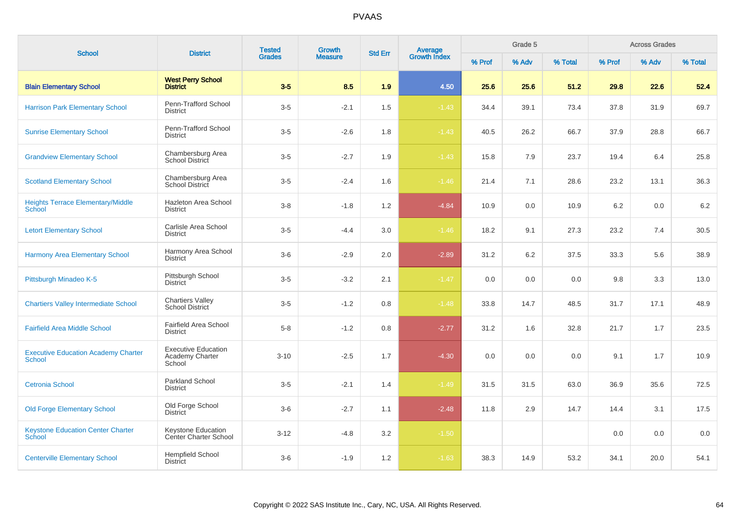| <b>School</b>                                               | <b>District</b>                                         | <b>Tested</b><br><b>Growth</b><br>Average<br>Growth Index<br><b>Std Err</b> |                | Grade 5 |         |        |       | <b>Across Grades</b> |        |       |         |
|-------------------------------------------------------------|---------------------------------------------------------|-----------------------------------------------------------------------------|----------------|---------|---------|--------|-------|----------------------|--------|-------|---------|
|                                                             |                                                         | <b>Grades</b>                                                               | <b>Measure</b> |         |         | % Prof | % Adv | % Total              | % Prof | % Adv | % Total |
| <b>Blain Elementary School</b>                              | <b>West Perry School</b><br><b>District</b>             | $3-5$                                                                       | 8.5            | 1.9     | 4.50    | 25.6   | 25.6  | 51.2                 | 29.8   | 22.6  | 52.4    |
| <b>Harrison Park Elementary School</b>                      | Penn-Trafford School<br><b>District</b>                 | $3-5$                                                                       | $-2.1$         | 1.5     | $-1.43$ | 34.4   | 39.1  | 73.4                 | 37.8   | 31.9  | 69.7    |
| <b>Sunrise Elementary School</b>                            | Penn-Trafford School<br><b>District</b>                 | $3-5$                                                                       | $-2.6$         | 1.8     | $-1.43$ | 40.5   | 26.2  | 66.7                 | 37.9   | 28.8  | 66.7    |
| <b>Grandview Elementary School</b>                          | Chambersburg Area<br>School District                    | $3-5$                                                                       | $-2.7$         | 1.9     | $-1.43$ | 15.8   | 7.9   | 23.7                 | 19.4   | 6.4   | 25.8    |
| <b>Scotland Elementary School</b>                           | Chambersburg Area<br>School District                    | $3-5$                                                                       | $-2.4$         | 1.6     | $-1.46$ | 21.4   | 7.1   | 28.6                 | 23.2   | 13.1  | 36.3    |
| <b>Heights Terrace Elementary/Middle</b><br>School          | Hazleton Area School<br><b>District</b>                 | $3 - 8$                                                                     | $-1.8$         | 1.2     | $-4.84$ | 10.9   | 0.0   | 10.9                 | 6.2    | 0.0   | 6.2     |
| <b>Letort Elementary School</b>                             | Carlisle Area School<br><b>District</b>                 | $3-5$                                                                       | $-4.4$         | 3.0     | $-1.46$ | 18.2   | 9.1   | 27.3                 | 23.2   | 7.4   | 30.5    |
| <b>Harmony Area Elementary School</b>                       | Harmony Area School<br><b>District</b>                  | $3-6$                                                                       | $-2.9$         | 2.0     | $-2.89$ | 31.2   | 6.2   | 37.5                 | 33.3   | 5.6   | 38.9    |
| Pittsburgh Minadeo K-5                                      | Pittsburgh School<br><b>District</b>                    | $3-5$                                                                       | $-3.2$         | 2.1     | $-1.47$ | 0.0    | 0.0   | 0.0                  | 9.8    | 3.3   | 13.0    |
| <b>Chartiers Valley Intermediate School</b>                 | <b>Chartiers Valley</b><br><b>School District</b>       | $3-5$                                                                       | $-1.2$         | 0.8     | $-1.48$ | 33.8   | 14.7  | 48.5                 | 31.7   | 17.1  | 48.9    |
| <b>Fairfield Area Middle School</b>                         | <b>Fairfield Area School</b><br><b>District</b>         | $5 - 8$                                                                     | $-1.2$         | 0.8     | $-2.77$ | 31.2   | 1.6   | 32.8                 | 21.7   | 1.7   | 23.5    |
| <b>Executive Education Academy Charter</b><br><b>School</b> | <b>Executive Education</b><br>Academy Charter<br>School | $3 - 10$                                                                    | $-2.5$         | 1.7     | $-4.30$ | 0.0    | 0.0   | 0.0                  | 9.1    | 1.7   | 10.9    |
| <b>Cetronia School</b>                                      | <b>Parkland School</b><br><b>District</b>               | $3-5$                                                                       | $-2.1$         | 1.4     | $-1.49$ | 31.5   | 31.5  | 63.0                 | 36.9   | 35.6  | 72.5    |
| <b>Old Forge Elementary School</b>                          | Old Forge School<br><b>District</b>                     | $3-6$                                                                       | $-2.7$         | 1.1     | $-2.48$ | 11.8   | 2.9   | 14.7                 | 14.4   | 3.1   | 17.5    |
| <b>Keystone Education Center Charter</b><br><b>School</b>   | Keystone Education<br><b>Center Charter School</b>      | $3 - 12$                                                                    | $-4.8$         | 3.2     | $-1.50$ |        |       |                      | 0.0    | 0.0   | 0.0     |
| <b>Centerville Elementary School</b>                        | <b>Hempfield School</b><br><b>District</b>              | $3-6$                                                                       | $-1.9$         | 1.2     | $-1.63$ | 38.3   | 14.9  | 53.2                 | 34.1   | 20.0  | 54.1    |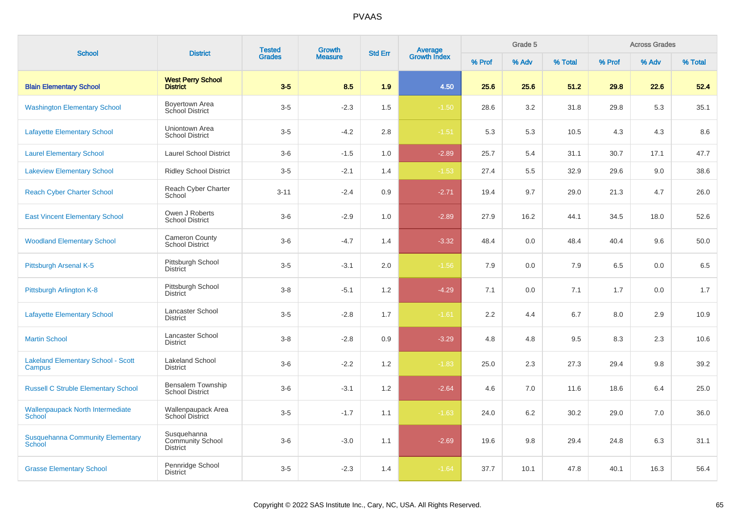| <b>School</b>                                            | <b>District</b>                                    | <b>Tested</b> | <b>Growth</b>  | <b>Std Err</b> |                                |        | Grade 5 |         |        | <b>Across Grades</b> |         |
|----------------------------------------------------------|----------------------------------------------------|---------------|----------------|----------------|--------------------------------|--------|---------|---------|--------|----------------------|---------|
|                                                          |                                                    | <b>Grades</b> | <b>Measure</b> |                | <b>Average</b><br>Growth Index | % Prof | % Adv   | % Total | % Prof | % Adv                | % Total |
| <b>Blain Elementary School</b>                           | <b>West Perry School</b><br><b>District</b>        | $3-5$         | 8.5            | 1.9            | 4.50                           | 25.6   | 25.6    | 51.2    | 29.8   | 22.6                 | 52.4    |
| <b>Washington Elementary School</b>                      | Boyertown Area<br>School District                  | $3-5$         | $-2.3$         | 1.5            | $-1.50$                        | 28.6   | 3.2     | 31.8    | 29.8   | 5.3                  | 35.1    |
| <b>Lafayette Elementary School</b>                       | Uniontown Area<br><b>School District</b>           | $3-5$         | $-4.2$         | 2.8            | $-1.51$                        | 5.3    | 5.3     | 10.5    | 4.3    | 4.3                  | 8.6     |
| <b>Laurel Elementary School</b>                          | <b>Laurel School District</b>                      | $3-6$         | $-1.5$         | 1.0            | $-2.89$                        | 25.7   | 5.4     | 31.1    | 30.7   | 17.1                 | 47.7    |
| <b>Lakeview Elementary School</b>                        | <b>Ridley School District</b>                      | $3-5$         | $-2.1$         | 1.4            | $-1.53$                        | 27.4   | 5.5     | 32.9    | 29.6   | 9.0                  | 38.6    |
| <b>Reach Cyber Charter School</b>                        | Reach Cyber Charter<br>School                      | $3 - 11$      | $-2.4$         | 0.9            | $-2.71$                        | 19.4   | 9.7     | 29.0    | 21.3   | 4.7                  | 26.0    |
| <b>East Vincent Elementary School</b>                    | Owen J Roberts<br><b>School District</b>           | $3-6$         | $-2.9$         | 1.0            | $-2.89$                        | 27.9   | 16.2    | 44.1    | 34.5   | 18.0                 | 52.6    |
| <b>Woodland Elementary School</b>                        | <b>Cameron County</b><br><b>School District</b>    | $3-6$         | $-4.7$         | 1.4            | $-3.32$                        | 48.4   | 0.0     | 48.4    | 40.4   | 9.6                  | 50.0    |
| Pittsburgh Arsenal K-5                                   | Pittsburgh School<br><b>District</b>               | $3-5$         | $-3.1$         | 2.0            | $-1.56$                        | 7.9    | 0.0     | 7.9     | 6.5    | 0.0                  | 6.5     |
| Pittsburgh Arlington K-8                                 | Pittsburgh School<br><b>District</b>               | $3 - 8$       | $-5.1$         | 1.2            | $-4.29$                        | 7.1    | 0.0     | 7.1     | 1.7    | 0.0                  | 1.7     |
| <b>Lafayette Elementary School</b>                       | Lancaster School<br><b>District</b>                | $3-5$         | $-2.8$         | 1.7            | $-1.61$                        | 2.2    | 4.4     | 6.7     | 8.0    | 2.9                  | 10.9    |
| <b>Martin School</b>                                     | Lancaster School<br><b>District</b>                | $3 - 8$       | $-2.8$         | 0.9            | $-3.29$                        | 4.8    | 4.8     | 9.5     | 8.3    | 2.3                  | 10.6    |
| <b>Lakeland Elementary School - Scott</b><br>Campus      | <b>Lakeland School</b><br><b>District</b>          | $3-6$         | $-2.2$         | 1.2            | $-1.83$                        | 25.0   | 2.3     | 27.3    | 29.4   | 9.8                  | 39.2    |
| <b>Russell C Struble Elementary School</b>               | Bensalem Township<br><b>School District</b>        | $3-6$         | $-3.1$         | 1.2            | $-2.64$                        | 4.6    | 7.0     | 11.6    | 18.6   | 6.4                  | 25.0    |
| <b>Wallenpaupack North Intermediate</b><br>School        | Wallenpaupack Area<br>School District              | $3-5$         | $-1.7$         | 1.1            | $-1.63$                        | 24.0   | 6.2     | 30.2    | 29.0   | 7.0                  | 36.0    |
| <b>Susquehanna Community Elementary</b><br><b>School</b> | Susquehanna<br><b>Community School</b><br>District | $3-6$         | $-3.0$         | 1.1            | $-2.69$                        | 19.6   | 9.8     | 29.4    | 24.8   | 6.3                  | 31.1    |
| <b>Grasse Elementary School</b>                          | Pennridge School<br><b>District</b>                | $3-5$         | $-2.3$         | 1.4            | $-1.64$                        | 37.7   | 10.1    | 47.8    | 40.1   | 16.3                 | 56.4    |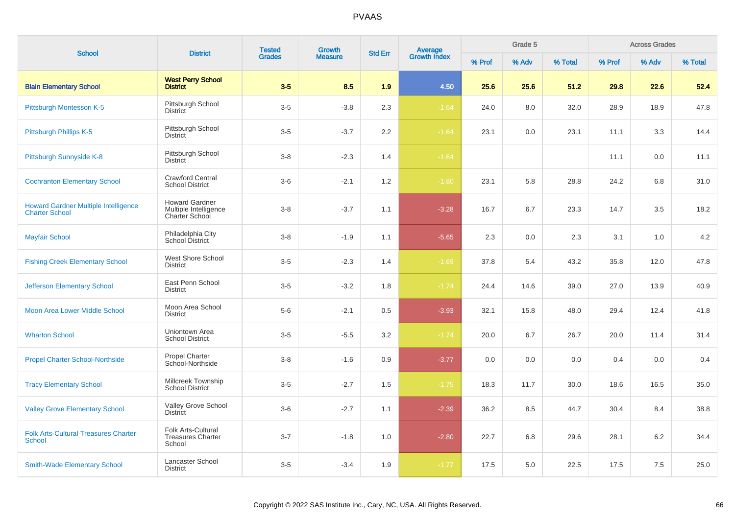| <b>School</b>                                                        | <b>District</b>                                                  | <b>Tested</b><br><b>Grades</b> | <b>Growth</b>  | <b>Std Err</b> | Average<br>Growth Index |        | Grade 5 |         |        | <b>Across Grades</b> |         |
|----------------------------------------------------------------------|------------------------------------------------------------------|--------------------------------|----------------|----------------|-------------------------|--------|---------|---------|--------|----------------------|---------|
|                                                                      |                                                                  |                                | <b>Measure</b> |                |                         | % Prof | % Adv   | % Total | % Prof | % Adv                | % Total |
| <b>Blain Elementary School</b>                                       | <b>West Perry School</b><br><b>District</b>                      | $3-5$                          | 8.5            | 1.9            | 4.50                    | 25.6   | 25.6    | 51.2    | 29.8   | 22.6                 | 52.4    |
| Pittsburgh Montessori K-5                                            | Pittsburgh School<br><b>District</b>                             | $3-5$                          | $-3.8$         | 2.3            | $-1.64$                 | 24.0   | 8.0     | 32.0    | 28.9   | 18.9                 | 47.8    |
| Pittsburgh Phillips K-5                                              | Pittsburgh School<br><b>District</b>                             | $3-5$                          | $-3.7$         | 2.2            | $-1.64$                 | 23.1   | 0.0     | 23.1    | 11.1   | 3.3                  | 14.4    |
| Pittsburgh Sunnyside K-8                                             | Pittsburgh School<br><b>District</b>                             | $3 - 8$                        | $-2.3$         | 1.4            | $-1.64$                 |        |         |         | 11.1   | 0.0                  | 11.1    |
| <b>Cochranton Elementary School</b>                                  | <b>Crawford Central</b><br><b>School District</b>                | $3-6$                          | $-2.1$         | 1.2            | $-1.80$                 | 23.1   | 5.8     | 28.8    | 24.2   | 6.8                  | 31.0    |
| <b>Howard Gardner Multiple Intelligence</b><br><b>Charter School</b> | <b>Howard Gardner</b><br>Multiple Intelligence<br>Charter School | $3 - 8$                        | $-3.7$         | 1.1            | $-3.28$                 | 16.7   | 6.7     | 23.3    | 14.7   | 3.5                  | 18.2    |
| <b>Mayfair School</b>                                                | Philadelphia City<br>School District                             | $3 - 8$                        | $-1.9$         | 1.1            | $-5.65$                 | 2.3    | 0.0     | 2.3     | 3.1    | 1.0                  | 4.2     |
| <b>Fishing Creek Elementary School</b>                               | West Shore School<br><b>District</b>                             | $3-5$                          | $-2.3$         | 1.4            | $-1.69$                 | 37.8   | 5.4     | 43.2    | 35.8   | 12.0                 | 47.8    |
| <b>Jefferson Elementary School</b>                                   | East Penn School<br><b>District</b>                              | $3 - 5$                        | $-3.2$         | 1.8            | $-1.74$                 | 24.4   | 14.6    | 39.0    | 27.0   | 13.9                 | 40.9    |
| Moon Area Lower Middle School                                        | Moon Area School<br><b>District</b>                              | $5-6$                          | $-2.1$         | 0.5            | $-3.93$                 | 32.1   | 15.8    | 48.0    | 29.4   | 12.4                 | 41.8    |
| <b>Wharton School</b>                                                | Uniontown Area<br><b>School District</b>                         | $3-5$                          | $-5.5$         | 3.2            | $-1.74$                 | 20.0   | 6.7     | 26.7    | 20.0   | 11.4                 | 31.4    |
| <b>Propel Charter School-Northside</b>                               | <b>Propel Charter</b><br>School-Northside                        | $3 - 8$                        | $-1.6$         | 0.9            | $-3.77$                 | 0.0    | 0.0     | 0.0     | 0.4    | 0.0                  | 0.4     |
| <b>Tracy Elementary School</b>                                       | Millcreek Township<br><b>School District</b>                     | $3-5$                          | $-2.7$         | 1.5            | $-1.75$                 | 18.3   | 11.7    | 30.0    | 18.6   | 16.5                 | 35.0    |
| <b>Valley Grove Elementary School</b>                                | Valley Grove School<br><b>District</b>                           | $3-6$                          | $-2.7$         | 1.1            | $-2.39$                 | 36.2   | 8.5     | 44.7    | 30.4   | 8.4                  | 38.8    |
| <b>Folk Arts-Cultural Treasures Charter</b><br><b>School</b>         | Folk Arts-Cultural<br><b>Treasures Charter</b><br>School         | $3 - 7$                        | $-1.8$         | 1.0            | $-2.80$                 | 22.7   | 6.8     | 29.6    | 28.1   | 6.2                  | 34.4    |
| <b>Smith-Wade Elementary School</b>                                  | Lancaster School<br><b>District</b>                              | $3-5$                          | $-3.4$         | 1.9            | $-1.77$                 | 17.5   | 5.0     | 22.5    | 17.5   | 7.5                  | 25.0    |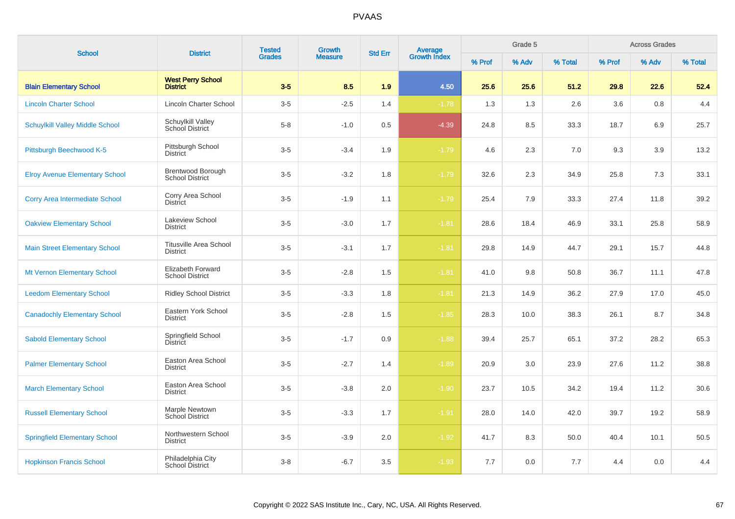| <b>School</b>                          | <b>District</b>                                    | <b>Tested</b> | Growth         | <b>Std Err</b> |                                |        | Grade 5 |         |        | <b>Across Grades</b> |         |
|----------------------------------------|----------------------------------------------------|---------------|----------------|----------------|--------------------------------|--------|---------|---------|--------|----------------------|---------|
|                                        |                                                    | <b>Grades</b> | <b>Measure</b> |                | <b>Average</b><br>Growth Index | % Prof | % Adv   | % Total | % Prof | % Adv                | % Total |
| <b>Blain Elementary School</b>         | <b>West Perry School</b><br><b>District</b>        | $3-5$         | 8.5            | 1.9            | 4.50                           | 25.6   | 25.6    | 51.2    | 29.8   | 22.6                 | 52.4    |
| <b>Lincoln Charter School</b>          | Lincoln Charter School                             | $3-5$         | $-2.5$         | 1.4            | $-1.78$                        | 1.3    | 1.3     | 2.6     | 3.6    | 0.8                  | 4.4     |
| <b>Schuylkill Valley Middle School</b> | Schuylkill Valley<br>School District               | $5-8$         | $-1.0$         | 0.5            | $-4.39$                        | 24.8   | 8.5     | 33.3    | 18.7   | 6.9                  | 25.7    |
| Pittsburgh Beechwood K-5               | Pittsburgh School<br><b>District</b>               | $3-5$         | $-3.4$         | 1.9            | $-1.79$                        | 4.6    | 2.3     | 7.0     | 9.3    | 3.9                  | 13.2    |
| <b>Elroy Avenue Elementary School</b>  | <b>Brentwood Borough</b><br><b>School District</b> | $3-5$         | $-3.2$         | 1.8            | $-1.79$                        | 32.6   | 2.3     | 34.9    | 25.8   | 7.3                  | 33.1    |
| <b>Corry Area Intermediate School</b>  | Corry Area School<br>District                      | $3-5$         | $-1.9$         | 1.1            | $-1.79$                        | 25.4   | 7.9     | 33.3    | 27.4   | 11.8                 | 39.2    |
| <b>Oakview Elementary School</b>       | Lakeview School<br><b>District</b>                 | $3-5$         | $-3.0$         | 1.7            | $-1.81$                        | 28.6   | 18.4    | 46.9    | 33.1   | 25.8                 | 58.9    |
| <b>Main Street Elementary School</b>   | <b>Titusville Area School</b><br><b>District</b>   | $3-5$         | $-3.1$         | 1.7            | $-1.81$                        | 29.8   | 14.9    | 44.7    | 29.1   | 15.7                 | 44.8    |
| Mt Vernon Elementary School            | Elizabeth Forward<br><b>School District</b>        | $3-5$         | $-2.8$         | 1.5            | $-1.81$                        | 41.0   | 9.8     | 50.8    | 36.7   | 11.1                 | 47.8    |
| <b>Leedom Elementary School</b>        | <b>Ridley School District</b>                      | $3-5$         | $-3.3$         | 1.8            | $-1.81$                        | 21.3   | 14.9    | 36.2    | 27.9   | 17.0                 | 45.0    |
| <b>Canadochly Elementary School</b>    | Eastern York School<br><b>District</b>             | $3-5$         | $-2.8$         | 1.5            | $-1.85$                        | 28.3   | 10.0    | 38.3    | 26.1   | 8.7                  | 34.8    |
| <b>Sabold Elementary School</b>        | Springfield School<br>District                     | $3-5$         | $-1.7$         | 0.9            | $-1.88$                        | 39.4   | 25.7    | 65.1    | 37.2   | 28.2                 | 65.3    |
| <b>Palmer Elementary School</b>        | Easton Area School<br><b>District</b>              | $3-5$         | $-2.7$         | 1.4            | $-1.89$                        | 20.9   | 3.0     | 23.9    | 27.6   | 11.2                 | 38.8    |
| <b>March Elementary School</b>         | Easton Area School<br><b>District</b>              | $3-5$         | $-3.8$         | 2.0            | $-1.90$                        | 23.7   | 10.5    | 34.2    | 19.4   | 11.2                 | 30.6    |
| <b>Russell Elementary School</b>       | Marple Newtown<br><b>School District</b>           | $3-5$         | $-3.3$         | 1.7            | $-1.91$                        | 28.0   | 14.0    | 42.0    | 39.7   | 19.2                 | 58.9    |
| <b>Springfield Elementary School</b>   | Northwestern School<br><b>District</b>             | $3-5$         | $-3.9$         | 2.0            | $-1.92$                        | 41.7   | 8.3     | 50.0    | 40.4   | 10.1                 | 50.5    |
| <b>Hopkinson Francis School</b>        | Philadelphia City<br>School District               | $3 - 8$       | $-6.7$         | 3.5            | $-1.93$                        | 7.7    | 0.0     | 7.7     | 4.4    | 0.0                  | 4.4     |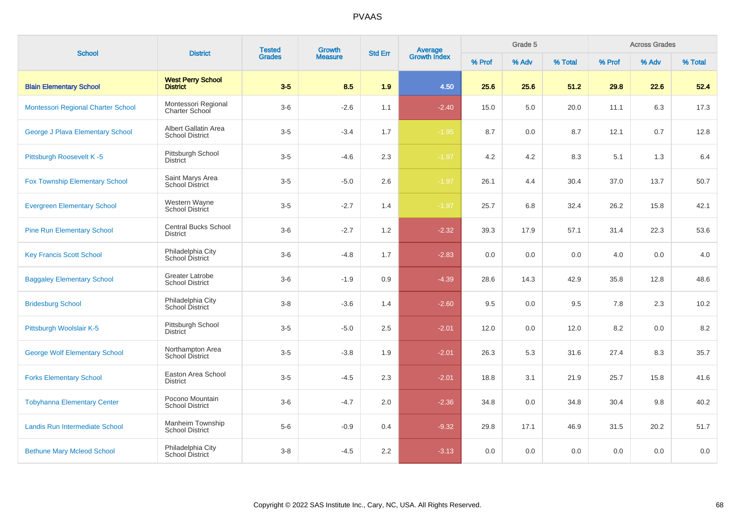| <b>School</b>                         | <b>District</b>                                  | <b>Tested</b> | Growth         | <b>Std Err</b> | <b>Average</b><br>Growth Index |        | Grade 5 |         |         | <b>Across Grades</b> |         |
|---------------------------------------|--------------------------------------------------|---------------|----------------|----------------|--------------------------------|--------|---------|---------|---------|----------------------|---------|
|                                       |                                                  | <b>Grades</b> | <b>Measure</b> |                |                                | % Prof | % Adv   | % Total | % Prof  | % Adv                | % Total |
| <b>Blain Elementary School</b>        | <b>West Perry School</b><br><b>District</b>      | $3-5$         | 8.5            | 1.9            | 4.50                           | 25.6   | 25.6    | 51.2    | 29.8    | 22.6                 | 52.4    |
| Montessori Regional Charter School    | Montessori Regional<br><b>Charter School</b>     | $3-6$         | $-2.6$         | 1.1            | $-2.40$                        | 15.0   | 5.0     | 20.0    | 11.1    | 6.3                  | 17.3    |
| George J Plava Elementary School      | Albert Gallatin Area<br><b>School District</b>   | $3-5$         | $-3.4$         | 1.7            | $-1.95$                        | 8.7    | 0.0     | 8.7     | 12.1    | 0.7                  | 12.8    |
| Pittsburgh Roosevelt K-5              | Pittsburgh School<br><b>District</b>             | $3-5$         | $-4.6$         | 2.3            | $-1.97$                        | 4.2    | 4.2     | 8.3     | 5.1     | 1.3                  | 6.4     |
| <b>Fox Township Elementary School</b> | Saint Marys Area<br><b>School District</b>       | $3-5$         | $-5.0$         | 2.6            | $-1.97$                        | 26.1   | 4.4     | 30.4    | 37.0    | 13.7                 | 50.7    |
| <b>Evergreen Elementary School</b>    | Western Wayne<br>School District                 | $3-5$         | $-2.7$         | 1.4            | $-1.97$                        | 25.7   | 6.8     | 32.4    | 26.2    | 15.8                 | 42.1    |
| <b>Pine Run Elementary School</b>     | <b>Central Bucks School</b><br><b>District</b>   | $3-6$         | $-2.7$         | 1.2            | $-2.32$                        | 39.3   | 17.9    | 57.1    | 31.4    | 22.3                 | 53.6    |
| <b>Key Francis Scott School</b>       | Philadelphia City<br><b>School District</b>      | $3-6$         | $-4.8$         | 1.7            | $-2.83$                        | 0.0    | 0.0     | 0.0     | 4.0     | 0.0                  | 4.0     |
| <b>Baggaley Elementary School</b>     | <b>Greater Latrobe</b><br><b>School District</b> | $3-6$         | $-1.9$         | 0.9            | $-4.39$                        | 28.6   | 14.3    | 42.9    | 35.8    | 12.8                 | 48.6    |
| <b>Bridesburg School</b>              | Philadelphia City<br>School District             | $3-8$         | $-3.6$         | 1.4            | $-2.60$                        | 9.5    | 0.0     | 9.5     | 7.8     | 2.3                  | 10.2    |
| Pittsburgh Woolslair K-5              | Pittsburgh School<br><b>District</b>             | $3-5$         | $-5.0$         | 2.5            | $-2.01$                        | 12.0   | 0.0     | 12.0    | 8.2     | 0.0                  | 8.2     |
| <b>George Wolf Elementary School</b>  | Northampton Area<br><b>School District</b>       | $3-5$         | $-3.8$         | 1.9            | $-2.01$                        | 26.3   | 5.3     | 31.6    | 27.4    | 8.3                  | 35.7    |
| <b>Forks Elementary School</b>        | Easton Area School<br><b>District</b>            | $3-5$         | $-4.5$         | 2.3            | $-2.01$                        | 18.8   | 3.1     | 21.9    | 25.7    | 15.8                 | 41.6    |
| <b>Tobyhanna Elementary Center</b>    | Pocono Mountain<br><b>School District</b>        | $3-6$         | $-4.7$         | 2.0            | $-2.36$                        | 34.8   | 0.0     | 34.8    | 30.4    | 9.8                  | 40.2    |
| Landis Run Intermediate School        | Manheim Township<br><b>School District</b>       | $5-6$         | $-0.9$         | 0.4            | $-9.32$                        | 29.8   | 17.1    | 46.9    | 31.5    | 20.2                 | 51.7    |
| <b>Bethune Mary Mcleod School</b>     | Philadelphia City<br>School District             | $3 - 8$       | $-4.5$         | 2.2            | $-3.13$                        | 0.0    | 0.0     | 0.0     | $0.0\,$ | 0.0                  | 0.0     |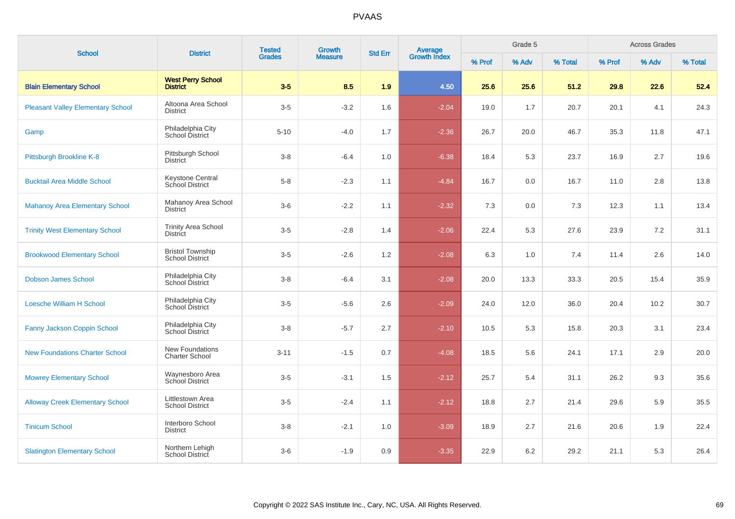| <b>School</b>                            | <b>District</b>                                   | <b>Tested</b><br><b>Grades</b> | Growth         | <b>Std Err</b> |                                |        | Grade 5 |         |        | <b>Across Grades</b> |         |
|------------------------------------------|---------------------------------------------------|--------------------------------|----------------|----------------|--------------------------------|--------|---------|---------|--------|----------------------|---------|
|                                          |                                                   |                                | <b>Measure</b> |                | <b>Average</b><br>Growth Index | % Prof | % Adv   | % Total | % Prof | % Adv                | % Total |
| <b>Blain Elementary School</b>           | <b>West Perry School</b><br><b>District</b>       | $3-5$                          | 8.5            | 1.9            | 4.50                           | 25.6   | 25.6    | 51.2    | 29.8   | 22.6                 | 52.4    |
| <b>Pleasant Valley Elementary School</b> | Altoona Area School<br><b>District</b>            | $3-5$                          | $-3.2$         | 1.6            | $-2.04$                        | 19.0   | 1.7     | 20.7    | 20.1   | 4.1                  | 24.3    |
| Gamp                                     | Philadelphia City<br>School District              | $5 - 10$                       | $-4.0$         | 1.7            | $-2.36$                        | 26.7   | 20.0    | 46.7    | 35.3   | 11.8                 | 47.1    |
| Pittsburgh Brookline K-8                 | Pittsburgh School<br><b>District</b>              | $3-8$                          | $-6.4$         | 1.0            | $-6.38$                        | 18.4   | 5.3     | 23.7    | 16.9   | 2.7                  | 19.6    |
| <b>Bucktail Area Middle School</b>       | <b>Keystone Central</b><br>School District        | $5 - 8$                        | $-2.3$         | 1.1            | $-4.84$                        | 16.7   | 0.0     | 16.7    | 11.0   | 2.8                  | 13.8    |
| <b>Mahanoy Area Elementary School</b>    | Mahanoy Area School<br><b>District</b>            | $3-6$                          | $-2.2$         | 1.1            | $-2.32$                        | 7.3    | 0.0     | 7.3     | 12.3   | 1.1                  | 13.4    |
| <b>Trinity West Elementary School</b>    | <b>Trinity Area School</b><br><b>District</b>     | $3-5$                          | $-2.8$         | 1.4            | $-2.06$                        | 22.4   | 5.3     | 27.6    | 23.9   | 7.2                  | 31.1    |
| <b>Brookwood Elementary School</b>       | <b>Bristol Township</b><br><b>School District</b> | $3-5$                          | $-2.6$         | 1.2            | $-2.08$                        | 6.3    | 1.0     | 7.4     | 11.4   | 2.6                  | 14.0    |
| <b>Dobson James School</b>               | Philadelphia City<br>School District              | $3 - 8$                        | $-6.4$         | 3.1            | $-2.08$                        | 20.0   | 13.3    | 33.3    | 20.5   | 15.4                 | 35.9    |
| <b>Loesche William H School</b>          | Philadelphia City<br>School District              | $3-5$                          | $-5.6$         | 2.6            | $-2.09$                        | 24.0   | 12.0    | 36.0    | 20.4   | 10.2                 | 30.7    |
| <b>Fanny Jackson Coppin School</b>       | Philadelphia City<br>School District              | $3-8$                          | $-5.7$         | 2.7            | $-2.10$                        | 10.5   | 5.3     | 15.8    | 20.3   | 3.1                  | 23.4    |
| <b>New Foundations Charter School</b>    | New Foundations<br><b>Charter School</b>          | $3 - 11$                       | $-1.5$         | 0.7            | $-4.08$                        | 18.5   | 5.6     | 24.1    | 17.1   | 2.9                  | 20.0    |
| <b>Mowrey Elementary School</b>          | Waynesboro Area<br>School District                | $3-5$                          | $-3.1$         | 1.5            | $-2.12$                        | 25.7   | 5.4     | 31.1    | 26.2   | 9.3                  | 35.6    |
| <b>Alloway Creek Elementary School</b>   | Littlestown Area<br><b>School District</b>        | $3-5$                          | $-2.4$         | 1.1            | $-2.12$                        | 18.8   | 2.7     | 21.4    | 29.6   | 5.9                  | 35.5    |
| <b>Tinicum School</b>                    | Interboro School<br><b>District</b>               | $3 - 8$                        | $-2.1$         | 1.0            | $-3.09$                        | 18.9   | 2.7     | 21.6    | 20.6   | 1.9                  | 22.4    |
| <b>Slatington Elementary School</b>      | Northern Lehigh<br>School District                | $3-6$                          | $-1.9$         | 0.9            | $-3.35$                        | 22.9   | 6.2     | 29.2    | 21.1   | 5.3                  | 26.4    |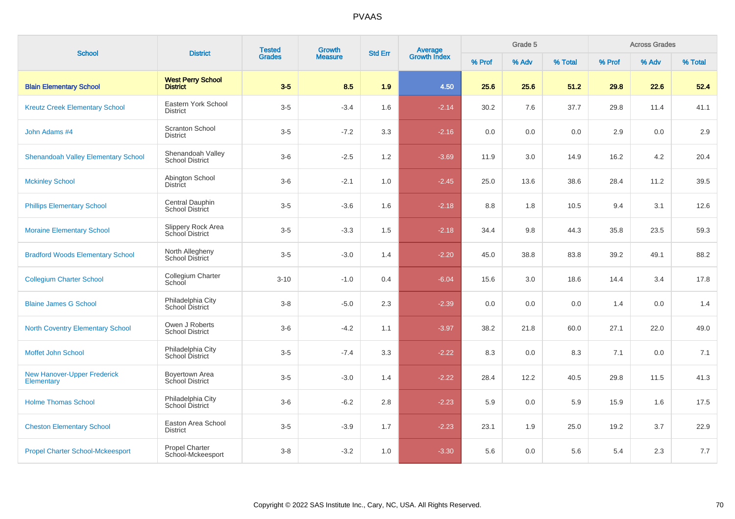| <b>School</b>                                    | <b>District</b>                             | <b>Tested</b> | Growth         | <b>Std Err</b> | <b>Average</b><br>Growth Index |        | Grade 5 |         |        | <b>Across Grades</b> |         |
|--------------------------------------------------|---------------------------------------------|---------------|----------------|----------------|--------------------------------|--------|---------|---------|--------|----------------------|---------|
|                                                  |                                             | <b>Grades</b> | <b>Measure</b> |                |                                | % Prof | % Adv   | % Total | % Prof | % Adv                | % Total |
| <b>Blain Elementary School</b>                   | <b>West Perry School</b><br><b>District</b> | $3-5$         | 8.5            | 1.9            | 4.50                           | 25.6   | 25.6    | 51.2    | 29.8   | 22.6                 | 52.4    |
| <b>Kreutz Creek Elementary School</b>            | Eastern York School<br><b>District</b>      | $3-5$         | $-3.4$         | 1.6            | $-2.14$                        | 30.2   | 7.6     | 37.7    | 29.8   | 11.4                 | 41.1    |
| John Adams #4                                    | <b>Scranton School</b><br><b>District</b>   | $3-5$         | $-7.2$         | 3.3            | $-2.16$                        | 0.0    | 0.0     | 0.0     | 2.9    | 0.0                  | 2.9     |
| <b>Shenandoah Valley Elementary School</b>       | Shenandoah Valley<br><b>School District</b> | $3-6$         | $-2.5$         | 1.2            | $-3.69$                        | 11.9   | 3.0     | 14.9    | 16.2   | 4.2                  | 20.4    |
| <b>Mckinley School</b>                           | Abington School<br><b>District</b>          | $3-6$         | $-2.1$         | 1.0            | $-2.45$                        | 25.0   | 13.6    | 38.6    | 28.4   | 11.2                 | 39.5    |
| <b>Phillips Elementary School</b>                | Central Dauphin<br>School District          | $3-5$         | $-3.6$         | 1.6            | $-2.18$                        | 8.8    | 1.8     | 10.5    | 9.4    | 3.1                  | 12.6    |
| <b>Moraine Elementary School</b>                 | Slippery Rock Area<br>School District       | $3-5$         | $-3.3$         | 1.5            | $-2.18$                        | 34.4   | 9.8     | 44.3    | 35.8   | 23.5                 | 59.3    |
| <b>Bradford Woods Elementary School</b>          | North Allegheny<br><b>School District</b>   | $3-5$         | $-3.0$         | 1.4            | $-2.20$                        | 45.0   | 38.8    | 83.8    | 39.2   | 49.1                 | 88.2    |
| <b>Collegium Charter School</b>                  | Collegium Charter<br>School                 | $3 - 10$      | $-1.0$         | 0.4            | $-6.04$                        | 15.6   | 3.0     | 18.6    | 14.4   | 3.4                  | 17.8    |
| <b>Blaine James G School</b>                     | Philadelphia City<br>School District        | $3 - 8$       | $-5.0$         | 2.3            | $-2.39$                        | 0.0    | 0.0     | 0.0     | 1.4    | 0.0                  | 1.4     |
| <b>North Coventry Elementary School</b>          | Owen J Roberts<br><b>School District</b>    | $3-6$         | $-4.2$         | 1.1            | $-3.97$                        | 38.2   | 21.8    | 60.0    | 27.1   | 22.0                 | 49.0    |
| Moffet John School                               | Philadelphia City<br>School District        | $3-5$         | $-7.4$         | 3.3            | $-2.22$                        | 8.3    | 0.0     | 8.3     | 7.1    | 0.0                  | 7.1     |
| <b>New Hanover-Upper Frederick</b><br>Elementary | Boyertown Area<br>School District           | $3-5$         | $-3.0$         | 1.4            | $-2.22$                        | 28.4   | 12.2    | 40.5    | 29.8   | 11.5                 | 41.3    |
| <b>Holme Thomas School</b>                       | Philadelphia City<br>School District        | $3-6$         | $-6.2$         | 2.8            | $-2.23$                        | 5.9    | 0.0     | 5.9     | 15.9   | 1.6                  | 17.5    |
| <b>Cheston Elementary School</b>                 | Easton Area School<br><b>District</b>       | $3-5$         | $-3.9$         | 1.7            | $-2.23$                        | 23.1   | 1.9     | 25.0    | 19.2   | 3.7                  | 22.9    |
| <b>Propel Charter School-Mckeesport</b>          | Propel Charter<br>School-Mckeesport         | $3 - 8$       | $-3.2$         | 1.0            | $-3.30$                        | 5.6    | 0.0     | 5.6     | 5.4    | 2.3                  | $7.7$   |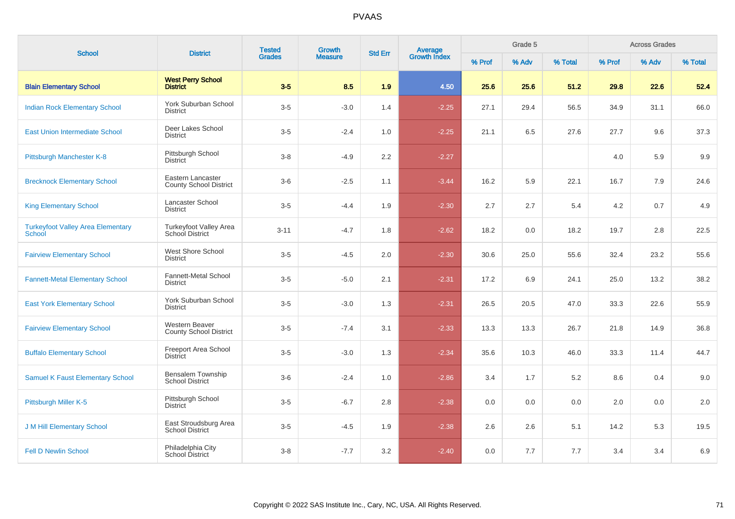| <b>School</b>                                      | <b>District</b>                                    | <b>Tested</b><br>Growth<br><b>Grades</b><br><b>Measure</b> | Average<br>Growth Index<br><b>Std Err</b> |     |         | Grade 5 |       |         | <b>Across Grades</b> |       |         |
|----------------------------------------------------|----------------------------------------------------|------------------------------------------------------------|-------------------------------------------|-----|---------|---------|-------|---------|----------------------|-------|---------|
|                                                    |                                                    |                                                            |                                           |     |         | % Prof  | % Adv | % Total | % Prof               | % Adv | % Total |
| <b>Blain Elementary School</b>                     | <b>West Perry School</b><br><b>District</b>        | $3-5$                                                      | 8.5                                       | 1.9 | 4.50    | 25.6    | 25.6  | 51.2    | 29.8                 | 22.6  | 52.4    |
| <b>Indian Rock Elementary School</b>               | <b>York Suburban School</b><br><b>District</b>     | $3-5$                                                      | $-3.0$                                    | 1.4 | $-2.25$ | 27.1    | 29.4  | 56.5    | 34.9                 | 31.1  | 66.0    |
| <b>East Union Intermediate School</b>              | Deer Lakes School<br><b>District</b>               | $3-5$                                                      | $-2.4$                                    | 1.0 | $-2.25$ | 21.1    | 6.5   | 27.6    | 27.7                 | 9.6   | 37.3    |
| Pittsburgh Manchester K-8                          | Pittsburgh School<br><b>District</b>               | $3 - 8$                                                    | $-4.9$                                    | 2.2 | $-2.27$ |         |       |         | 4.0                  | 5.9   | 9.9     |
| <b>Brecknock Elementary School</b>                 | Eastern Lancaster<br><b>County School District</b> | $3-6$                                                      | $-2.5$                                    | 1.1 | $-3.44$ | 16.2    | 5.9   | 22.1    | 16.7                 | 7.9   | 24.6    |
| <b>King Elementary School</b>                      | Lancaster School<br><b>District</b>                | $3-5$                                                      | $-4.4$                                    | 1.9 | $-2.30$ | 2.7     | 2.7   | 5.4     | 4.2                  | 0.7   | 4.9     |
| <b>Turkeyfoot Valley Area Elementary</b><br>School | Turkeyfoot Valley Area<br>School District          | $3 - 11$                                                   | $-4.7$                                    | 1.8 | $-2.62$ | 18.2    | 0.0   | 18.2    | 19.7                 | 2.8   | 22.5    |
| <b>Fairview Elementary School</b>                  | West Shore School<br><b>District</b>               | $3-5$                                                      | $-4.5$                                    | 2.0 | $-2.30$ | 30.6    | 25.0  | 55.6    | 32.4                 | 23.2  | 55.6    |
| <b>Fannett-Metal Elementary School</b>             | <b>Fannett-Metal School</b><br><b>District</b>     | $3-5$                                                      | $-5.0$                                    | 2.1 | $-2.31$ | 17.2    | 6.9   | 24.1    | 25.0                 | 13.2  | 38.2    |
| <b>East York Elementary School</b>                 | York Suburban School<br><b>District</b>            | $3-5$                                                      | $-3.0$                                    | 1.3 | $-2.31$ | 26.5    | 20.5  | 47.0    | 33.3                 | 22.6  | 55.9    |
| <b>Fairview Elementary School</b>                  | Western Beaver<br><b>County School District</b>    | $3-5$                                                      | $-7.4$                                    | 3.1 | $-2.33$ | 13.3    | 13.3  | 26.7    | 21.8                 | 14.9  | 36.8    |
| <b>Buffalo Elementary School</b>                   | Freeport Area School<br>District                   | $3-5$                                                      | $-3.0$                                    | 1.3 | $-2.34$ | 35.6    | 10.3  | 46.0    | 33.3                 | 11.4  | 44.7    |
| <b>Samuel K Faust Elementary School</b>            | <b>Bensalem Township</b><br><b>School District</b> | $3-6$                                                      | $-2.4$                                    | 1.0 | $-2.86$ | 3.4     | 1.7   | 5.2     | 8.6                  | 0.4   | 9.0     |
| Pittsburgh Miller K-5                              | Pittsburgh School<br><b>District</b>               | $3-5$                                                      | $-6.7$                                    | 2.8 | $-2.38$ | 0.0     | 0.0   | 0.0     | 2.0                  | 0.0   | 2.0     |
| <b>J M Hill Elementary School</b>                  | East Stroudsburg Area<br><b>School District</b>    | $3-5$                                                      | $-4.5$                                    | 1.9 | $-2.38$ | 2.6     | 2.6   | 5.1     | 14.2                 | 5.3   | 19.5    |
| <b>Fell D Newlin School</b>                        | Philadelphia City<br>School District               | $3 - 8$                                                    | $-7.7$                                    | 3.2 | $-2.40$ | 0.0     | 7.7   | 7.7     | 3.4                  | 3.4   | 6.9     |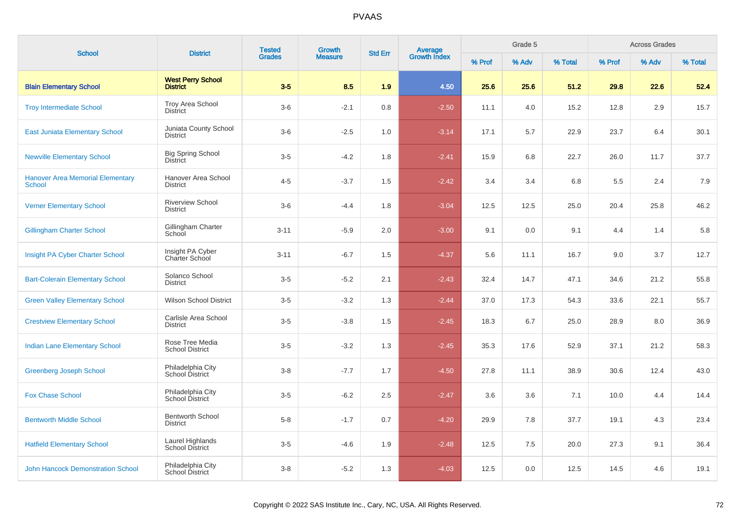| <b>School</b>                                            | <b>District</b>                             | <b>Tested</b><br><b>Growth</b><br><b>Grades</b><br><b>Measure</b> | <b>Average</b><br>Growth Index<br><b>Std Err</b> |     |         | Grade 5 |       |         | <b>Across Grades</b> |       |         |
|----------------------------------------------------------|---------------------------------------------|-------------------------------------------------------------------|--------------------------------------------------|-----|---------|---------|-------|---------|----------------------|-------|---------|
|                                                          |                                             |                                                                   |                                                  |     |         | % Prof  | % Adv | % Total | % Prof               | % Adv | % Total |
| <b>Blain Elementary School</b>                           | <b>West Perry School</b><br><b>District</b> | $3-5$                                                             | 8.5                                              | 1.9 | 4.50    | 25.6    | 25.6  | 51.2    | 29.8                 | 22.6  | 52.4    |
| <b>Troy Intermediate School</b>                          | <b>Troy Area School</b><br><b>District</b>  | $3-6$                                                             | $-2.1$                                           | 0.8 | $-2.50$ | 11.1    | 4.0   | 15.2    | 12.8                 | 2.9   | 15.7    |
| <b>East Juniata Elementary School</b>                    | Juniata County School<br><b>District</b>    | $3-6$                                                             | $-2.5$                                           | 1.0 | $-3.14$ | 17.1    | 5.7   | 22.9    | 23.7                 | 6.4   | 30.1    |
| <b>Newville Elementary School</b>                        | <b>Big Spring School</b><br><b>District</b> | $3-5$                                                             | $-4.2$                                           | 1.8 | $-2.41$ | 15.9    | 6.8   | 22.7    | 26.0                 | 11.7  | 37.7    |
| <b>Hanover Area Memorial Elementary</b><br><b>School</b> | Hanover Area School<br><b>District</b>      | $4 - 5$                                                           | $-3.7$                                           | 1.5 | $-2.42$ | 3.4     | 3.4   | 6.8     | 5.5                  | 2.4   | 7.9     |
| <b>Verner Elementary School</b>                          | <b>Riverview School</b><br><b>District</b>  | $3-6$                                                             | $-4.4$                                           | 1.8 | $-3.04$ | 12.5    | 12.5  | 25.0    | 20.4                 | 25.8  | 46.2    |
| <b>Gillingham Charter School</b>                         | Gillingham Charter<br>School                | $3 - 11$                                                          | $-5.9$                                           | 2.0 | $-3.00$ | 9.1     | 0.0   | 9.1     | 4.4                  | 1.4   | 5.8     |
| Insight PA Cyber Charter School                          | Insight PA Cyber<br>Charter School          | $3 - 11$                                                          | $-6.7$                                           | 1.5 | $-4.37$ | 5.6     | 11.1  | 16.7    | 9.0                  | 3.7   | 12.7    |
| <b>Bart-Colerain Elementary School</b>                   | Solanco School<br><b>District</b>           | $3-5$                                                             | $-5.2$                                           | 2.1 | $-2.43$ | 32.4    | 14.7  | 47.1    | 34.6                 | 21.2  | 55.8    |
| <b>Green Valley Elementary School</b>                    | <b>Wilson School District</b>               | $3-5$                                                             | $-3.2$                                           | 1.3 | $-2.44$ | 37.0    | 17.3  | 54.3    | 33.6                 | 22.1  | 55.7    |
| <b>Crestview Elementary School</b>                       | Carlisle Area School<br><b>District</b>     | $3-5$                                                             | $-3.8$                                           | 1.5 | $-2.45$ | 18.3    | 6.7   | 25.0    | 28.9                 | 8.0   | 36.9    |
| <b>Indian Lane Elementary School</b>                     | Rose Tree Media<br><b>School District</b>   | $3-5$                                                             | $-3.2$                                           | 1.3 | $-2.45$ | 35.3    | 17.6  | 52.9    | 37.1                 | 21.2  | 58.3    |
| <b>Greenberg Joseph School</b>                           | Philadelphia City<br>School District        | $3 - 8$                                                           | $-7.7$                                           | 1.7 | $-4.50$ | 27.8    | 11.1  | 38.9    | 30.6                 | 12.4  | 43.0    |
| <b>Fox Chase School</b>                                  | Philadelphia City<br>School District        | $3-5$                                                             | $-6.2$                                           | 2.5 | $-2.47$ | 3.6     | 3.6   | 7.1     | 10.0                 | 4.4   | 14.4    |
| <b>Bentworth Middle School</b>                           | <b>Bentworth School</b><br><b>District</b>  | $5 - 8$                                                           | $-1.7$                                           | 0.7 | $-4.20$ | 29.9    | 7.8   | 37.7    | 19.1                 | 4.3   | 23.4    |
| <b>Hatfield Elementary School</b>                        | Laurel Highlands<br>School District         | $3-5$                                                             | $-4.6$                                           | 1.9 | $-2.48$ | 12.5    | 7.5   | 20.0    | 27.3                 | 9.1   | 36.4    |
| <b>John Hancock Demonstration School</b>                 | Philadelphia City<br>School District        | $3 - 8$                                                           | $-5.2$                                           | 1.3 | $-4.03$ | 12.5    | 0.0   | 12.5    | 14.5                 | 4.6   | 19.1    |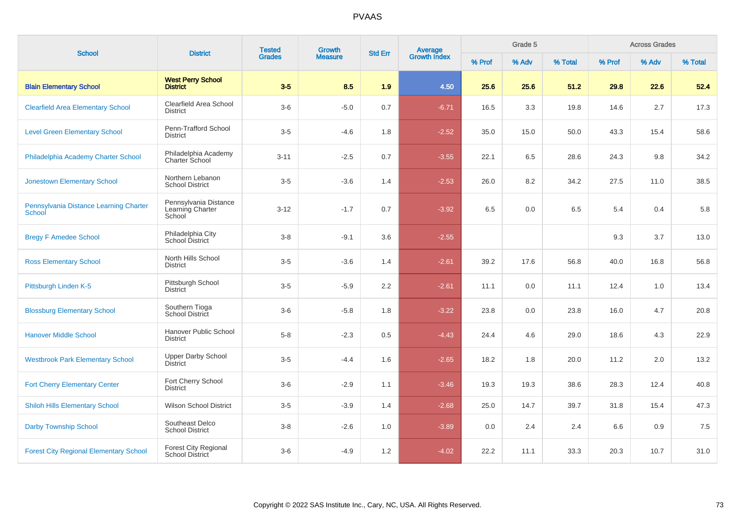| <b>School</b>                                    | <b>District</b>                                       | <b>Tested</b><br><b>Grades</b> | Growth         | <b>Std Err</b> | <b>Average</b><br>Growth Index |        | Grade 5 |         |        | <b>Across Grades</b> |         |
|--------------------------------------------------|-------------------------------------------------------|--------------------------------|----------------|----------------|--------------------------------|--------|---------|---------|--------|----------------------|---------|
|                                                  |                                                       |                                | <b>Measure</b> |                |                                | % Prof | % Adv   | % Total | % Prof | % Adv                | % Total |
| <b>Blain Elementary School</b>                   | <b>West Perry School</b><br><b>District</b>           | $3-5$                          | 8.5            | 1.9            | 4.50                           | 25.6   | 25.6    | 51.2    | 29.8   | 22.6                 | 52.4    |
| <b>Clearfield Area Elementary School</b>         | Clearfield Area School<br><b>District</b>             | $3-6$                          | $-5.0$         | 0.7            | $-6.71$                        | 16.5   | 3.3     | 19.8    | 14.6   | 2.7                  | 17.3    |
| <b>Level Green Elementary School</b>             | Penn-Trafford School<br><b>District</b>               | $3-5$                          | $-4.6$         | 1.8            | $-2.52$                        | 35.0   | 15.0    | 50.0    | 43.3   | 15.4                 | 58.6    |
| Philadelphia Academy Charter School              | Philadelphia Academy<br><b>Charter School</b>         | $3 - 11$                       | $-2.5$         | 0.7            | $-3.55$                        | 22.1   | 6.5     | 28.6    | 24.3   | 9.8                  | 34.2    |
| <b>Jonestown Elementary School</b>               | Northern Lebanon<br><b>School District</b>            | $3 - 5$                        | $-3.6$         | 1.4            | $-2.53$                        | 26.0   | 8.2     | 34.2    | 27.5   | 11.0                 | 38.5    |
| Pennsylvania Distance Learning Charter<br>School | Pennsylvania Distance<br>Learning Charter<br>School   | $3 - 12$                       | $-1.7$         | 0.7            | $-3.92$                        | 6.5    | 0.0     | 6.5     | 5.4    | 0.4                  | 5.8     |
| <b>Bregy F Amedee School</b>                     | Philadelphia City<br>School District                  | $3 - 8$                        | $-9.1$         | 3.6            | $-2.55$                        |        |         |         | 9.3    | 3.7                  | 13.0    |
| <b>Ross Elementary School</b>                    | North Hills School<br><b>District</b>                 | $3-5$                          | $-3.6$         | 1.4            | $-2.61$                        | 39.2   | 17.6    | 56.8    | 40.0   | 16.8                 | 56.8    |
| Pittsburgh Linden K-5                            | Pittsburgh School<br><b>District</b>                  | $3-5$                          | $-5.9$         | 2.2            | $-2.61$                        | 11.1   | 0.0     | 11.1    | 12.4   | 1.0                  | 13.4    |
| <b>Blossburg Elementary School</b>               | Southern Tioga<br>School District                     | $3-6$                          | $-5.8$         | 1.8            | $-3.22$                        | 23.8   | 0.0     | 23.8    | 16.0   | 4.7                  | 20.8    |
| <b>Hanover Middle School</b>                     | Hanover Public School<br><b>District</b>              | $5-8$                          | $-2.3$         | 0.5            | $-4.43$                        | 24.4   | 4.6     | 29.0    | 18.6   | 4.3                  | 22.9    |
| <b>Westbrook Park Elementary School</b>          | <b>Upper Darby School</b><br><b>District</b>          | $3-5$                          | $-4.4$         | 1.6            | $-2.65$                        | 18.2   | 1.8     | 20.0    | 11.2   | 2.0                  | 13.2    |
| <b>Fort Cherry Elementary Center</b>             | Fort Cherry School<br><b>District</b>                 | $3-6$                          | $-2.9$         | 1.1            | $-3.46$                        | 19.3   | 19.3    | 38.6    | 28.3   | 12.4                 | 40.8    |
| <b>Shiloh Hills Elementary School</b>            | <b>Wilson School District</b>                         | $3-5$                          | $-3.9$         | 1.4            | $-2.68$                        | 25.0   | 14.7    | 39.7    | 31.8   | 15.4                 | 47.3    |
| <b>Darby Township School</b>                     | Southeast Delco<br><b>School District</b>             | $3-8$                          | $-2.6$         | 1.0            | $-3.89$                        | 0.0    | 2.4     | 2.4     | 6.6    | 0.9                  | 7.5     |
| <b>Forest City Regional Elementary School</b>    | <b>Forest City Regional</b><br><b>School District</b> | $3-6$                          | $-4.9$         | 1.2            | $-4.02$                        | 22.2   | 11.1    | 33.3    | 20.3   | 10.7                 | 31.0    |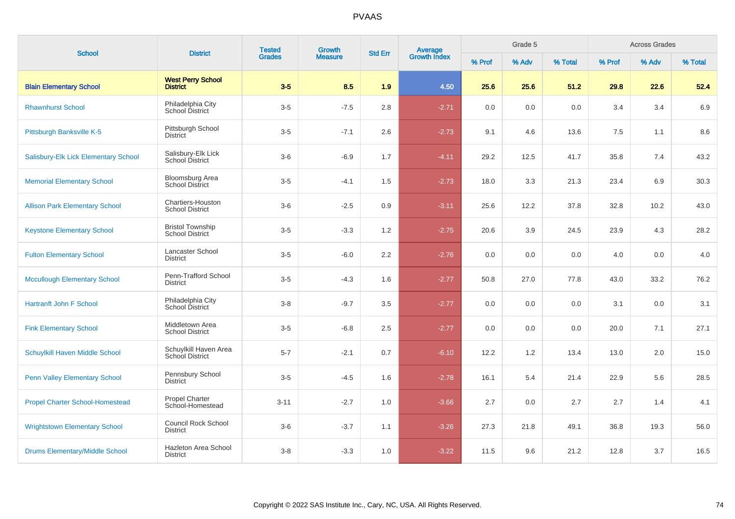| <b>School</b>                          | <b>District</b>                                   | <b>Tested</b><br><b>Grades</b> | Growth         | <b>Std Err</b> | <b>Average</b><br>Growth Index |        | Grade 5 |         |         | <b>Across Grades</b> |         |
|----------------------------------------|---------------------------------------------------|--------------------------------|----------------|----------------|--------------------------------|--------|---------|---------|---------|----------------------|---------|
|                                        |                                                   |                                | <b>Measure</b> |                |                                | % Prof | % Adv   | % Total | % Prof  | % Adv                | % Total |
| <b>Blain Elementary School</b>         | <b>West Perry School</b><br><b>District</b>       | $3-5$                          | 8.5            | 1.9            | 4.50                           | 25.6   | 25.6    | 51.2    | 29.8    | 22.6                 | 52.4    |
| <b>Rhawnhurst School</b>               | Philadelphia City<br><b>School District</b>       | $3-5$                          | $-7.5$         | 2.8            | $-2.71$                        | 0.0    | 0.0     | 0.0     | 3.4     | 3.4                  | 6.9     |
| Pittsburgh Banksville K-5              | Pittsburgh School<br><b>District</b>              | $3-5$                          | $-7.1$         | 2.6            | $-2.73$                        | 9.1    | 4.6     | 13.6    | $7.5\,$ | 1.1                  | 8.6     |
| Salisbury-Elk Lick Elementary School   | Salisbury-Elk Lick<br>School District             | $3-6$                          | $-6.9$         | 1.7            | $-4.11$                        | 29.2   | 12.5    | 41.7    | 35.8    | 7.4                  | 43.2    |
| <b>Memorial Elementary School</b>      | <b>Bloomsburg Area</b><br>School District         | $3-5$                          | $-4.1$         | 1.5            | $-2.73$                        | 18.0   | 3.3     | 21.3    | 23.4    | 6.9                  | 30.3    |
| <b>Allison Park Elementary School</b>  | Chartiers-Houston<br><b>School District</b>       | $3-6$                          | $-2.5$         | 0.9            | $-3.11$                        | 25.6   | 12.2    | 37.8    | 32.8    | 10.2                 | 43.0    |
| <b>Keystone Elementary School</b>      | <b>Bristol Township</b><br><b>School District</b> | $3-5$                          | $-3.3$         | 1.2            | $-2.75$                        | 20.6   | 3.9     | 24.5    | 23.9    | 4.3                  | 28.2    |
| <b>Fulton Elementary School</b>        | Lancaster School<br><b>District</b>               | $3-5$                          | $-6.0$         | 2.2            | $-2.76$                        | 0.0    | 0.0     | 0.0     | 4.0     | 0.0                  | 4.0     |
| <b>Mccullough Elementary School</b>    | Penn-Trafford School<br><b>District</b>           | $3-5$                          | $-4.3$         | 1.6            | $-2.77$                        | 50.8   | 27.0    | 77.8    | 43.0    | 33.2                 | 76.2    |
| <b>Hartranft John F School</b>         | Philadelphia City<br>School District              | $3-8$                          | $-9.7$         | 3.5            | $-2.77$                        | 0.0    | 0.0     | 0.0     | 3.1     | 0.0                  | 3.1     |
| <b>Fink Elementary School</b>          | Middletown Area<br><b>School District</b>         | $3-5$                          | $-6.8$         | 2.5            | $-2.77$                        | 0.0    | 0.0     | 0.0     | 20.0    | 7.1                  | 27.1    |
| Schuylkill Haven Middle School         | Schuylkill Haven Area<br>School District          | $5 - 7$                        | $-2.1$         | 0.7            | $-6.10$                        | 12.2   | 1.2     | 13.4    | 13.0    | 2.0                  | 15.0    |
| <b>Penn Valley Elementary School</b>   | Pennsbury School<br><b>District</b>               | $3-5$                          | $-4.5$         | 1.6            | $-2.78$                        | 16.1   | 5.4     | 21.4    | 22.9    | 5.6                  | 28.5    |
| <b>Propel Charter School-Homestead</b> | <b>Propel Charter</b><br>School-Homestead         | $3 - 11$                       | $-2.7$         | 1.0            | $-3.66$                        | 2.7    | 0.0     | 2.7     | 2.7     | 1.4                  | 4.1     |
| <b>Wrightstown Elementary School</b>   | <b>Council Rock School</b><br><b>District</b>     | $3-6$                          | $-3.7$         | 1.1            | $-3.26$                        | 27.3   | 21.8    | 49.1    | 36.8    | 19.3                 | 56.0    |
| <b>Drums Elementary/Middle School</b>  | Hazleton Area School<br>District                  | $3-8$                          | $-3.3$         | 1.0            | $-3.22$                        | 11.5   | 9.6     | 21.2    | 12.8    | 3.7                  | 16.5    |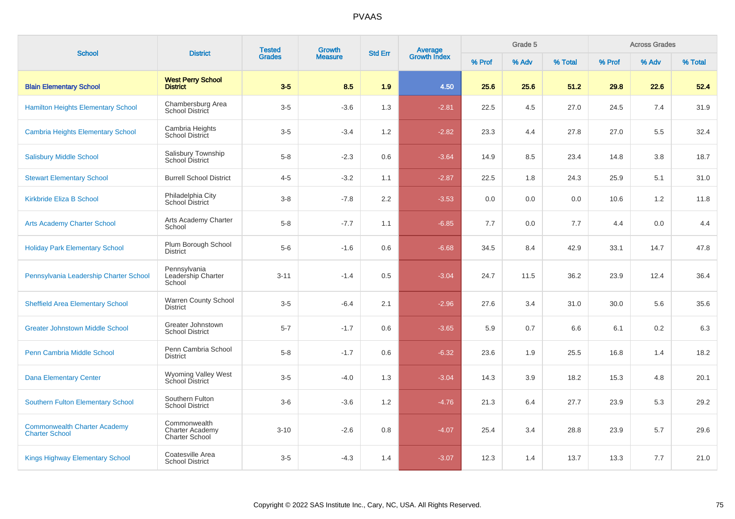| <b>School</b>                                                | <b>District</b>                                                 | <b>Tested</b> | <b>Growth</b><br><b>Grades</b><br><b>Measure</b> |                  | Average<br>Growth Index<br><b>Std Err</b> |        | Grade 5 |         |        | <b>Across Grades</b> |         |
|--------------------------------------------------------------|-----------------------------------------------------------------|---------------|--------------------------------------------------|------------------|-------------------------------------------|--------|---------|---------|--------|----------------------|---------|
|                                                              |                                                                 |               |                                                  |                  |                                           | % Prof | % Adv   | % Total | % Prof | % Adv                | % Total |
| <b>Blain Elementary School</b>                               | <b>West Perry School</b><br><b>District</b>                     | $3-5$         | 8.5                                              | 1.9              | 4.50                                      | 25.6   | 25.6    | 51.2    | 29.8   | 22.6                 | 52.4    |
| <b>Hamilton Heights Elementary School</b>                    | Chambersburg Area<br><b>School District</b>                     | $3-5$         | $-3.6$                                           | 1.3              | $-2.81$                                   | 22.5   | 4.5     | 27.0    | 24.5   | 7.4                  | 31.9    |
| <b>Cambria Heights Elementary School</b>                     | Cambria Heights<br><b>School District</b>                       | $3-5$         | $-3.4$                                           | 1.2              | $-2.82$                                   | 23.3   | 4.4     | 27.8    | 27.0   | 5.5                  | 32.4    |
| <b>Salisbury Middle School</b>                               | Salisbury Township<br>School District                           | $5 - 8$       | $-2.3$                                           | 0.6              | $-3.64$                                   | 14.9   | 8.5     | 23.4    | 14.8   | 3.8                  | 18.7    |
| <b>Stewart Elementary School</b>                             | <b>Burrell School District</b>                                  | $4 - 5$       | $-3.2$                                           | 1.1              | $-2.87$                                   | 22.5   | 1.8     | 24.3    | 25.9   | 5.1                  | 31.0    |
| <b>Kirkbride Eliza B School</b>                              | Philadelphia City<br>School District                            | $3 - 8$       | $-7.8$                                           | $2.2\phantom{0}$ | $-3.53$                                   | 0.0    | 0.0     | 0.0     | 10.6   | 1.2                  | 11.8    |
| <b>Arts Academy Charter School</b>                           | Arts Academy Charter<br>School                                  | $5 - 8$       | $-7.7$                                           | 1.1              | $-6.85$                                   | 7.7    | 0.0     | 7.7     | 4.4    | 0.0                  | 4.4     |
| <b>Holiday Park Elementary School</b>                        | Plum Borough School<br><b>District</b>                          | $5-6$         | $-1.6$                                           | 0.6              | $-6.68$                                   | 34.5   | 8.4     | 42.9    | 33.1   | 14.7                 | 47.8    |
| Pennsylvania Leadership Charter School                       | Pennsylvania<br>Leadership Charter<br>School                    | $3 - 11$      | $-1.4$                                           | 0.5              | $-3.04$                                   | 24.7   | 11.5    | 36.2    | 23.9   | 12.4                 | 36.4    |
| <b>Sheffield Area Elementary School</b>                      | <b>Warren County School</b><br><b>District</b>                  | $3-5$         | $-6.4$                                           | 2.1              | $-2.96$                                   | 27.6   | 3.4     | 31.0    | 30.0   | 5.6                  | 35.6    |
| <b>Greater Johnstown Middle School</b>                       | Greater Johnstown<br><b>School District</b>                     | $5 - 7$       | $-1.7$                                           | 0.6              | $-3.65$                                   | 5.9    | 0.7     | 6.6     | 6.1    | 0.2                  | 6.3     |
| Penn Cambria Middle School                                   | Penn Cambria School<br><b>District</b>                          | $5 - 8$       | $-1.7$                                           | 0.6              | $-6.32$                                   | 23.6   | 1.9     | 25.5    | 16.8   | 1.4                  | 18.2    |
| <b>Dana Elementary Center</b>                                | Wyoming Valley West<br>School District                          | $3-5$         | $-4.0$                                           | 1.3              | $-3.04$                                   | 14.3   | 3.9     | 18.2    | 15.3   | 4.8                  | 20.1    |
| <b>Southern Fulton Elementary School</b>                     | Southern Fulton<br><b>School District</b>                       | $3-6$         | $-3.6$                                           | 1.2              | $-4.76$                                   | 21.3   | 6.4     | 27.7    | 23.9   | 5.3                  | 29.2    |
| <b>Commonwealth Charter Academy</b><br><b>Charter School</b> | Commonwealth<br><b>Charter Academy</b><br><b>Charter School</b> | $3 - 10$      | $-2.6$                                           | 0.8              | $-4.07$                                   | 25.4   | 3.4     | 28.8    | 23.9   | 5.7                  | 29.6    |
| <b>Kings Highway Elementary School</b>                       | Coatesville Area<br><b>School District</b>                      | $3-5$         | $-4.3$                                           | 1.4              | $-3.07$                                   | 12.3   | 1.4     | 13.7    | 13.3   | 7.7                  | 21.0    |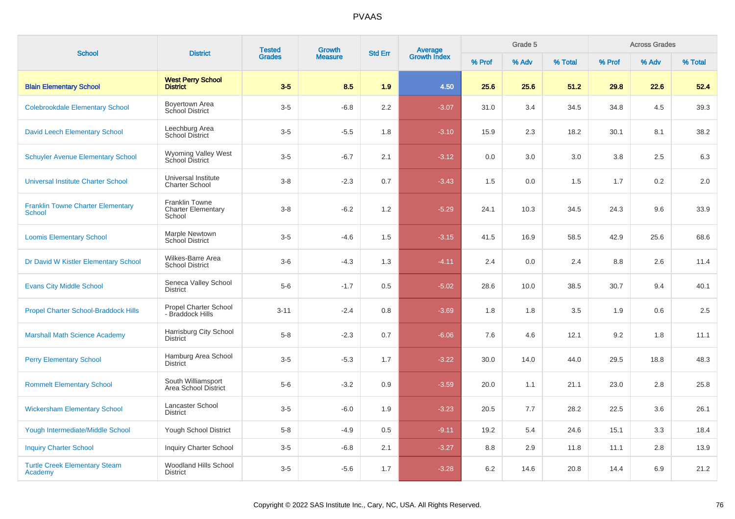|                                                           |                                                              | <b>Tested</b><br><b>Grades</b> | Growth         | <b>Std Err</b> | <b>Average</b><br>Growth Index |        | Grade 5 |         |        | <b>Across Grades</b> |         |
|-----------------------------------------------------------|--------------------------------------------------------------|--------------------------------|----------------|----------------|--------------------------------|--------|---------|---------|--------|----------------------|---------|
| <b>School</b>                                             | <b>District</b>                                              |                                | <b>Measure</b> |                |                                | % Prof | % Adv   | % Total | % Prof | % Adv                | % Total |
| <b>Blain Elementary School</b>                            | <b>West Perry School</b><br><b>District</b>                  | $3-5$                          | 8.5            | 1.9            | 4.50                           | 25.6   | 25.6    | 51.2    | 29.8   | 22.6                 | 52.4    |
| <b>Colebrookdale Elementary School</b>                    | Boyertown Area<br>School District                            | $3-5$                          | $-6.8$         | 2.2            | $-3.07$                        | 31.0   | 3.4     | 34.5    | 34.8   | 4.5                  | 39.3    |
| <b>David Leech Elementary School</b>                      | Leechburg Area<br>School District                            | $3-5$                          | $-5.5$         | 1.8            | $-3.10$                        | 15.9   | 2.3     | 18.2    | 30.1   | 8.1                  | 38.2    |
| <b>Schuyler Avenue Elementary School</b>                  | <b>Wyoming Valley West</b><br><b>School District</b>         | $3-5$                          | $-6.7$         | 2.1            | $-3.12$                        | 0.0    | 3.0     | 3.0     | 3.8    | 2.5                  | 6.3     |
| <b>Universal Institute Charter School</b>                 | Universal Institute<br><b>Charter School</b>                 | $3-8$                          | $-2.3$         | 0.7            | $-3.43$                        | 1.5    | 0.0     | 1.5     | 1.7    | 0.2                  | 2.0     |
| <b>Franklin Towne Charter Elementary</b><br><b>School</b> | <b>Franklin Towne</b><br><b>Charter Elementary</b><br>School | $3-8$                          | $-6.2$         | 1.2            | $-5.29$                        | 24.1   | 10.3    | 34.5    | 24.3   | 9.6                  | 33.9    |
| <b>Loomis Elementary School</b>                           | Marple Newtown<br><b>School District</b>                     | $3-5$                          | $-4.6$         | 1.5            | $-3.15$                        | 41.5   | 16.9    | 58.5    | 42.9   | 25.6                 | 68.6    |
| Dr David W Kistler Elementary School                      | Wilkes-Barre Area<br><b>School District</b>                  | $3-6$                          | $-4.3$         | 1.3            | $-4.11$                        | 2.4    | 0.0     | 2.4     | 8.8    | 2.6                  | 11.4    |
| <b>Evans City Middle School</b>                           | Seneca Valley School<br><b>District</b>                      | $5-6$                          | $-1.7$         | 0.5            | $-5.02$                        | 28.6   | 10.0    | 38.5    | 30.7   | 9.4                  | 40.1    |
| <b>Propel Charter School-Braddock Hills</b>               | <b>Propel Charter School</b><br>- Braddock Hills             | $3 - 11$                       | $-2.4$         | 0.8            | $-3.69$                        | 1.8    | 1.8     | 3.5     | 1.9    | 0.6                  | 2.5     |
| <b>Marshall Math Science Academy</b>                      | Harrisburg City School<br><b>District</b>                    | $5 - 8$                        | $-2.3$         | 0.7            | $-6.06$                        | 7.6    | 4.6     | 12.1    | 9.2    | 1.8                  | 11.1    |
| <b>Perry Elementary School</b>                            | Hamburg Area School<br><b>District</b>                       | $3-5$                          | $-5.3$         | 1.7            | $-3.22$                        | 30.0   | 14.0    | 44.0    | 29.5   | 18.8                 | 48.3    |
| <b>Rommelt Elementary School</b>                          | South Williamsport<br>Area School District                   | $5-6$                          | $-3.2$         | 0.9            | $-3.59$                        | 20.0   | 1.1     | 21.1    | 23.0   | 2.8                  | 25.8    |
| <b>Wickersham Elementary School</b>                       | Lancaster School<br><b>District</b>                          | $3-5$                          | $-6.0$         | 1.9            | $-3.23$                        | 20.5   | 7.7     | 28.2    | 22.5   | 3.6                  | 26.1    |
| <b>Yough Intermediate/Middle School</b>                   | Yough School District                                        | $5-8$                          | $-4.9$         | 0.5            | $-9.11$                        | 19.2   | 5.4     | 24.6    | 15.1   | 3.3                  | 18.4    |
| <b>Inquiry Charter School</b>                             | <b>Inquiry Charter School</b>                                | $3-5$                          | $-6.8$         | 2.1            | $-3.27$                        | 8.8    | 2.9     | 11.8    | 11.1   | 2.8                  | 13.9    |
| <b>Turtle Creek Elementary Steam</b><br>Academy           | Woodland Hills School<br><b>District</b>                     | $3-5$                          | $-5.6$         | 1.7            | $-3.28$                        | 6.2    | 14.6    | 20.8    | 14.4   | 6.9                  | 21.2    |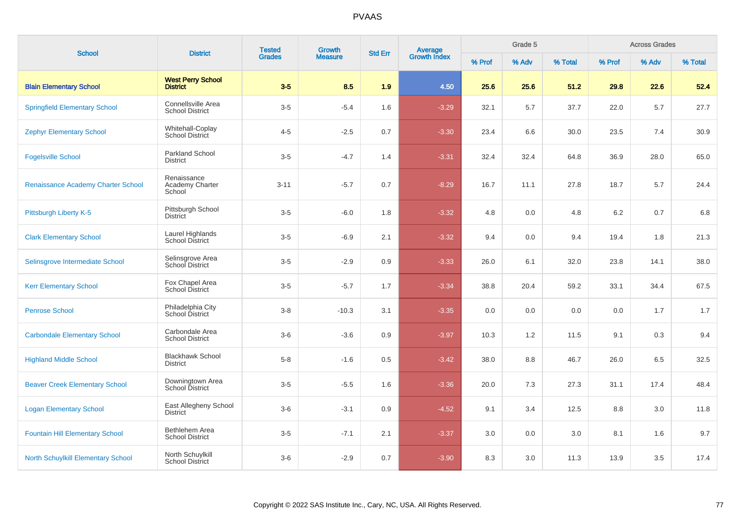| <b>School</b>                             | <b>District</b>                              | <b>Tested</b> | Growth         | <b>Std Err</b> | Average<br>Growth Index |        | Grade 5 |          |         | <b>Across Grades</b> |         |
|-------------------------------------------|----------------------------------------------|---------------|----------------|----------------|-------------------------|--------|---------|----------|---------|----------------------|---------|
|                                           |                                              | <b>Grades</b> | <b>Measure</b> |                |                         | % Prof | % Adv   | % Total  | % Prof  | % Adv                | % Total |
| <b>Blain Elementary School</b>            | <b>West Perry School</b><br><b>District</b>  | $3-5$         | 8.5            | 1.9            | 4.50                    | 25.6   | 25.6    | 51.2     | 29.8    | 22.6                 | 52.4    |
| <b>Springfield Elementary School</b>      | Connellsville Area<br><b>School District</b> | $3-5$         | $-5.4$         | 1.6            | $-3.29$                 | 32.1   | 5.7     | 37.7     | 22.0    | 5.7                  | 27.7    |
| <b>Zephyr Elementary School</b>           | Whitehall-Coplay<br>School District          | $4 - 5$       | $-2.5$         | 0.7            | $-3.30$                 | 23.4   | 6.6     | $30.0\,$ | 23.5    | 7.4                  | 30.9    |
| <b>Fogelsville School</b>                 | <b>Parkland School</b><br><b>District</b>    | $3-5$         | $-4.7$         | 1.4            | $-3.31$                 | 32.4   | 32.4    | 64.8     | 36.9    | 28.0                 | 65.0    |
| Renaissance Academy Charter School        | Renaissance<br>Academy Charter<br>School     | $3 - 11$      | $-5.7$         | 0.7            | $-8.29$                 | 16.7   | 11.1    | 27.8     | 18.7    | 5.7                  | 24.4    |
| Pittsburgh Liberty K-5                    | Pittsburgh School<br><b>District</b>         | $3-5$         | $-6.0$         | 1.8            | $-3.32$                 | 4.8    | 0.0     | 4.8      | 6.2     | 0.7                  | 6.8     |
| <b>Clark Elementary School</b>            | Laurel Highlands<br>School District          | $3-5$         | $-6.9$         | 2.1            | $-3.32$                 | 9.4    | 0.0     | 9.4      | 19.4    | 1.8                  | 21.3    |
| Selinsgrove Intermediate School           | Selinsgrove Area<br>School District          | $3-5$         | $-2.9$         | 0.9            | $-3.33$                 | 26.0   | 6.1     | 32.0     | 23.8    | 14.1                 | 38.0    |
| <b>Kerr Elementary School</b>             | Fox Chapel Area<br>School District           | $3-5$         | $-5.7$         | 1.7            | $-3.34$                 | 38.8   | 20.4    | 59.2     | 33.1    | 34.4                 | 67.5    |
| <b>Penrose School</b>                     | Philadelphia City<br>School District         | $3-8$         | $-10.3$        | 3.1            | $-3.35$                 | 0.0    | 0.0     | 0.0      | 0.0     | 1.7                  | 1.7     |
| <b>Carbondale Elementary School</b>       | Carbondale Area<br><b>School District</b>    | $3-6$         | $-3.6$         | 0.9            | $-3.97$                 | 10.3   | 1.2     | 11.5     | 9.1     | 0.3                  | 9.4     |
| <b>Highland Middle School</b>             | <b>Blackhawk School</b><br><b>District</b>   | $5-8$         | $-1.6$         | 0.5            | $-3.42$                 | 38.0   | 8.8     | 46.7     | 26.0    | 6.5                  | 32.5    |
| <b>Beaver Creek Elementary School</b>     | Downingtown Area<br>School District          | $3-5$         | $-5.5$         | 1.6            | $-3.36$                 | 20.0   | 7.3     | 27.3     | 31.1    | 17.4                 | 48.4    |
| <b>Logan Elementary School</b>            | East Allegheny School<br><b>District</b>     | $3-6$         | $-3.1$         | $0.9\,$        | $-4.52$                 | 9.1    | 3.4     | 12.5     | $8.8\,$ | 3.0                  | 11.8    |
| <b>Fountain Hill Elementary School</b>    | Bethlehem Area<br><b>School District</b>     | $3-5$         | $-7.1$         | 2.1            | $-3.37$                 | 3.0    | 0.0     | 3.0      | 8.1     | 1.6                  | 9.7     |
| <b>North Schuylkill Elementary School</b> | North Schuylkill<br>School District          | $3-6$         | $-2.9$         | 0.7            | $-3.90$                 | 8.3    | 3.0     | 11.3     | 13.9    | 3.5                  | 17.4    |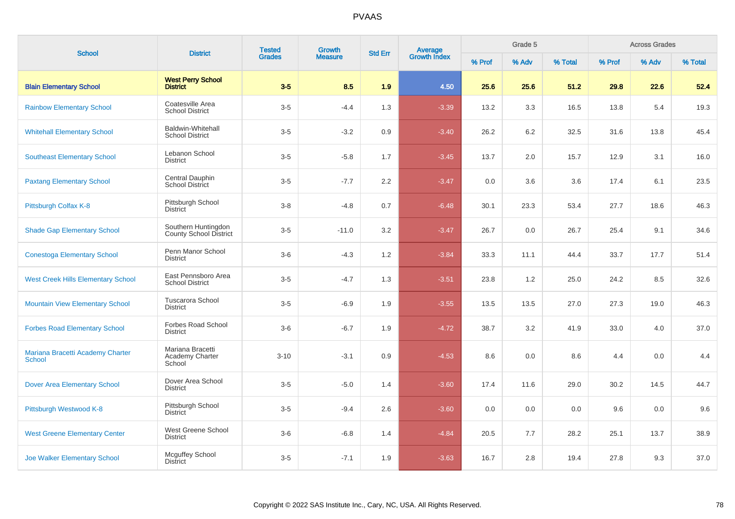| <b>School</b>                                     | <b>District</b>                                    | <b>Tested</b><br><b>Grades</b> | <b>Growth</b>  | <b>Std Err</b> | Average<br>Growth Index |        | Grade 5 |         |        | <b>Across Grades</b> |         |
|---------------------------------------------------|----------------------------------------------------|--------------------------------|----------------|----------------|-------------------------|--------|---------|---------|--------|----------------------|---------|
|                                                   |                                                    |                                | <b>Measure</b> |                |                         | % Prof | % Adv   | % Total | % Prof | % Adv                | % Total |
| <b>Blain Elementary School</b>                    | <b>West Perry School</b><br><b>District</b>        | $3-5$                          | 8.5            | 1.9            | 4.50                    | 25.6   | 25.6    | 51.2    | 29.8   | 22.6                 | 52.4    |
| <b>Rainbow Elementary School</b>                  | Coatesville Area<br><b>School District</b>         | $3-5$                          | $-4.4$         | 1.3            | $-3.39$                 | 13.2   | 3.3     | 16.5    | 13.8   | 5.4                  | 19.3    |
| <b>Whitehall Elementary School</b>                | <b>Baldwin-Whitehall</b><br><b>School District</b> | $3-5$                          | $-3.2$         | 0.9            | $-3.40$                 | 26.2   | 6.2     | 32.5    | 31.6   | 13.8                 | 45.4    |
| <b>Southeast Elementary School</b>                | Lebanon School<br><b>District</b>                  | $3-5$                          | $-5.8$         | 1.7            | $-3.45$                 | 13.7   | 2.0     | 15.7    | 12.9   | 3.1                  | 16.0    |
| <b>Paxtang Elementary School</b>                  | Central Dauphin<br><b>School District</b>          | $3-5$                          | $-7.7$         | 2.2            | $-3.47$                 | 0.0    | 3.6     | 3.6     | 17.4   | 6.1                  | 23.5    |
| Pittsburgh Colfax K-8                             | Pittsburgh School<br><b>District</b>               | $3 - 8$                        | $-4.8$         | 0.7            | $-6.48$                 | 30.1   | 23.3    | 53.4    | 27.7   | 18.6                 | 46.3    |
| <b>Shade Gap Elementary School</b>                | Southern Huntingdon<br>County School District      | $3-5$                          | $-11.0$        | 3.2            | $-3.47$                 | 26.7   | 0.0     | 26.7    | 25.4   | 9.1                  | 34.6    |
| <b>Conestoga Elementary School</b>                | Penn Manor School<br><b>District</b>               | $3-6$                          | $-4.3$         | 1.2            | $-3.84$                 | 33.3   | 11.1    | 44.4    | 33.7   | 17.7                 | 51.4    |
| <b>West Creek Hills Elementary School</b>         | East Pennsboro Area<br><b>School District</b>      | $3-5$                          | $-4.7$         | 1.3            | $-3.51$                 | 23.8   | 1.2     | 25.0    | 24.2   | 8.5                  | 32.6    |
| <b>Mountain View Elementary School</b>            | Tuscarora School<br><b>District</b>                | $3-5$                          | $-6.9$         | 1.9            | $-3.55$                 | 13.5   | 13.5    | 27.0    | 27.3   | 19.0                 | 46.3    |
| <b>Forbes Road Elementary School</b>              | Forbes Road School<br><b>District</b>              | $3-6$                          | $-6.7$         | 1.9            | $-4.72$                 | 38.7   | 3.2     | 41.9    | 33.0   | 4.0                  | 37.0    |
| Mariana Bracetti Academy Charter<br><b>School</b> | Mariana Bracetti<br>Academy Charter<br>School      | $3 - 10$                       | $-3.1$         | 0.9            | $-4.53$                 | 8.6    | 0.0     | 8.6     | 4.4    | 0.0                  | 4.4     |
| <b>Dover Area Elementary School</b>               | Dover Area School<br><b>District</b>               | $3-5$                          | $-5.0$         | 1.4            | $-3.60$                 | 17.4   | 11.6    | 29.0    | 30.2   | 14.5                 | 44.7    |
| Pittsburgh Westwood K-8                           | Pittsburgh School<br><b>District</b>               | $3-5$                          | $-9.4$         | 2.6            | $-3.60$                 | 0.0    | 0.0     | 0.0     | 9.6    | 0.0                  | 9.6     |
| <b>West Greene Elementary Center</b>              | West Greene School<br><b>District</b>              | $3-6$                          | $-6.8$         | 1.4            | $-4.84$                 | 20.5   | 7.7     | 28.2    | 25.1   | 13.7                 | 38.9    |
| <b>Joe Walker Elementary School</b>               | <b>Mcguffey School</b><br><b>District</b>          | $3-5$                          | $-7.1$         | 1.9            | $-3.63$                 | 16.7   | 2.8     | 19.4    | 27.8   | 9.3                  | 37.0    |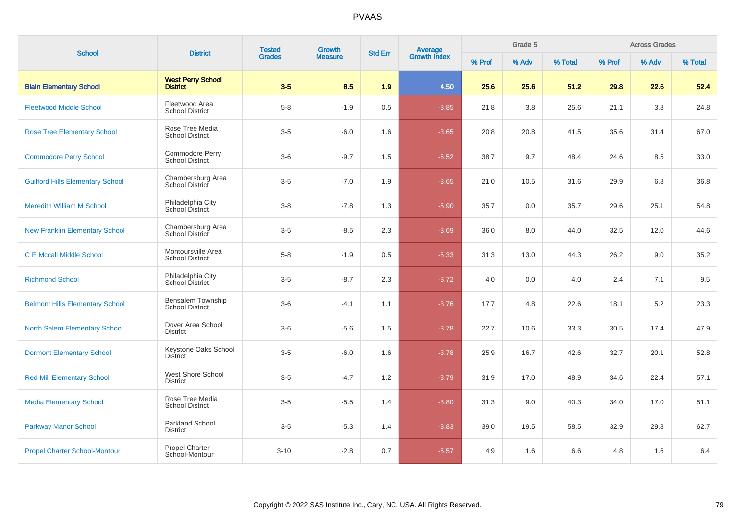| <b>School</b>                           | <b>District</b>                                    | <b>Tested</b> | Growth         | <b>Std Err</b> |                                |        | Grade 5 |         |        | <b>Across Grades</b> |         |
|-----------------------------------------|----------------------------------------------------|---------------|----------------|----------------|--------------------------------|--------|---------|---------|--------|----------------------|---------|
|                                         |                                                    | <b>Grades</b> | <b>Measure</b> |                | <b>Average</b><br>Growth Index | % Prof | % Adv   | % Total | % Prof | % Adv                | % Total |
| <b>Blain Elementary School</b>          | <b>West Perry School</b><br><b>District</b>        | $3-5$         | 8.5            | 1.9            | 4.50                           | 25.6   | 25.6    | 51.2    | 29.8   | 22.6                 | 52.4    |
| <b>Fleetwood Middle School</b>          | Fleetwood Area<br><b>School District</b>           | $5 - 8$       | $-1.9$         | 0.5            | $-3.85$                        | 21.8   | 3.8     | 25.6    | 21.1   | 3.8                  | 24.8    |
| <b>Rose Tree Elementary School</b>      | Rose Tree Media<br><b>School District</b>          | $3-5$         | $-6.0$         | 1.6            | $-3.65$                        | 20.8   | 20.8    | 41.5    | 35.6   | 31.4                 | 67.0    |
| <b>Commodore Perry School</b>           | Commodore Perry<br><b>School District</b>          | $3-6$         | $-9.7$         | 1.5            | $-6.52$                        | 38.7   | 9.7     | 48.4    | 24.6   | 8.5                  | 33.0    |
| <b>Guilford Hills Elementary School</b> | Chambersburg Area<br>School District               | $3-5$         | $-7.0$         | 1.9            | $-3.65$                        | 21.0   | 10.5    | 31.6    | 29.9   | 6.8                  | 36.8    |
| <b>Meredith William M School</b>        | Philadelphia City<br>School District               | $3-8$         | $-7.8$         | 1.3            | $-5.90$                        | 35.7   | 0.0     | 35.7    | 29.6   | 25.1                 | 54.8    |
| <b>New Franklin Elementary School</b>   | Chambersburg Area<br>School District               | $3-5$         | $-8.5$         | 2.3            | $-3.69$                        | 36.0   | 8.0     | 44.0    | 32.5   | 12.0                 | 44.6    |
| <b>C E Mccall Middle School</b>         | Montoursville Area<br><b>School District</b>       | $5 - 8$       | $-1.9$         | 0.5            | $-5.33$                        | 31.3   | 13.0    | 44.3    | 26.2   | 9.0                  | 35.2    |
| <b>Richmond School</b>                  | Philadelphia City<br>School District               | $3-5$         | $-8.7$         | 2.3            | $-3.72$                        | 4.0    | 0.0     | 4.0     | 2.4    | 7.1                  | 9.5     |
| <b>Belmont Hills Elementary School</b>  | <b>Bensalem Township</b><br><b>School District</b> | $3-6$         | $-4.1$         | 1.1            | $-3.76$                        | 17.7   | 4.8     | 22.6    | 18.1   | 5.2                  | 23.3    |
| <b>North Salem Elementary School</b>    | Dover Area School<br><b>District</b>               | $3-6$         | $-5.6$         | 1.5            | $-3.78$                        | 22.7   | 10.6    | 33.3    | 30.5   | 17.4                 | 47.9    |
| <b>Dormont Elementary School</b>        | Keystone Oaks School<br><b>District</b>            | $3-5$         | $-6.0$         | 1.6            | $-3.78$                        | 25.9   | 16.7    | 42.6    | 32.7   | 20.1                 | 52.8    |
| <b>Red Mill Elementary School</b>       | West Shore School<br><b>District</b>               | $3-5$         | $-4.7$         | 1.2            | $-3.79$                        | 31.9   | 17.0    | 48.9    | 34.6   | 22.4                 | 57.1    |
| <b>Media Elementary School</b>          | Rose Tree Media<br><b>School District</b>          | $3-5$         | $-5.5$         | 1.4            | $-3.80$                        | 31.3   | 9.0     | 40.3    | 34.0   | 17.0                 | 51.1    |
| <b>Parkway Manor School</b>             | <b>Parkland School</b><br><b>District</b>          | $3-5$         | $-5.3$         | 1.4            | $-3.83$                        | 39.0   | 19.5    | 58.5    | 32.9   | 29.8                 | 62.7    |
| <b>Propel Charter School-Montour</b>    | Propel Charter<br>School-Montour                   | $3 - 10$      | $-2.8$         | 0.7            | $-5.57$                        | 4.9    | 1.6     | 6.6     | 4.8    | 1.6                  | $6.4\,$ |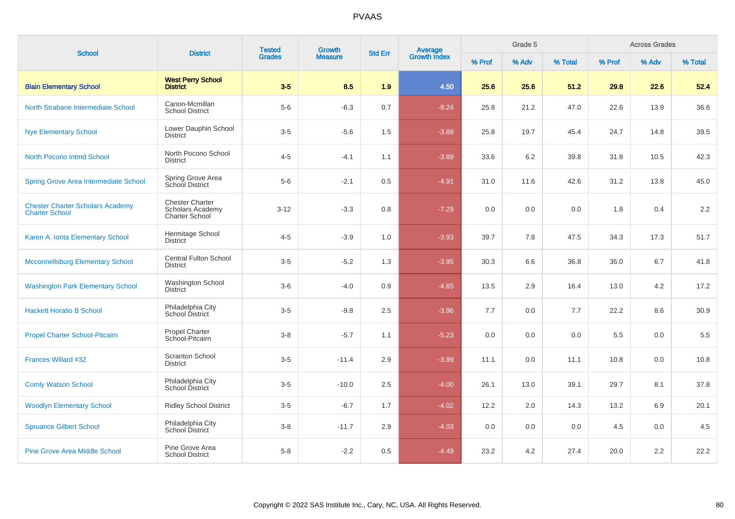| <b>School</b>                                                    | <b>District</b>                                                     | <b>Tested</b><br><b>Grades</b> | Growth         |                |                                |        | Grade 5 |         |        | <b>Across Grades</b> |         |
|------------------------------------------------------------------|---------------------------------------------------------------------|--------------------------------|----------------|----------------|--------------------------------|--------|---------|---------|--------|----------------------|---------|
|                                                                  |                                                                     |                                | <b>Measure</b> | <b>Std Err</b> | <b>Average</b><br>Growth Index | % Prof | % Adv   | % Total | % Prof | % Adv                | % Total |
| <b>Blain Elementary School</b>                                   | <b>West Perry School</b><br><b>District</b>                         | $3-5$                          | 8.5            | 1.9            | 4.50                           | 25.6   | 25.6    | 51.2    | 29.8   | 22.6                 | 52.4    |
| North Strabane Intermediate School                               | Canon-Mcmillan<br><b>School District</b>                            | $5-6$                          | $-6.3$         | 0.7            | $-9.24$                        | 25.8   | 21.2    | 47.0    | 22.6   | 13.9                 | 36.6    |
| <b>Nye Elementary School</b>                                     | Lower Dauphin School<br><b>District</b>                             | $3-5$                          | $-5.6$         | 1.5            | $-3.88$                        | 25.8   | 19.7    | 45.4    | 24.7   | 14.8                 | 39.5    |
| North Pocono Intmd School                                        | North Pocono School<br><b>District</b>                              | $4 - 5$                        | $-4.1$         | 1.1            | $-3.89$                        | 33.6   | 6.2     | 39.8    | 31.8   | 10.5                 | 42.3    |
| <b>Spring Grove Area Intermediate School</b>                     | Spring Grove Area<br>School District                                | $5-6$                          | $-2.1$         | 0.5            | $-4.91$                        | 31.0   | 11.6    | 42.6    | 31.2   | 13.8                 | 45.0    |
| <b>Chester Charter Scholars Academy</b><br><b>Charter School</b> | <b>Chester Charter</b><br>Scholars Academy<br><b>Charter School</b> | $3 - 12$                       | $-3.3$         | 0.8            | $-7.29$                        | 0.0    | 0.0     | 0.0     | 1.8    | 0.4                  | 2.2     |
| Karen A. Ionta Elementary School                                 | Hermitage School<br><b>District</b>                                 | $4 - 5$                        | $-3.9$         | 1.0            | $-3.93$                        | 39.7   | 7.8     | 47.5    | 34.3   | 17.3                 | 51.7    |
| <b>Mcconnellsburg Elementary School</b>                          | <b>Central Fulton School</b><br><b>District</b>                     | $3-5$                          | $-5.2$         | 1.3            | $-3.95$                        | 30.3   | 6.6     | 36.8    | 35.0   | 6.7                  | 41.8    |
| <b>Washington Park Elementary School</b>                         | Washington School<br><b>District</b>                                | $3-6$                          | $-4.0$         | 0.9            | $-4.65$                        | 13.5   | 2.9     | 16.4    | 13.0   | 4.2                  | 17.2    |
| <b>Hackett Horatio B School</b>                                  | Philadelphia City<br>School District                                | $3-5$                          | $-9.8$         | 2.5            | $-3.96$                        | 7.7    | 0.0     | 7.7     | 22.2   | 8.6                  | 30.9    |
| <b>Propel Charter School-Pitcairn</b>                            | Propel Charter<br>School-Pitcairn                                   | $3 - 8$                        | $-5.7$         | 1.1            | $-5.23$                        | 0.0    | 0.0     | 0.0     | 5.5    | 0.0                  | 5.5     |
| <b>Frances Willard #32</b>                                       | <b>Scranton School</b><br><b>District</b>                           | $3-5$                          | $-11.4$        | 2.9            | $-3.99$                        | 11.1   | 0.0     | 11.1    | 10.8   | 0.0                  | 10.8    |
| <b>Comly Watson School</b>                                       | Philadelphia City<br>School District                                | $3-5$                          | $-10.0$        | 2.5            | $-4.00$                        | 26.1   | 13.0    | 39.1    | 29.7   | 8.1                  | 37.8    |
| <b>Woodlyn Elementary School</b>                                 | <b>Ridley School District</b>                                       | $3-5$                          | $-6.7$         | 1.7            | $-4.02$                        | 12.2   | 2.0     | 14.3    | 13.2   | 6.9                  | 20.1    |
| <b>Spruance Gilbert School</b>                                   | Philadelphia City<br>School District                                | $3 - 8$                        | $-11.7$        | 2.9            | $-4.03$                        | 0.0    | 0.0     | 0.0     | 4.5    | 0.0                  | 4.5     |
| <b>Pine Grove Area Middle School</b>                             | Pine Grove Area<br><b>School District</b>                           | $5-8$                          | $-2.2$         | 0.5            | $-4.49$                        | 23.2   | 4.2     | 27.4    | 20.0   | 2.2                  | 22.2    |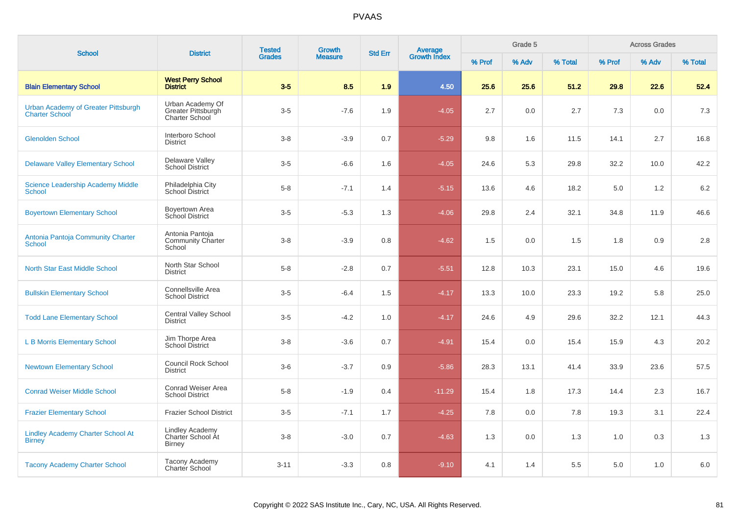| <b>School</b>                                                | <b>District</b>                                                 | <b>Tested</b> | Growth         | <b>Std Err</b> |                         |        | Grade 5 |         |        | <b>Across Grades</b> |         |
|--------------------------------------------------------------|-----------------------------------------------------------------|---------------|----------------|----------------|-------------------------|--------|---------|---------|--------|----------------------|---------|
|                                                              |                                                                 | <b>Grades</b> | <b>Measure</b> |                | Average<br>Growth Index | % Prof | % Adv   | % Total | % Prof | % Adv                | % Total |
| <b>Blain Elementary School</b>                               | <b>West Perry School</b><br><b>District</b>                     | $3-5$         | 8.5            | 1.9            | 4.50                    | 25.6   | 25.6    | 51.2    | 29.8   | 22.6                 | 52.4    |
| Urban Academy of Greater Pittsburgh<br><b>Charter School</b> | Urban Academy Of<br>Greater Pittsburgh<br><b>Charter School</b> | $3-5$         | $-7.6$         | 1.9            | $-4.05$                 | 2.7    | 0.0     | 2.7     | 7.3    | 0.0                  | 7.3     |
| <b>Glenolden School</b>                                      | Interboro School<br><b>District</b>                             | $3 - 8$       | $-3.9$         | 0.7            | $-5.29$                 | 9.8    | 1.6     | 11.5    | 14.1   | 2.7                  | 16.8    |
| <b>Delaware Valley Elementary School</b>                     | Delaware Valley<br><b>School District</b>                       | $3-5$         | $-6.6$         | 1.6            | $-4.05$                 | 24.6   | 5.3     | 29.8    | 32.2   | 10.0                 | 42.2    |
| <b>Science Leadership Academy Middle</b><br><b>School</b>    | Philadelphia City<br>School District                            | $5 - 8$       | $-7.1$         | 1.4            | $-5.15$                 | 13.6   | 4.6     | 18.2    | 5.0    | 1.2                  | 6.2     |
| <b>Boyertown Elementary School</b>                           | Boyertown Area<br>School District                               | $3-5$         | $-5.3$         | 1.3            | $-4.06$                 | 29.8   | 2.4     | 32.1    | 34.8   | 11.9                 | 46.6    |
| Antonia Pantoja Community Charter<br><b>School</b>           | Antonia Pantoja<br><b>Community Charter</b><br>School           | $3 - 8$       | $-3.9$         | 0.8            | $-4.62$                 | 1.5    | 0.0     | 1.5     | 1.8    | 0.9                  | $2.8\,$ |
| <b>North Star East Middle School</b>                         | North Star School<br><b>District</b>                            | $5 - 8$       | $-2.8$         | 0.7            | $-5.51$                 | 12.8   | 10.3    | 23.1    | 15.0   | 4.6                  | 19.6    |
| <b>Bullskin Elementary School</b>                            | Connellsville Area<br><b>School District</b>                    | $3-5$         | $-6.4$         | 1.5            | $-4.17$                 | 13.3   | 10.0    | 23.3    | 19.2   | 5.8                  | 25.0    |
| <b>Todd Lane Elementary School</b>                           | <b>Central Valley School</b><br><b>District</b>                 | $3-5$         | $-4.2$         | 1.0            | $-4.17$                 | 24.6   | 4.9     | 29.6    | 32.2   | 12.1                 | 44.3    |
| <b>L B Morris Elementary School</b>                          | Jim Thorpe Area<br><b>School District</b>                       | $3 - 8$       | $-3.6$         | 0.7            | $-4.91$                 | 15.4   | 0.0     | 15.4    | 15.9   | 4.3                  | 20.2    |
| <b>Newtown Elementary School</b>                             | <b>Council Rock School</b><br><b>District</b>                   | $3-6$         | $-3.7$         | 0.9            | $-5.86$                 | 28.3   | 13.1    | 41.4    | 33.9   | 23.6                 | 57.5    |
| <b>Conrad Weiser Middle School</b>                           | Conrad Weiser Area<br><b>School District</b>                    | $5 - 8$       | $-1.9$         | 0.4            | $-11.29$                | 15.4   | 1.8     | 17.3    | 14.4   | 2.3                  | 16.7    |
| <b>Frazier Elementary School</b>                             | Frazier School District                                         | $3-5$         | $-7.1$         | 1.7            | $-4.25$                 | 7.8    | 0.0     | 7.8     | 19.3   | 3.1                  | 22.4    |
| <b>Lindley Academy Charter School At</b><br><b>Birney</b>    | <b>Lindley Academy</b><br>Charter School At<br><b>Birney</b>    | $3 - 8$       | $-3.0$         | 0.7            | $-4.63$                 | 1.3    | 0.0     | 1.3     | 1.0    | 0.3                  | 1.3     |
| <b>Tacony Academy Charter School</b>                         | Tacony Academy<br><b>Charter School</b>                         | $3 - 11$      | $-3.3$         | 0.8            | $-9.10$                 | 4.1    | 1.4     | 5.5     | 5.0    | 1.0                  | 6.0     |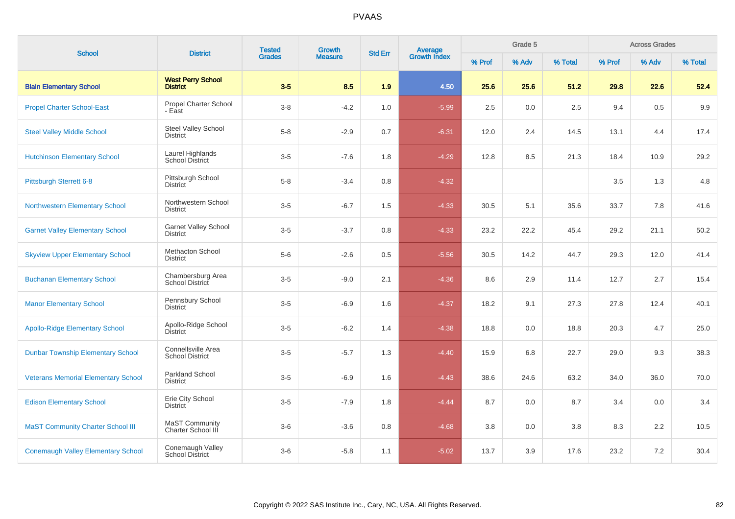| <b>School</b>                              | <b>District</b>                                | <b>Tested</b> | Growth         | <b>Std Err</b> | <b>Average</b><br>Growth Index |        | Grade 5 |         |        | <b>Across Grades</b> |         |
|--------------------------------------------|------------------------------------------------|---------------|----------------|----------------|--------------------------------|--------|---------|---------|--------|----------------------|---------|
|                                            |                                                | <b>Grades</b> | <b>Measure</b> |                |                                | % Prof | % Adv   | % Total | % Prof | % Adv                | % Total |
| <b>Blain Elementary School</b>             | <b>West Perry School</b><br><b>District</b>    | $3-5$         | 8.5            | 1.9            | 4.50                           | 25.6   | 25.6    | 51.2    | 29.8   | 22.6                 | 52.4    |
| <b>Propel Charter School-East</b>          | Propel Charter School<br>- East                | $3-8$         | $-4.2$         | 1.0            | $-5.99$                        | 2.5    | 0.0     | 2.5     | 9.4    | 0.5                  | 9.9     |
| <b>Steel Valley Middle School</b>          | Steel Valley School<br><b>District</b>         | $5 - 8$       | $-2.9$         | 0.7            | $-6.31$                        | 12.0   | 2.4     | 14.5    | 13.1   | 4.4                  | 17.4    |
| <b>Hutchinson Elementary School</b>        | Laurel Highlands<br><b>School District</b>     | $3-5$         | $-7.6$         | 1.8            | $-4.29$                        | 12.8   | 8.5     | 21.3    | 18.4   | 10.9                 | 29.2    |
| <b>Pittsburgh Sterrett 6-8</b>             | Pittsburgh School<br><b>District</b>           | $5-8$         | $-3.4$         | 0.8            | $-4.32$                        |        |         |         | 3.5    | 1.3                  | 4.8     |
| <b>Northwestern Elementary School</b>      | Northwestern School<br>District                | $3-5$         | $-6.7$         | 1.5            | $-4.33$                        | 30.5   | 5.1     | 35.6    | 33.7   | 7.8                  | 41.6    |
| <b>Garnet Valley Elementary School</b>     | <b>Garnet Valley School</b><br><b>District</b> | $3-5$         | $-3.7$         | 0.8            | $-4.33$                        | 23.2   | 22.2    | 45.4    | 29.2   | 21.1                 | 50.2    |
| <b>Skyview Upper Elementary School</b>     | <b>Methacton School</b><br><b>District</b>     | $5-6$         | $-2.6$         | 0.5            | $-5.56$                        | 30.5   | 14.2    | 44.7    | 29.3   | 12.0                 | 41.4    |
| <b>Buchanan Elementary School</b>          | Chambersburg Area<br>School District           | $3-5$         | $-9.0$         | 2.1            | $-4.36$                        | 8.6    | 2.9     | 11.4    | 12.7   | 2.7                  | 15.4    |
| <b>Manor Elementary School</b>             | Pennsbury School<br><b>District</b>            | $3-5$         | $-6.9$         | 1.6            | $-4.37$                        | 18.2   | 9.1     | 27.3    | 27.8   | 12.4                 | 40.1    |
| <b>Apollo-Ridge Elementary School</b>      | Apollo-Ridge School<br>District                | $3-5$         | $-6.2$         | 1.4            | $-4.38$                        | 18.8   | 0.0     | 18.8    | 20.3   | 4.7                  | 25.0    |
| <b>Dunbar Township Elementary School</b>   | Connellsville Area<br><b>School District</b>   | $3-5$         | $-5.7$         | 1.3            | $-4.40$                        | 15.9   | 6.8     | 22.7    | 29.0   | 9.3                  | 38.3    |
| <b>Veterans Memorial Elementary School</b> | Parkland School<br><b>District</b>             | $3-5$         | $-6.9$         | 1.6            | $-4.43$                        | 38.6   | 24.6    | 63.2    | 34.0   | 36.0                 | 70.0    |
| <b>Edison Elementary School</b>            | Erie City School<br><b>District</b>            | $3-5$         | $-7.9$         | 1.8            | $-4.44$                        | 8.7    | 0.0     | 8.7     | 3.4    | 0.0                  | 3.4     |
| <b>MaST Community Charter School III</b>   | <b>MaST Community</b><br>Charter School III    | $3-6$         | $-3.6$         | 0.8            | $-4.68$                        | 3.8    | 0.0     | 3.8     | 8.3    | 2.2                  | 10.5    |
| <b>Conemaugh Valley Elementary School</b>  | Conemaugh Valley<br><b>School District</b>     | $3-6$         | $-5.8$         | 1.1            | $-5.02$                        | 13.7   | 3.9     | 17.6    | 23.2   | 7.2                  | 30.4    |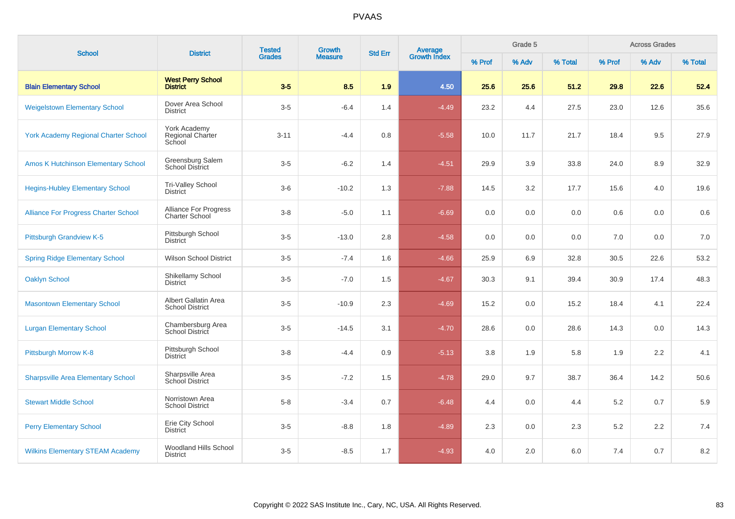| <b>School</b>                               | <b>District</b>                                       | <b>Tested</b><br>Growth<br><b>Grades</b><br><b>Measure</b> |         | <b>Std Err</b> | Average<br>Growth Index |        | Grade 5 |         |        | <b>Across Grades</b> |         |
|---------------------------------------------|-------------------------------------------------------|------------------------------------------------------------|---------|----------------|-------------------------|--------|---------|---------|--------|----------------------|---------|
|                                             |                                                       |                                                            |         |                |                         | % Prof | % Adv   | % Total | % Prof | % Adv                | % Total |
| <b>Blain Elementary School</b>              | <b>West Perry School</b><br><b>District</b>           | $3-5$                                                      | 8.5     | 1.9            | 4.50                    | 25.6   | 25.6    | 51.2    | 29.8   | 22.6                 | 52.4    |
| <b>Weigelstown Elementary School</b>        | Dover Area School<br><b>District</b>                  | $3-5$                                                      | $-6.4$  | 1.4            | $-4.49$                 | 23.2   | 4.4     | 27.5    | 23.0   | 12.6                 | 35.6    |
| <b>York Academy Regional Charter School</b> | York Academy<br>Regional Charter<br>School            | $3 - 11$                                                   | $-4.4$  | 0.8            | $-5.58$                 | 10.0   | 11.7    | 21.7    | 18.4   | 9.5                  | 27.9    |
| <b>Amos K Hutchinson Elementary School</b>  | Greensburg Salem<br><b>School District</b>            | $3-5$                                                      | $-6.2$  | 1.4            | $-4.51$                 | 29.9   | 3.9     | 33.8    | 24.0   | 8.9                  | 32.9    |
| <b>Hegins-Hubley Elementary School</b>      | Tri-Valley School<br><b>District</b>                  | $3-6$                                                      | $-10.2$ | 1.3            | $-7.88$                 | 14.5   | 3.2     | 17.7    | 15.6   | 4.0                  | 19.6    |
| <b>Alliance For Progress Charter School</b> | <b>Alliance For Progress</b><br><b>Charter School</b> | $3 - 8$                                                    | $-5.0$  | 1.1            | $-6.69$                 | 0.0    | 0.0     | 0.0     | 0.6    | 0.0                  | 0.6     |
| Pittsburgh Grandview K-5                    | Pittsburgh School<br><b>District</b>                  | $3-5$                                                      | $-13.0$ | 2.8            | $-4.58$                 | 0.0    | 0.0     | 0.0     | 7.0    | 0.0                  | 7.0     |
| <b>Spring Ridge Elementary School</b>       | <b>Wilson School District</b>                         | $3-5$                                                      | $-7.4$  | 1.6            | $-4.66$                 | 25.9   | 6.9     | 32.8    | 30.5   | 22.6                 | 53.2    |
| <b>Oaklyn School</b>                        | Shikellamy School<br><b>District</b>                  | $3-5$                                                      | $-7.0$  | 1.5            | $-4.67$                 | 30.3   | 9.1     | 39.4    | 30.9   | 17.4                 | 48.3    |
| <b>Masontown Elementary School</b>          | Albert Gallatin Area<br><b>School District</b>        | $3-5$                                                      | $-10.9$ | 2.3            | $-4.69$                 | 15.2   | 0.0     | 15.2    | 18.4   | 4.1                  | 22.4    |
| <b>Lurgan Elementary School</b>             | Chambersburg Area<br>School District                  | $3-5$                                                      | $-14.5$ | 3.1            | $-4.70$                 | 28.6   | 0.0     | 28.6    | 14.3   | 0.0                  | 14.3    |
| Pittsburgh Morrow K-8                       | Pittsburgh School<br><b>District</b>                  | $3 - 8$                                                    | $-4.4$  | 0.9            | $-5.13$                 | 3.8    | 1.9     | 5.8     | 1.9    | 2.2                  | 4.1     |
| <b>Sharpsville Area Elementary School</b>   | Sharpsville Area<br>School District                   | $3-5$                                                      | $-7.2$  | 1.5            | $-4.78$                 | 29.0   | 9.7     | 38.7    | 36.4   | 14.2                 | 50.6    |
| <b>Stewart Middle School</b>                | Norristown Area<br><b>School District</b>             | $5 - 8$                                                    | $-3.4$  | 0.7            | $-6.48$                 | 4.4    | 0.0     | 4.4     | 5.2    | 0.7                  | 5.9     |
| <b>Perry Elementary School</b>              | Erie City School<br><b>District</b>                   | $3-5$                                                      | $-8.8$  | 1.8            | $-4.89$                 | 2.3    | 0.0     | 2.3     | 5.2    | 2.2                  | 7.4     |
| <b>Wilkins Elementary STEAM Academy</b>     | Woodland Hills School<br><b>District</b>              | $3-5$                                                      | $-8.5$  | 1.7            | $-4.93$                 | 4.0    | 2.0     | 6.0     | 7.4    | 0.7                  | 8.2     |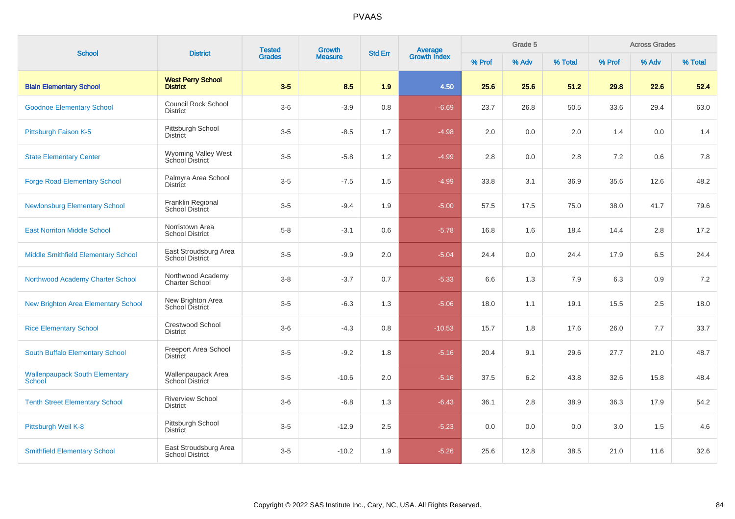| <b>School</b>                                   | <b>District</b>                                 | <b>Tested</b><br>Growth<br><b>Grades</b><br><b>Measure</b> | <b>Std Err</b> |         |                                | Grade 5 |       |         | <b>Across Grades</b> |       |         |
|-------------------------------------------------|-------------------------------------------------|------------------------------------------------------------|----------------|---------|--------------------------------|---------|-------|---------|----------------------|-------|---------|
|                                                 |                                                 |                                                            |                |         | <b>Average</b><br>Growth Index | % Prof  | % Adv | % Total | % Prof               | % Adv | % Total |
| <b>Blain Elementary School</b>                  | <b>West Perry School</b><br><b>District</b>     | $3-5$                                                      | 8.5            | 1.9     | 4.50                           | 25.6    | 25.6  | 51.2    | 29.8                 | 22.6  | 52.4    |
| <b>Goodnoe Elementary School</b>                | <b>Council Rock School</b><br><b>District</b>   | $3-6$                                                      | $-3.9$         | 0.8     | $-6.69$                        | 23.7    | 26.8  | 50.5    | 33.6                 | 29.4  | 63.0    |
| Pittsburgh Faison K-5                           | Pittsburgh School<br><b>District</b>            | $3-5$                                                      | $-8.5$         | 1.7     | $-4.98$                        | 2.0     | 0.0   | 2.0     | 1.4                  | 0.0   | 1.4     |
| <b>State Elementary Center</b>                  | Wyoming Valley West<br>School District          | $3-5$                                                      | $-5.8$         | 1.2     | $-4.99$                        | 2.8     | 0.0   | 2.8     | 7.2                  | 0.6   | 7.8     |
| <b>Forge Road Elementary School</b>             | Palmyra Area School<br><b>District</b>          | $3-5$                                                      | $-7.5$         | 1.5     | $-4.99$                        | 33.8    | 3.1   | 36.9    | 35.6                 | 12.6  | 48.2    |
| <b>Newlonsburg Elementary School</b>            | Franklin Regional<br>School District            | $3-5$                                                      | $-9.4$         | 1.9     | $-5.00$                        | 57.5    | 17.5  | 75.0    | 38.0                 | 41.7  | 79.6    |
| <b>East Norriton Middle School</b>              | Norristown Area<br><b>School District</b>       | $5 - 8$                                                    | $-3.1$         | 0.6     | $-5.78$                        | 16.8    | 1.6   | 18.4    | 14.4                 | 2.8   | 17.2    |
| <b>Middle Smithfield Elementary School</b>      | East Stroudsburg Area<br><b>School District</b> | $3-5$                                                      | $-9.9$         | 2.0     | $-5.04$                        | 24.4    | 0.0   | 24.4    | 17.9                 | 6.5   | 24.4    |
| Northwood Academy Charter School                | Northwood Academy<br>Charter School             | $3 - 8$                                                    | $-3.7$         | 0.7     | $-5.33$                        | 6.6     | 1.3   | 7.9     | 6.3                  | 0.9   | 7.2     |
| <b>New Brighton Area Elementary School</b>      | New Brighton Area<br>School District            | $3-5$                                                      | $-6.3$         | 1.3     | $-5.06$                        | 18.0    | 1.1   | 19.1    | 15.5                 | 2.5   | 18.0    |
| <b>Rice Elementary School</b>                   | <b>Crestwood School</b><br>District             | $3-6$                                                      | $-4.3$         | 0.8     | $-10.53$                       | 15.7    | 1.8   | 17.6    | 26.0                 | 7.7   | 33.7    |
| South Buffalo Elementary School                 | Freeport Area School<br><b>District</b>         | $3-5$                                                      | $-9.2$         | 1.8     | $-5.16$                        | 20.4    | 9.1   | 29.6    | 27.7                 | 21.0  | 48.7    |
| <b>Wallenpaupack South Elementary</b><br>School | Wallenpaupack Area<br>School District           | $3-5$                                                      | $-10.6$        | 2.0     | $-5.16$                        | 37.5    | 6.2   | 43.8    | 32.6                 | 15.8  | 48.4    |
| <b>Tenth Street Elementary School</b>           | <b>Riverview School</b><br><b>District</b>      | $3-6$                                                      | $-6.8$         | 1.3     | $-6.43$                        | 36.1    | 2.8   | 38.9    | 36.3                 | 17.9  | 54.2    |
| Pittsburgh Weil K-8                             | Pittsburgh School<br><b>District</b>            | $3-5$                                                      | $-12.9$        | $2.5\,$ | $-5.23$                        | 0.0     | 0.0   | 0.0     | $3.0\,$              | 1.5   | 4.6     |
| <b>Smithfield Elementary School</b>             | East Stroudsburg Area<br><b>School District</b> | $3-5$                                                      | $-10.2$        | 1.9     | $-5.26$                        | 25.6    | 12.8  | 38.5    | 21.0                 | 11.6  | 32.6    |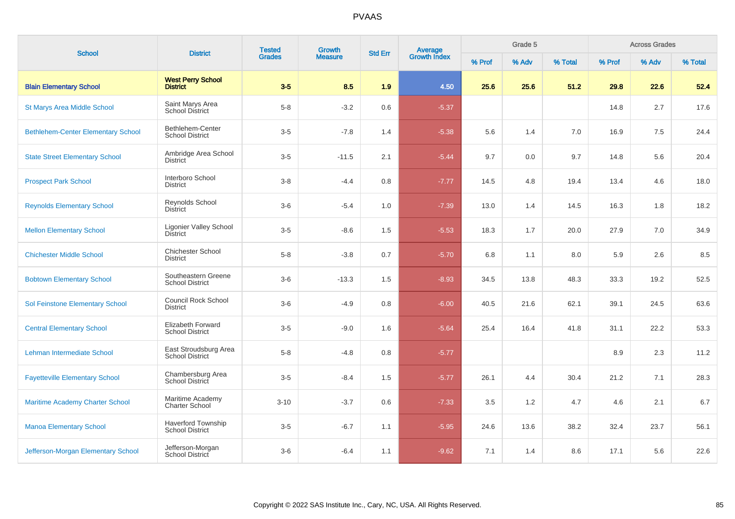| <b>School</b>                             | <b>District</b>                                     | <b>Tested</b> | Growth         | <b>Std Err</b> |                                |        | Grade 5 |         | <b>Across Grades</b> |       |         |  |
|-------------------------------------------|-----------------------------------------------------|---------------|----------------|----------------|--------------------------------|--------|---------|---------|----------------------|-------|---------|--|
|                                           |                                                     | <b>Grades</b> | <b>Measure</b> |                | <b>Average</b><br>Growth Index | % Prof | % Adv   | % Total | % Prof               | % Adv | % Total |  |
| <b>Blain Elementary School</b>            | <b>West Perry School</b><br><b>District</b>         | $3-5$         | 8.5            | 1.9            | 4.50                           | 25.6   | 25.6    | 51.2    | 29.8                 | 22.6  | 52.4    |  |
| <b>St Marys Area Middle School</b>        | Saint Marys Area<br><b>School District</b>          | $5-8$         | $-3.2$         | 0.6            | $-5.37$                        |        |         |         | 14.8                 | 2.7   | 17.6    |  |
| <b>Bethlehem-Center Elementary School</b> | Bethlehem-Center<br><b>School District</b>          | $3-5$         | $-7.8$         | 1.4            | $-5.38$                        | 5.6    | 1.4     | 7.0     | 16.9                 | 7.5   | 24.4    |  |
| <b>State Street Elementary School</b>     | Ambridge Area School<br><b>District</b>             | $3-5$         | $-11.5$        | 2.1            | $-5.44$                        | 9.7    | 0.0     | 9.7     | 14.8                 | 5.6   | 20.4    |  |
| <b>Prospect Park School</b>               | Interboro School<br><b>District</b>                 | $3 - 8$       | $-4.4$         | 0.8            | $-7.77$                        | 14.5   | 4.8     | 19.4    | 13.4                 | 4.6   | 18.0    |  |
| <b>Reynolds Elementary School</b>         | Reynolds School<br><b>District</b>                  | $3-6$         | $-5.4$         | 1.0            | $-7.39$                        | 13.0   | 1.4     | 14.5    | 16.3                 | 1.8   | 18.2    |  |
| <b>Mellon Elementary School</b>           | <b>Ligonier Valley School</b><br><b>District</b>    | $3-5$         | $-8.6$         | 1.5            | $-5.53$                        | 18.3   | 1.7     | 20.0    | 27.9                 | 7.0   | 34.9    |  |
| <b>Chichester Middle School</b>           | <b>Chichester School</b><br><b>District</b>         | $5 - 8$       | $-3.8$         | 0.7            | $-5.70$                        | 6.8    | 1.1     | 8.0     | 5.9                  | 2.6   | 8.5     |  |
| <b>Bobtown Elementary School</b>          | Southeastern Greene<br><b>School District</b>       | $3-6$         | $-13.3$        | 1.5            | $-8.93$                        | 34.5   | 13.8    | 48.3    | 33.3                 | 19.2  | 52.5    |  |
| Sol Feinstone Elementary School           | Council Rock School<br><b>District</b>              | $3-6$         | $-4.9$         | 0.8            | $-6.00$                        | 40.5   | 21.6    | 62.1    | 39.1                 | 24.5  | 63.6    |  |
| <b>Central Elementary School</b>          | Elizabeth Forward<br><b>School District</b>         | $3-5$         | $-9.0$         | 1.6            | $-5.64$                        | 25.4   | 16.4    | 41.8    | 31.1                 | 22.2  | 53.3    |  |
| Lehman Intermediate School                | East Stroudsburg Area<br><b>School District</b>     | $5-8$         | $-4.8$         | 0.8            | $-5.77$                        |        |         |         | 8.9                  | 2.3   | 11.2    |  |
| <b>Fayetteville Elementary School</b>     | Chambersburg Area<br>School District                | $3-5$         | $-8.4$         | 1.5            | $-5.77$                        | 26.1   | 4.4     | 30.4    | 21.2                 | 7.1   | 28.3    |  |
| <b>Maritime Academy Charter School</b>    | Maritime Academy<br><b>Charter School</b>           | $3 - 10$      | $-3.7$         | 0.6            | $-7.33$                        | 3.5    | 1.2     | 4.7     | 4.6                  | 2.1   | 6.7     |  |
| <b>Manoa Elementary School</b>            | <b>Haverford Township</b><br><b>School District</b> | $3-5$         | $-6.7$         | 1.1            | $-5.95$                        | 24.6   | 13.6    | 38.2    | 32.4                 | 23.7  | 56.1    |  |
| Jefferson-Morgan Elementary School        | Jefferson-Morgan<br>School District                 | $3-6$         | $-6.4$         | 1.1            | $-9.62$                        | 7.1    | 1.4     | 8.6     | 17.1                 | 5.6   | 22.6    |  |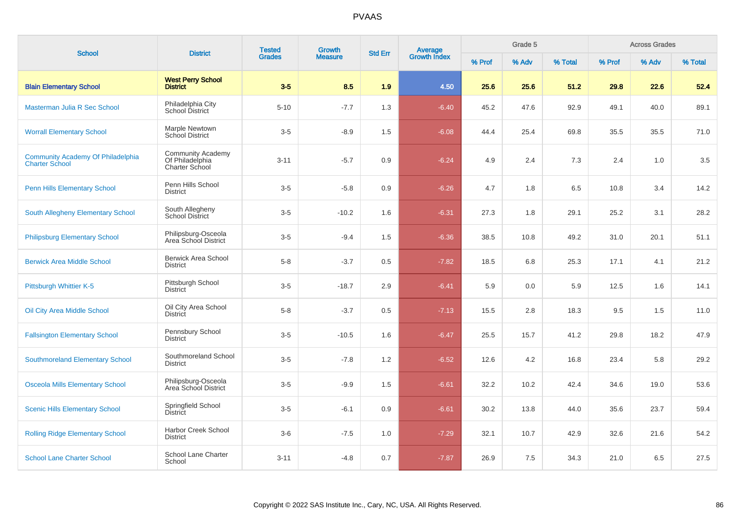| <b>School</b>                                                     | <b>District</b>                                                      | <b>Tested</b> | Growth         | <b>Std Err</b> |                         |        | Grade 5 |         | <b>Across Grades</b> |       |         |  |
|-------------------------------------------------------------------|----------------------------------------------------------------------|---------------|----------------|----------------|-------------------------|--------|---------|---------|----------------------|-------|---------|--|
|                                                                   |                                                                      | <b>Grades</b> | <b>Measure</b> |                | Average<br>Growth Index | % Prof | % Adv   | % Total | % Prof               | % Adv | % Total |  |
| <b>Blain Elementary School</b>                                    | <b>West Perry School</b><br><b>District</b>                          | $3 - 5$       | 8.5            | 1.9            | 4.50                    | 25.6   | 25.6    | 51.2    | 29.8                 | 22.6  | 52.4    |  |
| Masterman Julia R Sec School                                      | Philadelphia City<br>School District                                 | $5 - 10$      | $-7.7$         | 1.3            | $-6.40$                 | 45.2   | 47.6    | 92.9    | 49.1                 | 40.0  | 89.1    |  |
| <b>Worrall Elementary School</b>                                  | Marple Newtown<br>School District                                    | $3-5$         | $-8.9$         | 1.5            | $-6.08$                 | 44.4   | 25.4    | 69.8    | 35.5                 | 35.5  | 71.0    |  |
| <b>Community Academy Of Philadelphia</b><br><b>Charter School</b> | <b>Community Academy</b><br>Of Philadelphia<br><b>Charter School</b> | $3 - 11$      | $-5.7$         | 0.9            | $-6.24$                 | 4.9    | 2.4     | 7.3     | 2.4                  | 1.0   | 3.5     |  |
| <b>Penn Hills Elementary School</b>                               | Penn Hills School<br><b>District</b>                                 | $3-5$         | $-5.8$         | 0.9            | $-6.26$                 | 4.7    | 1.8     | 6.5     | 10.8                 | 3.4   | 14.2    |  |
| <b>South Allegheny Elementary School</b>                          | South Allegheny<br><b>School District</b>                            | $3-5$         | $-10.2$        | 1.6            | $-6.31$                 | 27.3   | 1.8     | 29.1    | 25.2                 | 3.1   | 28.2    |  |
| <b>Philipsburg Elementary School</b>                              | Philipsburg-Osceola<br>Area School District                          | $3-5$         | $-9.4$         | 1.5            | $-6.36$                 | 38.5   | 10.8    | 49.2    | 31.0                 | 20.1  | 51.1    |  |
| <b>Berwick Area Middle School</b>                                 | <b>Berwick Area School</b><br><b>District</b>                        | $5-8$         | $-3.7$         | 0.5            | $-7.82$                 | 18.5   | 6.8     | 25.3    | 17.1                 | 4.1   | 21.2    |  |
| Pittsburgh Whittier K-5                                           | Pittsburgh School<br><b>District</b>                                 | $3-5$         | $-18.7$        | 2.9            | $-6.41$                 | 5.9    | 0.0     | 5.9     | 12.5                 | 1.6   | 14.1    |  |
| Oil City Area Middle School                                       | Oil City Area School<br><b>District</b>                              | $5-8$         | $-3.7$         | 0.5            | $-7.13$                 | 15.5   | 2.8     | 18.3    | 9.5                  | 1.5   | 11.0    |  |
| <b>Fallsington Elementary School</b>                              | Pennsbury School<br><b>District</b>                                  | $3-5$         | $-10.5$        | 1.6            | $-6.47$                 | 25.5   | 15.7    | 41.2    | 29.8                 | 18.2  | 47.9    |  |
| <b>Southmoreland Elementary School</b>                            | Southmoreland School<br><b>District</b>                              | $3-5$         | $-7.8$         | 1.2            | $-6.52$                 | 12.6   | 4.2     | 16.8    | 23.4                 | 5.8   | 29.2    |  |
| <b>Osceola Mills Elementary School</b>                            | Philipsburg-Osceola<br>Area School District                          | $3-5$         | $-9.9$         | 1.5            | $-6.61$                 | 32.2   | 10.2    | 42.4    | 34.6                 | 19.0  | 53.6    |  |
| <b>Scenic Hills Elementary School</b>                             | Springfield School<br><b>District</b>                                | $3-5$         | $-6.1$         | 0.9            | $-6.61$                 | 30.2   | 13.8    | 44.0    | 35.6                 | 23.7  | 59.4    |  |
| <b>Rolling Ridge Elementary School</b>                            | <b>Harbor Creek School</b><br><b>District</b>                        | $3-6$         | $-7.5$         | 1.0            | $-7.29$                 | 32.1   | 10.7    | 42.9    | 32.6                 | 21.6  | 54.2    |  |
| <b>School Lane Charter School</b>                                 | School Lane Charter<br>School                                        | $3 - 11$      | $-4.8$         | 0.7            | $-7.87$                 | 26.9   | 7.5     | 34.3    | 21.0                 | 6.5   | 27.5    |  |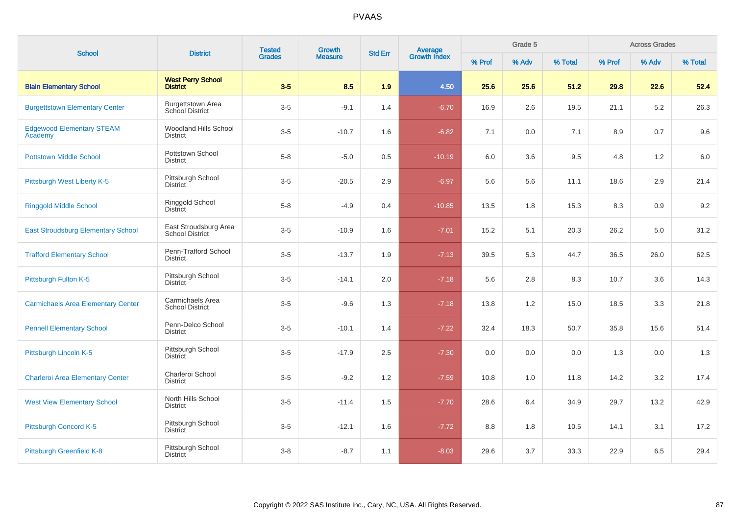| <b>School</b>                               | <b>District</b>                                 | <b>Tested</b> | Growth         | <b>Std Err</b> |                                |        | Grade 5 |         | <b>Across Grades</b> |       |         |  |
|---------------------------------------------|-------------------------------------------------|---------------|----------------|----------------|--------------------------------|--------|---------|---------|----------------------|-------|---------|--|
|                                             |                                                 | <b>Grades</b> | <b>Measure</b> |                | <b>Average</b><br>Growth Index | % Prof | % Adv   | % Total | % Prof               | % Adv | % Total |  |
| <b>Blain Elementary School</b>              | <b>West Perry School</b><br><b>District</b>     | $3-5$         | 8.5            | 1.9            | 4.50                           | 25.6   | 25.6    | 51.2    | 29.8                 | 22.6  | 52.4    |  |
| <b>Burgettstown Elementary Center</b>       | <b>Burgettstown Area</b><br>School District     | $3-5$         | $-9.1$         | 1.4            | $-6.70$                        | 16.9   | 2.6     | 19.5    | 21.1                 | 5.2   | 26.3    |  |
| <b>Edgewood Elementary STEAM</b><br>Academy | <b>Woodland Hills School</b><br><b>District</b> | $3-5$         | $-10.7$        | 1.6            | $-6.82$                        | 7.1    | 0.0     | 7.1     | 8.9                  | 0.7   | 9.6     |  |
| <b>Pottstown Middle School</b>              | Pottstown School<br><b>District</b>             | $5 - 8$       | $-5.0$         | 0.5            | $-10.19$                       | 6.0    | 3.6     | 9.5     | 4.8                  | 1.2   | 6.0     |  |
| Pittsburgh West Liberty K-5                 | Pittsburgh School<br><b>District</b>            | $3-5$         | $-20.5$        | 2.9            | $-6.97$                        | 5.6    | 5.6     | 11.1    | 18.6                 | 2.9   | 21.4    |  |
| <b>Ringgold Middle School</b>               | Ringgold School<br><b>District</b>              | $5 - 8$       | $-4.9$         | 0.4            | $-10.85$                       | 13.5   | 1.8     | 15.3    | 8.3                  | 0.9   | 9.2     |  |
| <b>East Stroudsburg Elementary School</b>   | East Stroudsburg Area<br><b>School District</b> | $3-5$         | $-10.9$        | 1.6            | $-7.01$                        | 15.2   | 5.1     | 20.3    | 26.2                 | 5.0   | 31.2    |  |
| <b>Trafford Elementary School</b>           | Penn-Trafford School<br><b>District</b>         | $3-5$         | $-13.7$        | 1.9            | $-7.13$                        | 39.5   | 5.3     | 44.7    | 36.5                 | 26.0  | 62.5    |  |
| Pittsburgh Fulton K-5                       | Pittsburgh School<br><b>District</b>            | $3-5$         | $-14.1$        | 2.0            | $-7.18$                        | 5.6    | 2.8     | 8.3     | 10.7                 | 3.6   | 14.3    |  |
| <b>Carmichaels Area Elementary Center</b>   | Carmichaels Area<br><b>School District</b>      | $3-5$         | $-9.6$         | 1.3            | $-7.18$                        | 13.8   | 1.2     | 15.0    | 18.5                 | 3.3   | 21.8    |  |
| <b>Pennell Elementary School</b>            | Penn-Delco School<br><b>District</b>            | $3-5$         | $-10.1$        | 1.4            | $-7.22$                        | 32.4   | 18.3    | 50.7    | 35.8                 | 15.6  | 51.4    |  |
| Pittsburgh Lincoln K-5                      | Pittsburgh School<br><b>District</b>            | $3-5$         | $-17.9$        | 2.5            | $-7.30$                        | 0.0    | 0.0     | 0.0     | 1.3                  | 0.0   | 1.3     |  |
| <b>Charleroi Area Elementary Center</b>     | Charleroi School<br><b>District</b>             | $3-5$         | $-9.2$         | 1.2            | $-7.59$                        | 10.8   | 1.0     | 11.8    | 14.2                 | 3.2   | 17.4    |  |
| <b>West View Elementary School</b>          | North Hills School<br><b>District</b>           | $3-5$         | $-11.4$        | 1.5            | $-7.70$                        | 28.6   | 6.4     | 34.9    | 29.7                 | 13.2  | 42.9    |  |
| Pittsburgh Concord K-5                      | Pittsburgh School<br><b>District</b>            | $3-5$         | $-12.1$        | 1.6            | $-7.72$                        | 8.8    | 1.8     | 10.5    | 14.1                 | 3.1   | 17.2    |  |
| Pittsburgh Greenfield K-8                   | Pittsburgh School<br><b>District</b>            | $3 - 8$       | $-8.7$         | 1.1            | $-8.03$                        | 29.6   | 3.7     | 33.3    | 22.9                 | 6.5   | 29.4    |  |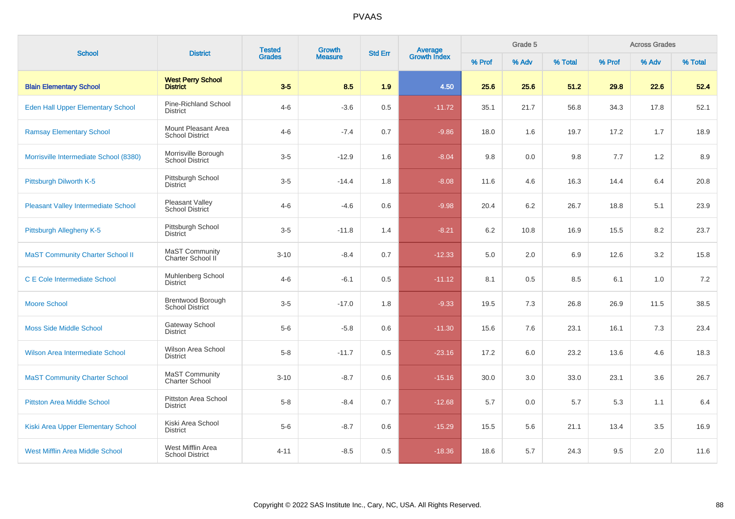| <b>School</b>                              | <b>District</b>                                    | <b>Tested</b> | Growth         | <b>Std Err</b> |                                |        | Grade 5 |         | <b>Across Grades</b> |       |         |  |
|--------------------------------------------|----------------------------------------------------|---------------|----------------|----------------|--------------------------------|--------|---------|---------|----------------------|-------|---------|--|
|                                            |                                                    | <b>Grades</b> | <b>Measure</b> |                | <b>Average</b><br>Growth Index | % Prof | % Adv   | % Total | % Prof               | % Adv | % Total |  |
| <b>Blain Elementary School</b>             | <b>West Perry School</b><br><b>District</b>        | $3-5$         | 8.5            | 1.9            | 4.50                           | 25.6   | 25.6    | 51.2    | 29.8                 | 22.6  | 52.4    |  |
| Eden Hall Upper Elementary School          | Pine-Richland School<br><b>District</b>            | $4 - 6$       | $-3.6$         | 0.5            | $-11.72$                       | 35.1   | 21.7    | 56.8    | 34.3                 | 17.8  | 52.1    |  |
| <b>Ramsay Elementary School</b>            | Mount Pleasant Area<br><b>School District</b>      | $4 - 6$       | $-7.4$         | 0.7            | $-9.86$                        | 18.0   | 1.6     | 19.7    | 17.2                 | 1.7   | 18.9    |  |
| Morrisville Intermediate School (8380)     | Morrisville Borough<br><b>School District</b>      | $3-5$         | $-12.9$        | 1.6            | $-8.04$                        | 9.8    | 0.0     | 9.8     | 7.7                  | 1.2   | 8.9     |  |
| Pittsburgh Dilworth K-5                    | Pittsburgh School<br><b>District</b>               | $3-5$         | $-14.4$        | 1.8            | $-8.08$                        | 11.6   | 4.6     | 16.3    | 14.4                 | 6.4   | 20.8    |  |
| <b>Pleasant Valley Intermediate School</b> | Pleasant Valley<br>School District                 | $4 - 6$       | $-4.6$         | 0.6            | $-9.98$                        | 20.4   | 6.2     | 26.7    | 18.8                 | 5.1   | 23.9    |  |
| Pittsburgh Allegheny K-5                   | Pittsburgh School<br><b>District</b>               | $3-5$         | $-11.8$        | 1.4            | $-8.21$                        | 6.2    | 10.8    | 16.9    | 15.5                 | 8.2   | 23.7    |  |
| <b>MaST Community Charter School II</b>    | MaST Community<br>Charter School II                | $3 - 10$      | $-8.4$         | 0.7            | $-12.33$                       | 5.0    | 2.0     | 6.9     | 12.6                 | 3.2   | 15.8    |  |
| <b>C E Cole Intermediate School</b>        | Muhlenberg School<br>District                      | $4 - 6$       | $-6.1$         | 0.5            | $-11.12$                       | 8.1    | 0.5     | 8.5     | 6.1                  | 1.0   | 7.2     |  |
| <b>Moore School</b>                        | <b>Brentwood Borough</b><br><b>School District</b> | $3-5$         | $-17.0$        | 1.8            | $-9.33$                        | 19.5   | 7.3     | 26.8    | 26.9                 | 11.5  | 38.5    |  |
| <b>Moss Side Middle School</b>             | Gateway School<br><b>District</b>                  | $5-6$         | $-5.8$         | 0.6            | $-11.30$                       | 15.6   | 7.6     | 23.1    | 16.1                 | 7.3   | 23.4    |  |
| Wilson Area Intermediate School            | Wilson Area School<br><b>District</b>              | $5 - 8$       | $-11.7$        | 0.5            | $-23.16$                       | 17.2   | 6.0     | 23.2    | 13.6                 | 4.6   | 18.3    |  |
| <b>MaST Community Charter School</b>       | MaST Community<br><b>Charter School</b>            | $3 - 10$      | $-8.7$         | 0.6            | $-15.16$                       | 30.0   | 3.0     | 33.0    | 23.1                 | 3.6   | 26.7    |  |
| <b>Pittston Area Middle School</b>         | <b>Pittston Area School</b><br><b>District</b>     | $5-8$         | $-8.4$         | 0.7            | $-12.68$                       | 5.7    | 0.0     | 5.7     | 5.3                  | 1.1   | 6.4     |  |
| Kiski Area Upper Elementary School         | Kiski Area School<br><b>District</b>               | $5-6$         | $-8.7$         | $0.6\,$        | $-15.29$                       | 15.5   | 5.6     | 21.1    | 13.4                 | 3.5   | 16.9    |  |
| <b>West Mifflin Area Middle School</b>     | West Mifflin Area<br><b>School District</b>        | $4 - 11$      | $-8.5$         | 0.5            | $-18.36$                       | 18.6   | 5.7     | 24.3    | 9.5                  | 2.0   | 11.6    |  |